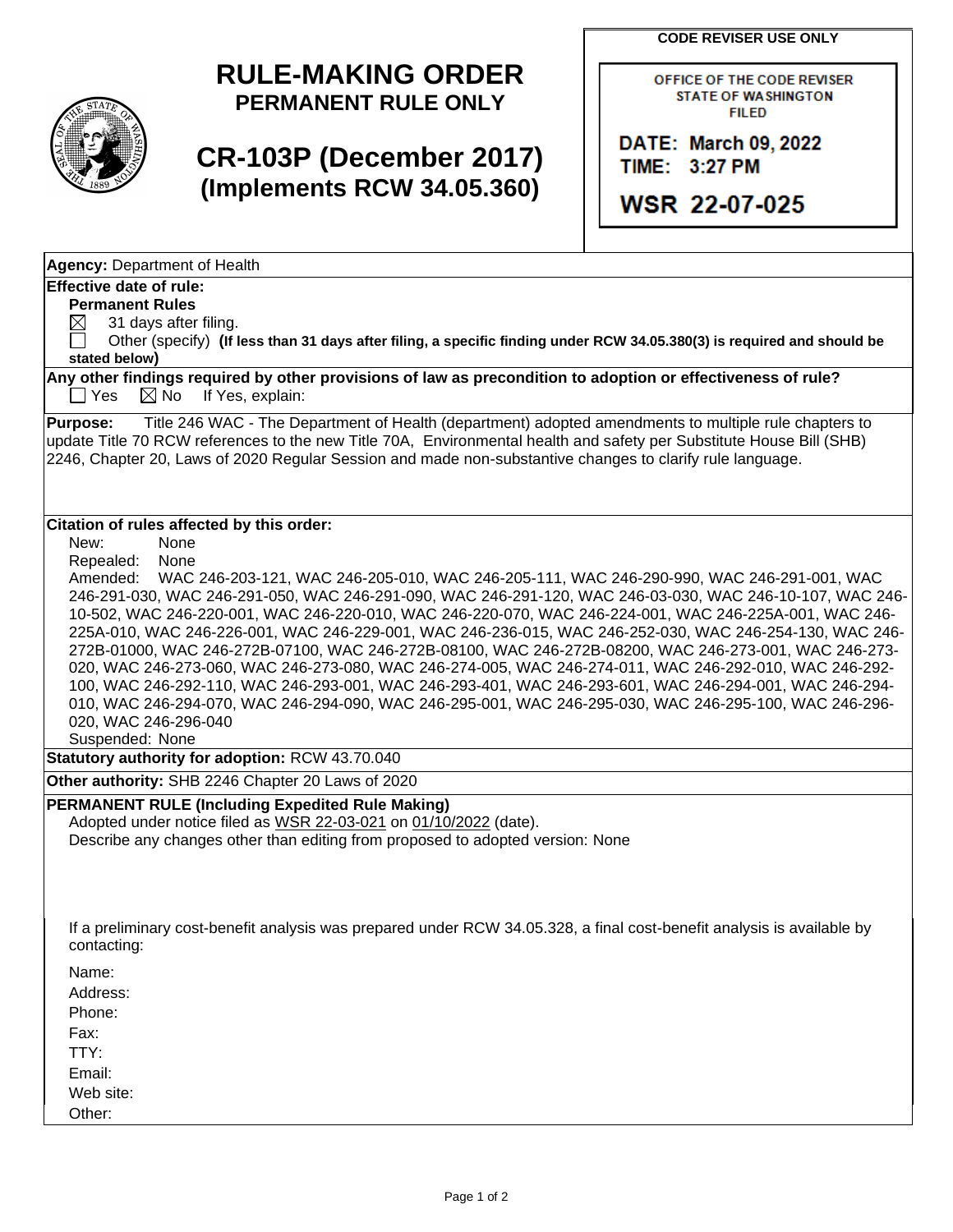**CODE REVISER USE ONLY**

# **RULE-MAKING ORDER PERMANENT RULE ONLY**

# **CR-103P (December 2017) (Implements RCW 34.05.360)**

OFFICE OF THE CODE REVISER **STATE OF WASHINGTON FILED** 

DATE: March 09, 2022 TIME: 3:27 PM

**WSR 22-07-025** 

**Agency:** Department of Health

### **Effective date of rule:**

**Permanent Rules**

 $\boxtimes$  31 days after filing.

 Other (specify) **(If less than 31 days after filing, a specific finding under RCW 34.05.380(3) is required and should be stated below)**

**Any other findings required by other provisions of law as precondition to adoption or effectiveness of rule?**  $\Box$  Yes  $\Box$  No If Yes, explain:

**Purpose:** Title 246 WAC - The Department of Health (department) adopted amendments to multiple rule chapters to update Title 70 RCW references to the new Title 70A, Environmental health and safety per Substitute House Bill (SHB) 2246, Chapter 20, Laws of 2020 Regular Session and made non-substantive changes to clarify rule language.

### **Citation of rules affected by this order:**

New: None

Repealed: None

Amended: WAC 246-203-121, WAC 246-205-010, WAC 246-205-111, WAC 246-290-990, WAC 246-291-001, WAC 246-291-030, WAC 246-291-050, WAC 246-291-090, WAC 246-291-120, WAC 246-03-030, WAC 246-10-107, WAC 246- 10-502, WAC 246-220-001, WAC 246-220-010, WAC 246-220-070, WAC 246-224-001, WAC 246-225A-001, WAC 246- 225A-010, WAC 246-226-001, WAC 246-229-001, WAC 246-236-015, WAC 246-252-030, WAC 246-254-130, WAC 246- 272B-01000, WAC 246-272B-07100, WAC 246-272B-08100, WAC 246-272B-08200, WAC 246-273-001, WAC 246-273- 020, WAC 246-273-060, WAC 246-273-080, WAC 246-274-005, WAC 246-274-011, WAC 246-292-010, WAC 246-292- 100, WAC 246-292-110, WAC 246-293-001, WAC 246-293-401, WAC 246-293-601, WAC 246-294-001, WAC 246-294- 010, WAC 246-294-070, WAC 246-294-090, WAC 246-295-001, WAC 246-295-030, WAC 246-295-100, WAC 246-296- 020, WAC 246-296-040

Suspended: None

**Statutory authority for adoption:** RCW 43.70.040

**Other authority:** SHB 2246 Chapter 20 Laws of 2020

### **PERMANENT RULE (Including Expedited Rule Making)**

Adopted under notice filed as WSR 22-03-021 on 01/10/2022 (date). Describe any changes other than editing from proposed to adopted version: None

If a preliminary cost-benefit analysis was prepared under RCW 34.05.328, a final cost-benefit analysis is available by contacting:

Name:

Address:

Phone:

Fax:

TTY:

Email:

Web site: Other: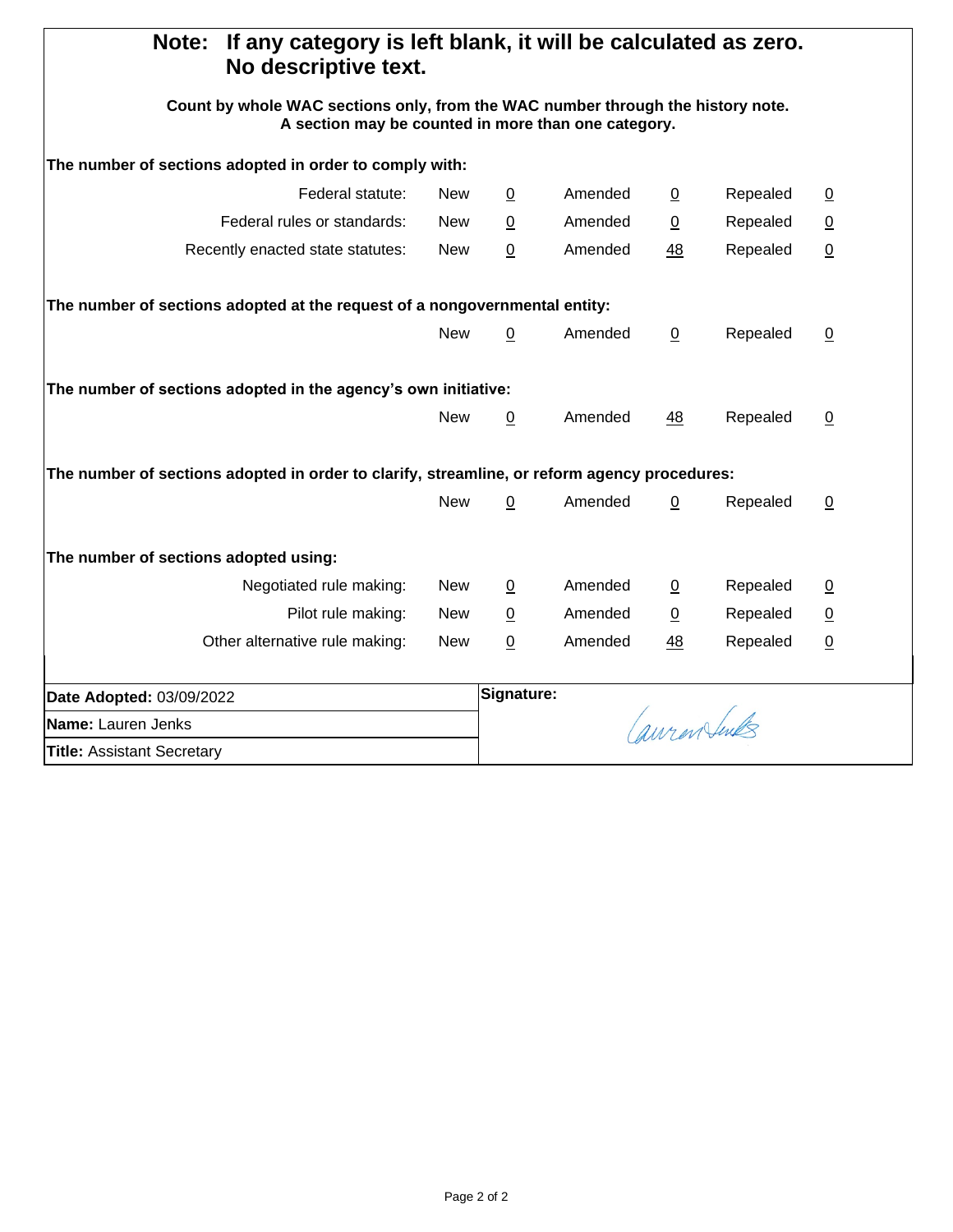| If any category is left blank, it will be calculated as zero.<br>Note:<br>No descriptive text.                                         |            |                 |               |                 |          |                 |
|----------------------------------------------------------------------------------------------------------------------------------------|------------|-----------------|---------------|-----------------|----------|-----------------|
| Count by whole WAC sections only, from the WAC number through the history note.<br>A section may be counted in more than one category. |            |                 |               |                 |          |                 |
| The number of sections adopted in order to comply with:                                                                                |            |                 |               |                 |          |                 |
| Federal statute:                                                                                                                       | New        | $\overline{0}$  | Amended       | $\overline{0}$  | Repealed | $\overline{0}$  |
| Federal rules or standards:                                                                                                            | <b>New</b> | $\overline{0}$  | Amended       | $\underline{0}$ | Repealed | $\overline{0}$  |
| Recently enacted state statutes:                                                                                                       | <b>New</b> | 0               | Amended       | 48              | Repealed | $\overline{0}$  |
| The number of sections adopted at the request of a nongovernmental entity:                                                             |            |                 |               |                 |          |                 |
|                                                                                                                                        | New        | $\overline{0}$  | Amended       | $\overline{0}$  | Repealed | $\overline{0}$  |
| The number of sections adopted in the agency's own initiative:                                                                         |            |                 |               |                 |          |                 |
|                                                                                                                                        | <b>New</b> | $\overline{0}$  | Amended       | 48              | Repealed | $\overline{0}$  |
| The number of sections adopted in order to clarify, streamline, or reform agency procedures:                                           |            |                 |               |                 |          |                 |
|                                                                                                                                        | <b>New</b> | 0               | Amended       | $\mathbf 0$     | Repealed | $\overline{0}$  |
| The number of sections adopted using:                                                                                                  |            |                 |               |                 |          |                 |
| Negotiated rule making:                                                                                                                | New        | $\overline{0}$  | Amended       | $\overline{0}$  | Repealed | $\overline{0}$  |
| Pilot rule making:                                                                                                                     | <b>New</b> | $\underline{0}$ | Amended       | $\underline{0}$ | Repealed | $\underline{0}$ |
| Other alternative rule making:                                                                                                         | <b>New</b> | 0               | Amended       | 48              | Repealed | $\underline{0}$ |
| Date Adopted: 03/09/2022                                                                                                               |            | Signature:      |               |                 |          |                 |
| <b>Name: Lauren Jenks</b>                                                                                                              |            |                 | Cauren Suntes |                 |          |                 |
| <b>Title: Assistant Secretary</b>                                                                                                      |            |                 |               |                 |          |                 |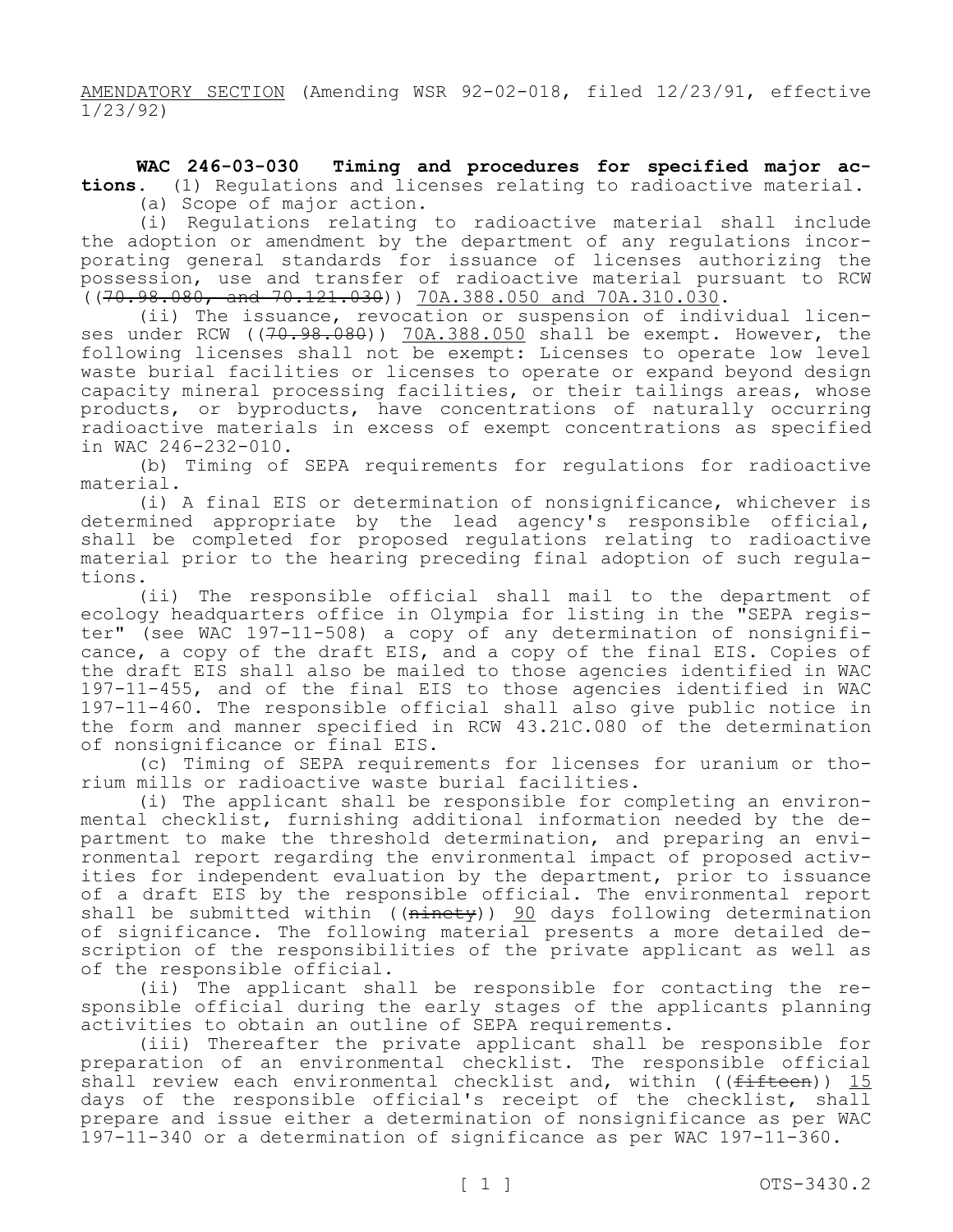AMENDATORY SECTION (Amending WSR 92-02-018, filed 12/23/91, effective 1/23/92)

**WAC 246-03-030 Timing and procedures for specified major actions.** (1) Regulations and licenses relating to radioactive material.

(a) Scope of major action.

(i) Regulations relating to radioactive material shall include the adoption or amendment by the department of any regulations incorporating general standards for issuance of licenses authorizing the possession, use and transfer of radioactive material pursuant to RCW ((70.98.080, and 70.121.030)) 70A.388.050 and 70A.310.030.

(ii) The issuance, revocation or suspension of individual licenses under RCW ( $(70.98.080)$ ) 70A.388.050 shall be exempt. However, the following licenses shall not be exempt: Licenses to operate low level waste burial facilities or licenses to operate or expand beyond design capacity mineral processing facilities, or their tailings areas, whose products, or byproducts, have concentrations of naturally occurring radioactive materials in excess of exempt concentrations as specified in WAC 246-232-010.

(b) Timing of SEPA requirements for regulations for radioactive material.

(i) A final EIS or determination of nonsignificance, whichever is determined appropriate by the lead agency's responsible official, shall be completed for proposed regulations relating to radioactive material prior to the hearing preceding final adoption of such regulations.

(ii) The responsible official shall mail to the department of ecology headquarters office in Olympia for listing in the "SEPA register" (see WAC 197-11-508) a copy of any determination of nonsignificance, a copy of the draft EIS, and a copy of the final EIS. Copies of the draft EIS shall also be mailed to those agencies identified in WAC 197-11-455, and of the final EIS to those agencies identified in WAC 197-11-460. The responsible official shall also give public notice in the form and manner specified in RCW 43.21C.080 of the determination of nonsignificance or final EIS.

(c) Timing of SEPA requirements for licenses for uranium or thorium mills or radioactive waste burial facilities.

(i) The applicant shall be responsible for completing an environmental checklist, furnishing additional information needed by the department to make the threshold determination, and preparing an environmental report regarding the environmental impact of proposed activities for independent evaluation by the department, prior to issuance of a draft EIS by the responsible official. The environmental report shall be submitted within ( $(\overline{\text{ni}})$ )  $\frac{90}{30}$  days following determination of significance. The following material presents a more detailed description of the responsibilities of the private applicant as well as of the responsible official.

(ii) The applicant shall be responsible for contacting the responsible official during the early stages of the applicants planning activities to obtain an outline of SEPA requirements.

(iii) Thereafter the private applicant shall be responsible for preparation of an environmental checklist. The responsible official shall review each environmental checklist and, within ((fifteen)) 15 days of the responsible official's receipt of the checklist, shall prepare and issue either a determination of nonsignificance as per WAC 197-11-340 or a determination of significance as per WAC 197-11-360.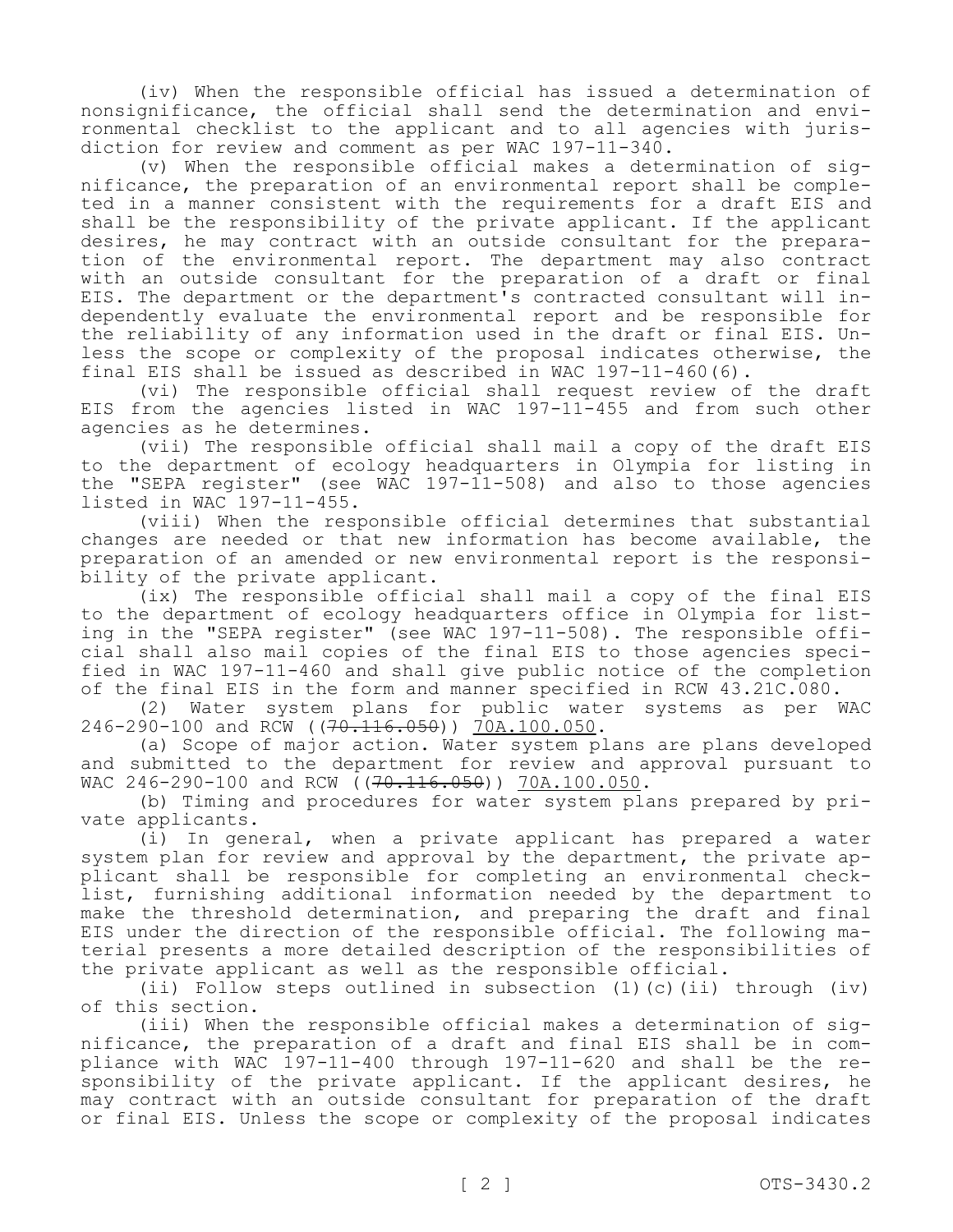(iv) When the responsible official has issued a determination of nonsignificance, the official shall send the determination and environmental checklist to the applicant and to all agencies with jurisdiction for review and comment as per WAC 197-11-340.

(v) When the responsible official makes a determination of significance, the preparation of an environmental report shall be completed in a manner consistent with the requirements for a draft EIS and shall be the responsibility of the private applicant. If the applicant desires, he may contract with an outside consultant for the preparation of the environmental report. The department may also contract with an outside consultant for the preparation of a draft or final EIS. The department or the department's contracted consultant will independently evaluate the environmental report and be responsible for the reliability of any information used in the draft or final EIS. Unless the scope or complexity of the proposal indicates otherwise, the final EIS shall be issued as described in WAC 197-11-460(6).

(vi) The responsible official shall request review of the draft EIS from the agencies listed in WAC 197-11-455 and from such other agencies as he determines.

(vii) The responsible official shall mail a copy of the draft EIS to the department of ecology headquarters in Olympia for listing in the "SEPA register" (see WAC 197-11-508) and also to those agencies listed in WAC 197-11-455.

(viii) When the responsible official determines that substantial changes are needed or that new information has become available, the preparation of an amended or new environmental report is the responsibility of the private applicant.

(ix) The responsible official shall mail a copy of the final EIS to the department of ecology headquarters office in Olympia for listing in the "SEPA register" (see WAC 197-11-508). The responsible official shall also mail copies of the final EIS to those agencies specified in WAC 197-11-460 and shall give public notice of the completion of the final EIS in the form and manner specified in RCW 43.21C.080.

(2) Water system plans for public water systems as per WAC 246-290-100 and RCW ( $(70.116.050)$ ) 70A.100.050.

(a) Scope of major action. Water system plans are plans developed and submitted to the department for review and approval pursuant to WAC 246-290-100 and RCW ((70.116.050)) 70A.100.050.

(b) Timing and procedures for water system plans prepared by private applicants.

(i) In general, when a private applicant has prepared a water system plan for review and approval by the department, the private applicant shall be responsible for completing an environmental checklist, furnishing additional information needed by the department to make the threshold determination, and preparing the draft and final EIS under the direction of the responsible official. The following material presents a more detailed description of the responsibilities of the private applicant as well as the responsible official.

(ii) Follow steps outlined in subsection (1)(c)(ii) through (iv) of this section.

(iii) When the responsible official makes a determination of significance, the preparation of a draft and final EIS shall be in compliance with WAC 197-11-400 through 197-11-620 and shall be the responsibility of the private applicant. If the applicant desires, he may contract with an outside consultant for preparation of the draft or final EIS. Unless the scope or complexity of the proposal indicates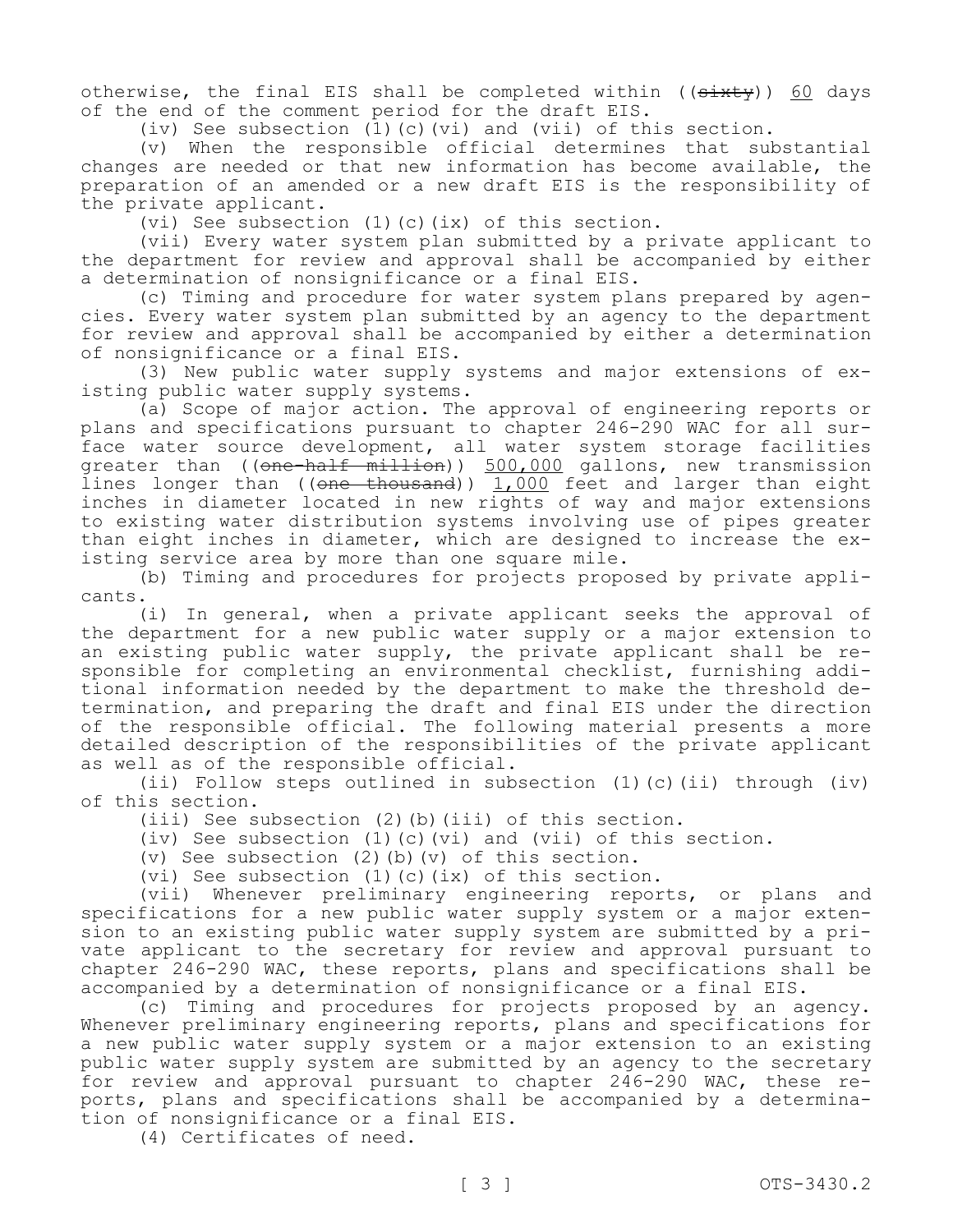otherwise, the final EIS shall be completed within  $((s+$ of the end of the comment period for the draft EIS.

(iv) See subsection  $(1)$  (c)(vi) and (vii) of this section.

(v) When the responsible official determines that substantial changes are needed or that new information has become available, the preparation of an amended or a new draft EIS is the responsibility of the private applicant.

(vi) See subsection (1)(c)(ix) of this section.

(vii) Every water system plan submitted by a private applicant to the department for review and approval shall be accompanied by either a determination of nonsignificance or a final EIS.

(c) Timing and procedure for water system plans prepared by agencies. Every water system plan submitted by an agency to the department for review and approval shall be accompanied by either a determination of nonsignificance or a final EIS.

(3) New public water supply systems and major extensions of existing public water supply systems.

(a) Scope of major action. The approval of engineering reports or plans and specifications pursuant to chapter 246-290 WAC for all surface water source development, all water system storage facilities greater than ((<del>one-half million</del>)) 500,000 gallons, new transmission lines longer than ((<del>one thousand</del>)) 1,000 feet and larger than eight inches in diameter located in new rights of way and major extensions to existing water distribution systems involving use of pipes greater than eight inches in diameter, which are designed to increase the existing service area by more than one square mile.

(b) Timing and procedures for projects proposed by private applicants.

(i) In general, when a private applicant seeks the approval of the department for a new public water supply or a major extension to an existing public water supply, the private applicant shall be responsible for completing an environmental checklist, furnishing additional information needed by the department to make the threshold determination, and preparing the draft and final EIS under the direction of the responsible official. The following material presents a more detailed description of the responsibilities of the private applicant as well as of the responsible official.

(ii) Follow steps outlined in subsection (1)(c)(ii) through (iv) of this section.

(iii) See subsection (2)(b)(iii) of this section.

(iv) See subsection (1)(c)(vi) and (vii) of this section.

(v) See subsection (2)(b)(v) of this section.

(vi) See subsection (1)(c)(ix) of this section.

(vii) Whenever preliminary engineering reports, or plans and specifications for a new public water supply system or a major extension to an existing public water supply system are submitted by a private applicant to the secretary for review and approval pursuant to chapter 246-290 WAC, these reports, plans and specifications shall be accompanied by a determination of nonsignificance or a final EIS.

(c) Timing and procedures for projects proposed by an agency. Whenever preliminary engineering reports, plans and specifications for a new public water supply system or a major extension to an existing public water supply system are submitted by an agency to the secretary for review and approval pursuant to chapter 246-290 WAC, these reports, plans and specifications shall be accompanied by a determination of nonsignificance or a final EIS.

(4) Certificates of need.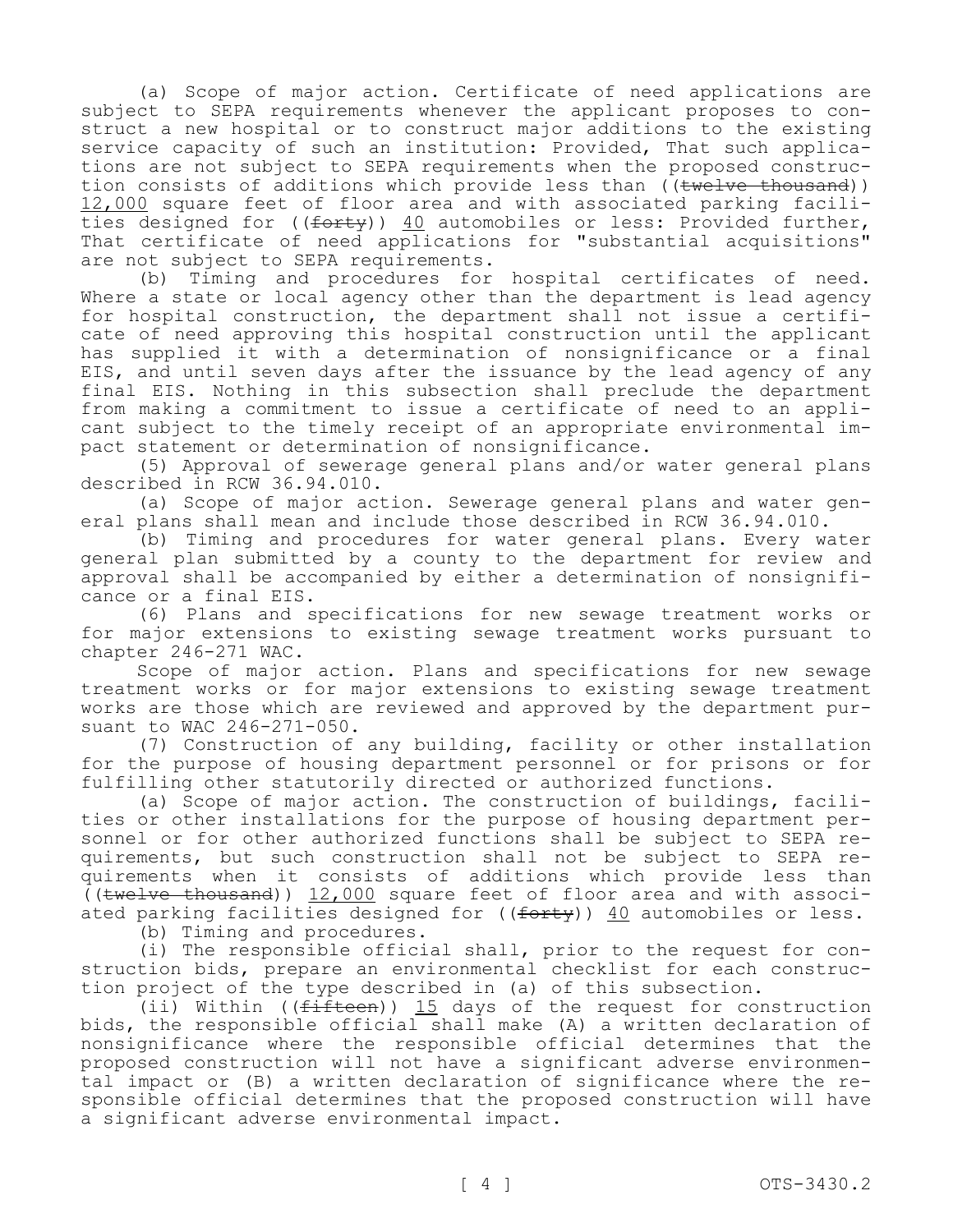(a) Scope of major action. Certificate of need applications are subject to SEPA requirements whenever the applicant proposes to construct a new hospital or to construct major additions to the existing service capacity of such an institution: Provided, That such applications are not subject to SEPA requirements when the proposed construction consists of additions which provide less than ((twelve thousand)) 12,000 square feet of floor area and with associated parking facilities designed for ((forty)) 40 automobiles or less: Provided further, That certificate of need applications for "substantial acquisitions" are not subject to SEPA requirements.

(b) Timing and procedures for hospital certificates of need. Where a state or local agency other than the department is lead agency for hospital construction, the department shall not issue a certificate of need approving this hospital construction until the applicant has supplied it with a determination of nonsignificance or a final EIS, and until seven days after the issuance by the lead agency of any final EIS. Nothing in this subsection shall preclude the department from making a commitment to issue a certificate of need to an applicant subject to the timely receipt of an appropriate environmental impact statement or determination of nonsignificance.

(5) Approval of sewerage general plans and/or water general plans described in RCW 36.94.010.

(a) Scope of major action. Sewerage general plans and water general plans shall mean and include those described in RCW 36.94.010.

(b) Timing and procedures for water general plans. Every water general plan submitted by a county to the department for review and approval shall be accompanied by either a determination of nonsignificance or a final EIS.

(6) Plans and specifications for new sewage treatment works or for major extensions to existing sewage treatment works pursuant to chapter 246-271 WAC.

Scope of major action. Plans and specifications for new sewage treatment works or for major extensions to existing sewage treatment works are those which are reviewed and approved by the department pursuant to WAC 246-271-050.

(7) Construction of any building, facility or other installation for the purpose of housing department personnel or for prisons or for fulfilling other statutorily directed or authorized functions.

(a) Scope of major action. The construction of buildings, facilities or other installations for the purpose of housing department personnel or for other authorized functions shall be subject to SEPA requirements, but such construction shall not be subject to SEPA requirements when it consists of additions which provide less than  $($ (twelve thousand))  $12,000$  square feet of floor area and with associated parking facilities designed for  $((forty))$  40 automobiles or less.

(b) Timing and procedures.

(i) The responsible official shall, prior to the request for construction bids, prepare an environmental checklist for each construction project of the type described in (a) of this subsection.

(ii) Within ( $(f$ ifteen)) 15 days of the request for construction bids, the responsible official shall make (A) a written declaration of nonsignificance where the responsible official determines that the proposed construction will not have a significant adverse environmental impact or (B) a written declaration of significance where the responsible official determines that the proposed construction will have a significant adverse environmental impact.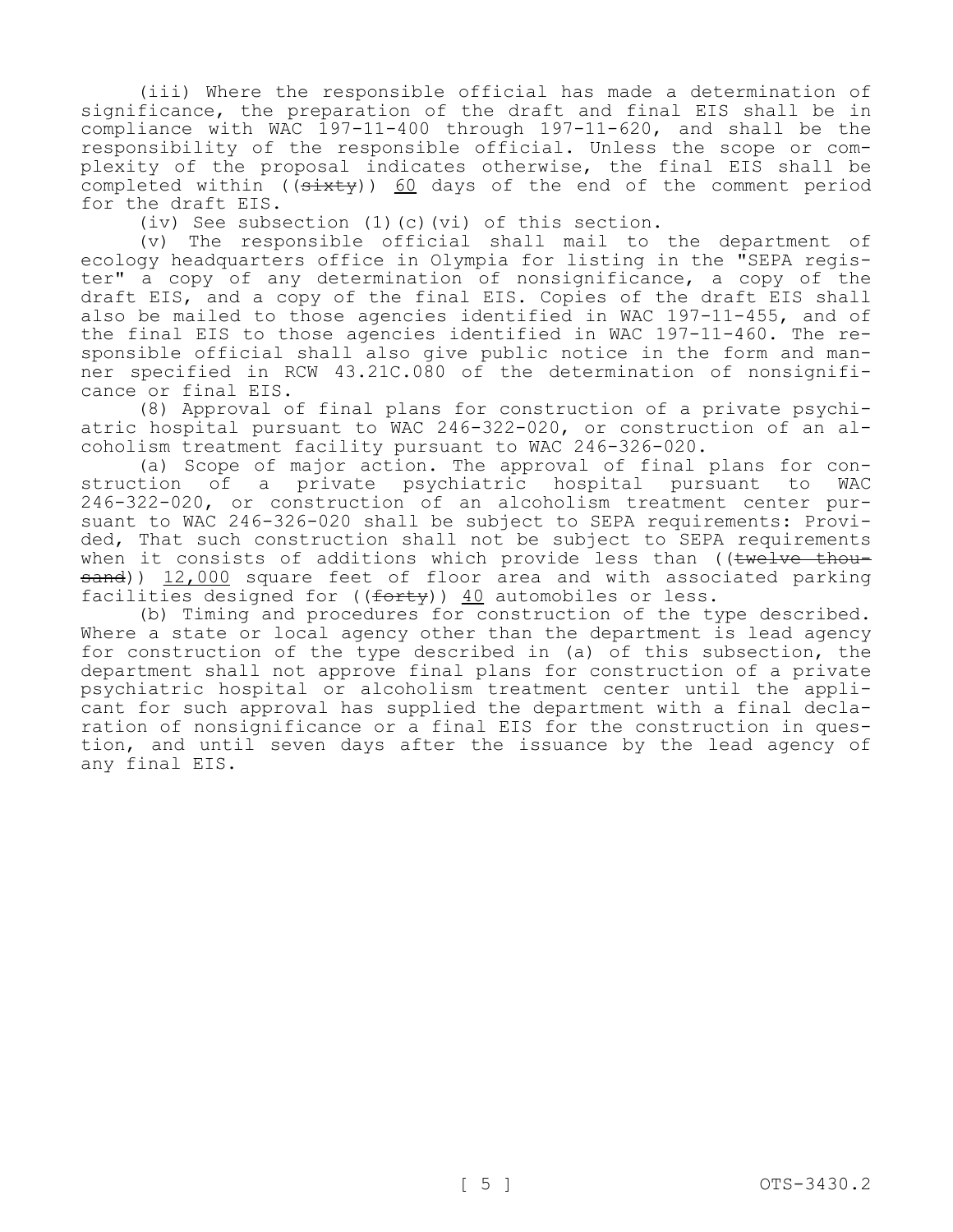(iii) Where the responsible official has made a determination of significance, the preparation of the draft and final EIS shall be in compliance with WAC 197-11-400 through 197-11-620, and shall be the responsibility of the responsible official. Unless the scope or complexity of the proposal indicates otherwise, the final EIS shall be completed within ( $(sixty)$ ) 60 days of the end of the comment period for the draft EIS.

(iv) See subsection (1)(c)(vi) of this section.

(v) The responsible official shall mail to the department of ecology headquarters office in Olympia for listing in the "SEPA register" a copy of any determination of nonsignificance, a copy of the draft EIS, and a copy of the final EIS. Copies of the draft EIS shall also be mailed to those agencies identified in WAC 197-11-455, and of the final EIS to those agencies identified in WAC 197-11-460. The responsible official shall also give public notice in the form and manner specified in RCW 43.21C.080 of the determination of nonsignificance or final EIS.

(8) Approval of final plans for construction of a private psychiatric hospital pursuant to WAC 246-322-020, or construction of an alcoholism treatment facility pursuant to WAC 246-326-020.

(a) Scope of major action. The approval of final plans for construction of a private psychiatric hospital pursuant to WAC 246-322-020, or construction of an alcoholism treatment center pursuant to WAC 246-326-020 shall be subject to SEPA requirements: Provided, That such construction shall not be subject to SEPA requirements when it consists of additions which provide less than ((twelve thousand)) 12,000 square feet of floor area and with associated parking facilities designed for  $((f<sub>orty</sub>))$  40 automobiles or less.

(b) Timing and procedures for construction of the type described. Where a state or local agency other than the department is lead agency for construction of the type described in (a) of this subsection, the department shall not approve final plans for construction of a private psychiatric hospital or alcoholism treatment center until the applicant for such approval has supplied the department with a final declaration of nonsignificance or a final EIS for the construction in question, and until seven days after the issuance by the lead agency of any final EIS.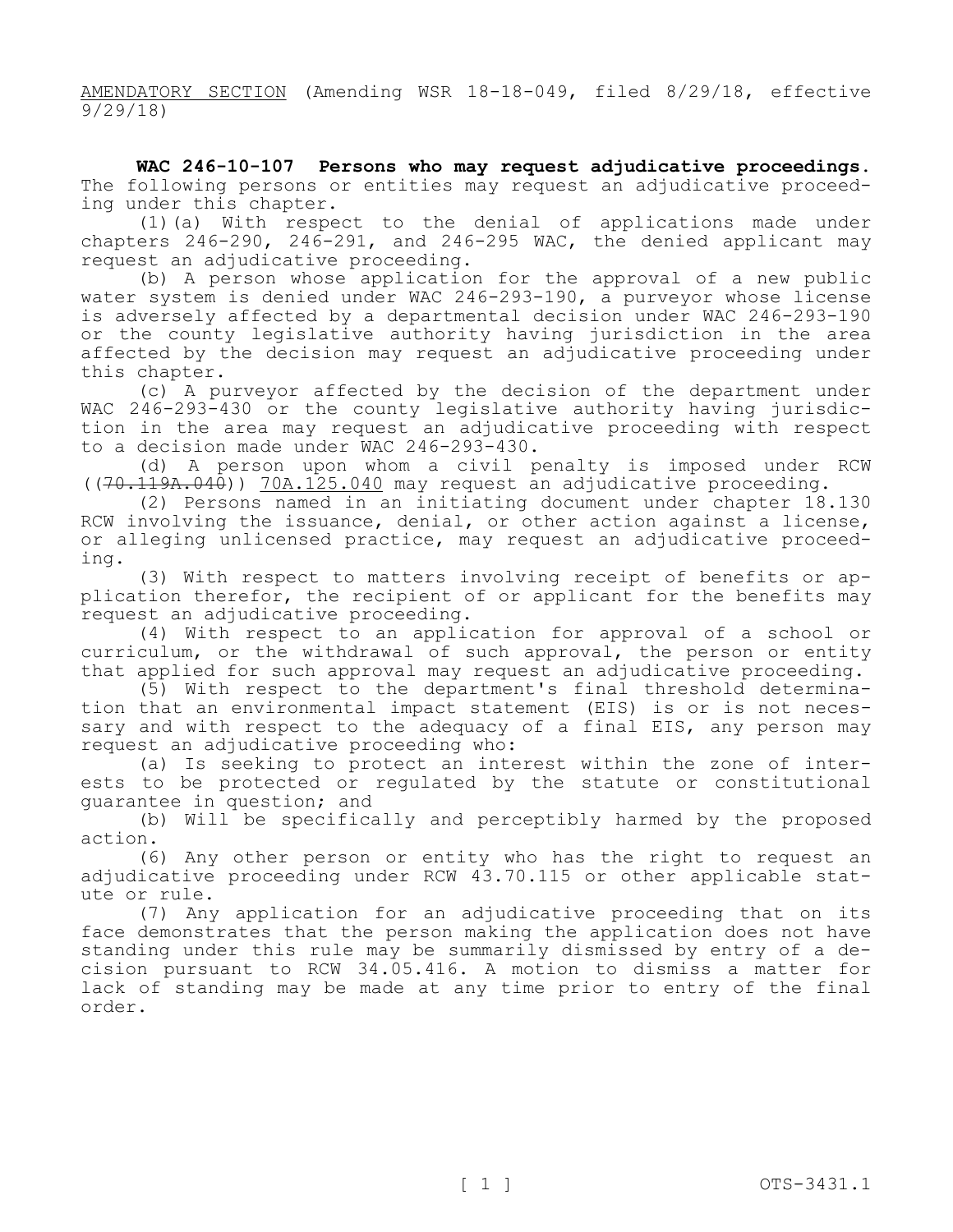AMENDATORY SECTION (Amending WSR 18-18-049, filed 8/29/18, effective 9/29/18)

**WAC 246-10-107 Persons who may request adjudicative proceedings.**  The following persons or entities may request an adjudicative proceeding under this chapter.

(1)(a) With respect to the denial of applications made under chapters 246-290, 246-291, and 246-295 WAC, the denied applicant may request an adjudicative proceeding.

(b) A person whose application for the approval of a new public water system is denied under WAC 246-293-190, a purveyor whose license is adversely affected by a departmental decision under WAC 246-293-190 or the county legislative authority having jurisdiction in the area affected by the decision may request an adjudicative proceeding under this chapter.

(c) A purveyor affected by the decision of the department under WAC 246-293-430 or the county legislative authority having jurisdiction in the area may request an adjudicative proceeding with respect to a decision made under WAC 246-293-430.

(d) A person upon whom a civil penalty is imposed under RCW ((70.119A.040)) 70A.125.040 may request an adjudicative proceeding.

(2) Persons named in an initiating document under chapter 18.130 RCW involving the issuance, denial, or other action against a license, or alleging unlicensed practice, may request an adjudicative proceeding.

(3) With respect to matters involving receipt of benefits or application therefor, the recipient of or applicant for the benefits may request an adjudicative proceeding.

(4) With respect to an application for approval of a school or curriculum, or the withdrawal of such approval, the person or entity that applied for such approval may request an adjudicative proceeding.

(5) With respect to the department's final threshold determination that an environmental impact statement (EIS) is or is not necessary and with respect to the adequacy of a final EIS, any person may request an adjudicative proceeding who:

(a) Is seeking to protect an interest within the zone of interests to be protected or regulated by the statute or constitutional guarantee in question; and

(b) Will be specifically and perceptibly harmed by the proposed action.

(6) Any other person or entity who has the right to request an adjudicative proceeding under RCW 43.70.115 or other applicable statute or rule.

(7) Any application for an adjudicative proceeding that on its face demonstrates that the person making the application does not have standing under this rule may be summarily dismissed by entry of a decision pursuant to RCW 34.05.416. A motion to dismiss a matter for lack of standing may be made at any time prior to entry of the final order.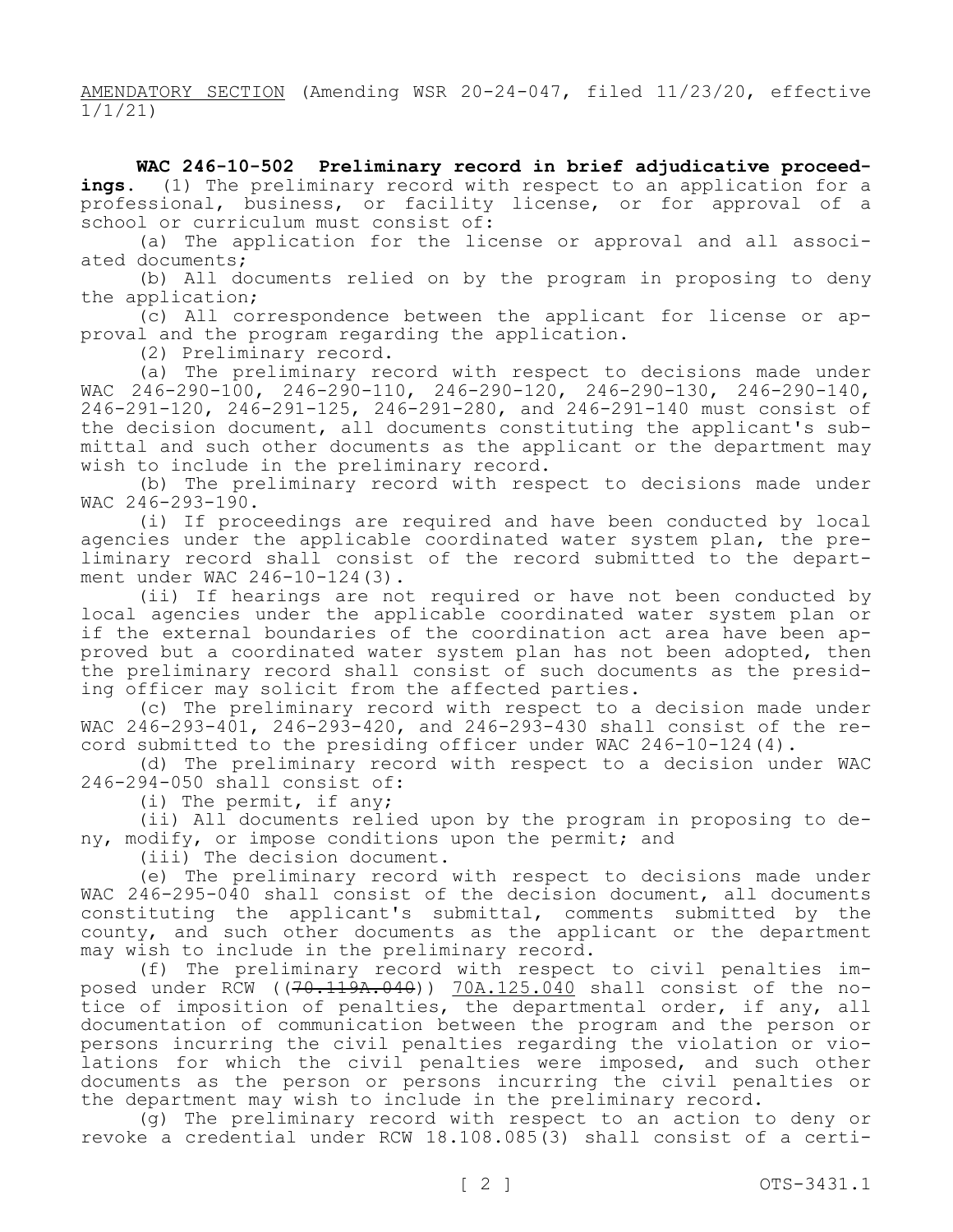AMENDATORY SECTION (Amending WSR 20-24-047, filed 11/23/20, effective 1/1/21)

**WAC 246-10-502 Preliminary record in brief adjudicative proceed**ings. (1) The preliminary record with respect to an application for a professional, business, or facility license, or for approval of a school or curriculum must consist of:

(a) The application for the license or approval and all associated documents;

(b) All documents relied on by the program in proposing to deny the application;

(c) All correspondence between the applicant for license or approval and the program regarding the application.

(2) Preliminary record.

(a) The preliminary record with respect to decisions made under WAC 246-290-100, 246-290-110, 246-290-120, 246-290-130, 246-290-140, 246-291-120, 246-291-125, 246-291-280, and 246-291-140 must consist of the decision document, all documents constituting the applicant's submittal and such other documents as the applicant or the department may wish to include in the preliminary record.

(b) The preliminary record with respect to decisions made under WAC 246-293-190.

(i) If proceedings are required and have been conducted by local agencies under the applicable coordinated water system plan, the preliminary record shall consist of the record submitted to the department under WAC 246-10-124(3).

(ii) If hearings are not required or have not been conducted by local agencies under the applicable coordinated water system plan or if the external boundaries of the coordination act area have been approved but a coordinated water system plan has not been adopted, then the preliminary record shall consist of such documents as the presiding officer may solicit from the affected parties.

(c) The preliminary record with respect to a decision made under WAC 246-293-401, 246-293-420, and 246-293-430 shall consist of the record submitted to the presiding officer under WAC 246-10-124(4).

(d) The preliminary record with respect to a decision under WAC 246-294-050 shall consist of:

(i) The permit, if any;

(ii) All documents relied upon by the program in proposing to deny, modify, or impose conditions upon the permit; and

(iii) The decision document.

(e) The preliminary record with respect to decisions made under WAC 246-295-040 shall consist of the decision document, all documents constituting the applicant's submittal, comments submitted by the county, and such other documents as the applicant or the department may wish to include in the preliminary record.

(f) The preliminary record with respect to civil penalties imposed under RCW  $((70.119A.040))$  70A.125.040 shall consist of the notice of imposition of penalties, the departmental order, if any, all documentation of communication between the program and the person or persons incurring the civil penalties regarding the violation or violations for which the civil penalties were imposed, and such other documents as the person or persons incurring the civil penalties or the department may wish to include in the preliminary record.

(g) The preliminary record with respect to an action to deny or revoke a credential under RCW 18.108.085(3) shall consist of a certi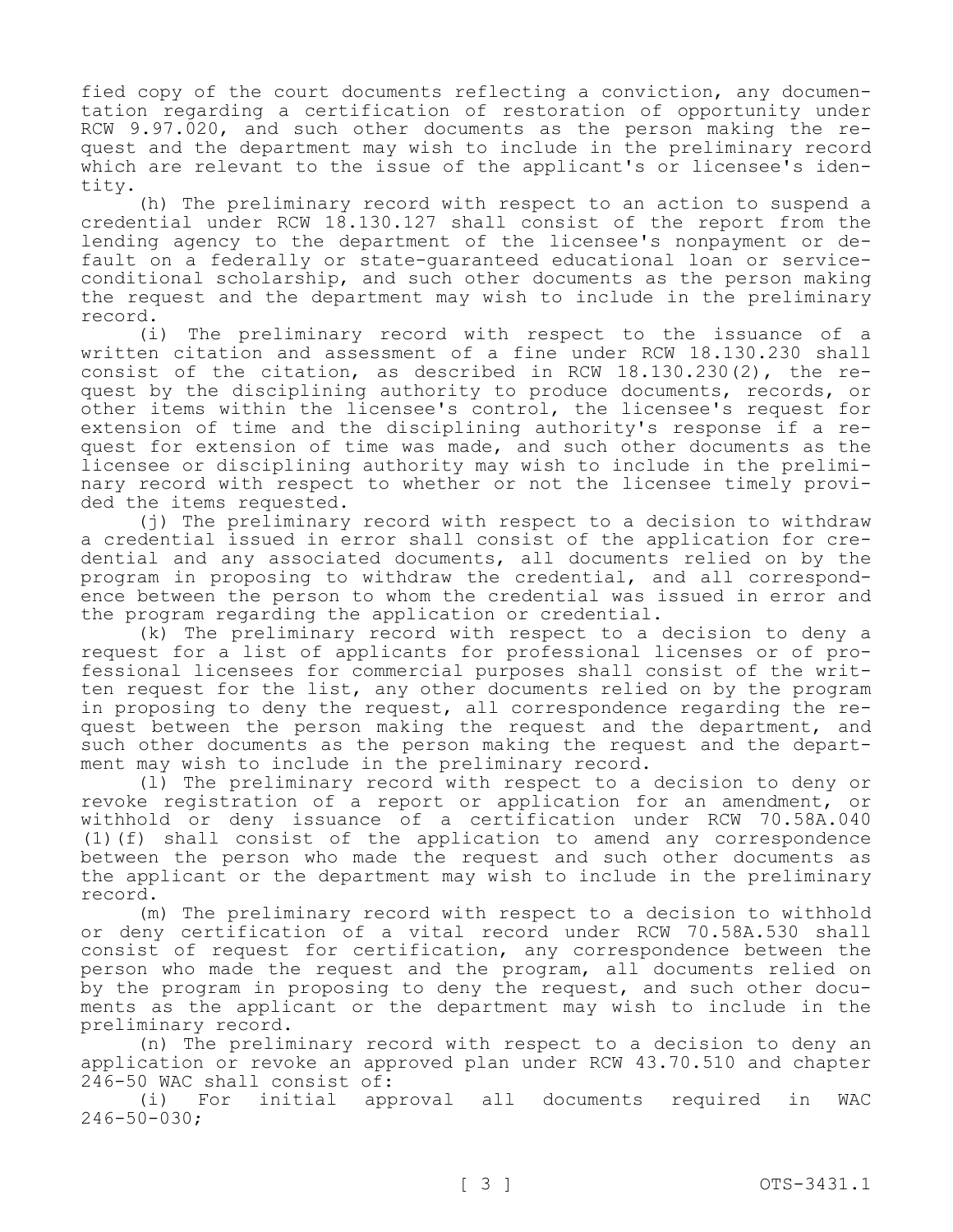fied copy of the court documents reflecting a conviction, any documentation regarding a certification of restoration of opportunity under RCW 9.97.020, and such other documents as the person making the request and the department may wish to include in the preliminary record which are relevant to the issue of the applicant's or licensee's identity.

(h) The preliminary record with respect to an action to suspend a credential under RCW 18.130.127 shall consist of the report from the lending agency to the department of the licensee's nonpayment or default on a federally or state-guaranteed educational loan or serviceconditional scholarship, and such other documents as the person making the request and the department may wish to include in the preliminary record.

(i) The preliminary record with respect to the issuance of a written citation and assessment of a fine under RCW 18.130.230 shall consist of the citation, as described in RCW 18.130.230(2), the request by the disciplining authority to produce documents, records, or other items within the licensee's control, the licensee's request for extension of time and the disciplining authority's response if a request for extension of time was made, and such other documents as the licensee or disciplining authority may wish to include in the preliminary record with respect to whether or not the licensee timely provided the items requested.

(j) The preliminary record with respect to a decision to withdraw a credential issued in error shall consist of the application for credential and any associated documents, all documents relied on by the program in proposing to withdraw the credential, and all correspondence between the person to whom the credential was issued in error and the program regarding the application or credential.

(k) The preliminary record with respect to a decision to deny a request for a list of applicants for professional licenses or of professional licensees for commercial purposes shall consist of the written request for the list, any other documents relied on by the program in proposing to deny the request, all correspondence regarding the request between the person making the request and the department, and such other documents as the person making the request and the department may wish to include in the preliminary record.

(l) The preliminary record with respect to a decision to deny or revoke registration of a report or application for an amendment, or withhold or deny issuance of a certification under RCW 70.58A.040 (1)(f) shall consist of the application to amend any correspondence between the person who made the request and such other documents as the applicant or the department may wish to include in the preliminary record.

(m) The preliminary record with respect to a decision to withhold or deny certification of a vital record under RCW 70.58A.530 shall consist of request for certification, any correspondence between the person who made the request and the program, all documents relied on by the program in proposing to deny the request, and such other documents as the applicant or the department may wish to include in the preliminary record.

(n) The preliminary record with respect to a decision to deny an application or revoke an approved plan under RCW 43.70.510 and chapter 246-50 WAC shall consist of:

(i) For initial approval all documents required in WAC 246-50-030;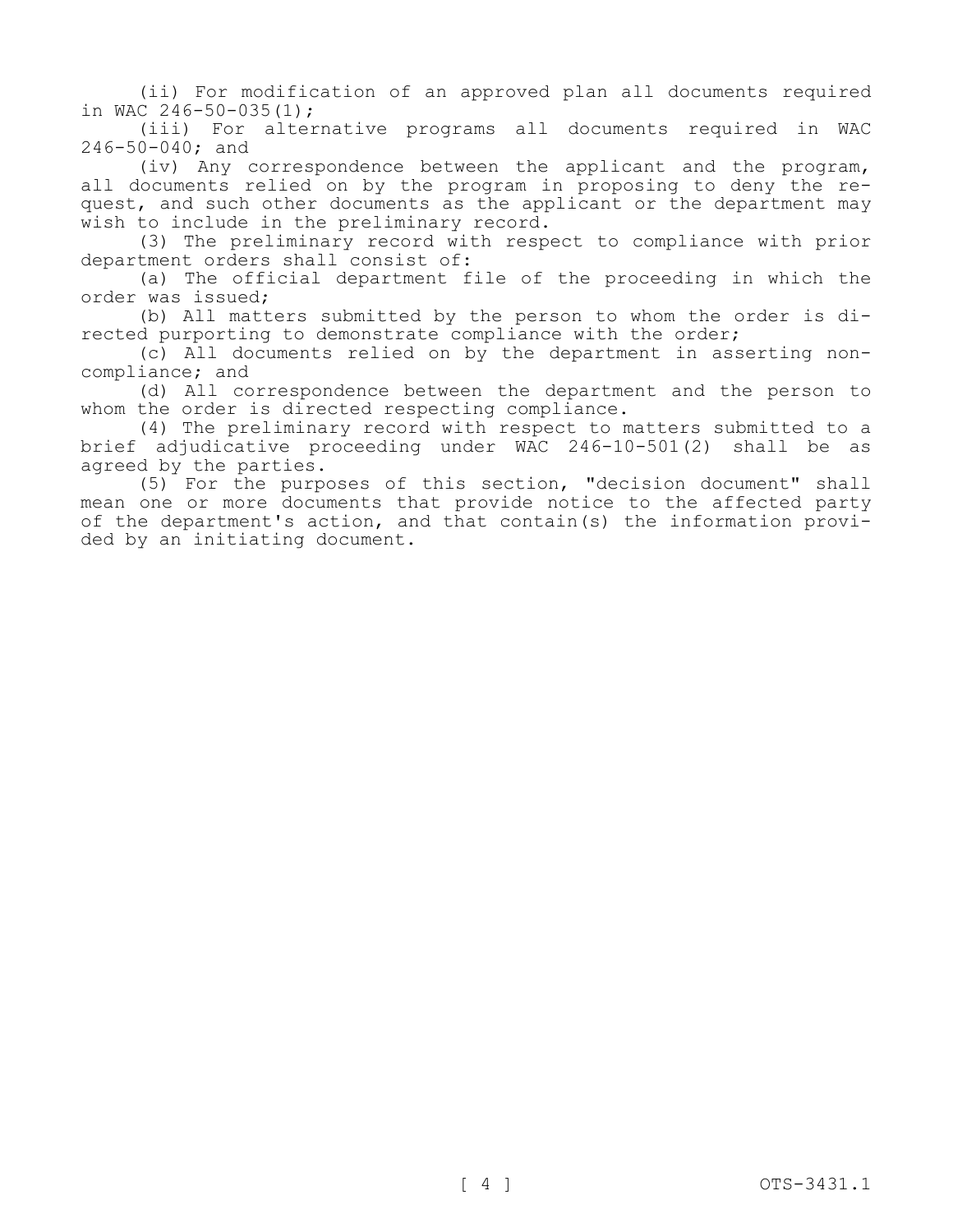(ii) For modification of an approved plan all documents required in WAC 246-50-035(1);

(iii) For alternative programs all documents required in WAC 246-50-040; and

(iv) Any correspondence between the applicant and the program, all documents relied on by the program in proposing to deny the request, and such other documents as the applicant or the department may wish to include in the preliminary record.

(3) The preliminary record with respect to compliance with prior department orders shall consist of:

(a) The official department file of the proceeding in which the order was issued;

(b) All matters submitted by the person to whom the order is directed purporting to demonstrate compliance with the order;

(c) All documents relied on by the department in asserting noncompliance; and

(d) All correspondence between the department and the person to whom the order is directed respecting compliance.

(4) The preliminary record with respect to matters submitted to a brief adjudicative proceeding under WAC 246-10-501(2) shall be as agreed by the parties.

(5) For the purposes of this section, "decision document" shall mean one or more documents that provide notice to the affected party of the department's action, and that contain(s) the information provided by an initiating document.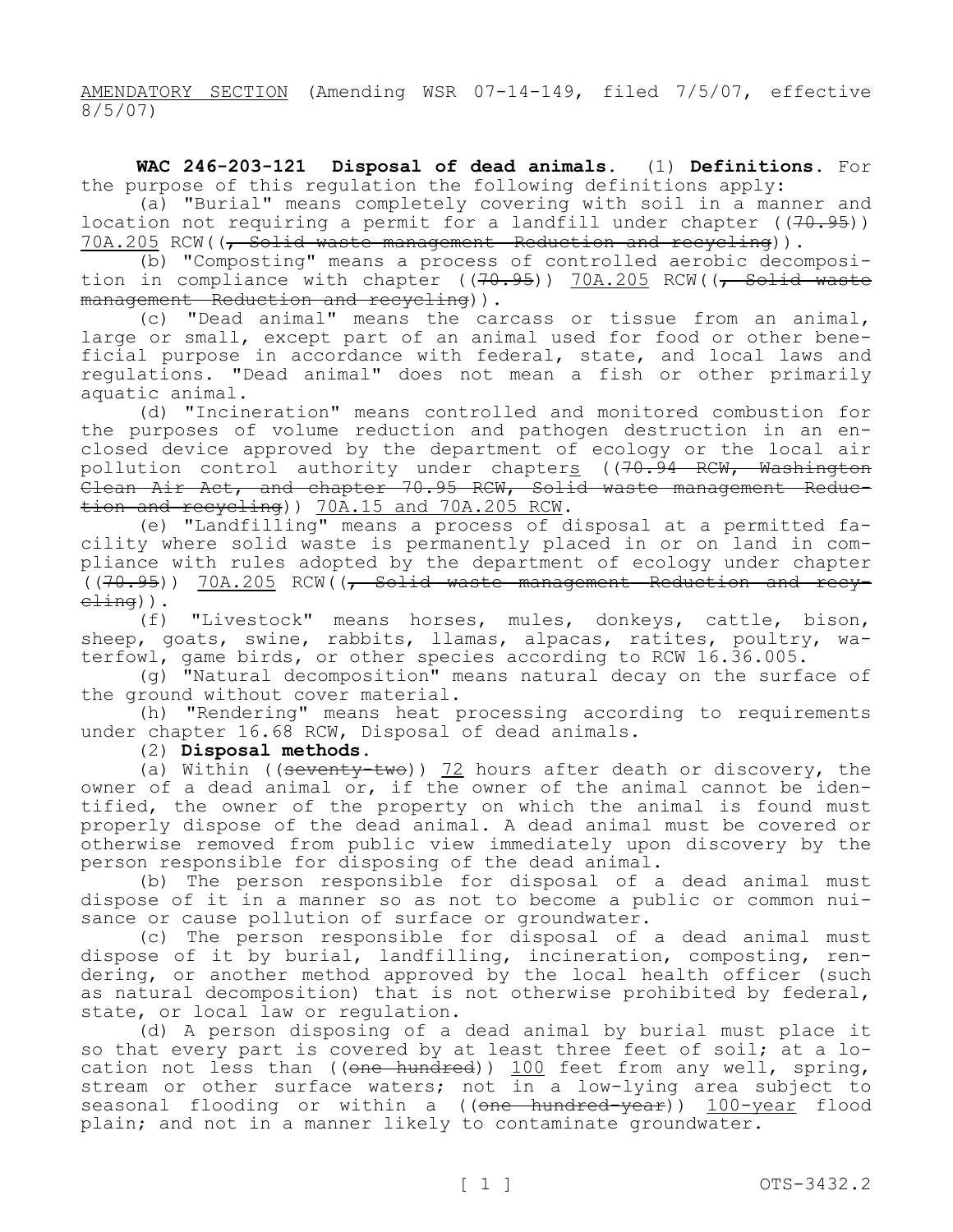AMENDATORY SECTION (Amending WSR 07-14-149, filed 7/5/07, effective 8/5/07)

**WAC 246-203-121 Disposal of dead animals.** (1) **Definitions.** For the purpose of this regulation the following definitions apply:

(a) "Burial" means completely covering with soil in a manner and location not requiring a permit for a landfill under chapter  $((70.95))$ 70A.205 RCW((, Solid waste management—Reduction and recycling)).

(b) "Composting" means a process of controlled aerobic decomposition in compliance with chapter ((70.95)) 70A.205 RCW((<del>, Solid waste</del> management—Reduction and recycling)).

(c) "Dead animal" means the carcass or tissue from an animal, large or small, except part of an animal used for food or other beneficial purpose in accordance with federal, state, and local laws and regulations. "Dead animal" does not mean a fish or other primarily aquatic animal.

(d) "Incineration" means controlled and monitored combustion for the purposes of volume reduction and pathogen destruction in an enclosed device approved by the department of ecology or the local air pollution control authority under chapters ((70.94 RCW, Washington Clean Air Act, and chapter 70.95 RCW, Solid waste management—Reduction and recycling)) 70A.15 and 70A.205 RCW.

(e) "Landfilling" means a process of disposal at a permitted facility where solid waste is permanently placed in or on land in compliance with rules adopted by the department of ecology under chapter  $\left((70.95)\right)$   $70A.205$  RCW((, Solid waste management—Reduction and recy $c$  $\pm$ ing)).

(f) "Livestock" means horses, mules, donkeys, cattle, bison, sheep, goats, swine, rabbits, llamas, alpacas, ratites, poultry, waterfowl, game birds, or other species according to RCW 16.36.005.

(g) "Natural decomposition" means natural decay on the surface of the ground without cover material.

(h) "Rendering" means heat processing according to requirements under chapter 16.68 RCW, Disposal of dead animals.

#### (2) **Disposal methods.**

(a) Within ((seventy-two)) 72 hours after death or discovery, the owner of a dead animal or, if the owner of the animal cannot be identified, the owner of the property on which the animal is found must properly dispose of the dead animal. A dead animal must be covered or otherwise removed from public view immediately upon discovery by the person responsible for disposing of the dead animal.

(b) The person responsible for disposal of a dead animal must dispose of it in a manner so as not to become a public or common nuisance or cause pollution of surface or groundwater.

(c) The person responsible for disposal of a dead animal must dispose of it by burial, landfilling, incineration, composting, rendering, or another method approved by the local health officer (such as natural decomposition) that is not otherwise prohibited by federal, state, or local law or regulation.

(d) A person disposing of a dead animal by burial must place it so that every part is covered by at least three feet of soil; at a location not less than ((one hundred)) 100 feet from any well, spring, stream or other surface waters; not in a low-lying area subject to seasonal flooding or within a ((one hundred-year)) 100-year flood plain; and not in a manner likely to contaminate groundwater.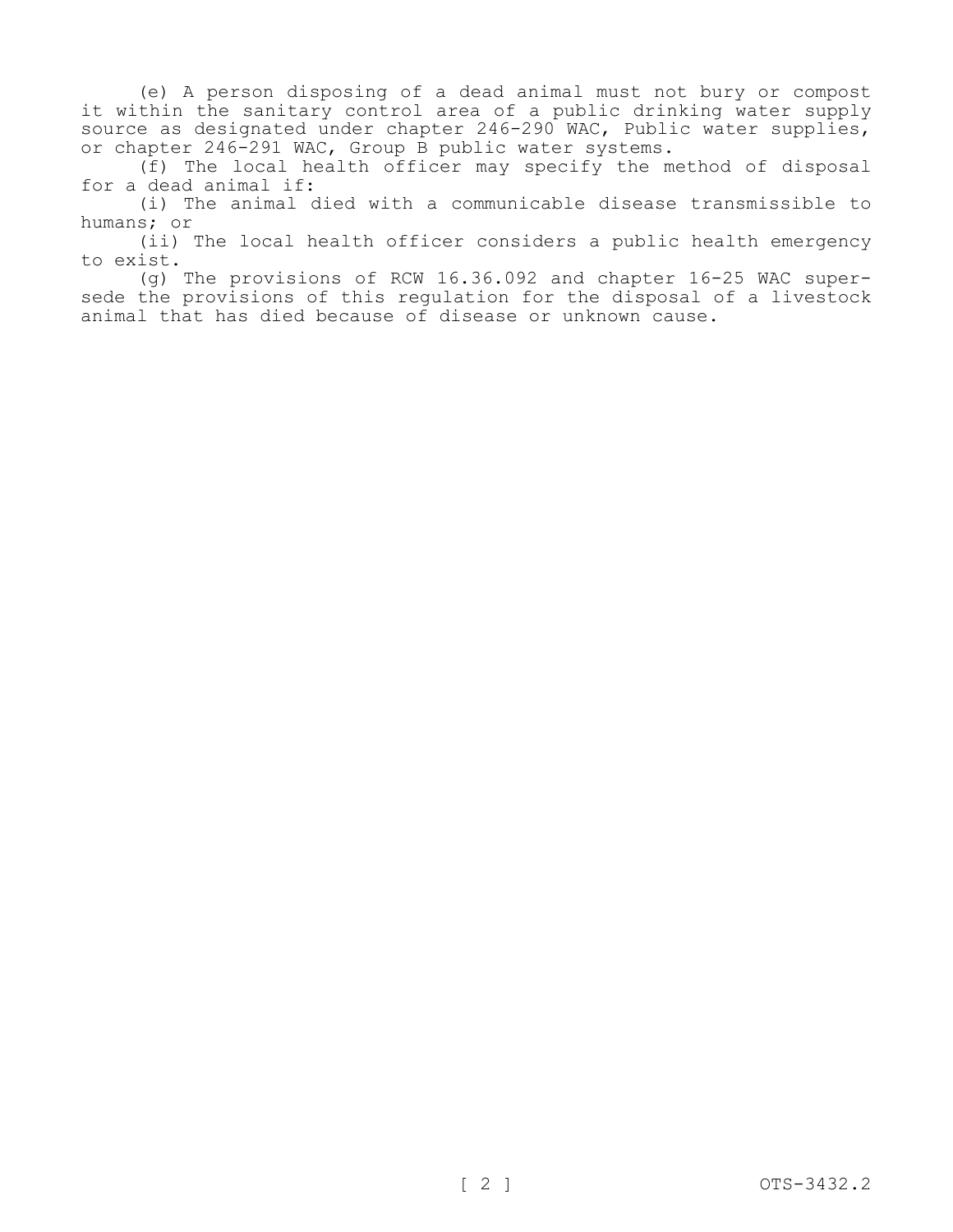(e) A person disposing of a dead animal must not bury or compost it within the sanitary control area of a public drinking water supply source as designated under chapter 246-290 WAC, Public water supplies, or chapter 246-291 WAC, Group B public water systems.

(f) The local health officer may specify the method of disposal for a dead animal if:

(i) The animal died with a communicable disease transmissible to humans; or

(ii) The local health officer considers a public health emergency to exist.

(g) The provisions of RCW 16.36.092 and chapter 16-25 WAC supersede the provisions of this regulation for the disposal of a livestock animal that has died because of disease or unknown cause.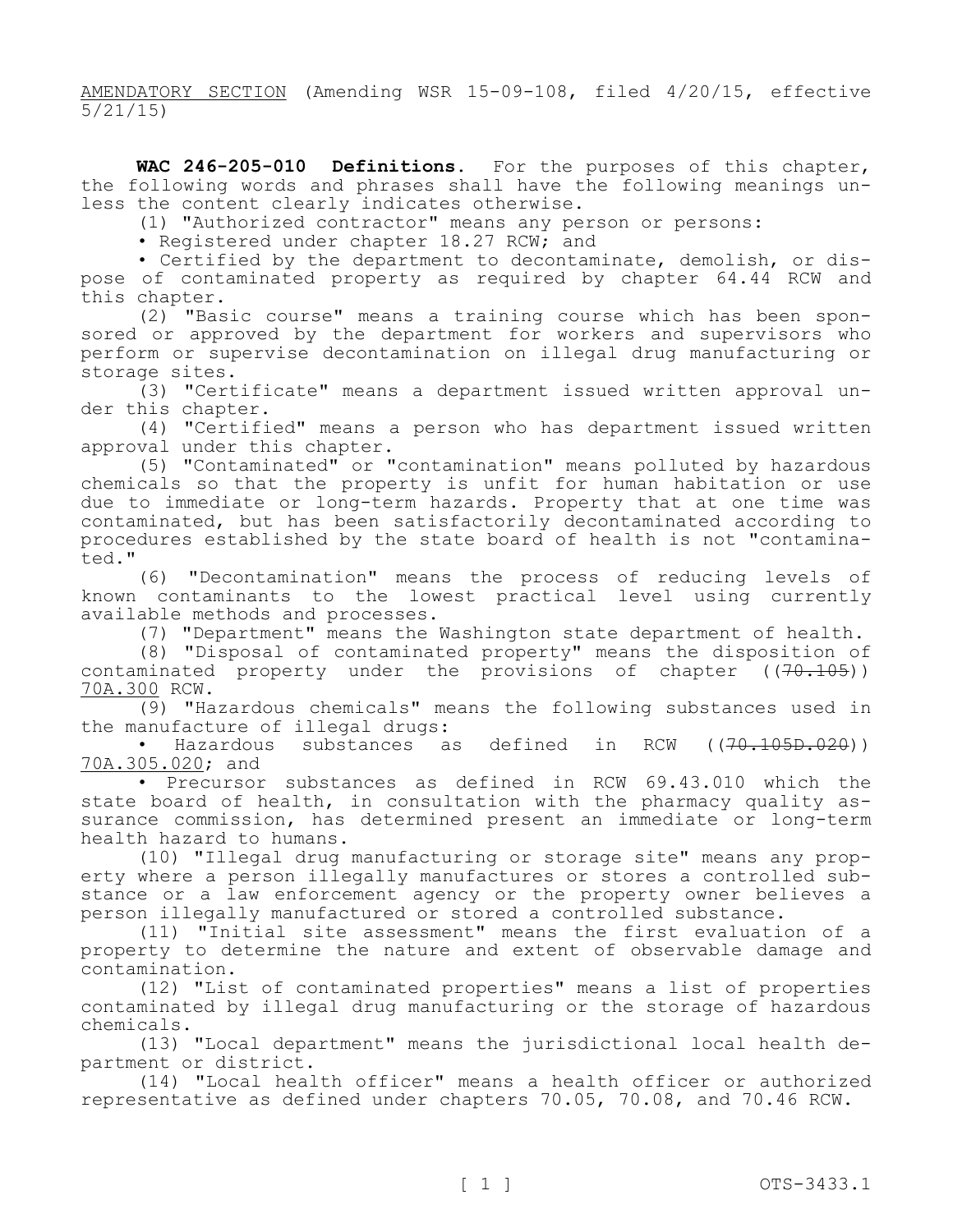AMENDATORY SECTION (Amending WSR 15-09-108, filed 4/20/15, effective 5/21/15)

**WAC 246-205-010 Definitions.** For the purposes of this chapter, the following words and phrases shall have the following meanings unless the content clearly indicates otherwise.

(1) "Authorized contractor" means any person or persons:

• Registered under chapter 18.27 RCW; and

• Certified by the department to decontaminate, demolish, or dispose of contaminated property as required by chapter 64.44 RCW and this chapter.

(2) "Basic course" means a training course which has been sponsored or approved by the department for workers and supervisors who perform or supervise decontamination on illegal drug manufacturing or storage sites.

(3) "Certificate" means a department issued written approval under this chapter.

(4) "Certified" means a person who has department issued written approval under this chapter.

(5) "Contaminated" or "contamination" means polluted by hazardous chemicals so that the property is unfit for human habitation or use due to immediate or long-term hazards. Property that at one time was contaminated, but has been satisfactorily decontaminated according to procedures established by the state board of health is not "contaminated."

(6) "Decontamination" means the process of reducing levels of known contaminants to the lowest practical level using currently available methods and processes.

(7) "Department" means the Washington state department of health.

(8) "Disposal of contaminated property" means the disposition of contaminated property under the provisions of chapter  $((70.105))$ 70A.300 RCW.

(9) "Hazardous chemicals" means the following substances used in the manufacture of illegal drugs:<br>• Hazardous substances a

substances as defined in RCW  $((70.105D.020))$ 70A.305.020; and

• Precursor substances as defined in RCW 69.43.010 which the state board of health, in consultation with the pharmacy quality assurance commission, has determined present an immediate or long-term health hazard to humans.

(10) "Illegal drug manufacturing or storage site" means any property where a person illegally manufactures or stores a controlled substance or a law enforcement agency or the property owner believes a person illegally manufactured or stored a controlled substance.

(11) "Initial site assessment" means the first evaluation of a property to determine the nature and extent of observable damage and contamination.

(12) "List of contaminated properties" means a list of properties contaminated by illegal drug manufacturing or the storage of hazardous chemicals.

(13) "Local department" means the jurisdictional local health department or district.

(14) "Local health officer" means a health officer or authorized representative as defined under chapters 70.05, 70.08, and 70.46 RCW.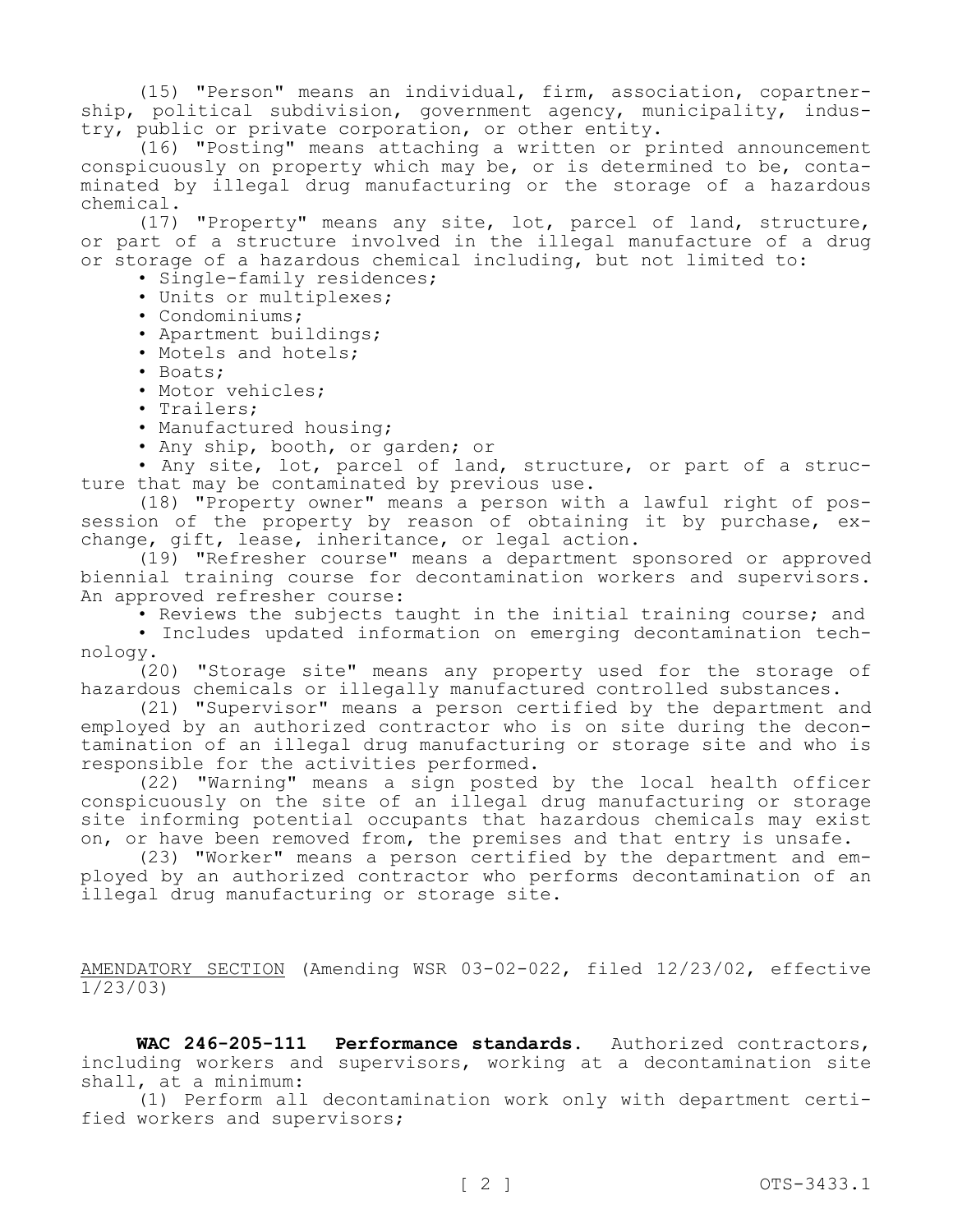(15) "Person" means an individual, firm, association, copartnership, political subdivision, government agency, municipality, industry, public or private corporation, or other entity.

(16) "Posting" means attaching a written or printed announcement conspicuously on property which may be, or is determined to be, contaminated by illegal drug manufacturing or the storage of a hazardous chemical.

(17) "Property" means any site, lot, parcel of land, structure, or part of a structure involved in the illegal manufacture of a drug or storage of a hazardous chemical including, but not limited to:

• Single-family residences;

- Units or multiplexes;
- Condominiums;
- Apartment buildings;
- Motels and hotels;
- Boats;
- Motor vehicles;
- Trailers;
- Manufactured housing;
- Any ship, booth, or garden; or

• Any site, lot, parcel of land, structure, or part of a structure that may be contaminated by previous use.

(18) "Property owner" means a person with a lawful right of possession of the property by reason of obtaining it by purchase, exchange, gift, lease, inheritance, or legal action.

(19) "Refresher course" means a department sponsored or approved biennial training course for decontamination workers and supervisors. An approved refresher course:

• Reviews the subjects taught in the initial training course; and

• Includes updated information on emerging decontamination technology.

(20) "Storage site" means any property used for the storage of hazardous chemicals or illegally manufactured controlled substances.

(21) "Supervisor" means a person certified by the department and employed by an authorized contractor who is on site during the decontamination of an illegal drug manufacturing or storage site and who is responsible for the activities performed.

(22) "Warning" means a sign posted by the local health officer conspicuously on the site of an illegal drug manufacturing or storage site informing potential occupants that hazardous chemicals may exist on, or have been removed from, the premises and that entry is unsafe.

(23) "Worker" means a person certified by the department and employed by an authorized contractor who performs decontamination of an illegal drug manufacturing or storage site.

AMENDATORY SECTION (Amending WSR 03-02-022, filed 12/23/02, effective 1/23/03)

**WAC 246-205-111 Performance standards.** Authorized contractors, including workers and supervisors, working at a decontamination site shall, at a minimum:

(1) Perform all decontamination work only with department certified workers and supervisors;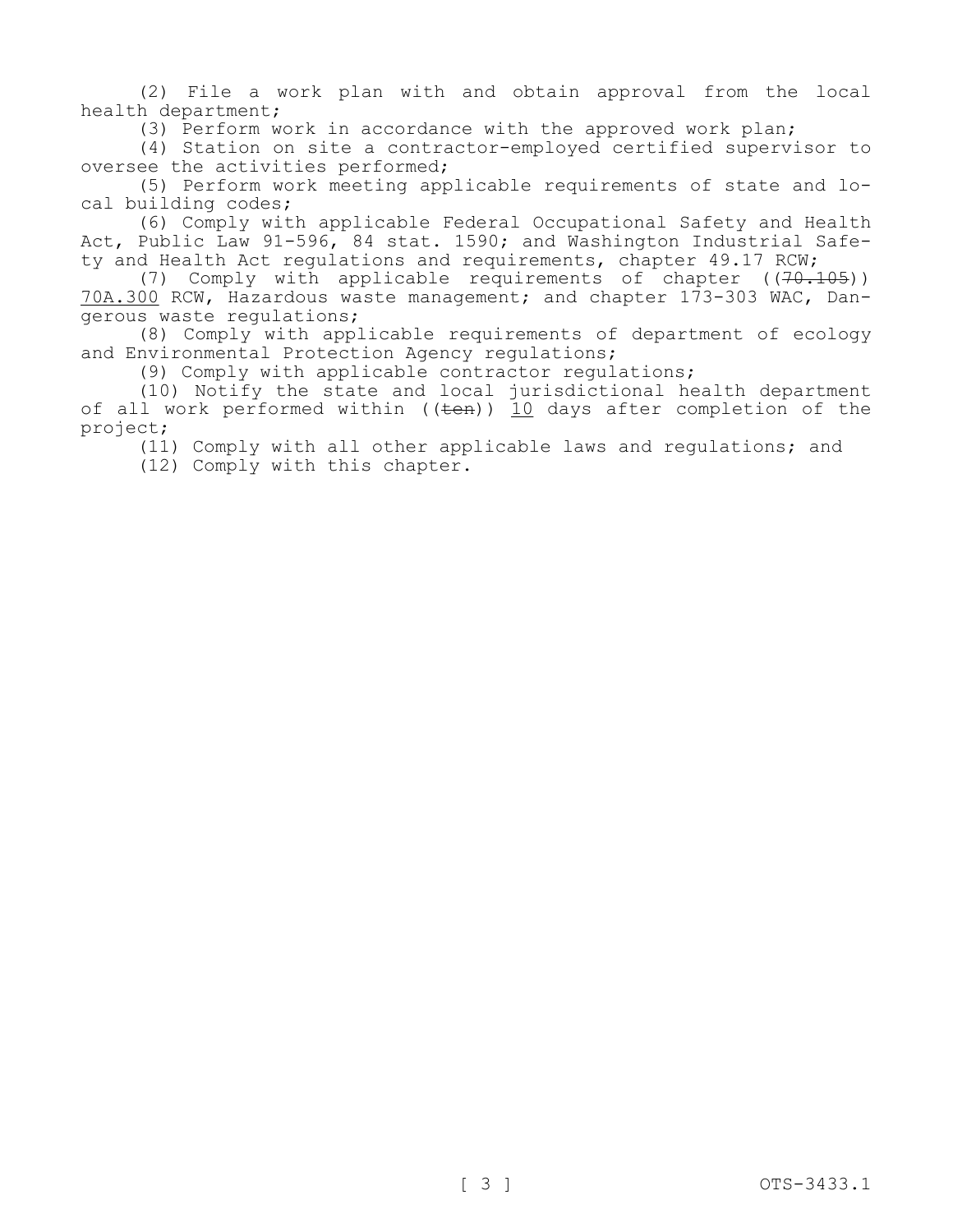(2) File a work plan with and obtain approval from the local health department;

(3) Perform work in accordance with the approved work plan;

(4) Station on site a contractor-employed certified supervisor to oversee the activities performed;

(5) Perform work meeting applicable requirements of state and local building codes;

(6) Comply with applicable Federal Occupational Safety and Health Act, Public Law 91-596, 84 stat. 1590; and Washington Industrial Safety and Health Act regulations and requirements, chapter 49.17 RCW;

(7) Comply with applicable requirements of chapter  $((70.105))$ 70A.300 RCW, Hazardous waste management; and chapter 173-303 WAC, Dangerous waste regulations;

(8) Comply with applicable requirements of department of ecology and Environmental Protection Agency regulations;

(9) Comply with applicable contractor regulations;

(10) Notify the state and local jurisdictional health department of all work performed within  $((ten))$  10 days after completion of the project;

(11) Comply with all other applicable laws and regulations; and

(12) Comply with this chapter.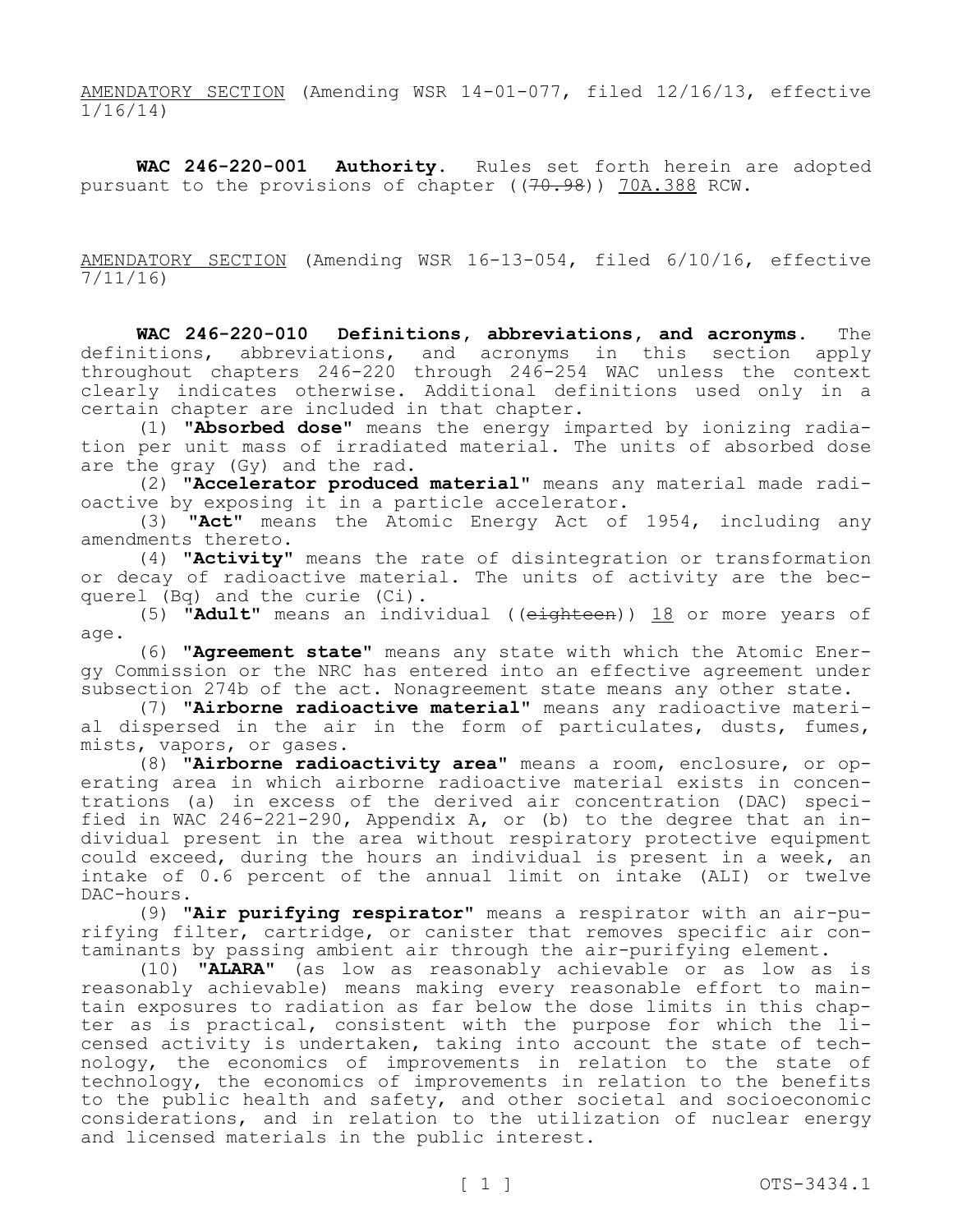AMENDATORY SECTION (Amending WSR 14-01-077, filed 12/16/13, effective 1/16/14)

**WAC 246-220-001 Authority.** Rules set forth herein are adopted pursuant to the provisions of chapter ((70.98)) 70A.388 RCW.

AMENDATORY SECTION (Amending WSR 16-13-054, filed 6/10/16, effective 7/11/16)

**WAC 246-220-010 Definitions, abbreviations, and acronyms.** The definitions, abbreviations, and acronyms in this section apply throughout chapters 246-220 through 246-254 WAC unless the context clearly indicates otherwise. Additional definitions used only in a certain chapter are included in that chapter.

(1) **"Absorbed dose"** means the energy imparted by ionizing radiation per unit mass of irradiated material. The units of absorbed dose are the gray (Gy) and the rad.

(2) **"Accelerator produced material"** means any material made radioactive by exposing it in a particle accelerator.

(3) **"Act"** means the Atomic Energy Act of 1954, including any amendments thereto.

(4) **"Activity"** means the rate of disintegration or transformation or decay of radioactive material. The units of activity are the becquerel (Bq) and the curie (Ci).

(5) **"Adult"** means an individual ((eighteen)) 18 or more years of age.

(6) **"Agreement state"** means any state with which the Atomic Energy Commission or the NRC has entered into an effective agreement under subsection 274b of the act. Nonagreement state means any other state.

(7) **"Airborne radioactive material"** means any radioactive material dispersed in the air in the form of particulates, dusts, fumes, mists, vapors, or gases.

(8) **"Airborne radioactivity area"** means a room, enclosure, or operating area in which airborne radioactive material exists in concentrations (a) in excess of the derived air concentration (DAC) specified in WAC 246-221-290, Appendix A, or (b) to the degree that an individual present in the area without respiratory protective equipment could exceed, during the hours an individual is present in a week, an intake of 0.6 percent of the annual limit on intake (ALI) or twelve DAC-hours.

(9) **"Air purifying respirator"** means a respirator with an air-purifying filter, cartridge, or canister that removes specific air contaminants by passing ambient air through the air-purifying element.

(10) **"ALARA"** (as low as reasonably achievable or as low as is reasonably achievable) means making every reasonable effort to maintain exposures to radiation as far below the dose limits in this chapter as is practical, consistent with the purpose for which the licensed activity is undertaken, taking into account the state of technology, the economics of improvements in relation to the state of technology, the economics of improvements in relation to the benefits to the public health and safety, and other societal and socioeconomic considerations, and in relation to the utilization of nuclear energy and licensed materials in the public interest.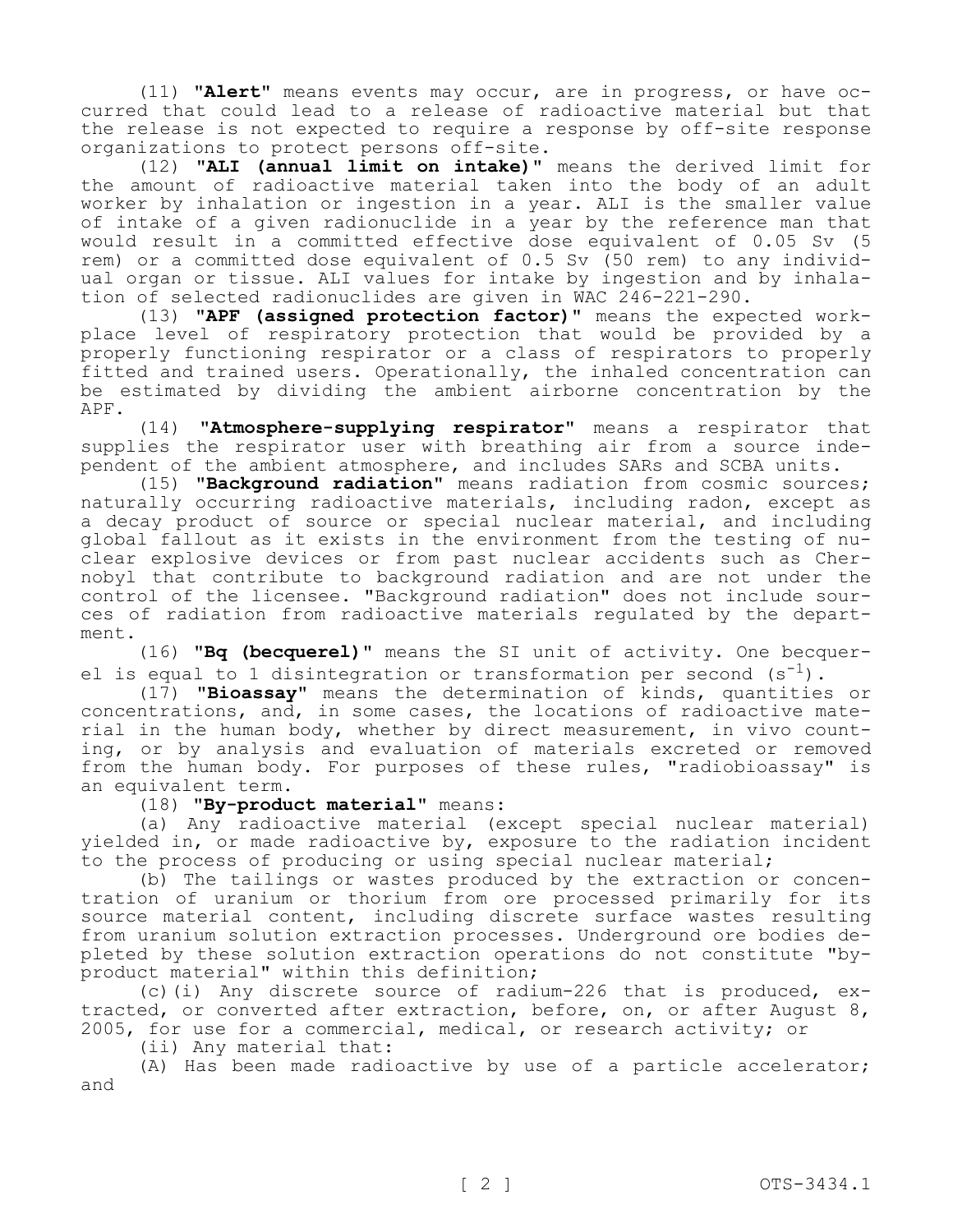(11) **"Alert"** means events may occur, are in progress, or have occurred that could lead to a release of radioactive material but that the release is not expected to require a response by off-site response organizations to protect persons off-site.

(12) **"ALI (annual limit on intake)"** means the derived limit for the amount of radioactive material taken into the body of an adult worker by inhalation or ingestion in a year. ALI is the smaller value of intake of a given radionuclide in a year by the reference man that would result in a committed effective dose equivalent of 0.05 Sv (5 rem) or a committed dose equivalent of 0.5 Sv (50 rem) to any individual organ or tissue. ALI values for intake by ingestion and by inhalation of selected radionuclides are given in WAC 246-221-290.

(13) **"APF (assigned protection factor)"** means the expected workplace level of respiratory protection that would be provided by a properly functioning respirator or a class of respirators to properly fitted and trained users. Operationally, the inhaled concentration can be estimated by dividing the ambient airborne concentration by the APF.

(14) **"Atmosphere-supplying respirator"** means a respirator that supplies the respirator user with breathing air from a source independent of the ambient atmosphere, and includes SARs and SCBA units.

(15) **"Background radiation"** means radiation from cosmic sources; naturally occurring radioactive materials, including radon, except as a decay product of source or special nuclear material, and including global fallout as it exists in the environment from the testing of nuclear explosive devices or from past nuclear accidents such as Chernobyl that contribute to background radiation and are not under the control of the licensee. "Background radiation" does not include sources of radiation from radioactive materials regulated by the department.

(16) **"Bq (becquerel)"** means the SI unit of activity. One becquerel is equal to 1 disintegration or transformation per second  $(s^{-1})$ .

(17) **"Bioassay"** means the determination of kinds, quantities or concentrations, and, in some cases, the locations of radioactive material in the human body, whether by direct measurement, in vivo counting, or by analysis and evaluation of materials excreted or removed from the human body. For purposes of these rules, "radiobioassay" is an equivalent term.

(18) **"By-product material"** means:

(a) Any radioactive material (except special nuclear material) yielded in, or made radioactive by, exposure to the radiation incident to the process of producing or using special nuclear material;

(b) The tailings or wastes produced by the extraction or concentration of uranium or thorium from ore processed primarily for its source material content, including discrete surface wastes resulting from uranium solution extraction processes. Underground ore bodies depleted by these solution extraction operations do not constitute "byproduct material" within this definition;

(c)(i) Any discrete source of radium-226 that is produced, extracted, or converted after extraction, before, on, or after August 8, 2005, for use for a commercial, medical, or research activity; or

(ii) Any material that:

(A) Has been made radioactive by use of a particle accelerator; and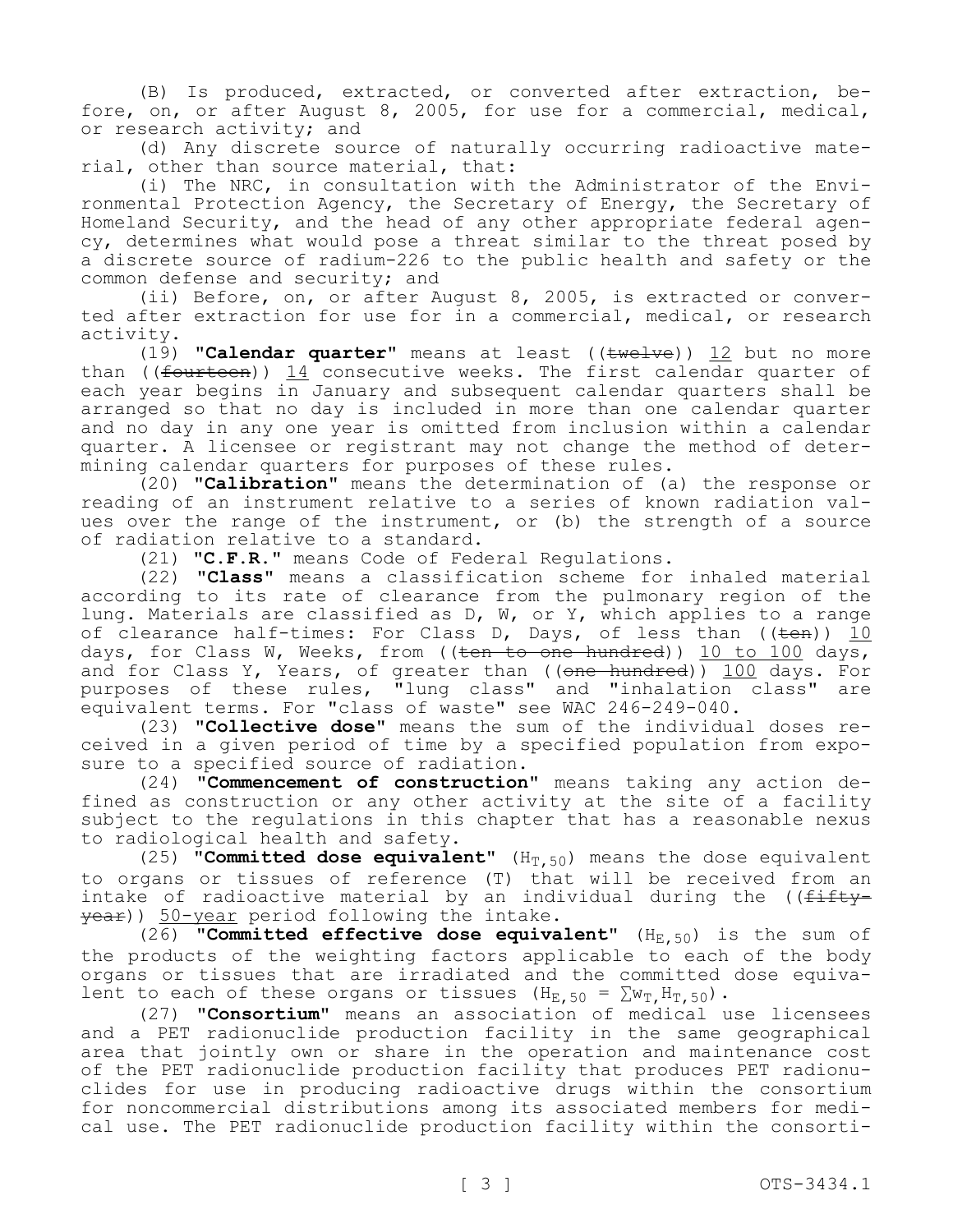(B) Is produced, extracted, or converted after extraction, before, on, or after August 8, 2005, for use for a commercial, medical, or research activity; and

(d) Any discrete source of naturally occurring radioactive material, other than source material, that:

(i) The NRC, in consultation with the Administrator of the Environmental Protection Agency, the Secretary of Energy, the Secretary of Homeland Security, and the head of any other appropriate federal agency, determines what would pose a threat similar to the threat posed by a discrete source of radium-226 to the public health and safety or the common defense and security; and

(ii) Before, on, or after August 8, 2005, is extracted or converted after extraction for use for in a commercial, medical, or research activity.

(19) **"Calendar quarter"** means at least ((twelve)) 12 but no more than ((fourteen)) 14 consecutive weeks. The first calendar quarter of each year begins in January and subsequent calendar quarters shall be arranged so that no day is included in more than one calendar quarter and no day in any one year is omitted from inclusion within a calendar quarter. A licensee or registrant may not change the method of determining calendar quarters for purposes of these rules.

(20) **"Calibration"** means the determination of (a) the response or reading of an instrument relative to a series of known radiation values over the range of the instrument, or (b) the strength of a source of radiation relative to a standard.

(21) **"C.F.R."** means Code of Federal Regulations.

(22) **"Class"** means a classification scheme for inhaled material according to its rate of clearance from the pulmonary region of the lung. Materials are classified as D, W, or Y, which applies to a range of clearance half-times: For Class D, Days, of less than ((<del>ten</del>)) <u>10</u> days, for Class W, Weeks, from ((ten to one hundred)) 10 to 100 days, and for Class Y, Years, of greater than ((one hundred)) 100 days. For purposes of these rules, "lung class" and "inhalation class" are equivalent terms. For "class of waste" see WAC 246-249-040.

(23) **"Collective dose"** means the sum of the individual doses received in a given period of time by a specified population from exposure to a specified source of radiation.

(24) **"Commencement of construction"** means taking any action defined as construction or any other activity at the site of a facility subject to the regulations in this chapter that has a reasonable nexus to radiological health and safety.

(25) **"Committed dose equivalent"**  $(H_T, 50)$  means the dose equivalent to organs or tissues of reference (T) that will be received from an intake of radioactive material by an individual during the ((fiftyyear)) 50-year period following the intake.

(26) **"Committed effective dose equivalent"** (H<sub>E, 50</sub>) is the sum of the products of the weighting factors applicable to each of the body organs or tissues that are irradiated and the committed dose equivalent to each of these organs or tissues (H<sub>E,50</sub> =  $\sum w_T$ , H<sub>T,50</sub>).

(27) **"Consortium"** means an association of medical use licensees and a PET radionuclide production facility in the same geographical area that jointly own or share in the operation and maintenance cost of the PET radionuclide production facility that produces PET radionuclides for use in producing radioactive drugs within the consortium for noncommercial distributions among its associated members for medical use. The PET radionuclide production facility within the consorti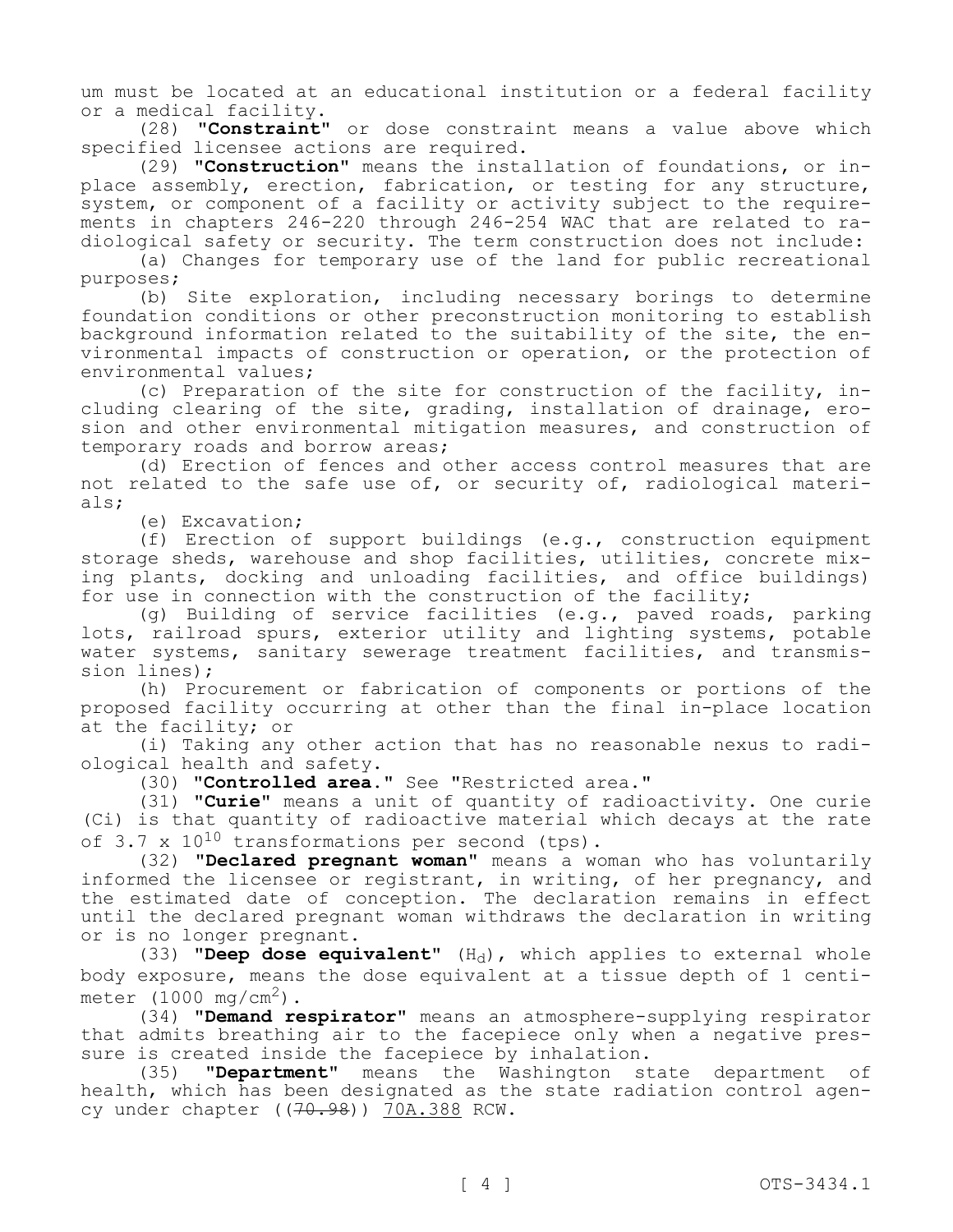um must be located at an educational institution or a federal facility or a medical facility.

(28) **"Constraint"** or dose constraint means a value above which specified licensee actions are required.

(29) **"Construction"** means the installation of foundations, or inplace assembly, erection, fabrication, or testing for any structure, system, or component of a facility or activity subject to the requirements in chapters 246-220 through 246-254 WAC that are related to radiological safety or security. The term construction does not include:

(a) Changes for temporary use of the land for public recreational purposes;

(b) Site exploration, including necessary borings to determine foundation conditions or other preconstruction monitoring to establish background information related to the suitability of the site, the environmental impacts of construction or operation, or the protection of environmental values;

(c) Preparation of the site for construction of the facility, including clearing of the site, grading, installation of drainage, erosion and other environmental mitigation measures, and construction of temporary roads and borrow areas;

(d) Erection of fences and other access control measures that are not related to the safe use of, or security of, radiological materials;

(e) Excavation;

(f) Erection of support buildings (e.g., construction equipment storage sheds, warehouse and shop facilities, utilities, concrete mixing plants, docking and unloading facilities, and office buildings) for use in connection with the construction of the facility;

(g) Building of service facilities (e.g., paved roads, parking lots, railroad spurs, exterior utility and lighting systems, potable water systems, sanitary sewerage treatment facilities, and transmission lines);

(h) Procurement or fabrication of components or portions of the proposed facility occurring at other than the final in-place location at the facility; or

(i) Taking any other action that has no reasonable nexus to radiological health and safety.

(30) **"Controlled area."** See "Restricted area."

(31) **"Curie"** means a unit of quantity of radioactivity. One curie (Ci) is that quantity of radioactive material which decays at the rate of 3.7 x  $10^{10}$  transformations per second (tps).

(32) **"Declared pregnant woman"** means a woman who has voluntarily informed the licensee or registrant, in writing, of her pregnancy, and the estimated date of conception. The declaration remains in effect until the declared pregnant woman withdraws the declaration in writing or is no longer pregnant.

 $(33)$  **"Deep dose equivalent"**  $(H_d)$ , which applies to external whole body exposure, means the dose equivalent at a tissue depth of 1 centimeter  $(1000 \text{ mg/cm}^2)$ .

(34) **"Demand respirator"** means an atmosphere-supplying respirator that admits breathing air to the facepiece only when a negative pressure is created inside the facepiece by inhalation.

(35) **"Department"** means the Washington state department of health, which has been designated as the state radiation control agency under chapter ((70.98)) 70A.388 RCW.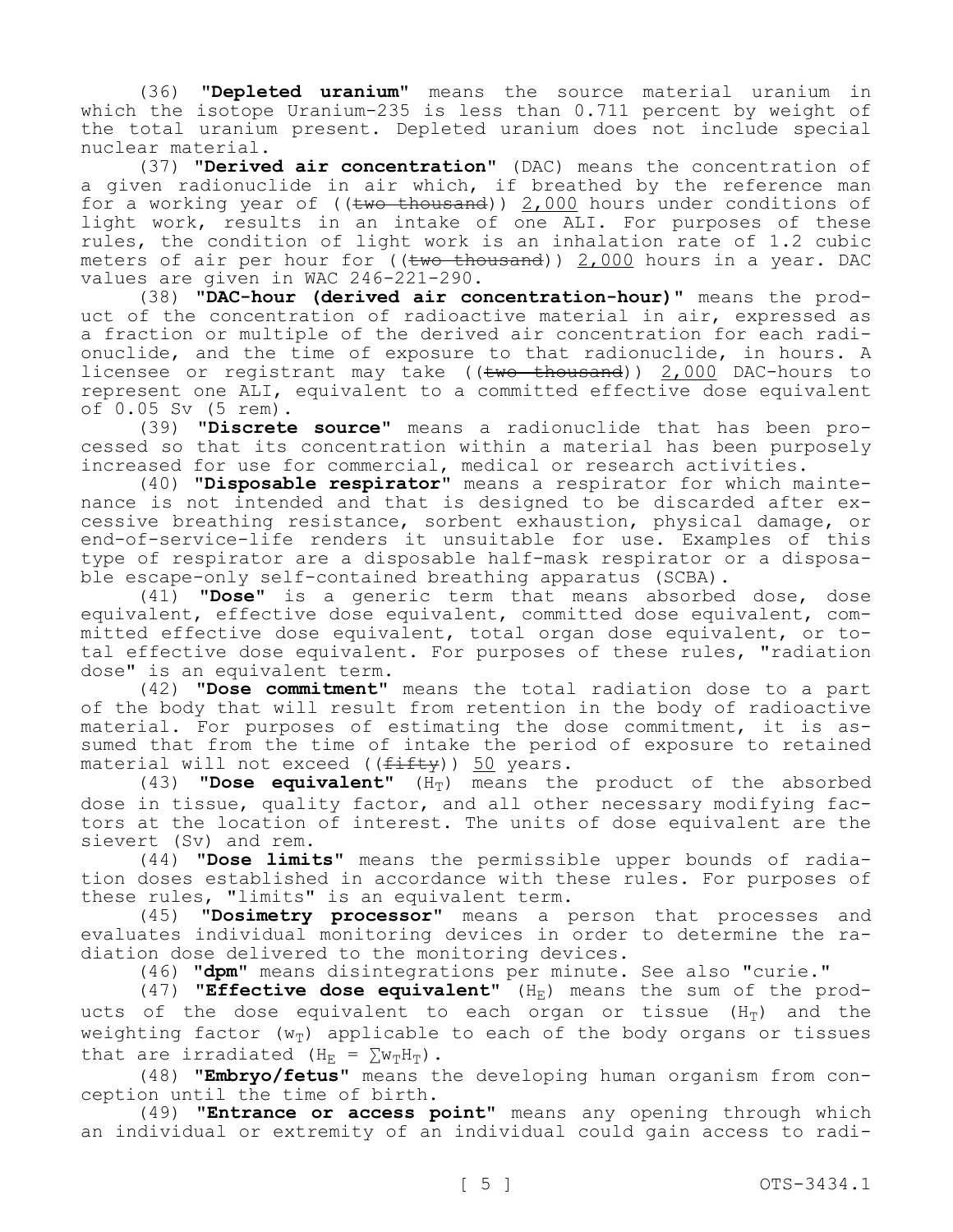(36) **"Depleted uranium"** means the source material uranium in which the isotope Uranium-235 is less than 0.711 percent by weight of the total uranium present. Depleted uranium does not include special nuclear material.

(37) **"Derived air concentration"** (DAC) means the concentration of a given radionuclide in air which, if breathed by the reference man for a working year of (( $t$ wo thousand))  $2,000$  hours under conditions of light work, results in an intake of one ALI. For purposes of these rules, the condition of light work is an inhalation rate of 1.2 cubic meters of air per hour for  $((two-thousand))$  2,000 hours in a year. DAC values are given in WAC 246-221-290.

(38) **"DAC-hour (derived air concentration-hour)"** means the product of the concentration of radioactive material in air, expressed as a fraction or multiple of the derived air concentration for each radionuclide, and the time of exposure to that radionuclide, in hours. A licensee or registrant may take ((two thousand)) 2,000 DAC-hours to represent one ALI, equivalent to a committed effective dose equivalent of 0.05 Sv (5 rem).

(39) **"Discrete source"** means a radionuclide that has been processed so that its concentration within a material has been purposely increased for use for commercial, medical or research activities.

(40) **"Disposable respirator"** means a respirator for which maintenance is not intended and that is designed to be discarded after excessive breathing resistance, sorbent exhaustion, physical damage, or end-of-service-life renders it unsuitable for use. Examples of this type of respirator are a disposable half-mask respirator or a disposable escape-only self-contained breathing apparatus (SCBA).

(41) **"Dose"** is a generic term that means absorbed dose, dose equivalent, effective dose equivalent, committed dose equivalent, committed effective dose equivalent, total organ dose equivalent, or total effective dose equivalent. For purposes of these rules, "radiation dose" is an equivalent term.

(42) **"Dose commitment"** means the total radiation dose to a part of the body that will result from retention in the body of radioactive material. For purposes of estimating the dose commitment, it is assumed that from the time of intake the period of exposure to retained material will not exceed ((fifty)) 50 years.

 $(43)$  **"Dose equivalent"**  $(H_T)$  means the product of the absorbed dose in tissue, quality factor, and all other necessary modifying factors at the location of interest. The units of dose equivalent are the sievert (Sv) and rem.

(44) **"Dose limits"** means the permissible upper bounds of radiation doses established in accordance with these rules. For purposes of these rules, "limits" is an equivalent term.

(45) **"Dosimetry processor"** means a person that processes and evaluates individual monitoring devices in order to determine the radiation dose delivered to the monitoring devices.

(46) **"dpm"** means disintegrations per minute. See also "curie."

(47) **"Effective dose equivalent"** (H<sub>E</sub>) means the sum of the products of the dose equivalent to each organ or tissue  $(H_T)$  and the weighting factor ( $w_T$ ) applicable to each of the body organs or tissues that are irradiated (H<sub>E</sub> =  $\sum w_T H_T$ ).

(48) **"Embryo/fetus"** means the developing human organism from conception until the time of birth.

(49) **"Entrance or access point"** means any opening through which an individual or extremity of an individual could gain access to radi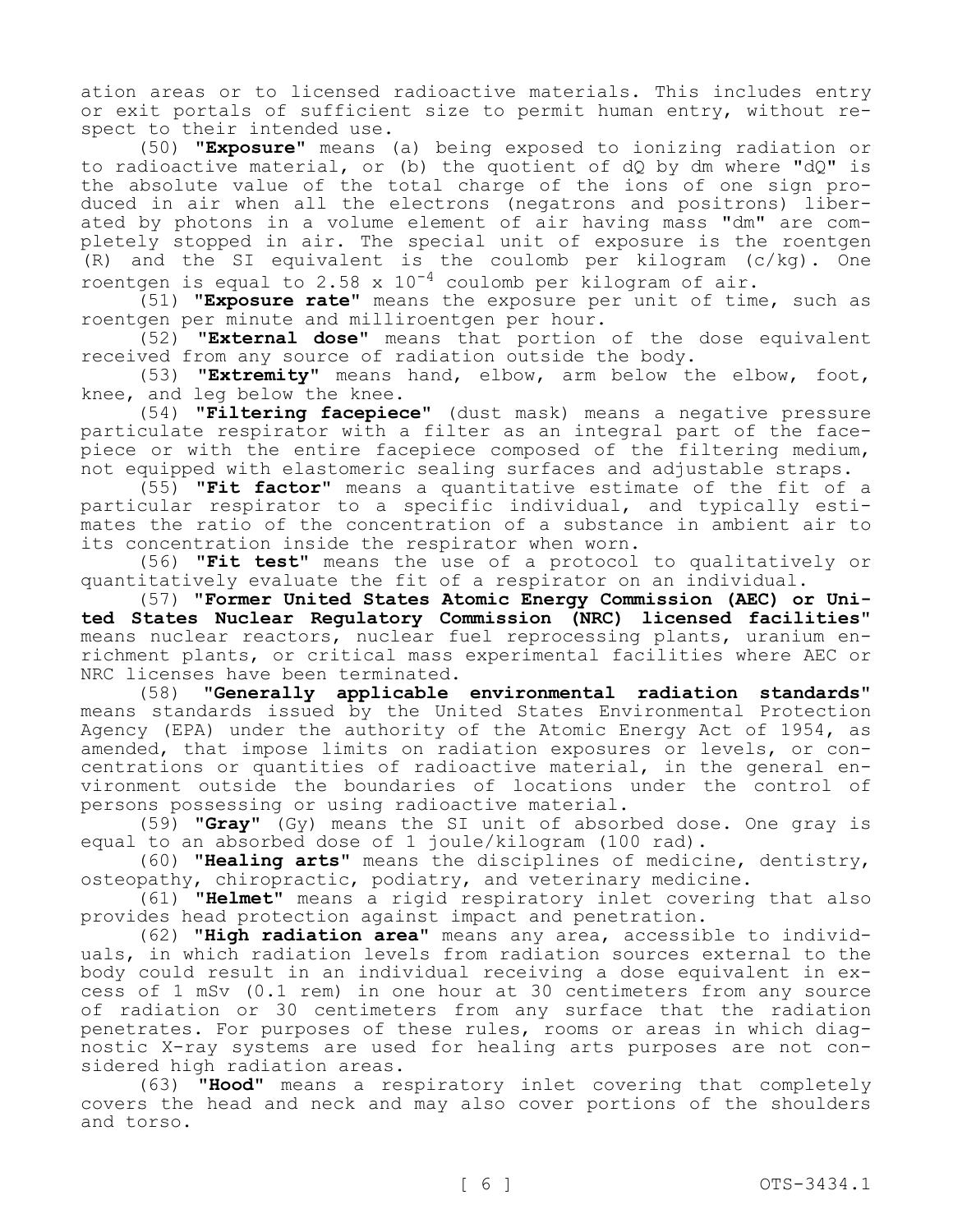ation areas or to licensed radioactive materials. This includes entry or exit portals of sufficient size to permit human entry, without respect to their intended use.

(50) **"Exposure"** means (a) being exposed to ionizing radiation or to radioactive material, or (b) the quotient of dQ by dm where "dQ" is the absolute value of the total charge of the ions of one sign produced in air when all the electrons (negatrons and positrons) liberated by photons in a volume element of air having mass "dm" are completely stopped in air. The special unit of exposure is the roentgen (R) and the SI equivalent is the coulomb per kilogram (c/kg). One roentgen is equal to 2.58 x  $10^{-4}$  coulomb per kilogram of air.

(51) **"Exposure rate"** means the exposure per unit of time, such as roentgen per minute and milliroentgen per hour.

(52) **"External dose"** means that portion of the dose equivalent received from any source of radiation outside the body.

(53) **"Extremity"** means hand, elbow, arm below the elbow, foot, knee, and leg below the knee.

(54) **"Filtering facepiece"** (dust mask) means a negative pressure particulate respirator with a filter as an integral part of the facepiece or with the entire facepiece composed of the filtering medium, not equipped with elastomeric sealing surfaces and adjustable straps.

(55) **"Fit factor"** means a quantitative estimate of the fit of a particular respirator to a specific individual, and typically estimates the ratio of the concentration of a substance in ambient air to its concentration inside the respirator when worn.

(56) **"Fit test"** means the use of a protocol to qualitatively or quantitatively evaluate the fit of a respirator on an individual.

(57) **"Former United States Atomic Energy Commission (AEC) or United States Nuclear Regulatory Commission (NRC) licensed facilities"**  means nuclear reactors, nuclear fuel reprocessing plants, uranium enrichment plants, or critical mass experimental facilities where AEC or NRC licenses have been terminated.

(58) **"Generally applicable environmental radiation standards"**  means standards issued by the United States Environmental Protection Agency (EPA) under the authority of the Atomic Energy Act of 1954, as amended, that impose limits on radiation exposures or levels, or concentrations or quantities of radioactive material, in the general environment outside the boundaries of locations under the control of persons possessing or using radioactive material.

(59) **"Gray"** (Gy) means the SI unit of absorbed dose. One gray is equal to an absorbed dose of 1 joule/kilogram (100 rad).

(60) **"Healing arts"** means the disciplines of medicine, dentistry, osteopathy, chiropractic, podiatry, and veterinary medicine.

(61) **"Helmet"** means a rigid respiratory inlet covering that also provides head protection against impact and penetration.

(62) **"High radiation area"** means any area, accessible to individuals, in which radiation levels from radiation sources external to the body could result in an individual receiving a dose equivalent in excess of 1 mSv (0.1 rem) in one hour at 30 centimeters from any source of radiation or 30 centimeters from any surface that the radiation penetrates. For purposes of these rules, rooms or areas in which diagnostic X-ray systems are used for healing arts purposes are not considered high radiation areas.

(63) **"Hood"** means a respiratory inlet covering that completely covers the head and neck and may also cover portions of the shoulders and torso.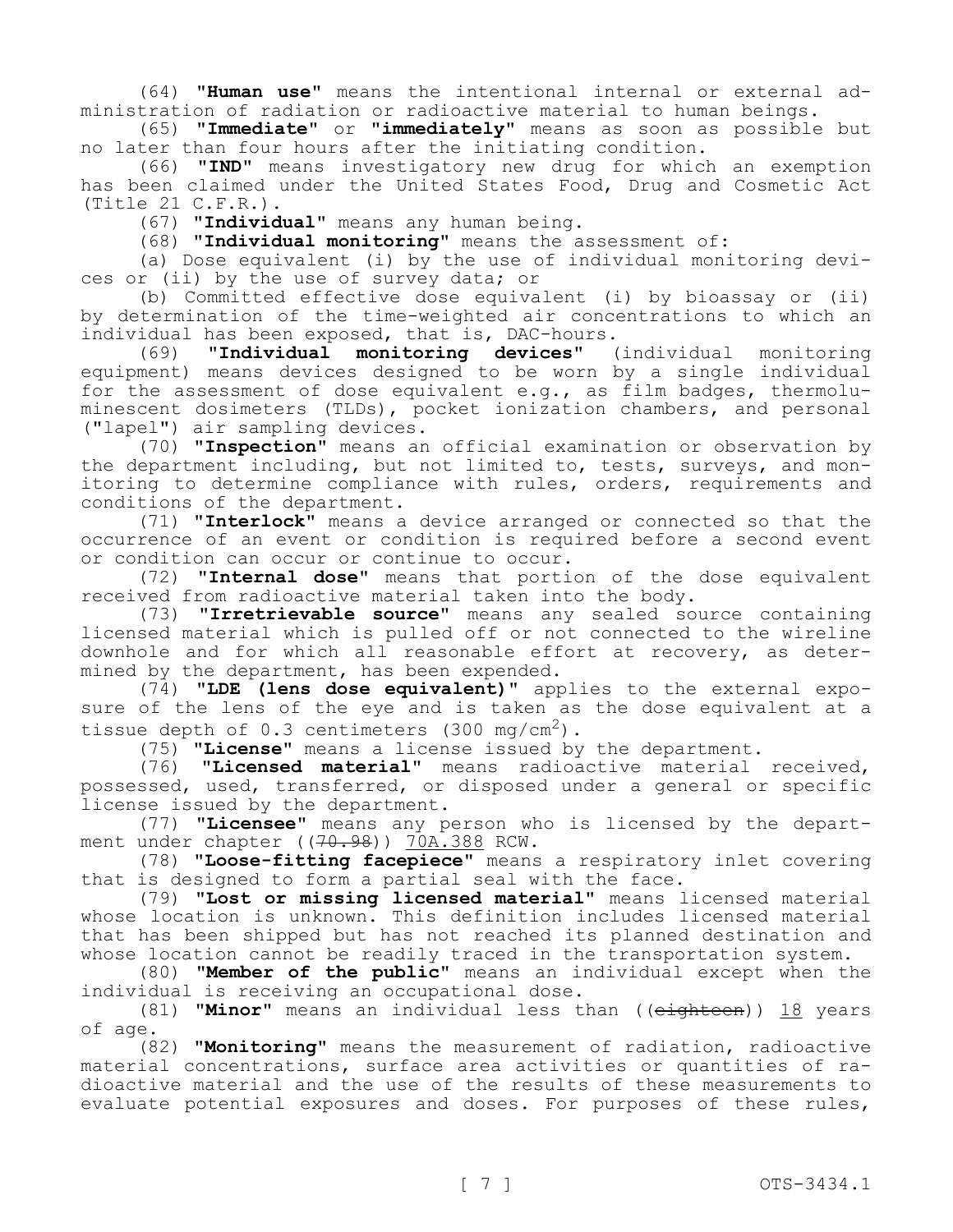(64) **"Human use"** means the intentional internal or external administration of radiation or radioactive material to human beings.

(65) **"Immediate"** or **"immediately"** means as soon as possible but no later than four hours after the initiating condition.

(66) **"IND"** means investigatory new drug for which an exemption has been claimed under the United States Food, Drug and Cosmetic Act (Title 21 C.F.R.).

(67) **"Individual"** means any human being.

(68) **"Individual monitoring"** means the assessment of:

(a) Dose equivalent (i) by the use of individual monitoring devices or (ii) by the use of survey data; or

(b) Committed effective dose equivalent (i) by bioassay or (ii) by determination of the time-weighted air concentrations to which an individual has been exposed, that is, DAC-hours.

(69) **"Individual monitoring devices"** (individual monitoring equipment) means devices designed to be worn by a single individual for the assessment of dose equivalent e.g., as film badges, thermoluminescent dosimeters (TLDs), pocket ionization chambers, and personal ("lapel") air sampling devices.

(70) **"Inspection"** means an official examination or observation by the department including, but not limited to, tests, surveys, and monitoring to determine compliance with rules, orders, requirements and conditions of the department.

(71) **"Interlock"** means a device arranged or connected so that the occurrence of an event or condition is required before a second event or condition can occur or continue to occur.

(72) **"Internal dose"** means that portion of the dose equivalent received from radioactive material taken into the body.

(73) **"Irretrievable source"** means any sealed source containing licensed material which is pulled off or not connected to the wireline downhole and for which all reasonable effort at recovery, as determined by the department, has been expended.

(74) **"LDE (lens dose equivalent)"** applies to the external exposure of the lens of the eye and is taken as the dose equivalent at a tissue depth of 0.3 centimeters (300 mg/cm<sup>2</sup>).

(75) **"License"** means a license issued by the department.

(76) **"Licensed material"** means radioactive material received, possessed, used, transferred, or disposed under a general or specific license issued by the department.

(77) **"Licensee"** means any person who is licensed by the department under chapter  $((70.98))$  70A.388 RCW.

(78) **"Loose-fitting facepiece"** means a respiratory inlet covering that is designed to form a partial seal with the face.

(79) **"Lost or missing licensed material"** means licensed material whose location is unknown. This definition includes licensed material that has been shipped but has not reached its planned destination and whose location cannot be readily traced in the transportation system.

(80) **"Member of the public"** means an individual except when the individual is receiving an occupational dose.

(81) **"Minor"** means an individual less than ((eighteen)) 18 years of age.

(82) **"Monitoring"** means the measurement of radiation, radioactive material concentrations, surface area activities or quantities of radioactive material and the use of the results of these measurements to evaluate potential exposures and doses. For purposes of these rules,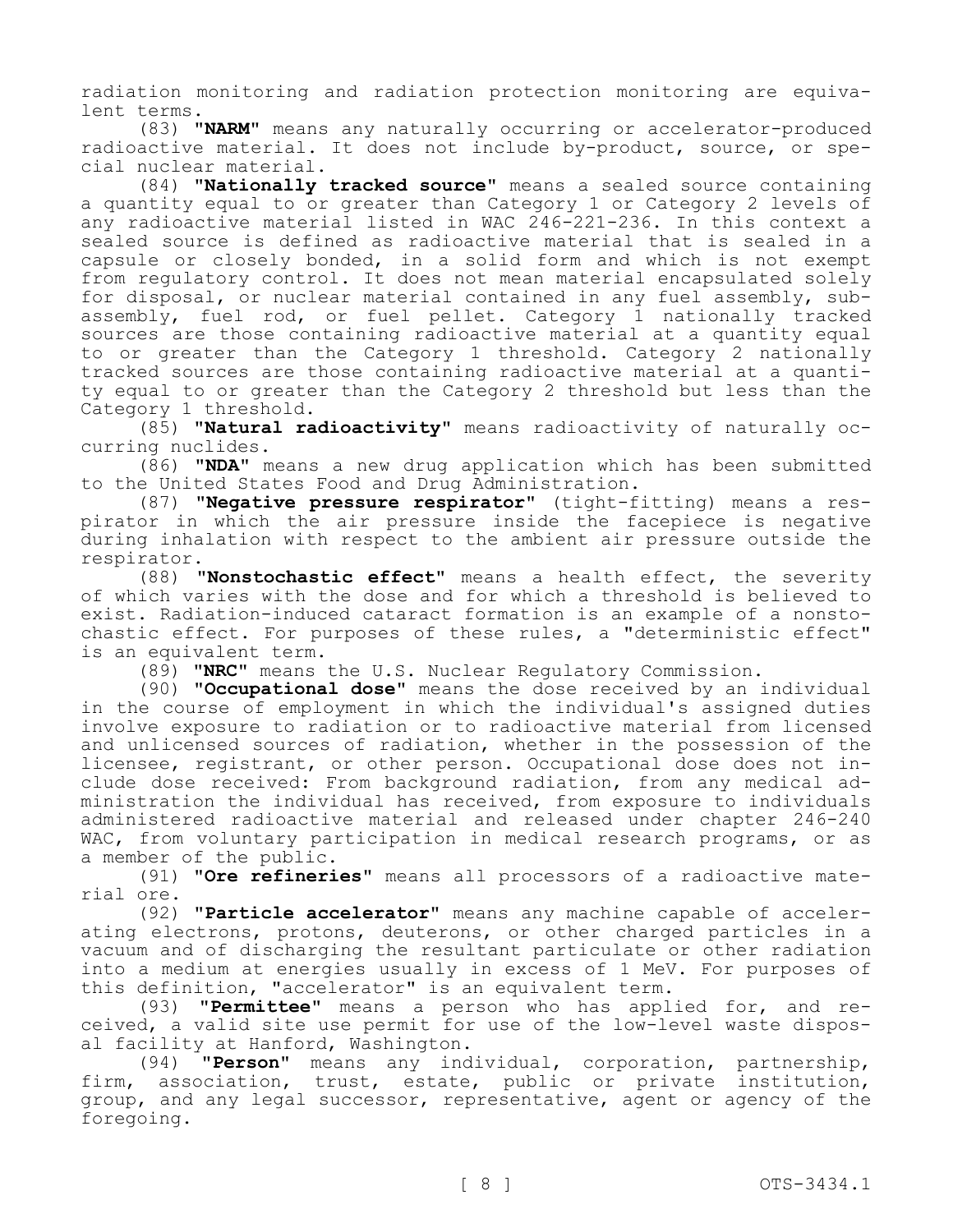radiation monitoring and radiation protection monitoring are equivalent terms.

(83) **"NARM"** means any naturally occurring or accelerator-produced radioactive material. It does not include by-product, source, or special nuclear material.

(84) **"Nationally tracked source"** means a sealed source containing a quantity equal to or greater than Category 1 or Category 2 levels of any radioactive material listed in WAC 246-221-236. In this context a sealed source is defined as radioactive material that is sealed in a capsule or closely bonded, in a solid form and which is not exempt from regulatory control. It does not mean material encapsulated solely for disposal, or nuclear material contained in any fuel assembly, subassembly, fuel rod, or fuel pellet. Category 1 nationally tracked sources are those containing radioactive material at a quantity equal to or greater than the Category 1 threshold. Category 2 nationally tracked sources are those containing radioactive material at a quantity equal to or greater than the Category 2 threshold but less than the Category 1 threshold.

(85) **"Natural radioactivity"** means radioactivity of naturally occurring nuclides.

(86) **"NDA"** means a new drug application which has been submitted to the United States Food and Drug Administration.

(87) **"Negative pressure respirator"** (tight-fitting) means a respirator in which the air pressure inside the facepiece is negative during inhalation with respect to the ambient air pressure outside the respirator.

(88) **"Nonstochastic effect"** means a health effect, the severity of which varies with the dose and for which a threshold is believed to exist. Radiation-induced cataract formation is an example of a nonstochastic effect. For purposes of these rules, a "deterministic effect" is an equivalent term.

(89) **"NRC"** means the U.S. Nuclear Regulatory Commission.

(90) **"Occupational dose"** means the dose received by an individual in the course of employment in which the individual's assigned duties involve exposure to radiation or to radioactive material from licensed and unlicensed sources of radiation, whether in the possession of the licensee, registrant, or other person. Occupational dose does not include dose received: From background radiation, from any medical administration the individual has received, from exposure to individuals administered radioactive material and released under chapter 246-240 WAC, from voluntary participation in medical research programs, or as a member of the public.

(91) **"Ore refineries"** means all processors of a radioactive material ore.

(92) **"Particle accelerator"** means any machine capable of accelerating electrons, protons, deuterons, or other charged particles in a vacuum and of discharging the resultant particulate or other radiation into a medium at energies usually in excess of 1 MeV. For purposes of this definition, "accelerator" is an equivalent term.

(93) **"Permittee"** means a person who has applied for, and received, a valid site use permit for use of the low-level waste disposal facility at Hanford, Washington.

(94) **"Person"** means any individual, corporation, partnership, firm, association, trust, estate, public or private institution, group, and any legal successor, representative, agent or agency of the foregoing.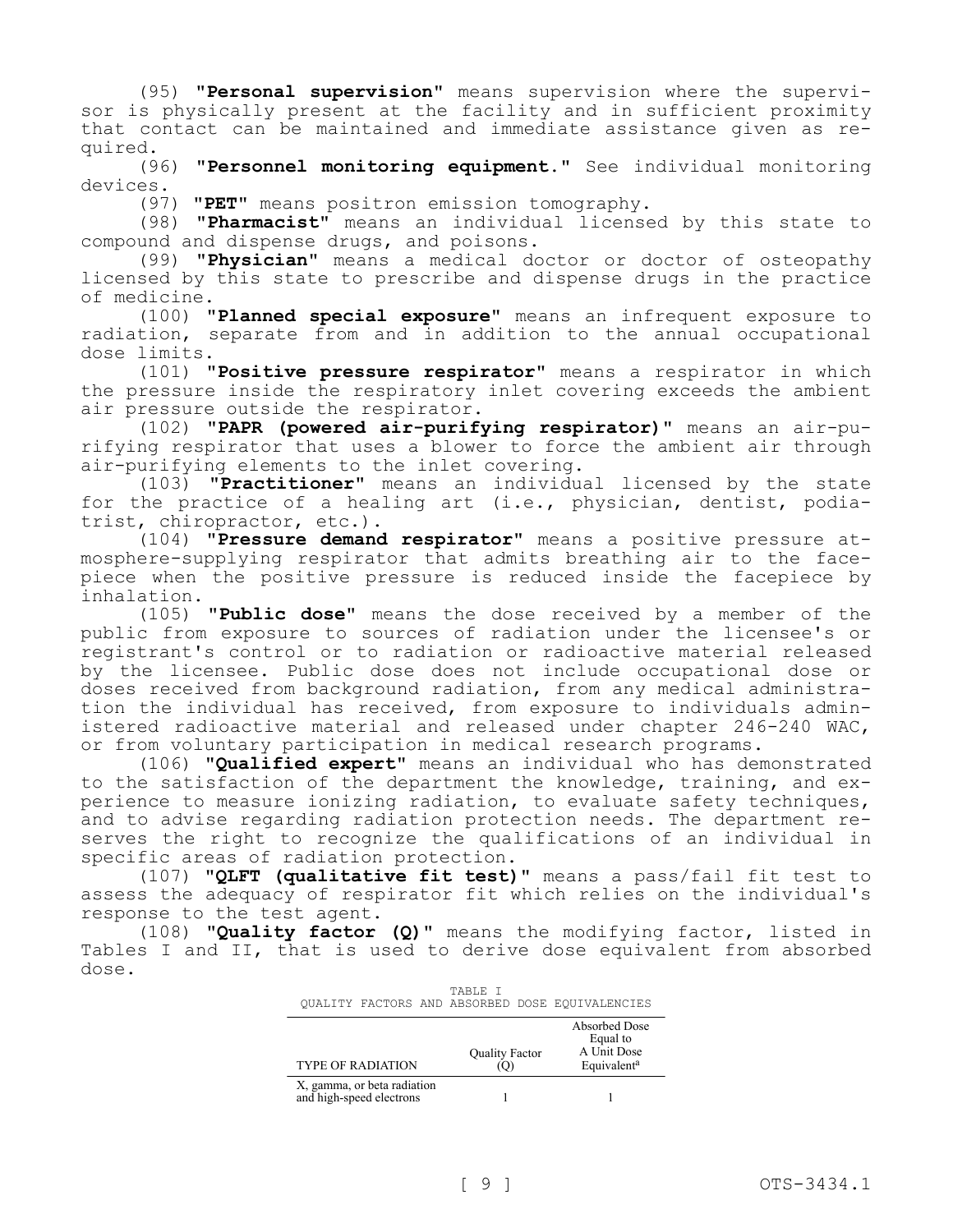(95) **"Personal supervision"** means supervision where the supervisor is physically present at the facility and in sufficient proximity that contact can be maintained and immediate assistance given as required.

(96) **"Personnel monitoring equipment."** See individual monitoring devices.

(97) **"PET"** means positron emission tomography.

(98) **"Pharmacist"** means an individual licensed by this state to compound and dispense drugs, and poisons.

(99) **"Physician"** means a medical doctor or doctor of osteopathy licensed by this state to prescribe and dispense drugs in the practice of medicine.

(100) **"Planned special exposure"** means an infrequent exposure to radiation, separate from and in addition to the annual occupational dose limits.

(101) **"Positive pressure respirator"** means a respirator in which the pressure inside the respiratory inlet covering exceeds the ambient air pressure outside the respirator.

(102) **"PAPR (powered air-purifying respirator)"** means an air-purifying respirator that uses a blower to force the ambient air through air-purifying elements to the inlet covering.

(103) **"Practitioner"** means an individual licensed by the state for the practice of a healing art (i.e., physician, dentist, podiatrist, chiropractor, etc.).

(104) **"Pressure demand respirator"** means a positive pressure atmosphere-supplying respirator that admits breathing air to the facepiece when the positive pressure is reduced inside the facepiece by inhalation.

(105) **"Public dose"** means the dose received by a member of the public from exposure to sources of radiation under the licensee's or registrant's control or to radiation or radioactive material released by the licensee. Public dose does not include occupational dose or doses received from background radiation, from any medical administration the individual has received, from exposure to individuals administered radioactive material and released under chapter 246-240 WAC, or from voluntary participation in medical research programs.

(106) **"Qualified expert"** means an individual who has demonstrated to the satisfaction of the department the knowledge, training, and experience to measure ionizing radiation, to evaluate safety techniques, and to advise regarding radiation protection needs. The department reserves the right to recognize the qualifications of an individual in specific areas of radiation protection.

(107) **"QLFT (qualitative fit test)"** means a pass/fail fit test to assess the adequacy of respirator fit which relies on the individual's response to the test agent.

(108) **"Quality factor (Q)"** means the modifying factor, listed in Tables I and II, that is used to derive dose equivalent from absorbed dose.

| OUALITY FACTORS AND ABSORBED DOSE EOUIVALENCIES         | TABLE T        |                                                                     |
|---------------------------------------------------------|----------------|---------------------------------------------------------------------|
| <b>TYPE OF RADIATION</b>                                | Quality Factor | Absorbed Dose<br>Equal to<br>A Unit Dose<br>Equivalent <sup>a</sup> |
| X, gamma, or beta radiation<br>and high-speed electrons |                |                                                                     |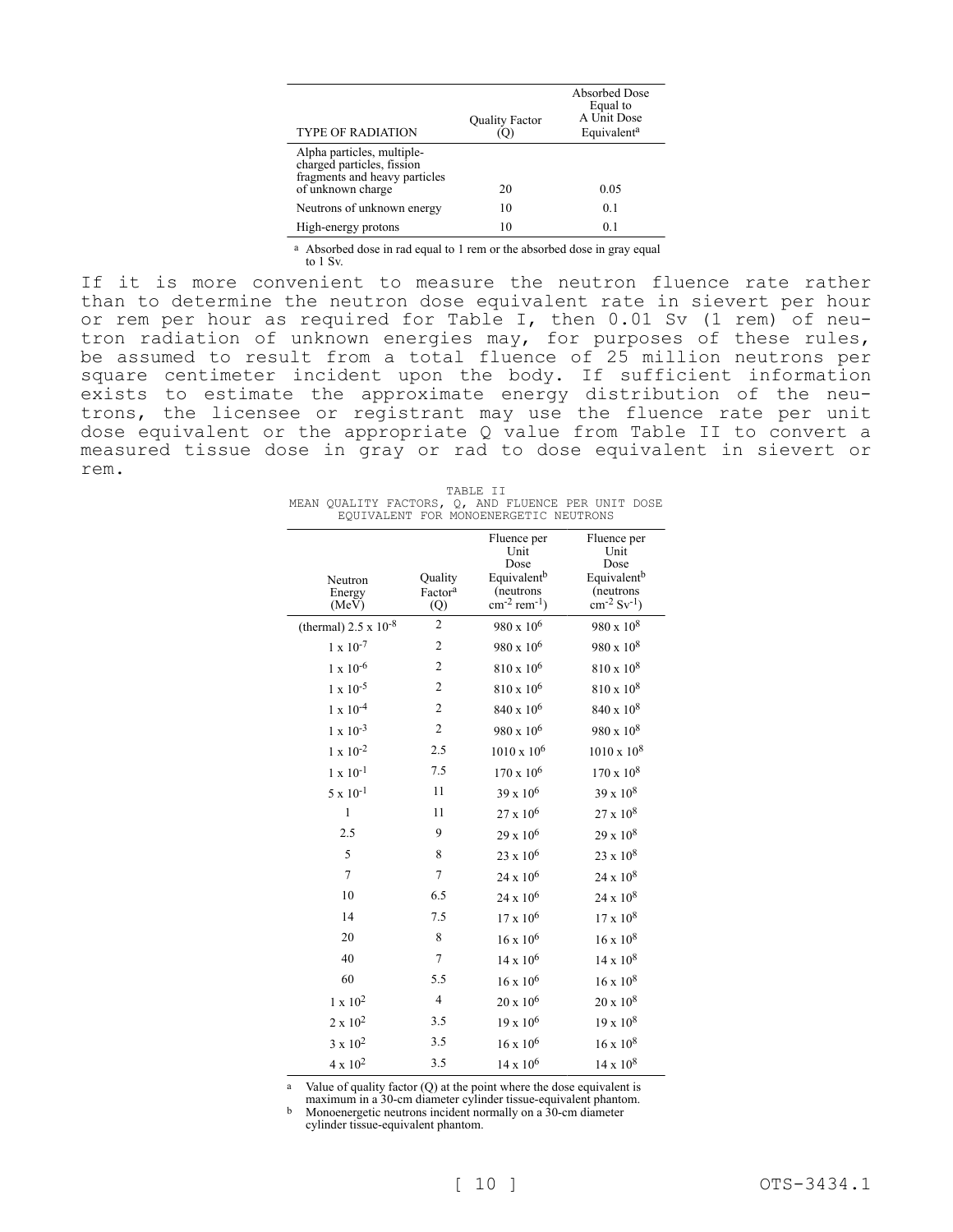| <b>TYPE OF RADIATION</b>                                                                                       | <b>Quality Factor</b> | Absorbed Dose<br>Equal to<br>A Unit Dose<br>Equivalent <sup>a</sup> |
|----------------------------------------------------------------------------------------------------------------|-----------------------|---------------------------------------------------------------------|
| Alpha particles, multiple-<br>charged particles, fission<br>fragments and heavy particles<br>of unknown charge | 20                    | 0.05                                                                |
| Neutrons of unknown energy                                                                                     | 10                    | 0.1                                                                 |
| High-energy protons                                                                                            | 10                    | 0.1                                                                 |

a Absorbed dose in rad equal to 1 rem or the absorbed dose in gray equal to 1 Sv.

If it is more convenient to measure the neutron fluence rate rather than to determine the neutron dose equivalent rate in sievert per hour or rem per hour as required for Table I, then 0.01 Sv (1 rem) of neutron radiation of unknown energies may, for purposes of these rules, be assumed to result from a total fluence of 25 million neutrons per square centimeter incident upon the body. If sufficient information exists to estimate the approximate energy distribution of the neutrons, the licensee or registrant may use the fluence rate per unit dose equivalent or the appropriate Q value from Table II to convert a measured tissue dose in gray or rad to dose equivalent in sievert or rem.

| TABLE II |                                                    |  |  |  |  |                                       |  |  |
|----------|----------------------------------------------------|--|--|--|--|---------------------------------------|--|--|
|          | MEAN OUALITY FACTORS, O, AND FLUENCE PER UNIT DOSE |  |  |  |  |                                       |  |  |
|          |                                                    |  |  |  |  | EOUIVALENT FOR MONOENERGETIC NEUTRONS |  |  |

|                                |                     | Fluence per<br>Unit               | Fluence per<br>Unit          |
|--------------------------------|---------------------|-----------------------------------|------------------------------|
|                                |                     | Dose                              | Dose                         |
| Neutron                        | Quality             | Equivalent <sup>b</sup>           | Equivalent <sup>b</sup>      |
| Energy                         | Factor <sup>a</sup> | (neutrons                         | (neutrons                    |
| (MeV)                          | (Q)                 | $\rm cm^{-2}$ rem <sup>-1</sup> ) | $cm^{-2}$ Sv <sup>-1</sup> ) |
| (thermal) $2.5 \times 10^{-8}$ | $\overline{c}$      | 980 x 10 <sup>6</sup>             | $980 \times 10^8$            |
| $1 \ge 10^{-7}$                | $\overline{c}$      | $980 \times 10^6$                 | $980 \times 10^8$            |
| $1 \times 10^{-6}$             | $\overline{2}$      | $810 \times 10^6$                 | $810 \times 10^{8}$          |
| $1 \times 10^{-5}$             | $\overline{2}$      | 810 x 10 <sup>6</sup>             | $810 \times 10^{8}$          |
| $1 \times 10^{-4}$             | $\overline{c}$      | 840 x 10 <sup>6</sup>             | $840 \times 10^8$            |
| $1 \times 10^{-3}$             | $\overline{2}$      | 980 x 10 <sup>6</sup>             | $980 \times 10^8$            |
| $1 \times 10^{-2}$             | 2.5                 | $1010 \times 10^6$                | $1010 \times 10^{8}$         |
| $1\ge 10^{-1}$                 | 7.5                 | $170 \times 10^6$                 | $170 \times 10^8$            |
| $5 \times 10^{-1}$             | 11                  | $39 \times 10^6$                  | $39 \times 10^8$             |
| $\mathbf{1}$                   | 11                  | $27 \times 10^6$                  | $27 \times 10^8$             |
| 2.5                            | 9                   | $29 \times 10^6$                  | $29 \times 10^8$             |
| 5                              | 8                   | $23 \times 10^6$                  | $23 \times 10^8$             |
| $\tau$                         | $\tau$              | $24 \times 10^6$                  | $24 \times 10^8$             |
| 10                             | 6.5                 | $24 \times 10^6$                  | $24 \times 10^8$             |
| 14                             | 7.5                 | $17 \times 10^6$                  | $17 \times 10^8$             |
| 20                             | 8                   | $16 \times 10^6$                  | $16 \times 10^8$             |
| 40                             | $\tau$              | $14 \times 10^6$                  | $14 \times 10^8$             |
| 60                             | 5.5                 | $16 \times 10^6$                  | $16 \times 10^8$             |
| $1 \ge 10^2$                   | $\overline{4}$      | $20 \times 10^6$                  | $20 \times 10^8$             |
| $2 \ge 10^2$                   | 3.5                 | $19 \times 10^6$                  | $19 \ge 10^8$                |
| $3 \times 10^2$                | 3.5                 | $16 \times 10^6$                  | $16 \times 10^8$             |
| $4 \times 10^2$                | 3.5                 | $14 \times 10^6$                  | $14 \times 10^8$             |

a Value of quality factor (Q) at the point where the dose equivalent is

maximum in a 30-cm diameter cylinder tissue-equivalent phantom. b Monoenergetic neutrons incident normally on a 30-cm diameter cylinder tissue-equivalent phantom.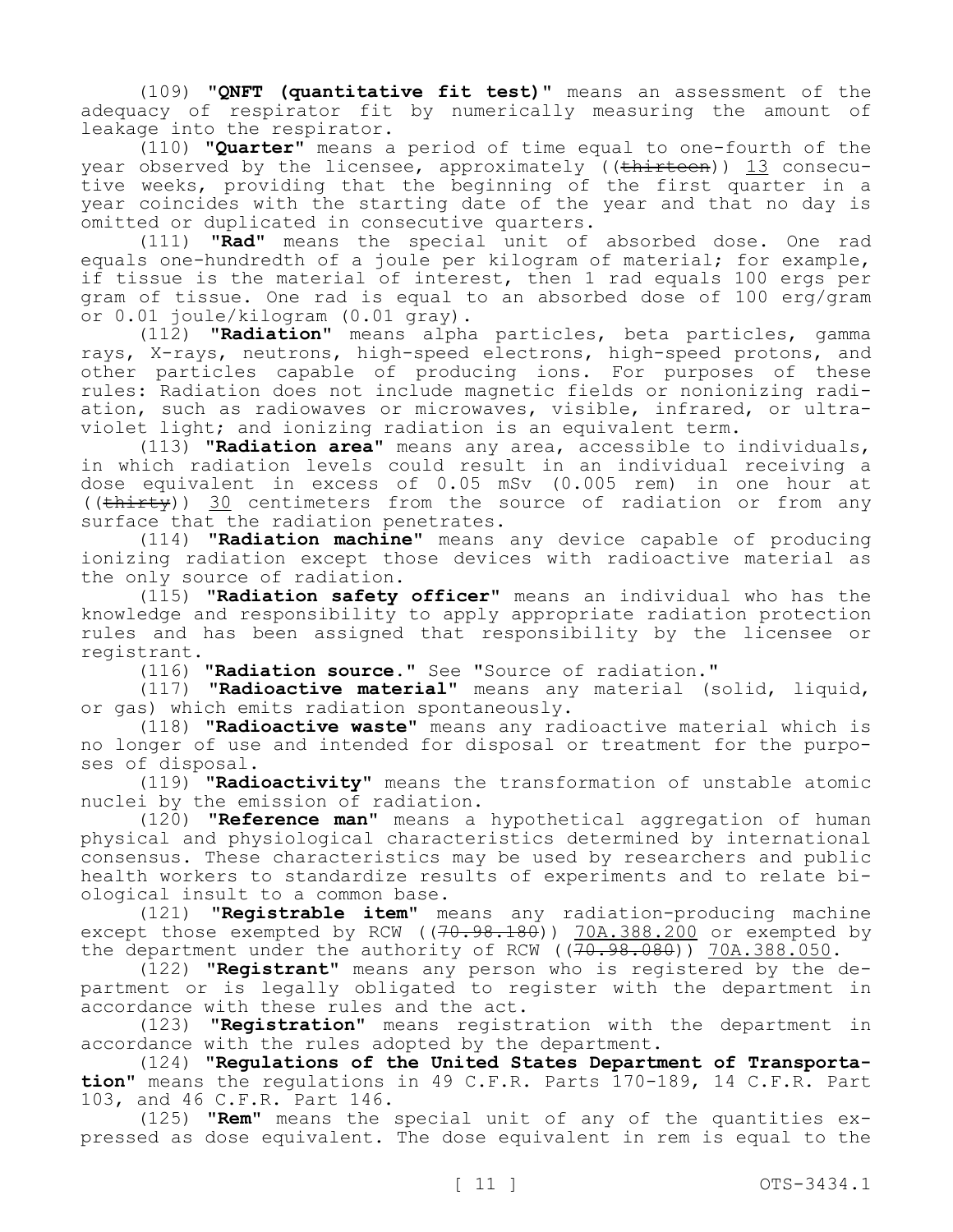(109) **"QNFT (quantitative fit test)"** means an assessment of the adequacy of respirator fit by numerically measuring the amount of leakage into the respirator.

(110) **"Quarter"** means a period of time equal to one-fourth of the year observed by the licensee, approximately ((thirteen)) 13 consecutive weeks, providing that the beginning of the first quarter in a year coincides with the starting date of the year and that no day is omitted or duplicated in consecutive quarters.

(111) **"Rad"** means the special unit of absorbed dose. One rad equals one-hundredth of a joule per kilogram of material; for example, if tissue is the material of interest, then 1 rad equals 100 ergs per gram of tissue. One rad is equal to an absorbed dose of 100 erg/gram or 0.01 joule/kilogram (0.01 gray).

(112) **"Radiation"** means alpha particles, beta particles, gamma rays, X-rays, neutrons, high-speed electrons, high-speed protons, and other particles capable of producing ions. For purposes of these rules: Radiation does not include magnetic fields or nonionizing radiation, such as radiowaves or microwaves, visible, infrared, or ultraviolet light; and ionizing radiation is an equivalent term.

(113) **"Radiation area"** means any area, accessible to individuals, in which radiation levels could result in an individual receiving a dose equivalent in excess of 0.05 mSv (0.005 rem) in one hour at ((thirty)) 30 centimeters from the source of radiation or from any surface that the radiation penetrates.

(114) **"Radiation machine"** means any device capable of producing ionizing radiation except those devices with radioactive material as the only source of radiation.

(115) **"Radiation safety officer"** means an individual who has the knowledge and responsibility to apply appropriate radiation protection rules and has been assigned that responsibility by the licensee or registrant.

(116) **"Radiation source."** See "Source of radiation."

(117) **"Radioactive material"** means any material (solid, liquid, or gas) which emits radiation spontaneously.

(118) **"Radioactive waste"** means any radioactive material which is no longer of use and intended for disposal or treatment for the purposes of disposal.

(119) **"Radioactivity"** means the transformation of unstable atomic nuclei by the emission of radiation.

(120) **"Reference man"** means a hypothetical aggregation of human physical and physiological characteristics determined by international consensus. These characteristics may be used by researchers and public health workers to standardize results of experiments and to relate biological insult to a common base.

(121) **"Registrable item"** means any radiation-producing machine except those exempted by RCW  $((70.98.180))$  70A.388.200 or exempted by the department under the authority of RCW ( $(70.98.080)$ ) 70A.388.050.

(122) **"Registrant"** means any person who is registered by the department or is legally obligated to register with the department in accordance with these rules and the act.

(123) **"Registration"** means registration with the department in accordance with the rules adopted by the department.

(124) **"Regulations of the United States Department of Transportation"** means the regulations in 49 C.F.R. Parts 170-189, 14 C.F.R. Part 103, and 46 C.F.R. Part 146.

(125) **"Rem"** means the special unit of any of the quantities expressed as dose equivalent. The dose equivalent in rem is equal to the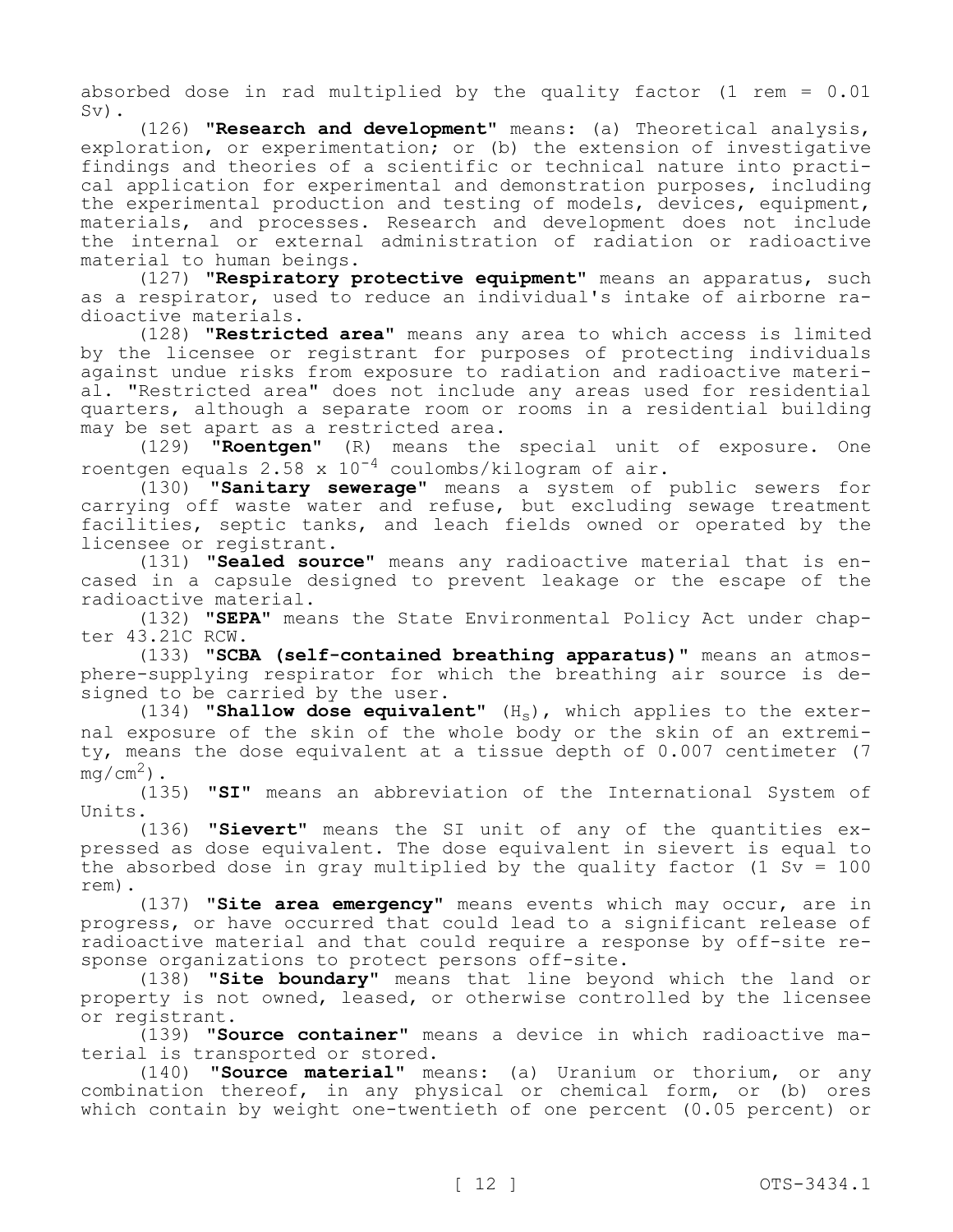absorbed dose in rad multiplied by the quality factor (1 rem  $= 0.01$ Sv).

(126) **"Research and development"** means: (a) Theoretical analysis, exploration, or experimentation; or (b) the extension of investigative findings and theories of a scientific or technical nature into practical application for experimental and demonstration purposes, including the experimental production and testing of models, devices, equipment, materials, and processes. Research and development does not include the internal or external administration of radiation or radioactive material to human beings.

(127) **"Respiratory protective equipment"** means an apparatus, such as a respirator, used to reduce an individual's intake of airborne radioactive materials.

(128) **"Restricted area"** means any area to which access is limited by the licensee or registrant for purposes of protecting individuals against undue risks from exposure to radiation and radioactive material. "Restricted area" does not include any areas used for residential quarters, although a separate room or rooms in a residential building may be set apart as a restricted area.

(129) **"Roentgen"** (R) means the special unit of exposure. One roentgen equals 2.58 x  $10^{-4}$  coulombs/kilogram of air.

(130) **"Sanitary sewerage"** means a system of public sewers for carrying off waste water and refuse, but excluding sewage treatment facilities, septic tanks, and leach fields owned or operated by the licensee or registrant.

(131) **"Sealed source"** means any radioactive material that is encased in a capsule designed to prevent leakage or the escape of the radioactive material.

(132) **"SEPA"** means the State Environmental Policy Act under chapter 43.21C RCW.

(133) **"SCBA (self-contained breathing apparatus)"** means an atmosphere-supplying respirator for which the breathing air source is designed to be carried by the user.

(134) **"Shallow dose equivalent"** (Hs), which applies to the external exposure of the skin of the whole body or the skin of an extremity, means the dose equivalent at a tissue depth of 0.007 centimeter (7  $mq/cm<sup>2</sup>$ ).

(135) **"SI"** means an abbreviation of the International System of Units.

(136) **"Sievert"** means the SI unit of any of the quantities expressed as dose equivalent. The dose equivalent in sievert is equal to the absorbed dose in gray multiplied by the quality factor (1 Sv =  $100$ ) rem).

(137) **"Site area emergency"** means events which may occur, are in progress, or have occurred that could lead to a significant release of radioactive material and that could require a response by off-site response organizations to protect persons off-site.

(138) **"Site boundary"** means that line beyond which the land or property is not owned, leased, or otherwise controlled by the licensee or registrant.

(139) **"Source container"** means a device in which radioactive material is transported or stored.

(140) **"Source material"** means: (a) Uranium or thorium, or any combination thereof, in any physical or chemical form, or (b) ores which contain by weight one-twentieth of one percent (0.05 percent) or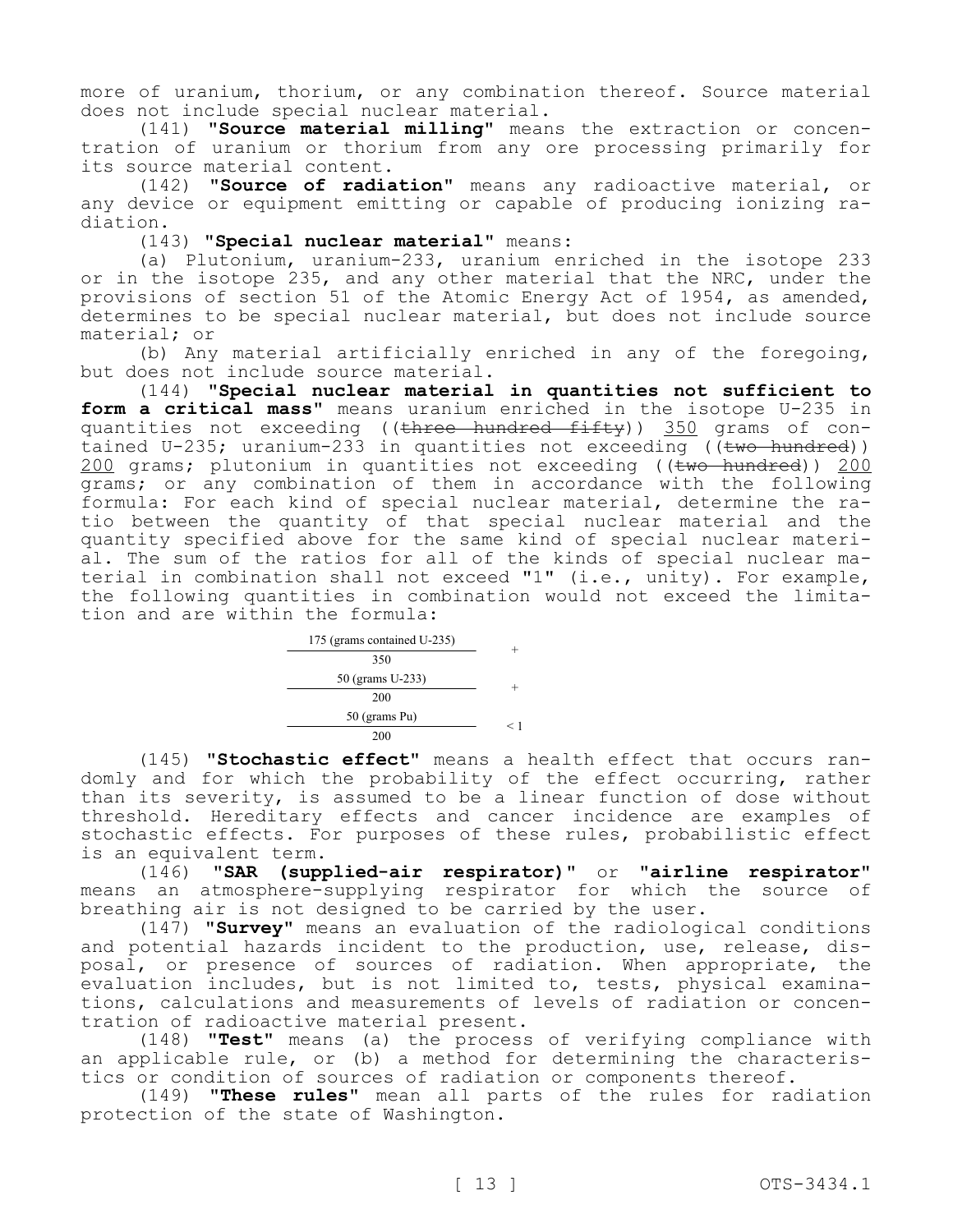more of uranium, thorium, or any combination thereof. Source material does not include special nuclear material.

(141) **"Source material milling"** means the extraction or concentration of uranium or thorium from any ore processing primarily for its source material content.

(142) **"Source of radiation"** means any radioactive material, or any device or equipment emitting or capable of producing ionizing radiation.

(143) **"Special nuclear material"** means:

(a) Plutonium, uranium-233, uranium enriched in the isotope 233 or in the isotope 235, and any other material that the NRC, under the provisions of section 51 of the Atomic Energy Act of 1954, as amended, determines to be special nuclear material, but does not include source material; or

(b) Any material artificially enriched in any of the foregoing, but does not include source material.

(144) **"Special nuclear material in quantities not sufficient to form a critical mass"** means uranium enriched in the isotope U-235 in quantities not exceeding ((three hundred fifty)) 350 grams of contained U-235; uranium-233 in quantities not exceeding ( $\overline{t}$  ( $\overline{t}$  hundred)) 200 grams; plutonium in quantities not exceeding ((two hundred)) 200 grams; or any combination of them in accordance with the following formula: For each kind of special nuclear material, determine the ratio between the quantity of that special nuclear material and the quantity specified above for the same kind of special nuclear material. The sum of the ratios for all of the kinds of special nuclear material in combination shall not exceed "1" (i.e., unity). For example, the following quantities in combination would not exceed the limitation and are within the formula:

| 175 (grams contained U-235) |     |
|-----------------------------|-----|
| 350                         |     |
| 50 (grams U-233)            |     |
| 200                         |     |
| 50 (grams Pu)               | ← 1 |
| 200                         |     |

(145) **"Stochastic effect"** means a health effect that occurs randomly and for which the probability of the effect occurring, rather than its severity, is assumed to be a linear function of dose without threshold. Hereditary effects and cancer incidence are examples of stochastic effects. For purposes of these rules, probabilistic effect is an equivalent term.

(146) **"SAR (supplied-air respirator)"** or **"airline respirator"**  means an atmosphere-supplying respirator for which the source of breathing air is not designed to be carried by the user.

(147) **"Survey"** means an evaluation of the radiological conditions and potential hazards incident to the production, use, release, disposal, or presence of sources of radiation. When appropriate, the evaluation includes, but is not limited to, tests, physical examinations, calculations and measurements of levels of radiation or concentration of radioactive material present.

(148) **"Test"** means (a) the process of verifying compliance with an applicable rule, or (b) a method for determining the characteristics or condition of sources of radiation or components thereof.

(149) **"These rules"** mean all parts of the rules for radiation protection of the state of Washington.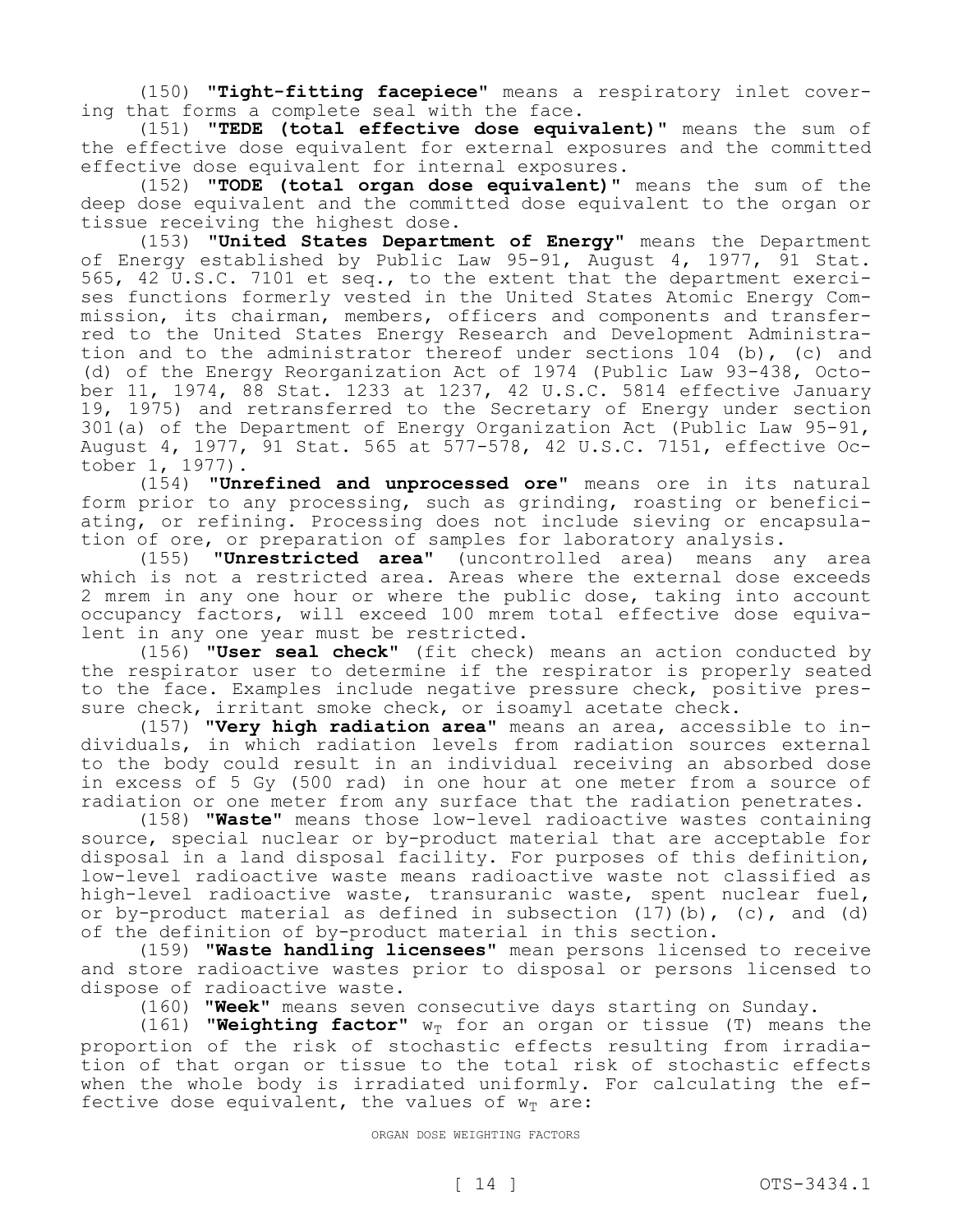(150) **"Tight-fitting facepiece"** means a respiratory inlet covering that forms a complete seal with the face.

(151) **"TEDE (total effective dose equivalent)"** means the sum of the effective dose equivalent for external exposures and the committed effective dose equivalent for internal exposures.

(152) **"TODE (total organ dose equivalent)"** means the sum of the deep dose equivalent and the committed dose equivalent to the organ or tissue receiving the highest dose.

(153) **"United States Department of Energy"** means the Department of Energy established by Public Law 95-91, August 4, 1977, 91 Stat. 565, 42 U.S.C. 7101 et seq., to the extent that the department exercises functions formerly vested in the United States Atomic Energy Commission, its chairman, members, officers and components and transferred to the United States Energy Research and Development Administration and to the administrator thereof under sections 104 (b), (c) and (d) of the Energy Reorganization Act of 1974 (Public Law 93-438, October 11, 1974, 88 Stat. 1233 at 1237, 42 U.S.C. 5814 effective January 19, 1975) and retransferred to the Secretary of Energy under section 301(a) of the Department of Energy Organization Act (Public Law 95-91, August 4, 1977, 91 Stat. 565 at 577-578, 42 U.S.C. 7151, effective October 1, 1977).

(154) **"Unrefined and unprocessed ore"** means ore in its natural form prior to any processing, such as grinding, roasting or beneficiating, or refining. Processing does not include sieving or encapsulation of ore, or preparation of samples for laboratory analysis.

(155) **"Unrestricted area"** (uncontrolled area) means any area which is not a restricted area. Areas where the external dose exceeds 2 mrem in any one hour or where the public dose, taking into account occupancy factors, will exceed 100 mrem total effective dose equivalent in any one year must be restricted.

(156) **"User seal check"** (fit check) means an action conducted by the respirator user to determine if the respirator is properly seated to the face. Examples include negative pressure check, positive pressure check, irritant smoke check, or isoamyl acetate check.

(157) **"Very high radiation area"** means an area, accessible to individuals, in which radiation levels from radiation sources external to the body could result in an individual receiving an absorbed dose in excess of 5 Gy (500 rad) in one hour at one meter from a source of radiation or one meter from any surface that the radiation penetrates.

(158) **"Waste"** means those low-level radioactive wastes containing source, special nuclear or by-product material that are acceptable for disposal in a land disposal facility. For purposes of this definition, low-level radioactive waste means radioactive waste not classified as high-level radioactive waste, transuranic waste, spent nuclear fuel, or by-product material as defined in subsection  $(17)$  (b),  $(c)$ , and  $(d)$ of the definition of by-product material in this section.

(159) **"Waste handling licensees"** mean persons licensed to receive and store radioactive wastes prior to disposal or persons licensed to dispose of radioactive waste.

(160) **"Week"** means seven consecutive days starting on Sunday.

(161) **"Weighting factor"**  $w_T$  for an organ or tissue (T) means the proportion of the risk of stochastic effects resulting from irradiation of that organ or tissue to the total risk of stochastic effects when the whole body is irradiated uniformly. For calculating the effective dose equivalent, the values of  $w_T$  are:

ORGAN DOSE WEIGHTING FACTORS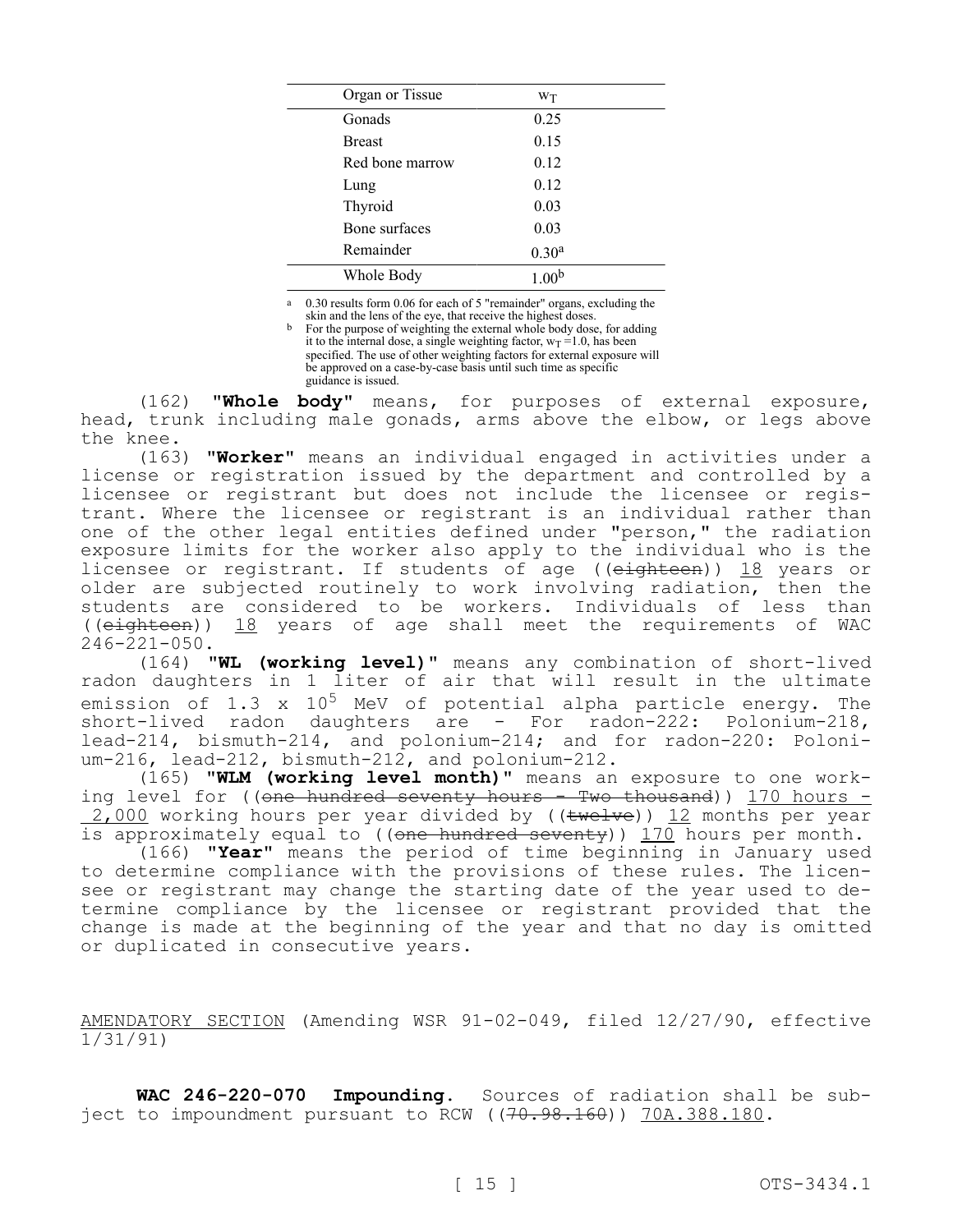| Organ or Tissue | Wт                |  |
|-----------------|-------------------|--|
| Gonads          | 0.25              |  |
| <b>Breast</b>   | 0.15              |  |
| Red bone marrow | 0.12              |  |
| Lung            | 0.12              |  |
| Thyroid         | 0.03              |  |
| Bone surfaces   | 0.03              |  |
| Remainder       | 0.30 <sup>a</sup> |  |
| Whole Body      |                   |  |

0.30 results form 0.06 for each of 5 "remainder" organs, excluding the

skin and the lens of the eye, that receive the highest doses. For the purpose of weighting the external whole body dose, for adding it to the internal dose, a single weighting factor,  $w_T = 1.0$ , has been specified. The use of other weighting factors for external exposure will be approved on a case-by-case basis until such time as specific guidance is issued.

(162) **"Whole body"** means, for purposes of external exposure, head, trunk including male gonads, arms above the elbow, or legs above the knee.

(163) **"Worker"** means an individual engaged in activities under a license or registration issued by the department and controlled by a licensee or registrant but does not include the licensee or registrant. Where the licensee or registrant is an individual rather than one of the other legal entities defined under "person," the radiation exposure limits for the worker also apply to the individual who is the licensee or registrant. If students of age ((eighteen)) 18 years or older are subjected routinely to work involving radiation, then the students are considered to be workers. Individuals of less than ((eighteen)) 18 years of age shall meet the requirements of WAC 246-221-050.

(164) **"WL (working level)"** means any combination of short-lived radon daughters in 1 liter of air that will result in the ultimate emission of 1.3  $\times$  10<sup>5</sup> MeV of potential alpha particle energy. The short-lived radon daughters are - For radon-222: Polonium-218, lead-214, bismuth-214, and polonium-214; and for radon-220: Polonium-216, lead-212, bismuth-212, and polonium-212.

(165) **"WLM (working level month)"** means an exposure to one working level for ((<del>one hundred seventy hours - Two thousand</del>)) 170 hours - $2,000$  working hours per year divided by (( $t$ welve)) 12 months per year is approximately equal to ((one hundred seventy)) 170 hours per month.

(166) **"Year"** means the period of time beginning in January used to determine compliance with the provisions of these rules. The licensee or registrant may change the starting date of the year used to determine compliance by the licensee or registrant provided that the change is made at the beginning of the year and that no day is omitted or duplicated in consecutive years.

AMENDATORY SECTION (Amending WSR 91-02-049, filed 12/27/90, effective 1/31/91)

**WAC 246-220-070 Impounding.** Sources of radiation shall be subject to impoundment pursuant to RCW ((70.98.160)) 70A.388.180.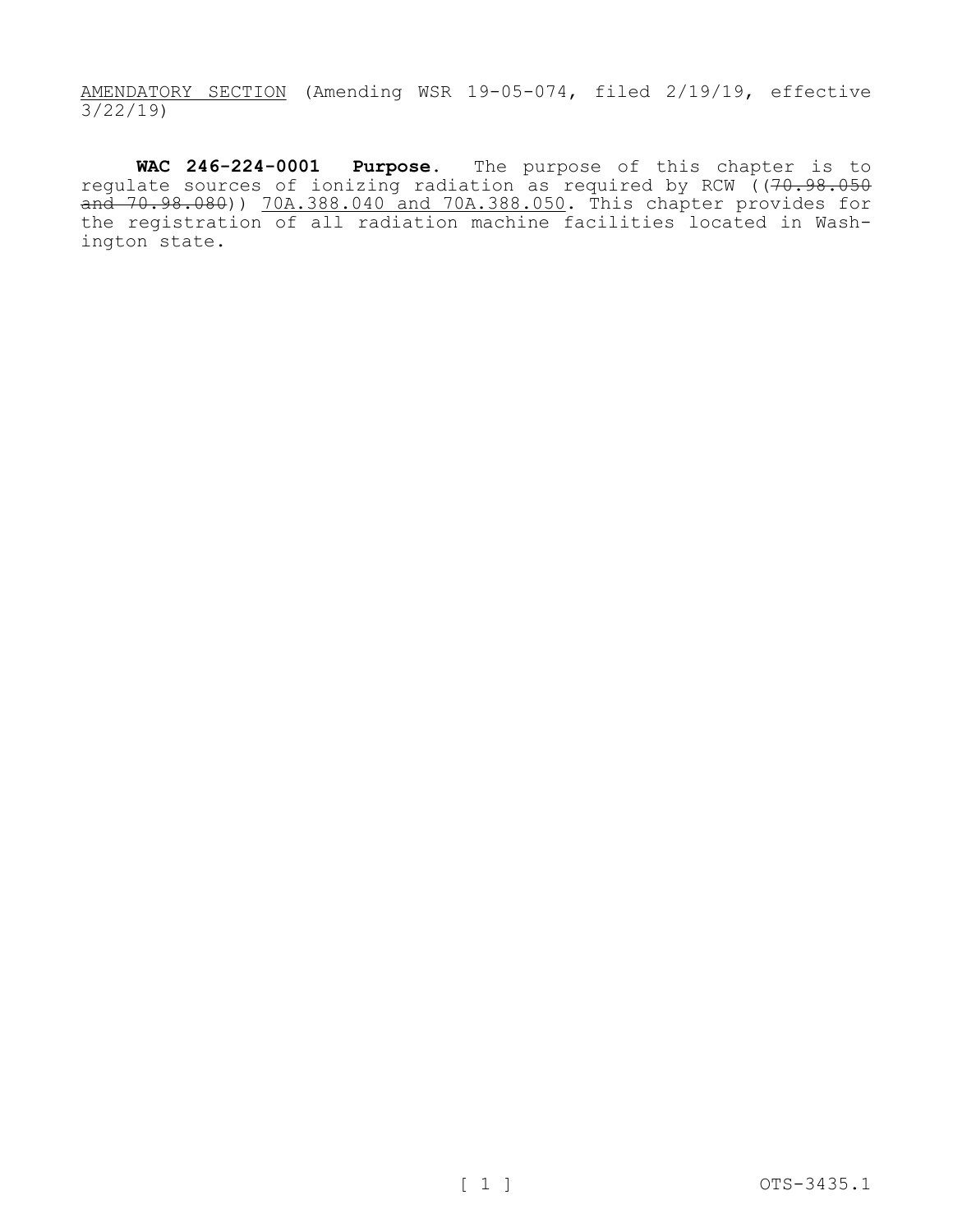AMENDATORY SECTION (Amending WSR 19-05-074, filed 2/19/19, effective 3/22/19)

**WAC 246-224-0001 Purpose.** The purpose of this chapter is to regulate sources of ionizing radiation as required by RCW ((70.98.050) and 70.98.080)) 70A.388.040 and 70A.388.050. This chapter provides for the registration of all radiation machine facilities located in Washington state.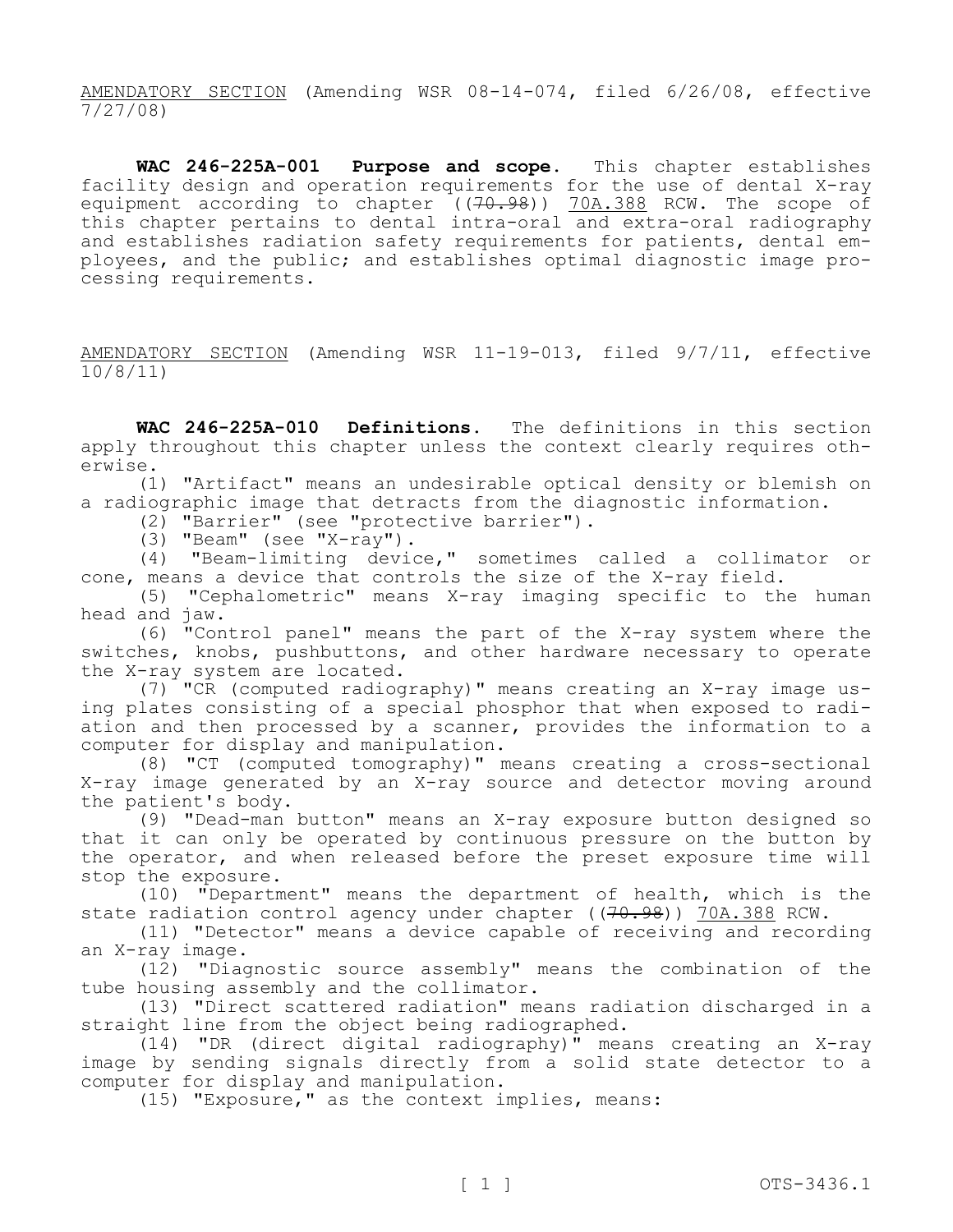AMENDATORY SECTION (Amending WSR 08-14-074, filed 6/26/08, effective 7/27/08)

**WAC 246-225A-001 Purpose and scope.** This chapter establishes facility design and operation requirements for the use of dental X-ray equipment according to chapter ((<del>70.98</del>)) <u>70A.388</u> RCW. The scope of this chapter pertains to dental intra-oral and extra-oral radiography and establishes radiation safety requirements for patients, dental employees, and the public; and establishes optimal diagnostic image processing requirements.

AMENDATORY SECTION (Amending WSR 11-19-013, filed 9/7/11, effective 10/8/11)

**WAC 246-225A-010 Definitions.** The definitions in this section apply throughout this chapter unless the context clearly requires otherwise.

(1) "Artifact" means an undesirable optical density or blemish on a radiographic image that detracts from the diagnostic information.

(2) "Barrier" (see "protective barrier").

(3) "Beam" (see "X-ray").

(4) "Beam-limiting device," sometimes called a collimator or cone, means a device that controls the size of the X-ray field.

(5) "Cephalometric" means X-ray imaging specific to the human head and jaw.

(6) "Control panel" means the part of the X-ray system where the switches, knobs, pushbuttons, and other hardware necessary to operate the X-ray system are located.

(7) "CR (computed radiography)" means creating an X-ray image using plates consisting of a special phosphor that when exposed to radiation and then processed by a scanner, provides the information to a computer for display and manipulation.

(8) "CT (computed tomography)" means creating a cross-sectional X-ray image generated by an X-ray source and detector moving around the patient's body.

(9) "Dead-man button" means an X-ray exposure button designed so that it can only be operated by continuous pressure on the button by the operator, and when released before the preset exposure time will stop the exposure.

(10) "Department" means the department of health, which is the state radiation control agency under chapter ((70.98)) 70A.388 RCW.

(11) "Detector" means a device capable of receiving and recording an X-ray image.

(12) "Diagnostic source assembly" means the combination of the tube housing assembly and the collimator.

(13) "Direct scattered radiation" means radiation discharged in a straight line from the object being radiographed.

(14) "DR (direct digital radiography)" means creating an X-ray image by sending signals directly from a solid state detector to a computer for display and manipulation.

(15) "Exposure," as the context implies, means: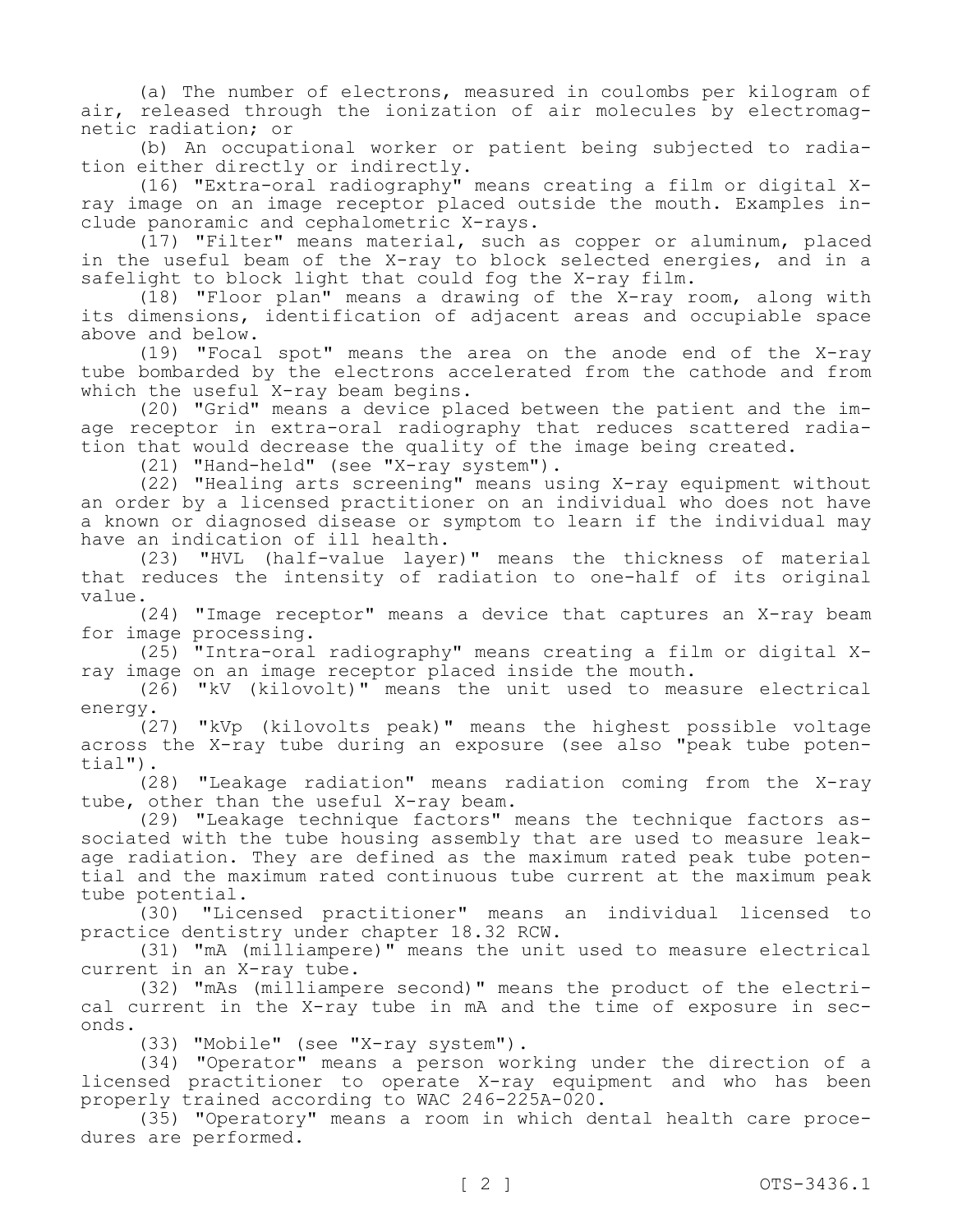(a) The number of electrons, measured in coulombs per kilogram of air, released through the ionization of air molecules by electromagnetic radiation; or

(b) An occupational worker or patient being subjected to radiation either directly or indirectly.

(16) "Extra-oral radiography" means creating a film or digital Xray image on an image receptor placed outside the mouth. Examples include panoramic and cephalometric X-rays.

(17) "Filter" means material, such as copper or aluminum, placed in the useful beam of the X-ray to block selected energies, and in a safelight to block light that could fog the X-ray film.

(18) "Floor plan" means a drawing of the X-ray room, along with its dimensions, identification of adjacent areas and occupiable space above and below.

(19) "Focal spot" means the area on the anode end of the X-ray tube bombarded by the electrons accelerated from the cathode and from which the useful X-ray beam begins.

(20) "Grid" means a device placed between the patient and the image receptor in extra-oral radiography that reduces scattered radiation that would decrease the quality of the image being created.

(21) "Hand-held" (see "X-ray system").

(22) "Healing arts screening" means using X-ray equipment without an order by a licensed practitioner on an individual who does not have a known or diagnosed disease or symptom to learn if the individual may have an indication of ill health.

(23) "HVL (half-value layer)" means the thickness of material that reduces the intensity of radiation to one-half of its original value.

(24) "Image receptor" means a device that captures an X-ray beam for image processing.

(25) "Intra-oral radiography" means creating a film or digital Xray image on an image receptor placed inside the mouth.

(26) "kV (kilovolt)" means the unit used to measure electrical energy.

(27) "kVp (kilovolts peak)" means the highest possible voltage across the X-ray tube during an exposure (see also "peak tube potential").

(28) "Leakage radiation" means radiation coming from the X-ray tube, other than the useful X-ray beam.

(29) "Leakage technique factors" means the technique factors associated with the tube housing assembly that are used to measure leakage radiation. They are defined as the maximum rated peak tube potential and the maximum rated continuous tube current at the maximum peak tube potential.

(30) "Licensed practitioner" means an individual licensed to practice dentistry under chapter 18.32 RCW.

(31) "mA (milliampere)" means the unit used to measure electrical current in an X-ray tube.

(32) "mAs (milliampere second)" means the product of the electrical current in the X-ray tube in mA and the time of exposure in seconds.

(33) "Mobile" (see "X-ray system").

(34) "Operator" means a person working under the direction of a licensed practitioner to operate X-ray equipment and who has been properly trained according to WAC 246-225A-020.

(35) "Operatory" means a room in which dental health care procedures are performed.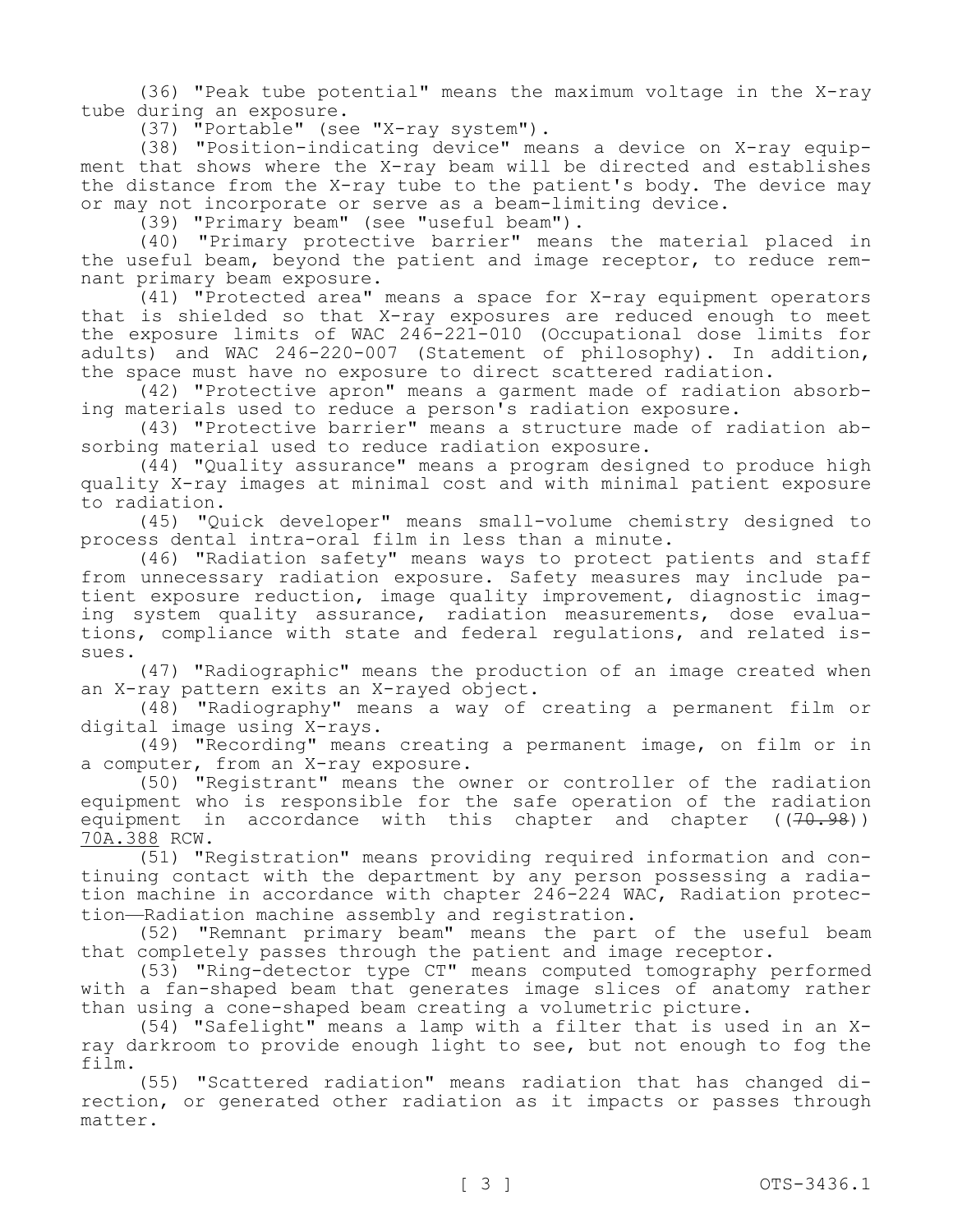(36) "Peak tube potential" means the maximum voltage in the X-ray tube during an exposure.

(37) "Portable" (see "X-ray system").

(38) "Position-indicating device" means a device on X-ray equipment that shows where the X-ray beam will be directed and establishes the distance from the X-ray tube to the patient's body. The device may or may not incorporate or serve as a beam-limiting device.

(39) "Primary beam" (see "useful beam").

(40) "Primary protective barrier" means the material placed in the useful beam, beyond the patient and image receptor, to reduce remnant primary beam exposure.

(41) "Protected area" means a space for X-ray equipment operators that is shielded so that X-ray exposures are reduced enough to meet the exposure limits of WAC 246-221-010 (Occupational dose limits for adults) and WAC 246-220-007 (Statement of philosophy). In addition, the space must have no exposure to direct scattered radiation.

(42) "Protective apron" means a garment made of radiation absorbing materials used to reduce a person's radiation exposure.

(43) "Protective barrier" means a structure made of radiation absorbing material used to reduce radiation exposure.

(44) "Quality assurance" means a program designed to produce high quality X-ray images at minimal cost and with minimal patient exposure to radiation.

(45) "Quick developer" means small-volume chemistry designed to process dental intra-oral film in less than a minute.

(46) "Radiation safety" means ways to protect patients and staff from unnecessary radiation exposure. Safety measures may include patient exposure reduction, image quality improvement, diagnostic imaging system quality assurance, radiation measurements, dose evaluations, compliance with state and federal regulations, and related issues.

(47) "Radiographic" means the production of an image created when an X-ray pattern exits an X-rayed object.

(48) "Radiography" means a way of creating a permanent film or digital image using X-rays.

(49) "Recording" means creating a permanent image, on film or in a computer, from an X-ray exposure.

(50) "Registrant" means the owner or controller of the radiation equipment who is responsible for the safe operation of the radiation<br>equipment in accordance with this chapter and chapter ((70.98)) equipment in accordance with this chapter and chapter 70A.388 RCW.

(51) "Registration" means providing required information and continuing contact with the department by any person possessing a radiation machine in accordance with chapter 246-224 WAC, Radiation protection—Radiation machine assembly and registration.

(52) "Remnant primary beam" means the part of the useful beam that completely passes through the patient and image receptor.

(53) "Ring-detector type CT" means computed tomography performed with a fan-shaped beam that generates image slices of anatomy rather than using a cone-shaped beam creating a volumetric picture.

(54) "Safelight" means a lamp with a filter that is used in an Xray darkroom to provide enough light to see, but not enough to fog the film.

(55) "Scattered radiation" means radiation that has changed direction, or generated other radiation as it impacts or passes through matter.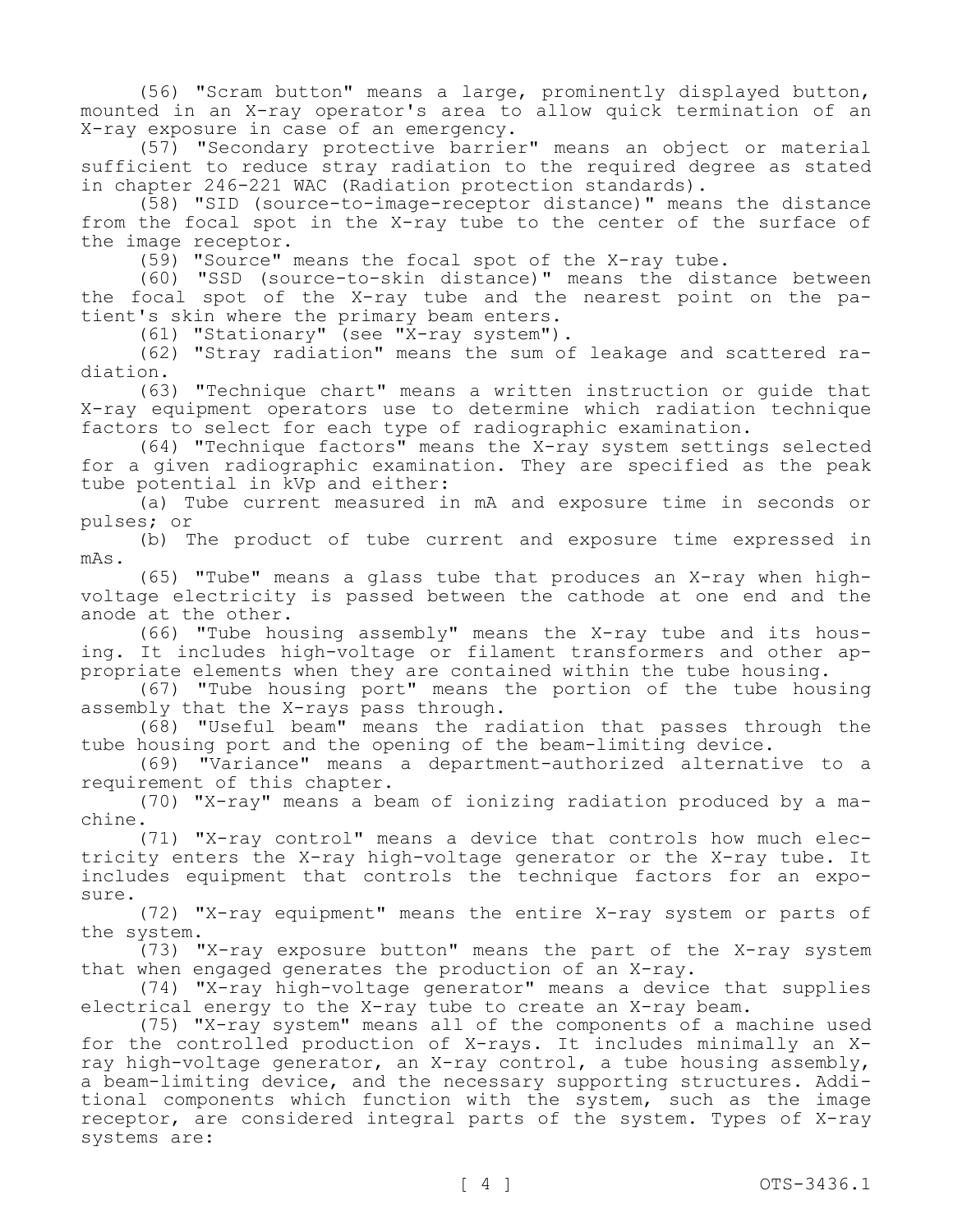(56) "Scram button" means a large, prominently displayed button, mounted in an X-ray operator's area to allow quick termination of an X-ray exposure in case of an emergency.

(57) "Secondary protective barrier" means an object or material sufficient to reduce stray radiation to the required degree as stated in chapter 246-221 WAC (Radiation protection standards).

(58) "SID (source-to-image-receptor distance)" means the distance from the focal spot in the X-ray tube to the center of the surface of the image receptor.

(59) "Source" means the focal spot of the X-ray tube.

(60) "SSD (source-to-skin distance)" means the distance between the focal spot of the X-ray tube and the nearest point on the patient's skin where the primary beam enters.

(61) "Stationary" (see "X-ray system").

(62) "Stray radiation" means the sum of leakage and scattered radiation.

(63) "Technique chart" means a written instruction or guide that X-ray equipment operators use to determine which radiation technique factors to select for each type of radiographic examination.

(64) "Technique factors" means the X-ray system settings selected for a given radiographic examination. They are specified as the peak tube potential in kVp and either:

(a) Tube current measured in mA and exposure time in seconds or pulses; or

(b) The product of tube current and exposure time expressed in mAs.

(65) "Tube" means a glass tube that produces an X-ray when highvoltage electricity is passed between the cathode at one end and the anode at the other.

(66) "Tube housing assembly" means the X-ray tube and its housing. It includes high-voltage or filament transformers and other appropriate elements when they are contained within the tube housing.

(67) "Tube housing port" means the portion of the tube housing assembly that the X-rays pass through.

(68) "Useful beam" means the radiation that passes through the tube housing port and the opening of the beam-limiting device.

(69) "Variance" means a department-authorized alternative to a requirement of this chapter.

(70) "X-ray" means a beam of ionizing radiation produced by a machine.

(71) "X-ray control" means a device that controls how much electricity enters the X-ray high-voltage generator or the X-ray tube. It includes equipment that controls the technique factors for an exposure.

(72) "X-ray equipment" means the entire X-ray system or parts of the system.

(73) "X-ray exposure button" means the part of the X-ray system that when engaged generates the production of an X-ray.

(74) "X-ray high-voltage generator" means a device that supplies electrical energy to the X-ray tube to create an X-ray beam.

(75) "X-ray system" means all of the components of a machine used for the controlled production of X-rays. It includes minimally an Xray high-voltage generator, an X-ray control, a tube housing assembly, a beam-limiting device, and the necessary supporting structures. Additional components which function with the system, such as the image receptor, are considered integral parts of the system. Types of X-ray systems are: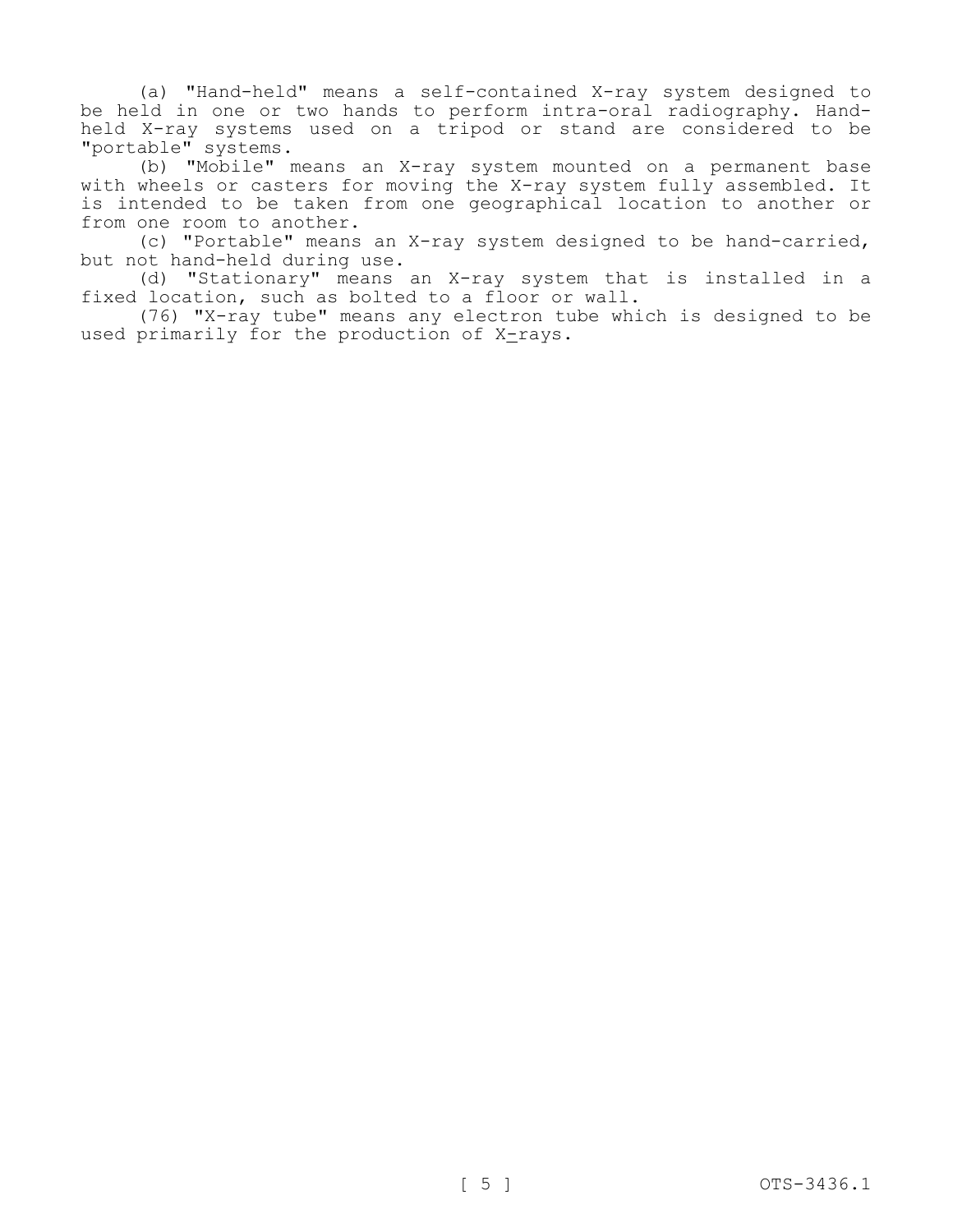(a) "Hand-held" means a self-contained X-ray system designed to be held in one or two hands to perform intra-oral radiography. Handheld X-ray systems used on a tripod or stand are considered to be "portable" systems.

(b) "Mobile" means an X-ray system mounted on a permanent base with wheels or casters for moving the X-ray system fully assembled. It is intended to be taken from one geographical location to another or from one room to another.

(c) "Portable" means an X-ray system designed to be hand-carried, but not hand-held during use.

(d) "Stationary" means an X-ray system that is installed in a fixed location, such as bolted to a floor or wall.

(76) "X-ray tube" means any electron tube which is designed to be used primarily for the production of X-rays.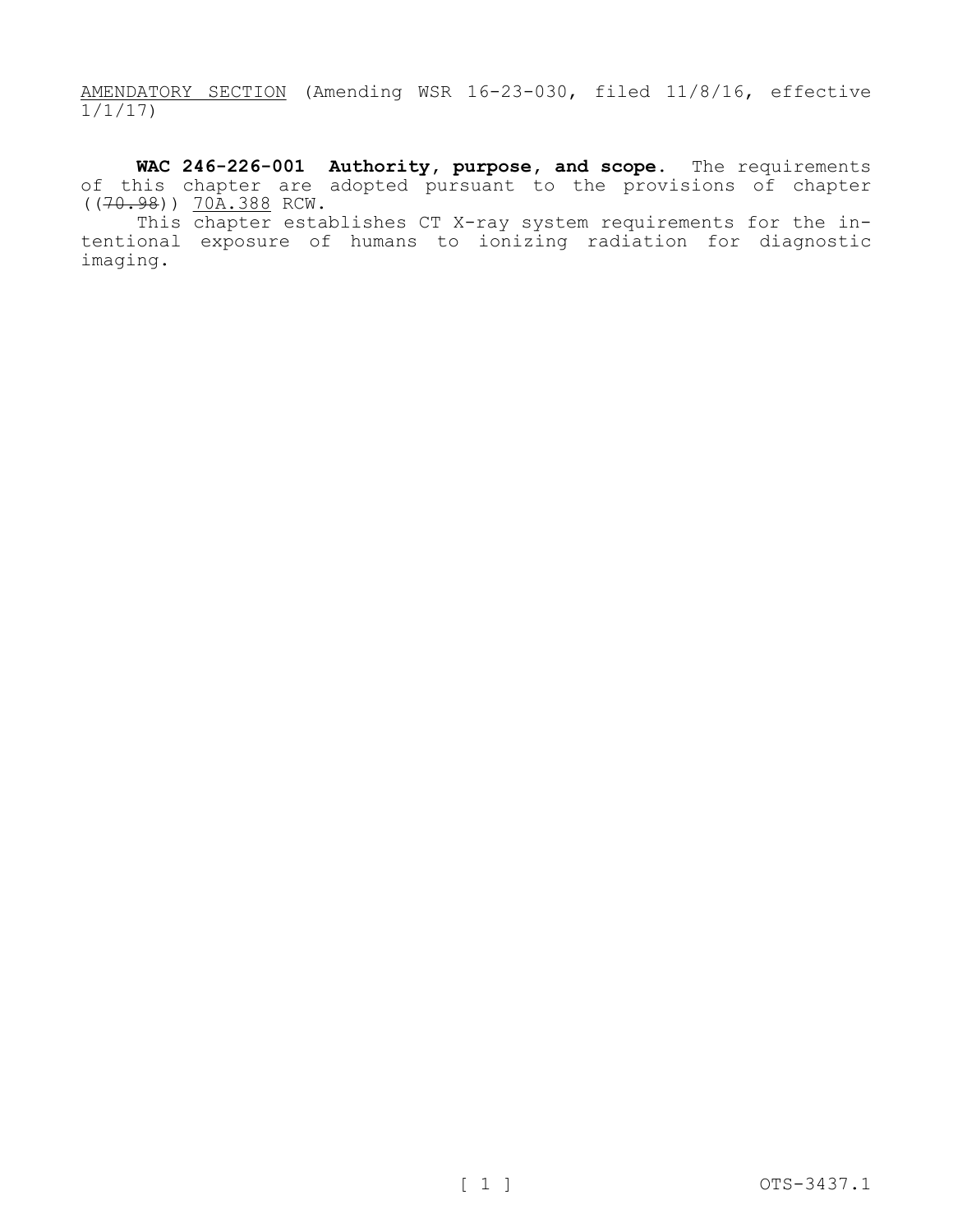AMENDATORY SECTION (Amending WSR 16-23-030, filed 11/8/16, effective 1/1/17)

**WAC 246-226-001 Authority, purpose, and scope.** The requirements of this chapter are adopted pursuant to the provisions of chapter  $((70.98))$   $70A.388$  RCW.

This chapter establishes CT X-ray system requirements for the intentional exposure of humans to ionizing radiation for diagnostic imaging.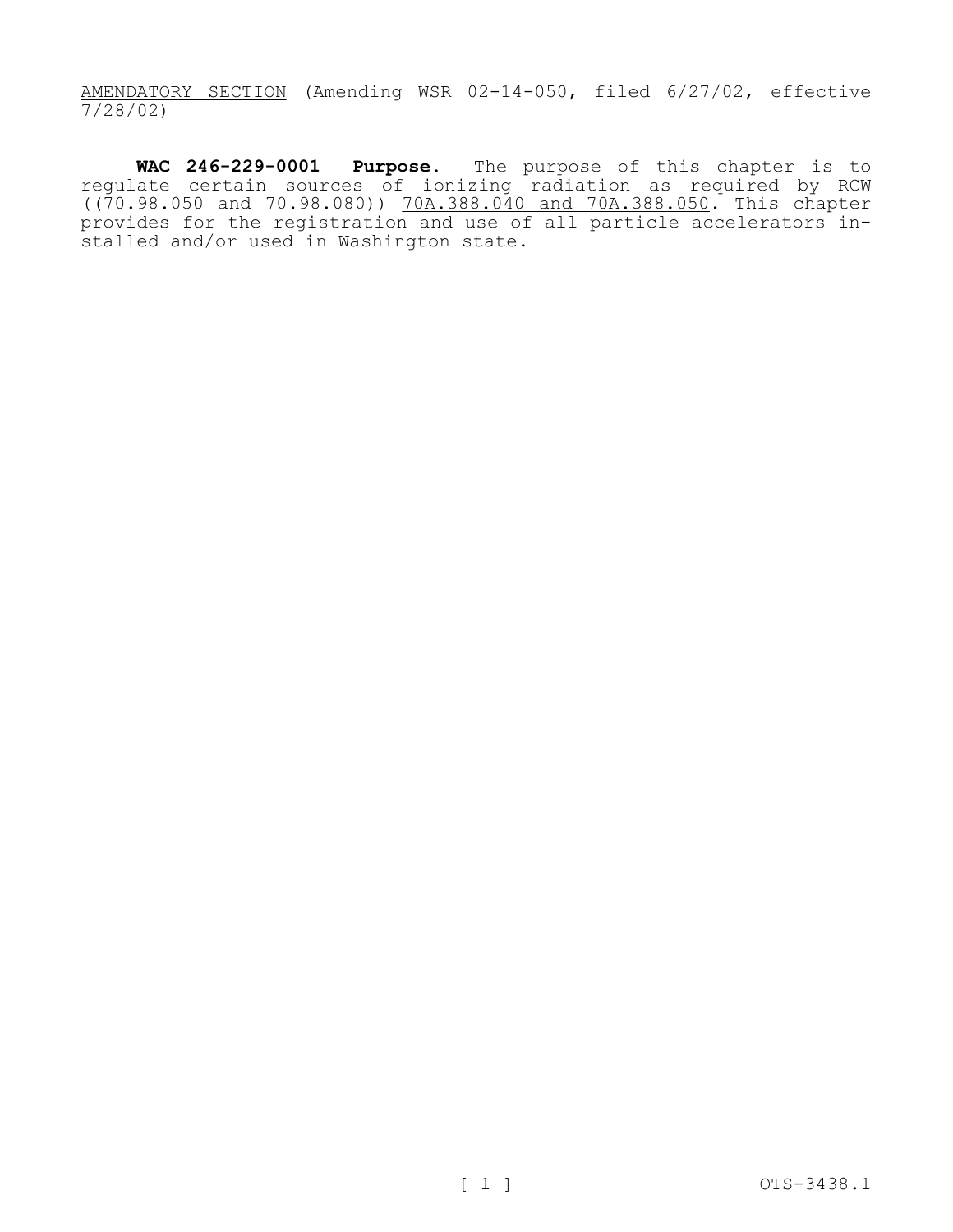AMENDATORY SECTION (Amending WSR 02-14-050, filed 6/27/02, effective 7/28/02)

**WAC 246-229-0001 Purpose.** The purpose of this chapter is to regulate certain sources of ionizing radiation as required by RCW ((70.98.050 and 70.98.080)) 70A.388.040 and 70A.388.050. This chapter provides for the registration and use of all particle accelerators installed and/or used in Washington state.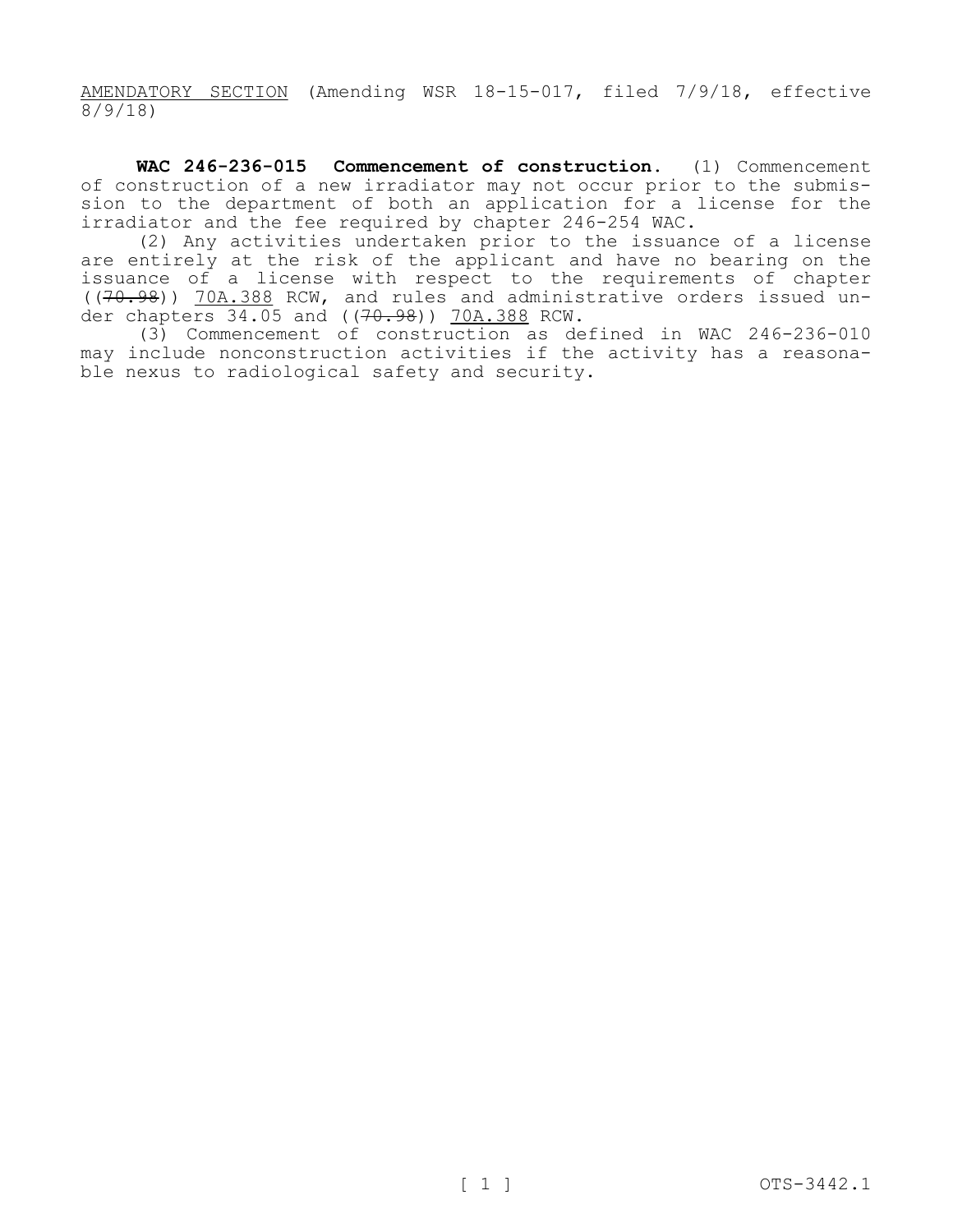AMENDATORY SECTION (Amending WSR 18-15-017, filed 7/9/18, effective 8/9/18)

**WAC 246-236-015 Commencement of construction.** (1) Commencement of construction of a new irradiator may not occur prior to the submission to the department of both an application for a license for the irradiator and the fee required by chapter 246-254 WAC.

(2) Any activities undertaken prior to the issuance of a license are entirely at the risk of the applicant and have no bearing on the issuance of a license with respect to the requirements of chapter ((70.98)) 70A.388 RCW, and rules and administrative orders issued under chapters 34.05 and ((70.98)) 70A.388 RCW.

(3) Commencement of construction as defined in WAC 246-236-010 may include nonconstruction activities if the activity has a reasonable nexus to radiological safety and security.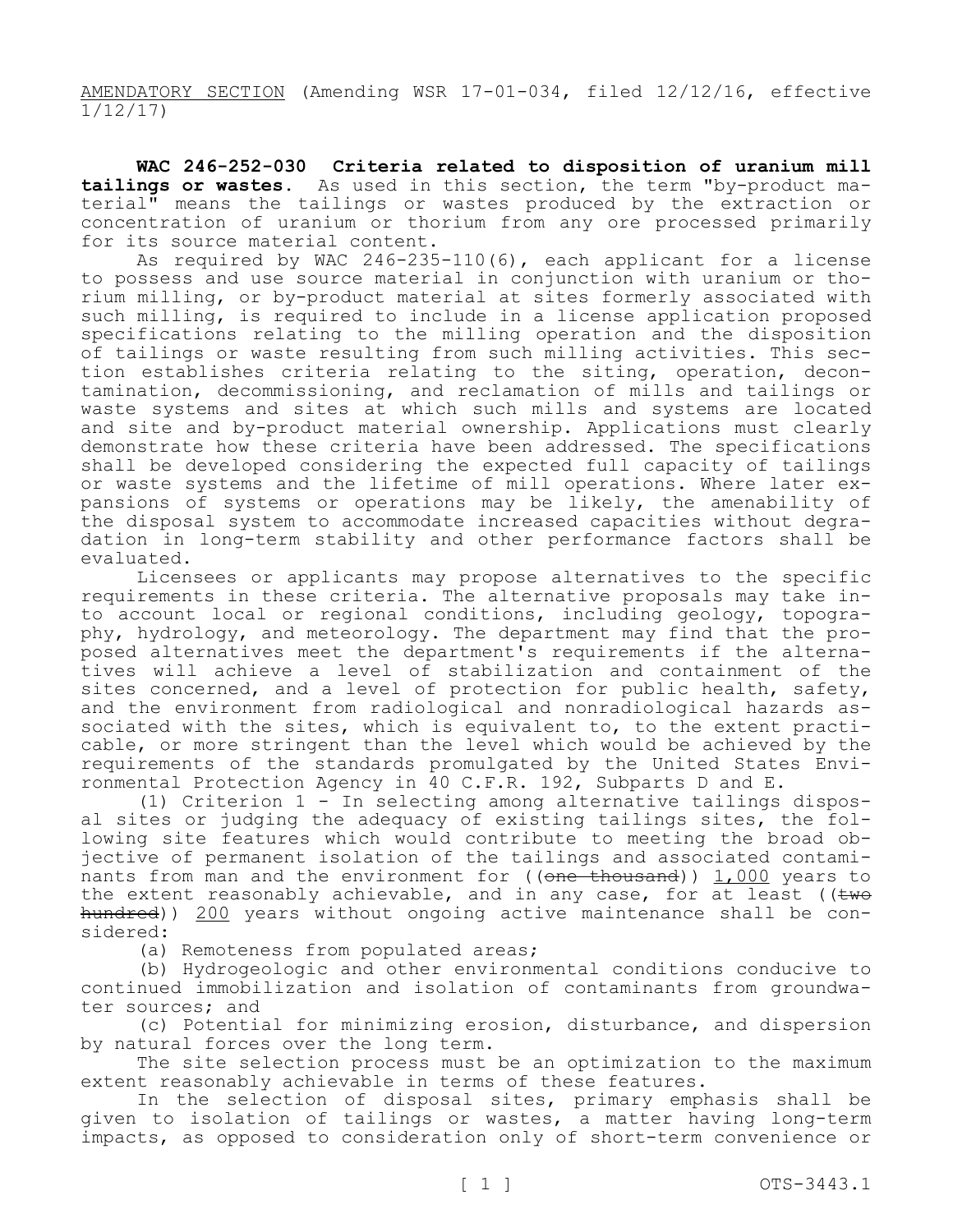AMENDATORY SECTION (Amending WSR 17-01-034, filed 12/12/16, effective 1/12/17)

**WAC 246-252-030 Criteria related to disposition of uranium mill tailings or wastes.** As used in this section, the term "by-product material" means the tailings or wastes produced by the extraction or concentration of uranium or thorium from any ore processed primarily for its source material content.

As required by WAC 246-235-110(6), each applicant for a license to possess and use source material in conjunction with uranium or thorium milling, or by-product material at sites formerly associated with such milling, is required to include in a license application proposed specifications relating to the milling operation and the disposition of tailings or waste resulting from such milling activities. This section establishes criteria relating to the siting, operation, decontamination, decommissioning, and reclamation of mills and tailings or waste systems and sites at which such mills and systems are located and site and by-product material ownership. Applications must clearly demonstrate how these criteria have been addressed. The specifications shall be developed considering the expected full capacity of tailings or waste systems and the lifetime of mill operations. Where later expansions of systems or operations may be likely, the amenability of the disposal system to accommodate increased capacities without degradation in long-term stability and other performance factors shall be evaluated.

Licensees or applicants may propose alternatives to the specific requirements in these criteria. The alternative proposals may take into account local or regional conditions, including geology, topography, hydrology, and meteorology. The department may find that the proposed alternatives meet the department's requirements if the alternatives will achieve a level of stabilization and containment of the sites concerned, and a level of protection for public health, safety, and the environment from radiological and nonradiological hazards associated with the sites, which is equivalent to, to the extent practicable, or more stringent than the level which would be achieved by the requirements of the standards promulgated by the United States Environmental Protection Agency in 40 C.F.R. 192, Subparts D and E.

(1) Criterion 1 - In selecting among alternative tailings disposal sites or judging the adequacy of existing tailings sites, the following site features which would contribute to meeting the broad objective of permanent isolation of the tailings and associated contaminants from man and the environment for  $((one *thousand*))$  1,000 years to the extent reasonably achievable, and in any case, for at least (( $t$ wo hundred)) 200 years without ongoing active maintenance shall be considered:

(a) Remoteness from populated areas;

(b) Hydrogeologic and other environmental conditions conducive to continued immobilization and isolation of contaminants from groundwater sources; and

(c) Potential for minimizing erosion, disturbance, and dispersion by natural forces over the long term.

The site selection process must be an optimization to the maximum extent reasonably achievable in terms of these features.

In the selection of disposal sites, primary emphasis shall be given to isolation of tailings or wastes, a matter having long-term impacts, as opposed to consideration only of short-term convenience or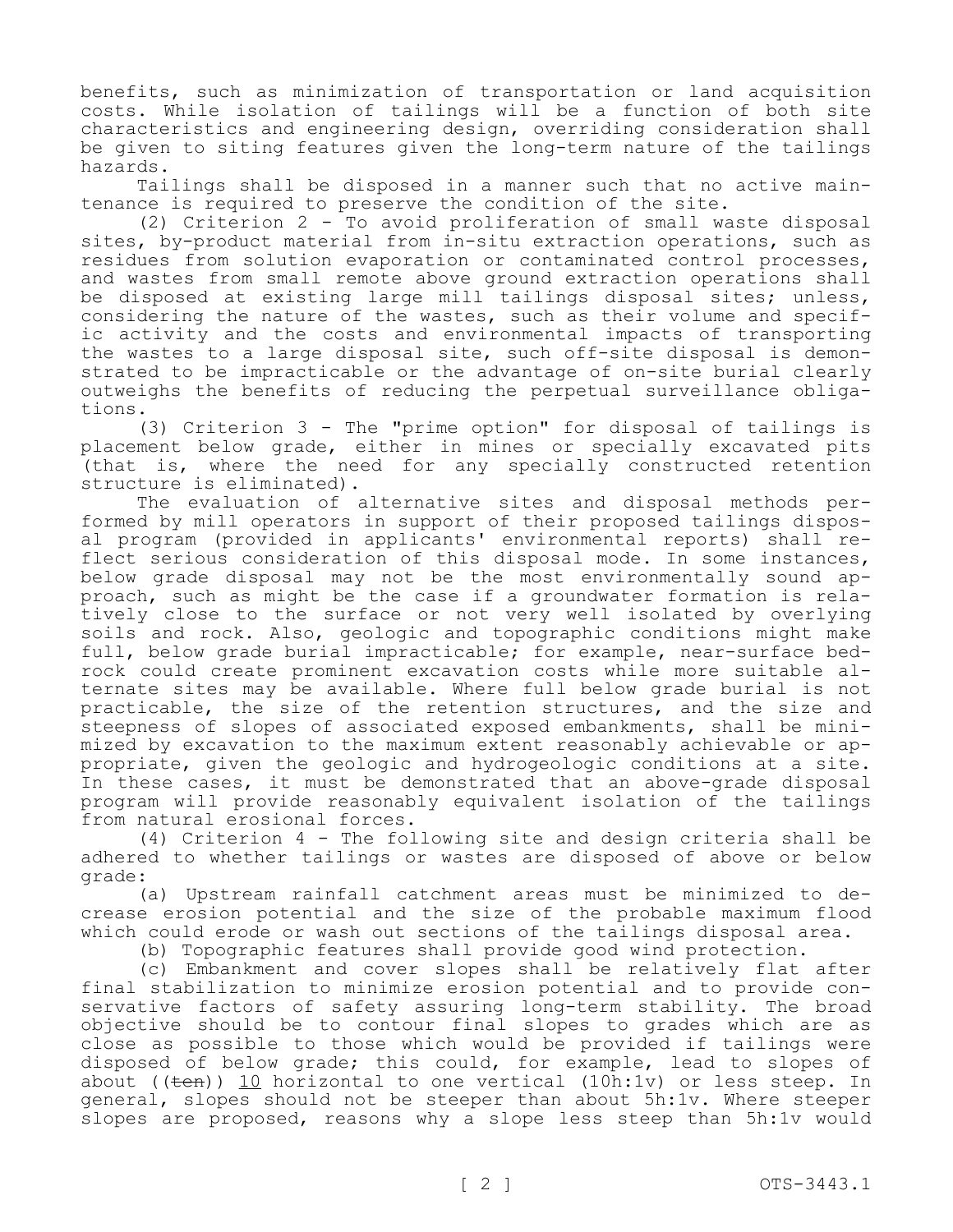benefits, such as minimization of transportation or land acquisition costs. While isolation of tailings will be a function of both site characteristics and engineering design, overriding consideration shall be given to siting features given the long-term nature of the tailings hazards.

Tailings shall be disposed in a manner such that no active maintenance is required to preserve the condition of the site.

(2) Criterion 2 - To avoid proliferation of small waste disposal sites, by-product material from in-situ extraction operations, such as residues from solution evaporation or contaminated control processes, and wastes from small remote above ground extraction operations shall be disposed at existing large mill tailings disposal sites; unless, considering the nature of the wastes, such as their volume and specific activity and the costs and environmental impacts of transporting the wastes to a large disposal site, such off-site disposal is demonstrated to be impracticable or the advantage of on-site burial clearly outweighs the benefits of reducing the perpetual surveillance obligations.

(3) Criterion 3 - The "prime option" for disposal of tailings is placement below grade, either in mines or specially excavated pits (that is, where the need for any specially constructed retention structure is eliminated).

The evaluation of alternative sites and disposal methods performed by mill operators in support of their proposed tailings disposal program (provided in applicants' environmental reports) shall reflect serious consideration of this disposal mode. In some instances, below grade disposal may not be the most environmentally sound approach, such as might be the case if a groundwater formation is relatively close to the surface or not very well isolated by overlying soils and rock. Also, geologic and topographic conditions might make full, below grade burial impracticable; for example, near-surface bedrock could create prominent excavation costs while more suitable alternate sites may be available. Where full below grade burial is not practicable, the size of the retention structures, and the size and steepness of slopes of associated exposed embankments, shall be minimized by excavation to the maximum extent reasonably achievable or appropriate, given the geologic and hydrogeologic conditions at a site. In these cases, it must be demonstrated that an above-grade disposal program will provide reasonably equivalent isolation of the tailings from natural erosional forces.

(4) Criterion 4 - The following site and design criteria shall be adhered to whether tailings or wastes are disposed of above or below grade:

(a) Upstream rainfall catchment areas must be minimized to decrease erosion potential and the size of the probable maximum flood which could erode or wash out sections of the tailings disposal area.

(b) Topographic features shall provide good wind protection.

(c) Embankment and cover slopes shall be relatively flat after final stabilization to minimize erosion potential and to provide conservative factors of safety assuring long-term stability. The broad objective should be to contour final slopes to grades which are as close as possible to those which would be provided if tailings were disposed of below grade; this could, for example, lead to slopes of about ( $(\pm en)$ ) 10 horizontal to one vertical (10h:1v) or less steep. In general, slopes should not be steeper than about 5h:1v. Where steeper slopes are proposed, reasons why a slope less steep than 5h:1v would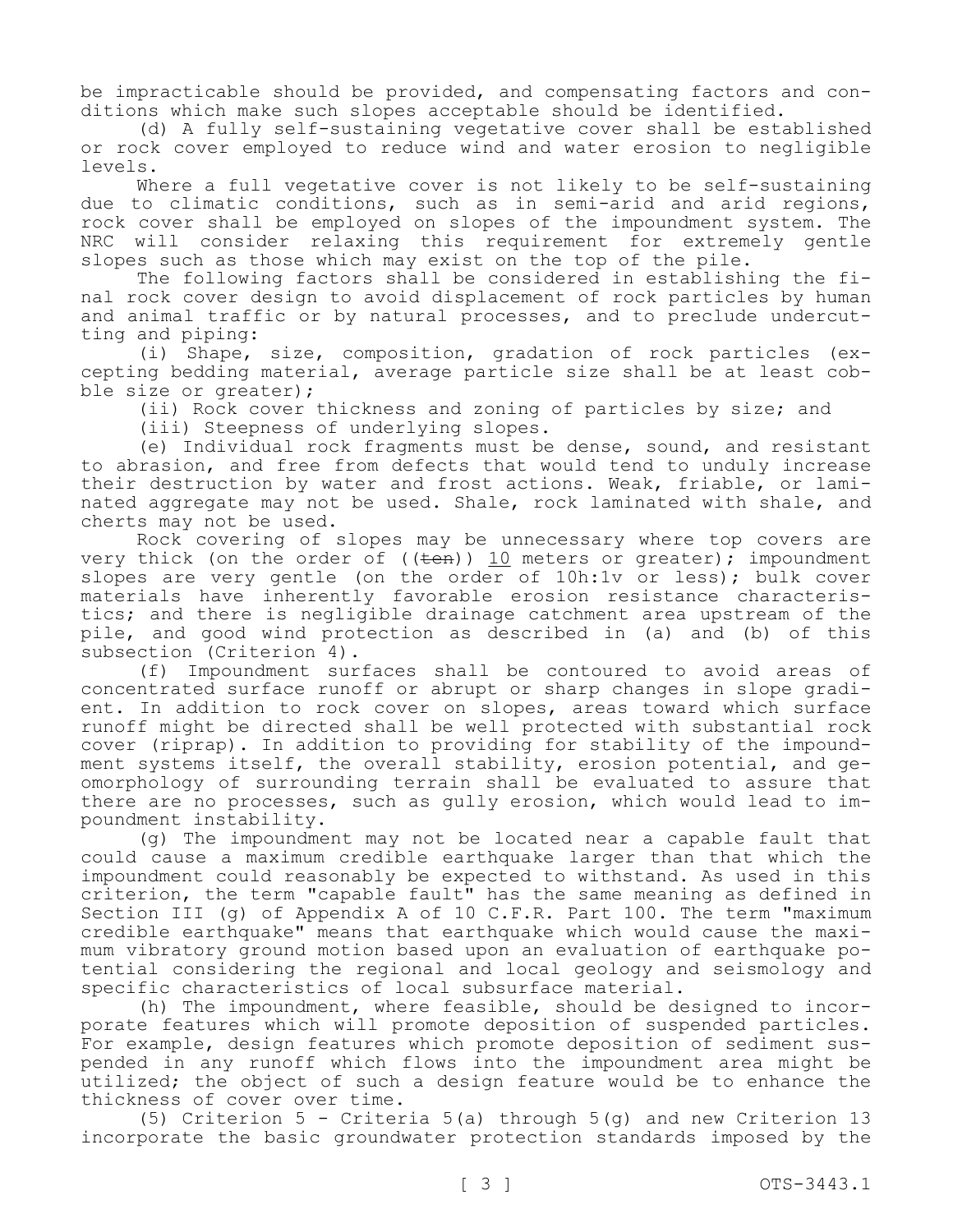be impracticable should be provided, and compensating factors and conditions which make such slopes acceptable should be identified.

(d) A fully self-sustaining vegetative cover shall be established or rock cover employed to reduce wind and water erosion to negligible levels.

Where a full vegetative cover is not likely to be self-sustaining due to climatic conditions, such as in semi-arid and arid regions, rock cover shall be employed on slopes of the impoundment system. The NRC will consider relaxing this requirement for extremely gentle slopes such as those which may exist on the top of the pile.

The following factors shall be considered in establishing the final rock cover design to avoid displacement of rock particles by human and animal traffic or by natural processes, and to preclude undercutting and piping:

(i) Shape, size, composition, gradation of rock particles (excepting bedding material, average particle size shall be at least cobble size or greater);

(ii) Rock cover thickness and zoning of particles by size; and

(iii) Steepness of underlying slopes.

(e) Individual rock fragments must be dense, sound, and resistant to abrasion, and free from defects that would tend to unduly increase their destruction by water and frost actions. Weak, friable, or laminated aggregate may not be used. Shale, rock laminated with shale, and cherts may not be used.

Rock covering of slopes may be unnecessary where top covers are very thick (on the order of (( $\overline{ten}$ )) 10 meters or greater); impoundment slopes are very gentle (on the order of 10h:1v or less); bulk cover materials have inherently favorable erosion resistance characteristics; and there is negligible drainage catchment area upstream of the pile, and good wind protection as described in (a) and (b) of this subsection (Criterion 4).

(f) Impoundment surfaces shall be contoured to avoid areas of concentrated surface runoff or abrupt or sharp changes in slope gradient. In addition to rock cover on slopes, areas toward which surface runoff might be directed shall be well protected with substantial rock cover (riprap). In addition to providing for stability of the impoundment systems itself, the overall stability, erosion potential, and geomorphology of surrounding terrain shall be evaluated to assure that there are no processes, such as gully erosion, which would lead to impoundment instability.

(g) The impoundment may not be located near a capable fault that could cause a maximum credible earthquake larger than that which the impoundment could reasonably be expected to withstand. As used in this criterion, the term "capable fault" has the same meaning as defined in Section III (g) of Appendix A of 10 C.F.R. Part 100. The term "maximum credible earthquake" means that earthquake which would cause the maximum vibratory ground motion based upon an evaluation of earthquake potential considering the regional and local geology and seismology and specific characteristics of local subsurface material.

(h) The impoundment, where feasible, should be designed to incorporate features which will promote deposition of suspended particles. For example, design features which promote deposition of sediment suspended in any runoff which flows into the impoundment area might be utilized; the object of such a design feature would be to enhance the thickness of cover over time.

(5) Criterion 5 - Criteria 5(a) through  $5(q)$  and new Criterion 13 incorporate the basic groundwater protection standards imposed by the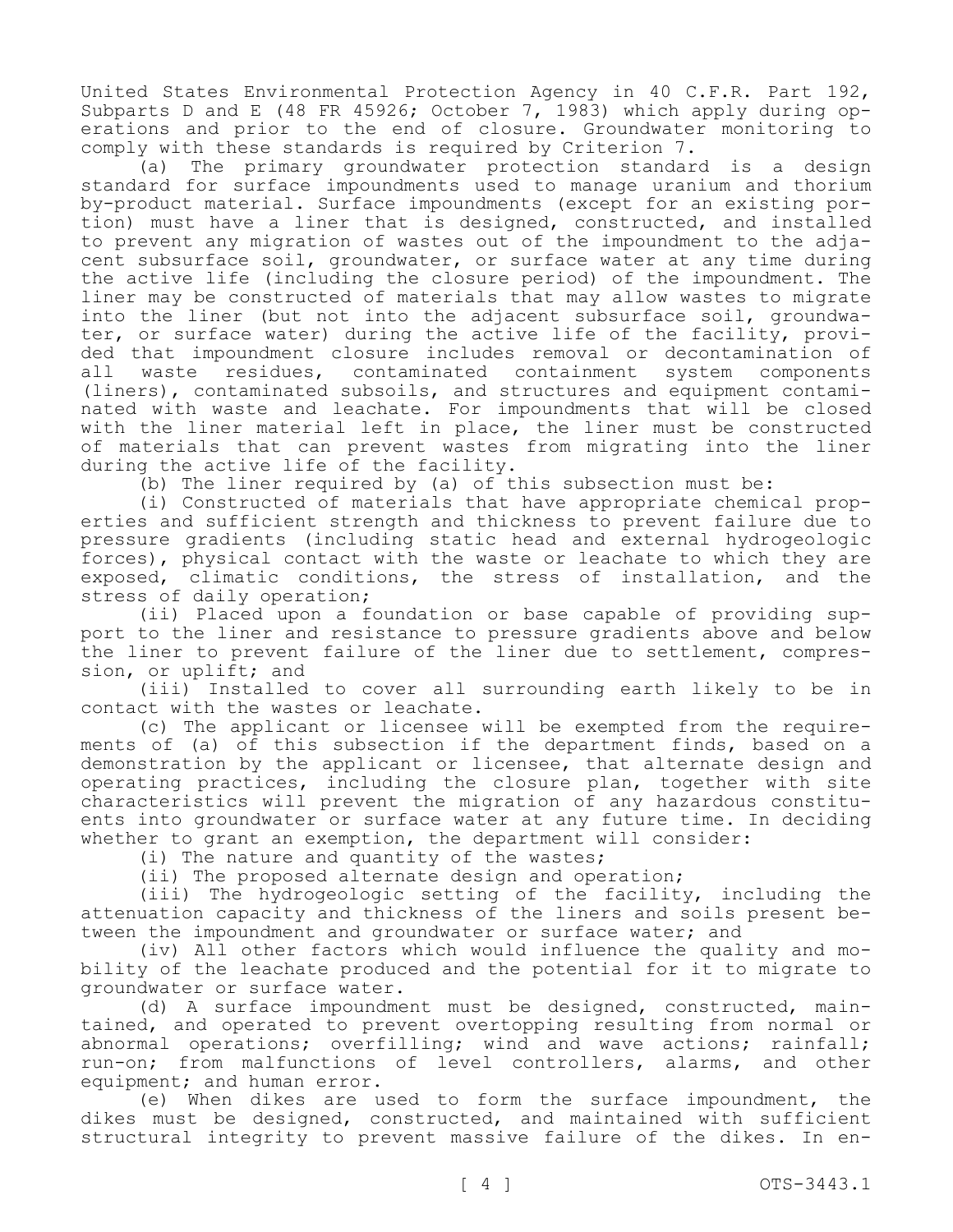United States Environmental Protection Agency in 40 C.F.R. Part 192, Subparts D and E (48 FR 45926; October 7, 1983) which apply during operations and prior to the end of closure. Groundwater monitoring to comply with these standards is required by Criterion 7.

(a) The primary groundwater protection standard is a design standard for surface impoundments used to manage uranium and thorium by-product material. Surface impoundments (except for an existing portion) must have a liner that is designed, constructed, and installed to prevent any migration of wastes out of the impoundment to the adjacent subsurface soil, groundwater, or surface water at any time during the active life (including the closure period) of the impoundment. The liner may be constructed of materials that may allow wastes to migrate into the liner (but not into the adjacent subsurface soil, groundwater, or surface water) during the active life of the facility, provided that impoundment closure includes removal or decontamination of all waste residues, contaminated containment system components (liners), contaminated subsoils, and structures and equipment contaminated with waste and leachate. For impoundments that will be closed with the liner material left in place, the liner must be constructed of materials that can prevent wastes from migrating into the liner during the active life of the facility.

(b) The liner required by (a) of this subsection must be:

(i) Constructed of materials that have appropriate chemical properties and sufficient strength and thickness to prevent failure due to pressure gradients (including static head and external hydrogeologic forces), physical contact with the waste or leachate to which they are exposed, climatic conditions, the stress of installation, and the stress of daily operation;

(ii) Placed upon a foundation or base capable of providing support to the liner and resistance to pressure gradients above and below the liner to prevent failure of the liner due to settlement, compression, or uplift; and

(iii) Installed to cover all surrounding earth likely to be in contact with the wastes or leachate.

(c) The applicant or licensee will be exempted from the requirements of (a) of this subsection if the department finds, based on a demonstration by the applicant or licensee, that alternate design and operating practices, including the closure plan, together with site characteristics will prevent the migration of any hazardous constituents into groundwater or surface water at any future time. In deciding whether to grant an exemption, the department will consider:

(i) The nature and quantity of the wastes;

(ii) The proposed alternate design and operation;

(iii) The hydrogeologic setting of the facility, including the attenuation capacity and thickness of the liners and soils present between the impoundment and groundwater or surface water; and

(iv) All other factors which would influence the quality and mobility of the leachate produced and the potential for it to migrate to groundwater or surface water.

(d) A surface impoundment must be designed, constructed, maintained, and operated to prevent overtopping resulting from normal or abnormal operations; overfilling; wind and wave actions; rainfall; run-on; from malfunctions of level controllers, alarms, and other equipment; and human error.

(e) When dikes are used to form the surface impoundment, the dikes must be designed, constructed, and maintained with sufficient structural integrity to prevent massive failure of the dikes. In en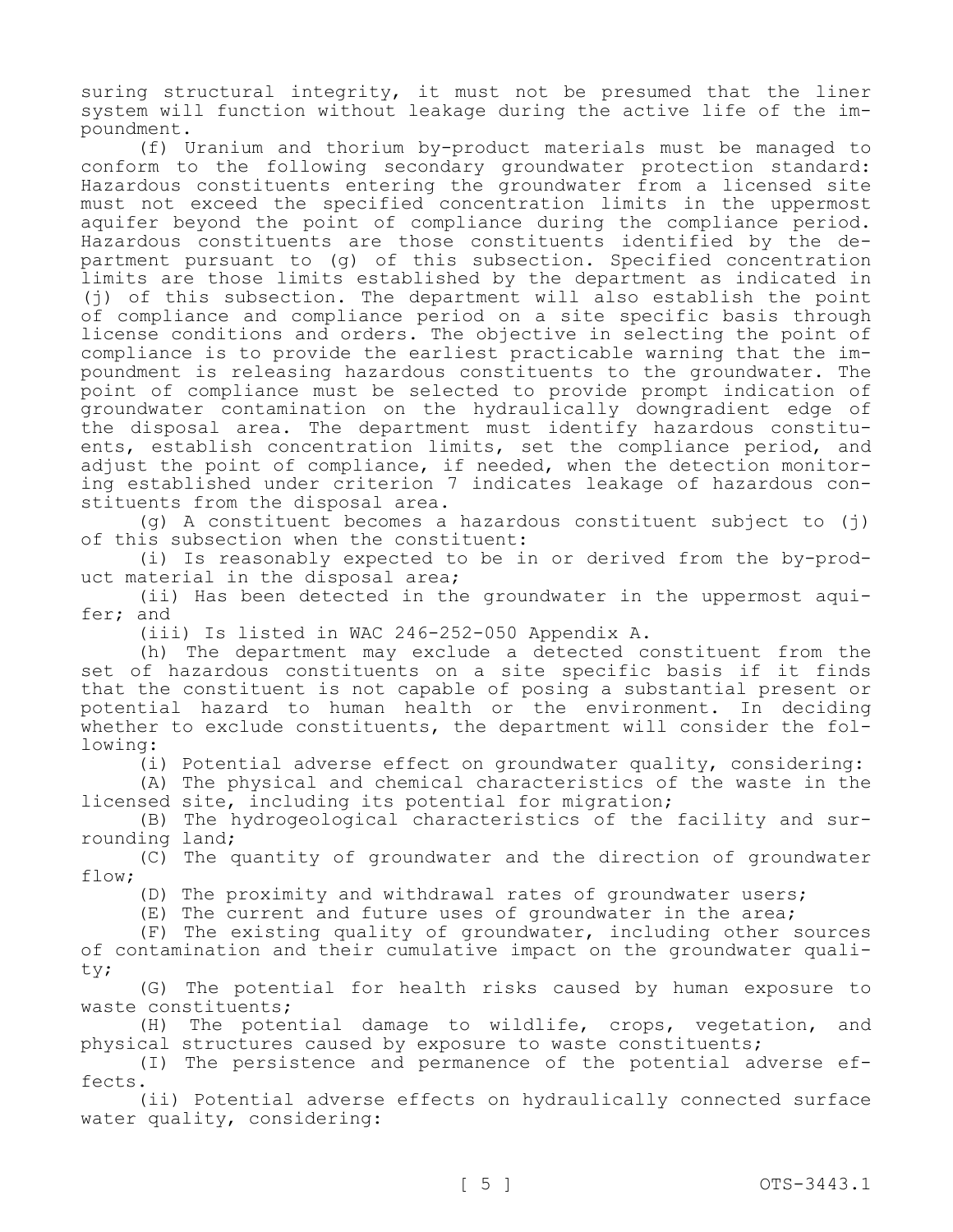suring structural integrity, it must not be presumed that the liner system will function without leakage during the active life of the impoundment.

(f) Uranium and thorium by-product materials must be managed to conform to the following secondary groundwater protection standard: Hazardous constituents entering the groundwater from a licensed site must not exceed the specified concentration limits in the uppermost aquifer beyond the point of compliance during the compliance period. Hazardous constituents are those constituents identified by the department pursuant to (g) of this subsection. Specified concentration limits are those limits established by the department as indicated in (j) of this subsection. The department will also establish the point of compliance and compliance period on a site specific basis through license conditions and orders. The objective in selecting the point of compliance is to provide the earliest practicable warning that the impoundment is releasing hazardous constituents to the groundwater. The point of compliance must be selected to provide prompt indication of groundwater contamination on the hydraulically downgradient edge of the disposal area. The department must identify hazardous constituents, establish concentration limits, set the compliance period, and adjust the point of compliance, if needed, when the detection monitoring established under criterion 7 indicates leakage of hazardous constituents from the disposal area.

(g) A constituent becomes a hazardous constituent subject to (j) of this subsection when the constituent:

(i) Is reasonably expected to be in or derived from the by-product material in the disposal area;

(ii) Has been detected in the groundwater in the uppermost aquifer; and

(iii) Is listed in WAC 246-252-050 Appendix A.

(h) The department may exclude a detected constituent from the set of hazardous constituents on a site specific basis if it finds that the constituent is not capable of posing a substantial present or potential hazard to human health or the environment. In deciding whether to exclude constituents, the department will consider the following:

(i) Potential adverse effect on groundwater quality, considering:

(A) The physical and chemical characteristics of the waste in the licensed site, including its potential for migration;

(B) The hydrogeological characteristics of the facility and surrounding land;

(C) The quantity of groundwater and the direction of groundwater flow;

(D) The proximity and withdrawal rates of groundwater users;

(E) The current and future uses of groundwater in the area;

(F) The existing quality of groundwater, including other sources of contamination and their cumulative impact on the groundwater quality;

(G) The potential for health risks caused by human exposure to waste constituents;

(H) The potential damage to wildlife, crops, vegetation, and physical structures caused by exposure to waste constituents;

(I) The persistence and permanence of the potential adverse effects.

(ii) Potential adverse effects on hydraulically connected surface water quality, considering: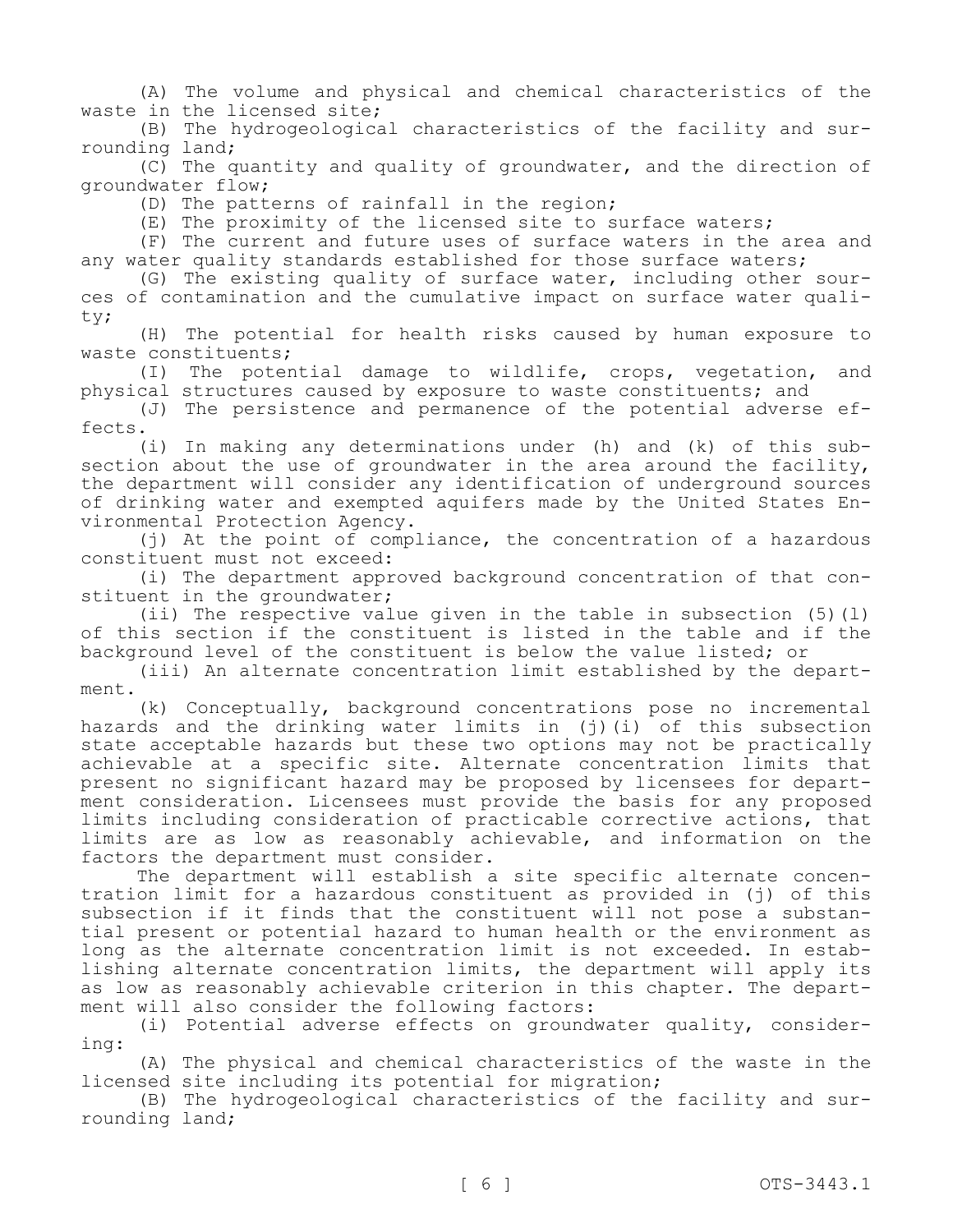(A) The volume and physical and chemical characteristics of the waste in the licensed site;

(B) The hydrogeological characteristics of the facility and surrounding land;

(C) The quantity and quality of groundwater, and the direction of groundwater flow;

(D) The patterns of rainfall in the region;

(E) The proximity of the licensed site to surface waters;

(F) The current and future uses of surface waters in the area and any water quality standards established for those surface waters;

(G) The existing quality of surface water, including other sources of contamination and the cumulative impact on surface water quality;

(H) The potential for health risks caused by human exposure to waste constituents;

(I) The potential damage to wildlife, crops, vegetation, and physical structures caused by exposure to waste constituents; and

(J) The persistence and permanence of the potential adverse effects.

(i) In making any determinations under (h) and (k) of this subsection about the use of groundwater in the area around the facility, the department will consider any identification of underground sources of drinking water and exempted aquifers made by the United States Environmental Protection Agency.

(j) At the point of compliance, the concentration of a hazardous constituent must not exceed:

(i) The department approved background concentration of that constituent in the groundwater;

(ii) The respective value given in the table in subsection (5)(l) of this section if the constituent is listed in the table and if the background level of the constituent is below the value listed; or

(iii) An alternate concentration limit established by the department.

(k) Conceptually, background concentrations pose no incremental hazards and the drinking water limits in (j)(i) of this subsection state acceptable hazards but these two options may not be practically achievable at a specific site. Alternate concentration limits that present no significant hazard may be proposed by licensees for department consideration. Licensees must provide the basis for any proposed limits including consideration of practicable corrective actions, that limits are as low as reasonably achievable, and information on the factors the department must consider.

The department will establish a site specific alternate concentration limit for a hazardous constituent as provided in (j) of this subsection if it finds that the constituent will not pose a substantial present or potential hazard to human health or the environment as long as the alternate concentration limit is not exceeded. In establishing alternate concentration limits, the department will apply its as low as reasonably achievable criterion in this chapter. The department will also consider the following factors:

(i) Potential adverse effects on groundwater quality, considering:

(A) The physical and chemical characteristics of the waste in the licensed site including its potential for migration;

(B) The hydrogeological characteristics of the facility and surrounding land;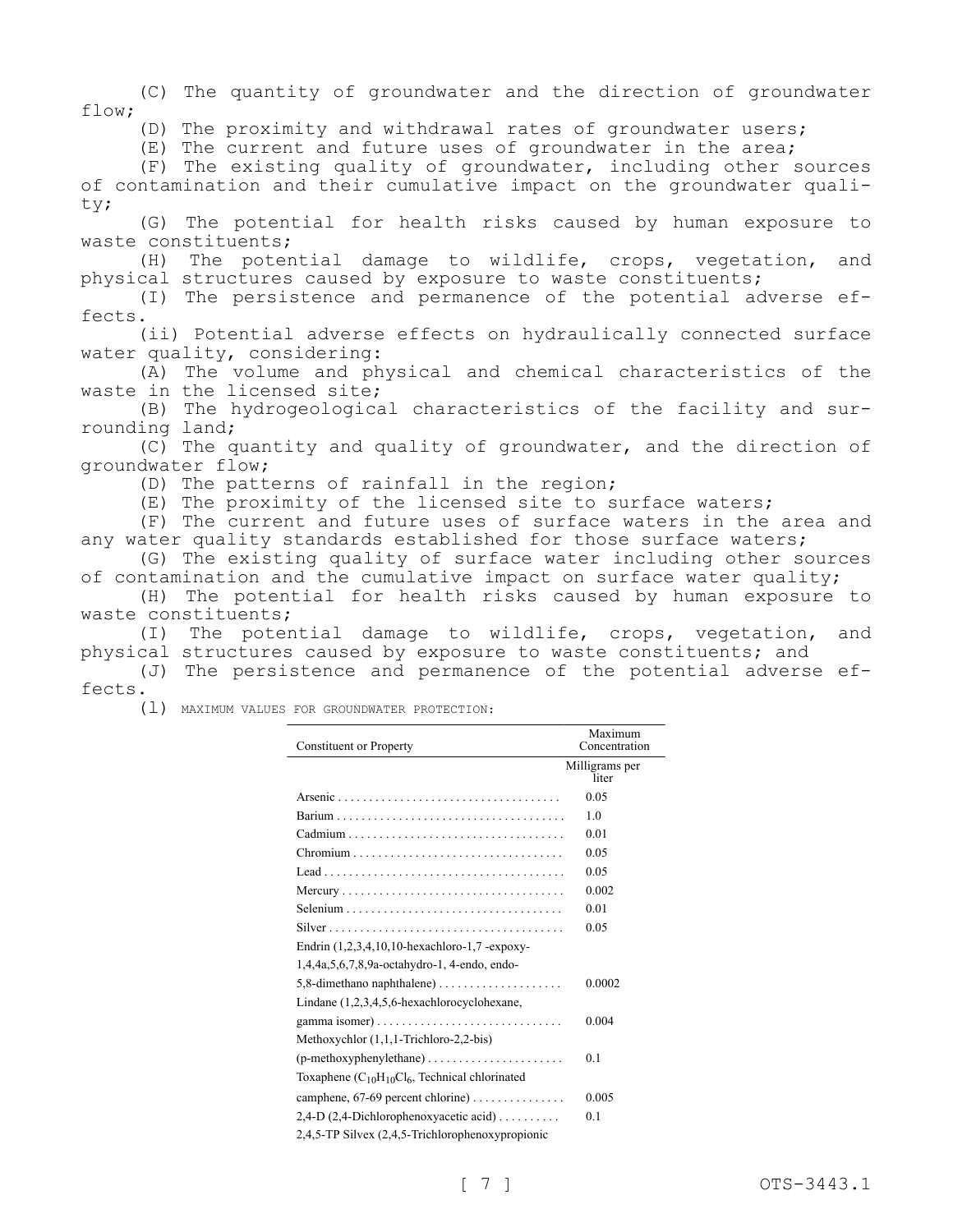(C) The quantity of groundwater and the direction of groundwater flow;

(D) The proximity and withdrawal rates of groundwater users;

(E) The current and future uses of groundwater in the area;

(F) The existing quality of groundwater, including other sources of contamination and their cumulative impact on the groundwater quality;

(G) The potential for health risks caused by human exposure to waste constituents;

(H) The potential damage to wildlife, crops, vegetation, and physical structures caused by exposure to waste constituents;

(I) The persistence and permanence of the potential adverse effects.

(ii) Potential adverse effects on hydraulically connected surface water quality, considering:

(A) The volume and physical and chemical characteristics of the waste in the licensed site;

(B) The hydrogeological characteristics of the facility and surrounding land;

(C) The quantity and quality of groundwater, and the direction of groundwater flow;

(D) The patterns of rainfall in the region;

(E) The proximity of the licensed site to surface waters;

(F) The current and future uses of surface waters in the area and any water quality standards established for those surface waters;

(G) The existing quality of surface water including other sources of contamination and the cumulative impact on surface water quality;

(H) The potential for health risks caused by human exposure to waste constituents;

(I) The potential damage to wildlife, crops, vegetation, and physical structures caused by exposure to waste constituents; and

(J) The persistence and permanence of the potential adverse effects.

(l) MAXIMUM VALUES FOR GROUNDWATER PROTECTION:

| <b>Constituent or Property</b>                                    | Maximum<br>Concentration |
|-------------------------------------------------------------------|--------------------------|
|                                                                   | Milligrams per<br>liter  |
|                                                                   | 0.05                     |
|                                                                   | 1.0                      |
|                                                                   | 0.01                     |
| $Chromium$                                                        | 0.05                     |
|                                                                   | 0.05                     |
|                                                                   | 0.002                    |
|                                                                   | 0.01                     |
|                                                                   | 0.05                     |
| Endrin (1,2,3,4,10,10-hexachloro-1,7-expoxy-                      |                          |
| 1,4,4a,5,6,7,8,9a-octahydro-1, 4-endo, endo-                      |                          |
|                                                                   | 0.0002                   |
| Lindane (1,2,3,4,5,6-hexachlorocyclohexane,                       |                          |
|                                                                   | 0.004                    |
| Methoxychlor (1,1,1-Trichloro-2,2-bis)                            |                          |
| $(p$ -methoxyphenylethane $) \dots \dots \dots \dots \dots \dots$ | 0.1                      |
| Toxaphene $(C_{10}H_{10}Cl_6$ , Technical chlorinated             |                          |
| camphene, $67-69$ percent chlorine)                               | 0.005                    |
| $2,4$ -D $(2,4$ -Dichlorophenoxyacetic acid)                      | 0.1                      |
| 2,4,5-TP Silvex (2,4,5-Trichlorophenoxypropionic                  |                          |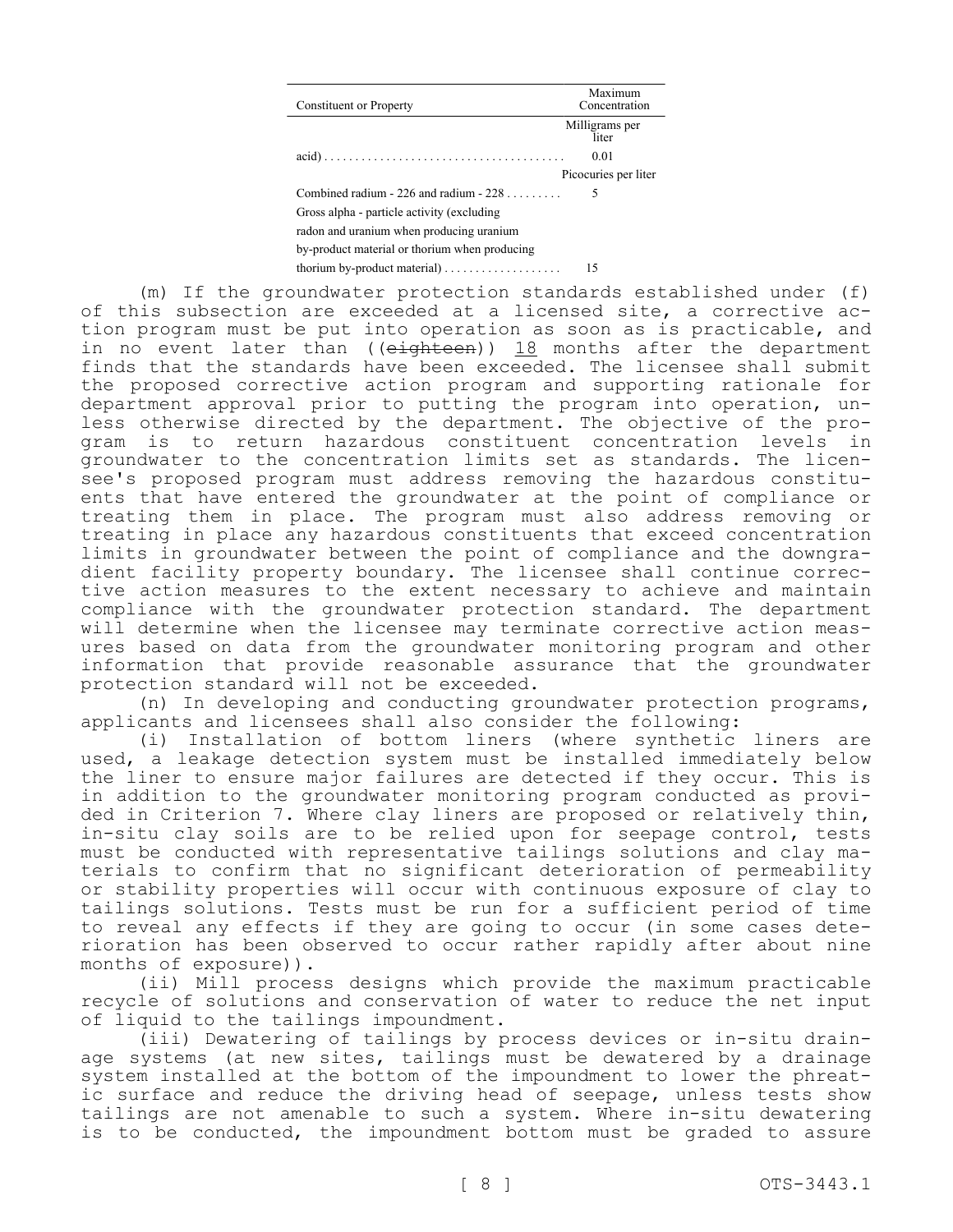| Constituent or Property                       | Maximum<br>Concentration |
|-----------------------------------------------|--------------------------|
|                                               | Milligrams per<br>liter  |
|                                               | 0.01                     |
|                                               | Picocuries per liter     |
| Combined radium - 226 and radium - $228$      | 5                        |
| Gross alpha - particle activity (excluding    |                          |
| radon and uranium when producing uranium      |                          |
| by-product material or thorium when producing |                          |
|                                               | 15                       |

(m) If the groundwater protection standards established under (f) of this subsection are exceeded at a licensed site, a corrective action program must be put into operation as soon as is practicable, and in no event later than (( $e$ ighteen)) 18 months after the department finds that the standards have been exceeded. The licensee shall submit the proposed corrective action program and supporting rationale for department approval prior to putting the program into operation, unless otherwise directed by the department. The objective of the program is to return hazardous constituent concentration levels in groundwater to the concentration limits set as standards. The licensee's proposed program must address removing the hazardous constituents that have entered the groundwater at the point of compliance or treating them in place. The program must also address removing or treating in place any hazardous constituents that exceed concentration limits in groundwater between the point of compliance and the downgradient facility property boundary. The licensee shall continue corrective action measures to the extent necessary to achieve and maintain compliance with the groundwater protection standard. The department will determine when the licensee may terminate corrective action measures based on data from the groundwater monitoring program and other information that provide reasonable assurance that the groundwater protection standard will not be exceeded.

(n) In developing and conducting groundwater protection programs, applicants and licensees shall also consider the following:

(i) Installation of bottom liners (where synthetic liners are used, a leakage detection system must be installed immediately below the liner to ensure major failures are detected if they occur. This is in addition to the groundwater monitoring program conducted as provided in Criterion 7. Where clay liners are proposed or relatively thin, in-situ clay soils are to be relied upon for seepage control, tests must be conducted with representative tailings solutions and clay materials to confirm that no significant deterioration of permeability or stability properties will occur with continuous exposure of clay to tailings solutions. Tests must be run for a sufficient period of time to reveal any effects if they are going to occur (in some cases deterioration has been observed to occur rather rapidly after about nine months of exposure)).

(ii) Mill process designs which provide the maximum practicable recycle of solutions and conservation of water to reduce the net input of liquid to the tailings impoundment.

(iii) Dewatering of tailings by process devices or in-situ drainage systems (at new sites, tailings must be dewatered by a drainage system installed at the bottom of the impoundment to lower the phreatic surface and reduce the driving head of seepage, unless tests show tailings are not amenable to such a system. Where in-situ dewatering is to be conducted, the impoundment bottom must be graded to assure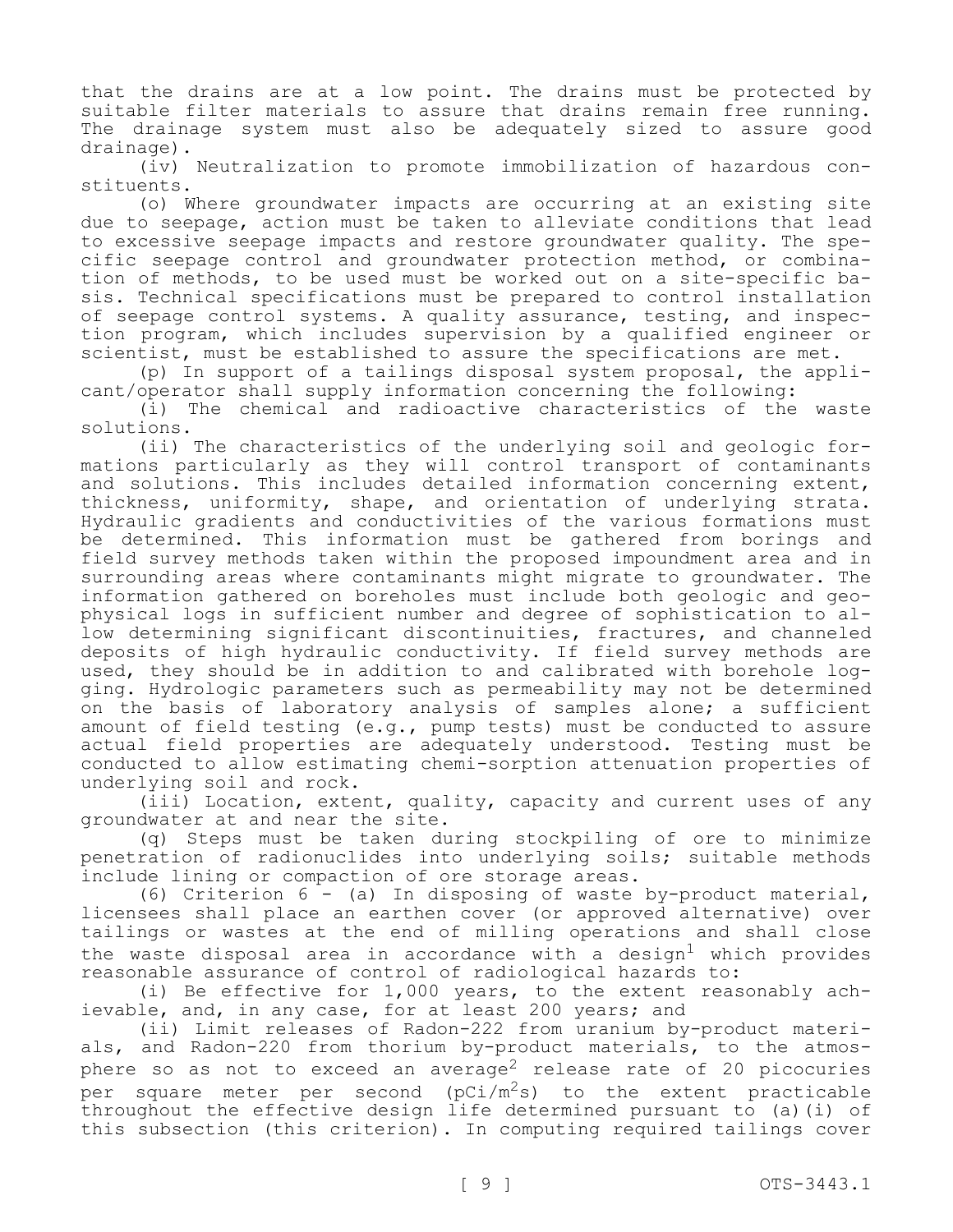that the drains are at a low point. The drains must be protected by suitable filter materials to assure that drains remain free running. The drainage system must also be adequately sized to assure good drainage).

(iv) Neutralization to promote immobilization of hazardous constituents.

(o) Where groundwater impacts are occurring at an existing site due to seepage, action must be taken to alleviate conditions that lead to excessive seepage impacts and restore groundwater quality. The specific seepage control and groundwater protection method, or combination of methods, to be used must be worked out on a site-specific basis. Technical specifications must be prepared to control installation of seepage control systems. A quality assurance, testing, and inspection program, which includes supervision by a qualified engineer or scientist, must be established to assure the specifications are met.

(p) In support of a tailings disposal system proposal, the applicant/operator shall supply information concerning the following:

(i) The chemical and radioactive characteristics of the waste solutions.

(ii) The characteristics of the underlying soil and geologic formations particularly as they will control transport of contaminants and solutions. This includes detailed information concerning extent, thickness, uniformity, shape, and orientation of underlying strata. Hydraulic gradients and conductivities of the various formations must be determined. This information must be gathered from borings and field survey methods taken within the proposed impoundment area and in surrounding areas where contaminants might migrate to groundwater. The information gathered on boreholes must include both geologic and geophysical logs in sufficient number and degree of sophistication to allow determining significant discontinuities, fractures, and channeled deposits of high hydraulic conductivity. If field survey methods are used, they should be in addition to and calibrated with borehole logging. Hydrologic parameters such as permeability may not be determined on the basis of laboratory analysis of samples alone; a sufficient amount of field testing (e.g., pump tests) must be conducted to assure actual field properties are adequately understood. Testing must be conducted to allow estimating chemi-sorption attenuation properties of underlying soil and rock.

(iii) Location, extent, quality, capacity and current uses of any groundwater at and near the site.

(q) Steps must be taken during stockpiling of ore to minimize penetration of radionuclides into underlying soils; suitable methods include lining or compaction of ore storage areas.

(6) Criterion 6 - (a) In disposing of waste by-product material, licensees shall place an earthen cover (or approved alternative) over tailings or wastes at the end of milling operations and shall close the waste disposal area in accordance with a design<sup>1</sup> which provides reasonable assurance of control of radiological hazards to:

(i) Be effective for 1,000 years, to the extent reasonably achievable, and, in any case, for at least 200 years; and

(ii) Limit releases of Radon-222 from uranium by-product materials, and Radon-220 from thorium by-product materials, to the atmosphere so as not to exceed an average<sup>2</sup> release rate of 20 picocuries per square meter per second ( $pCi/m^2s$ ) to the extent practicable throughout the effective design life determined pursuant to (a)(i) of this subsection (this criterion). In computing required tailings cover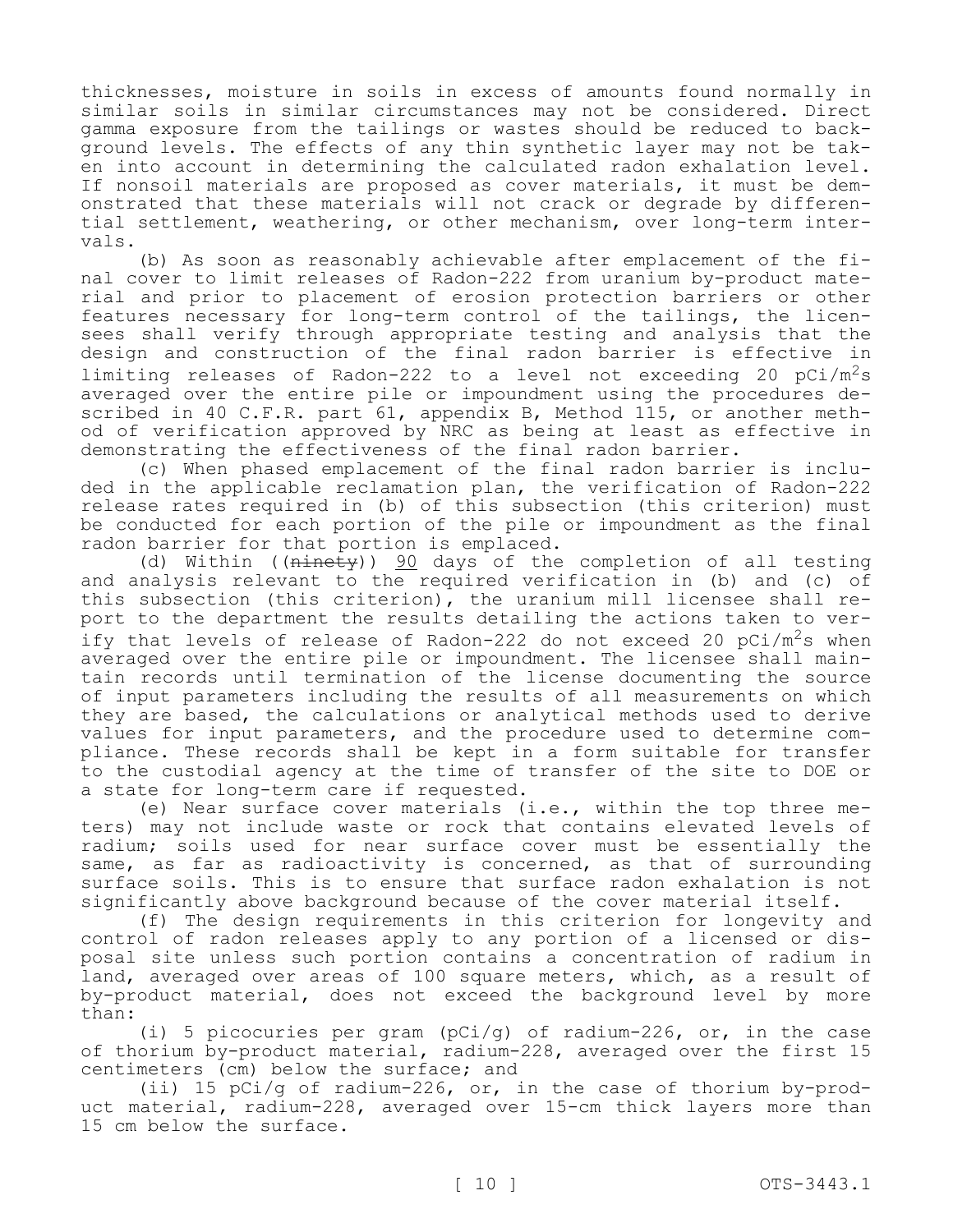thicknesses, moisture in soils in excess of amounts found normally in similar soils in similar circumstances may not be considered. Direct gamma exposure from the tailings or wastes should be reduced to background levels. The effects of any thin synthetic layer may not be taken into account in determining the calculated radon exhalation level. If nonsoil materials are proposed as cover materials, it must be demonstrated that these materials will not crack or degrade by differential settlement, weathering, or other mechanism, over long-term intervals.

(b) As soon as reasonably achievable after emplacement of the final cover to limit releases of Radon-222 from uranium by-product material and prior to placement of erosion protection barriers or other features necessary for long-term control of the tailings, the licensees shall verify through appropriate testing and analysis that the design and construction of the final radon barrier is effective in limiting releases of Radon-222 to a level not exceeding 20  $pCi/m^2s$ averaged over the entire pile or impoundment using the procedures described in 40 C.F.R. part 61, appendix B, Method 115, or another method of verification approved by NRC as being at least as effective in demonstrating the effectiveness of the final radon barrier.

(c) When phased emplacement of the final radon barrier is included in the applicable reclamation plan, the verification of Radon-222 release rates required in (b) of this subsection (this criterion) must be conducted for each portion of the pile or impoundment as the final radon barrier for that portion is emplaced.

(d) Within ((ninety)) 90 days of the completion of all testing and analysis relevant to the required verification in (b) and (c) of this subsection (this criterion), the uranium mill licensee shall report to the department the results detailing the actions taken to verify that levels of release of Radon-222 do not exceed 20  $pCi/m^2s$  when averaged over the entire pile or impoundment. The licensee shall maintain records until termination of the license documenting the source of input parameters including the results of all measurements on which they are based, the calculations or analytical methods used to derive values for input parameters, and the procedure used to determine compliance. These records shall be kept in a form suitable for transfer to the custodial agency at the time of transfer of the site to DOE or a state for long-term care if requested.

(e) Near surface cover materials (i.e., within the top three meters) may not include waste or rock that contains elevated levels of radium; soils used for near surface cover must be essentially the same, as far as radioactivity is concerned, as that of surrounding surface soils. This is to ensure that surface radon exhalation is not significantly above background because of the cover material itself.

(f) The design requirements in this criterion for longevity and control of radon releases apply to any portion of a licensed or disposal site unless such portion contains a concentration of radium in land, averaged over areas of 100 square meters, which, as a result of by-product material, does not exceed the background level by more than:

(i) 5 picocuries per gram (pCi/g) of radium-226, or, in the case of thorium by-product material, radium-228, averaged over the first 15 centimeters (cm) below the surface; and

(ii) 15 pCi/g of radium-226, or, in the case of thorium by-product material, radium-228, averaged over 15-cm thick layers more than 15 cm below the surface.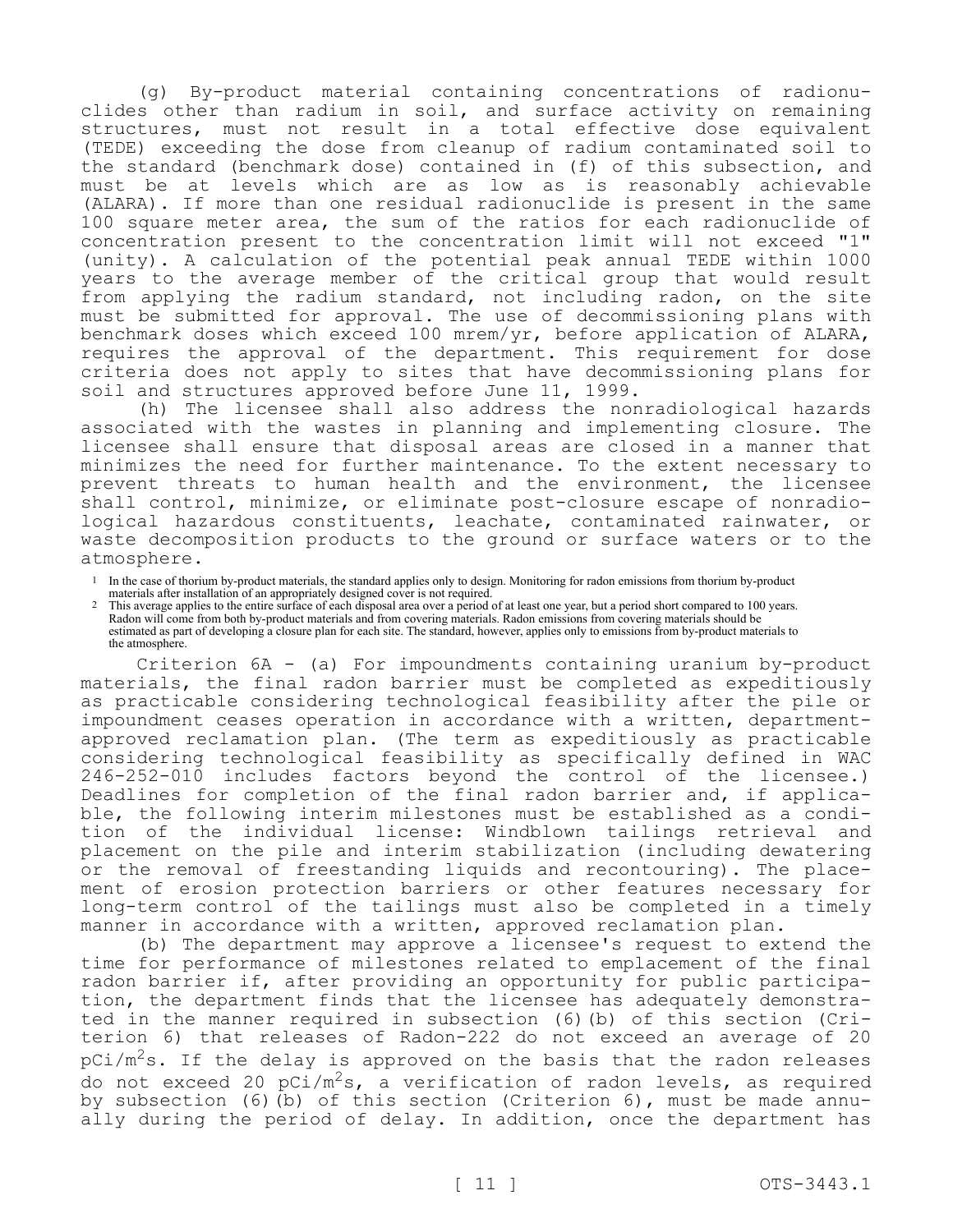(g) By-product material containing concentrations of radionuclides other than radium in soil, and surface activity on remaining structures, must not result in a total effective dose equivalent (TEDE) exceeding the dose from cleanup of radium contaminated soil to the standard (benchmark dose) contained in (f) of this subsection, and must be at levels which are as low as is reasonably achievable (ALARA). If more than one residual radionuclide is present in the same 100 square meter area, the sum of the ratios for each radionuclide of concentration present to the concentration limit will not exceed "1" (unity). A calculation of the potential peak annual TEDE within 1000 years to the average member of the critical group that would result from applying the radium standard, not including radon, on the site must be submitted for approval. The use of decommissioning plans with benchmark doses which exceed 100 mrem/yr, before application of ALARA, requires the approval of the department. This requirement for dose criteria does not apply to sites that have decommissioning plans for soil and structures approved before June 11, 1999.

(h) The licensee shall also address the nonradiological hazards associated with the wastes in planning and implementing closure. The licensee shall ensure that disposal areas are closed in a manner that minimizes the need for further maintenance. To the extent necessary to prevent threats to human health and the environment, the licensee shall control, minimize, or eliminate post-closure escape of nonradiological hazardous constituents, leachate, contaminated rainwater, or waste decomposition products to the ground or surface waters or to the atmosphere.

- 1 In the case of thorium by-product materials, the standard applies only to design. Monitoring for radon emissions from thorium by-product materials after installation of an appropriately designed cover is not required.
- 2 This average applies to the entire surface of each disposal area over a period of at least one year, but a period short compared to 100 years. Radon will come from both by-product materials and from covering materials. Radon emissions from covering materials should be estimated as part of developing a closure plan for each site. The standard, however, applies only to emissions from by-product materials to the atmosphere.

Criterion 6A - (a) For impoundments containing uranium by-product materials, the final radon barrier must be completed as expeditiously as practicable considering technological feasibility after the pile or impoundment ceases operation in accordance with a written, departmentapproved reclamation plan. (The term as expeditiously as practicable considering technological feasibility as specifically defined in WAC 246-252-010 includes factors beyond the control of the licensee.) Deadlines for completion of the final radon barrier and, if applicable, the following interim milestones must be established as a condition of the individual license: Windblown tailings retrieval and placement on the pile and interim stabilization (including dewatering or the removal of freestanding liquids and recontouring). The placement of erosion protection barriers or other features necessary for long-term control of the tailings must also be completed in a timely manner in accordance with a written, approved reclamation plan.

(b) The department may approve a licensee's request to extend the time for performance of milestones related to emplacement of the final radon barrier if, after providing an opportunity for public participation, the department finds that the licensee has adequately demonstrated in the manner required in subsection (6)(b) of this section (Criterion 6) that releases of Radon-222 do not exceed an average of 20  $pCi/m<sup>2</sup>s.$  If the delay is approved on the basis that the radon releases do not exceed 20  $pCi/m^2s$ , a verification of radon levels, as required by subsection (6)(b) of this section (Criterion 6), must be made annually during the period of delay. In addition, once the department has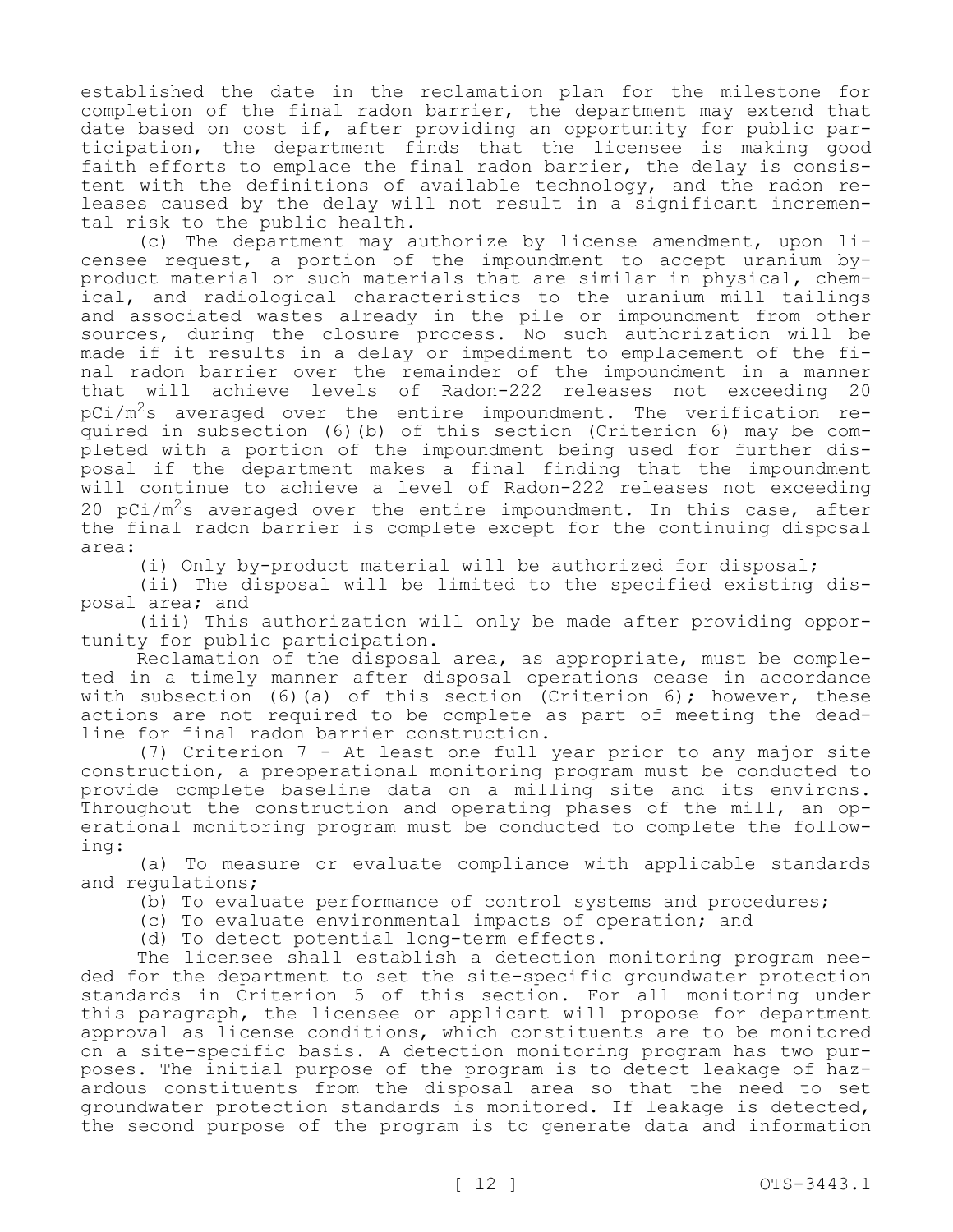established the date in the reclamation plan for the milestone for completion of the final radon barrier, the department may extend that date based on cost if, after providing an opportunity for public participation, the department finds that the licensee is making good faith efforts to emplace the final radon barrier, the delay is consistent with the definitions of available technology, and the radon releases caused by the delay will not result in a significant incremental risk to the public health.

(c) The department may authorize by license amendment, upon licensee request, a portion of the impoundment to accept uranium byproduct material or such materials that are similar in physical, chemical, and radiological characteristics to the uranium mill tailings and associated wastes already in the pile or impoundment from other sources, during the closure process. No such authorization will be made if it results in a delay or impediment to emplacement of the final radon barrier over the remainder of the impoundment in a manner that will achieve levels of Radon-222 releases not exceeding 20  $pCi/m^2s$  averaged over the entire impoundment. The verification required in subsection (6)(b) of this section (Criterion 6) may be completed with a portion of the impoundment being used for further disposal if the department makes a final finding that the impoundment will continue to achieve a level of Radon-222 releases not exceeding 20 pCi/m<sup>2</sup>s averaged over the entire impoundment. In this case, after the final radon barrier is complete except for the continuing disposal area:

(i) Only by-product material will be authorized for disposal;

(ii) The disposal will be limited to the specified existing disposal area; and

(iii) This authorization will only be made after providing opportunity for public participation.

Reclamation of the disposal area, as appropriate, must be completed in a timely manner after disposal operations cease in accordance with subsection (6)(a) of this section (Criterion 6); however, these actions are not required to be complete as part of meeting the deadline for final radon barrier construction.

(7) Criterion 7 - At least one full year prior to any major site construction, a preoperational monitoring program must be conducted to provide complete baseline data on a milling site and its environs. Throughout the construction and operating phases of the mill, an operational monitoring program must be conducted to complete the following:

(a) To measure or evaluate compliance with applicable standards and regulations;

(b) To evaluate performance of control systems and procedures;

(c) To evaluate environmental impacts of operation; and

(d) To detect potential long-term effects.

The licensee shall establish a detection monitoring program needed for the department to set the site-specific groundwater protection standards in Criterion 5 of this section. For all monitoring under this paragraph, the licensee or applicant will propose for department approval as license conditions, which constituents are to be monitored on a site-specific basis. A detection monitoring program has two purposes. The initial purpose of the program is to detect leakage of hazardous constituents from the disposal area so that the need to set groundwater protection standards is monitored. If leakage is detected, the second purpose of the program is to generate data and information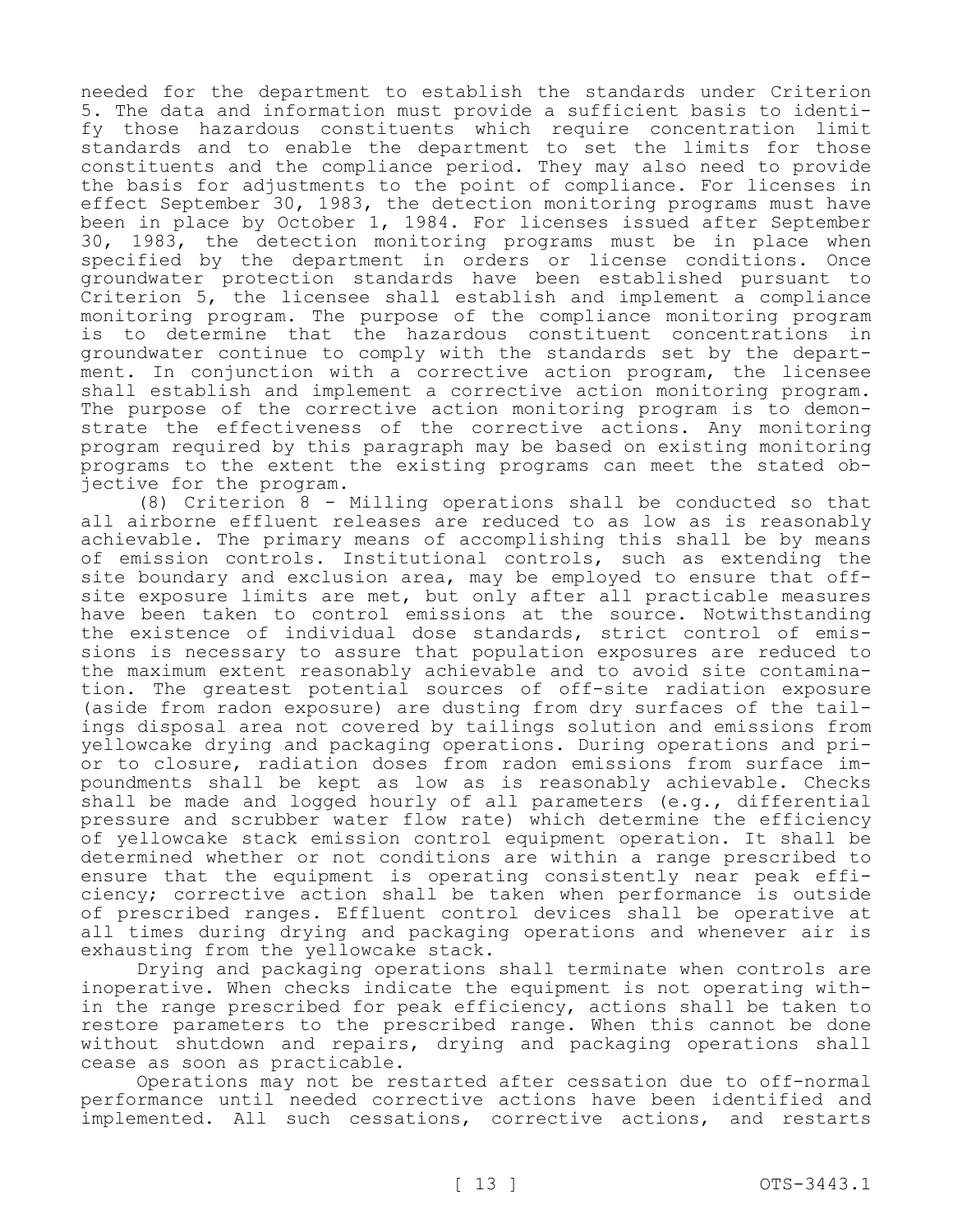needed for the department to establish the standards under Criterion 5. The data and information must provide a sufficient basis to identify those hazardous constituents which require concentration limit standards and to enable the department to set the limits for those constituents and the compliance period. They may also need to provide the basis for adjustments to the point of compliance. For licenses in effect September 30, 1983, the detection monitoring programs must have been in place by October 1, 1984. For licenses issued after September 30, 1983, the detection monitoring programs must be in place when specified by the department in orders or license conditions. Once groundwater protection standards have been established pursuant to Criterion 5, the licensee shall establish and implement a compliance monitoring program. The purpose of the compliance monitoring program is to determine that the hazardous constituent concentrations in groundwater continue to comply with the standards set by the department. In conjunction with a corrective action program, the licensee shall establish and implement a corrective action monitoring program. The purpose of the corrective action monitoring program is to demonstrate the effectiveness of the corrective actions. Any monitoring program required by this paragraph may be based on existing monitoring programs to the extent the existing programs can meet the stated objective for the program.

(8) Criterion 8 - Milling operations shall be conducted so that all airborne effluent releases are reduced to as low as is reasonably achievable. The primary means of accomplishing this shall be by means of emission controls. Institutional controls, such as extending the site boundary and exclusion area, may be employed to ensure that offsite exposure limits are met, but only after all practicable measures have been taken to control emissions at the source. Notwithstanding the existence of individual dose standards, strict control of emissions is necessary to assure that population exposures are reduced to the maximum extent reasonably achievable and to avoid site contamination. The greatest potential sources of off-site radiation exposure (aside from radon exposure) are dusting from dry surfaces of the tailings disposal area not covered by tailings solution and emissions from yellowcake drying and packaging operations. During operations and prior to closure, radiation doses from radon emissions from surface impoundments shall be kept as low as is reasonably achievable. Checks shall be made and logged hourly of all parameters (e.g., differential pressure and scrubber water flow rate) which determine the efficiency of yellowcake stack emission control equipment operation. It shall be determined whether or not conditions are within a range prescribed to ensure that the equipment is operating consistently near peak efficiency; corrective action shall be taken when performance is outside of prescribed ranges. Effluent control devices shall be operative at all times during drying and packaging operations and whenever air is exhausting from the yellowcake stack.

Drying and packaging operations shall terminate when controls are inoperative. When checks indicate the equipment is not operating within the range prescribed for peak efficiency, actions shall be taken to restore parameters to the prescribed range. When this cannot be done without shutdown and repairs, drying and packaging operations shall cease as soon as practicable.

Operations may not be restarted after cessation due to off-normal performance until needed corrective actions have been identified and implemented. All such cessations, corrective actions, and restarts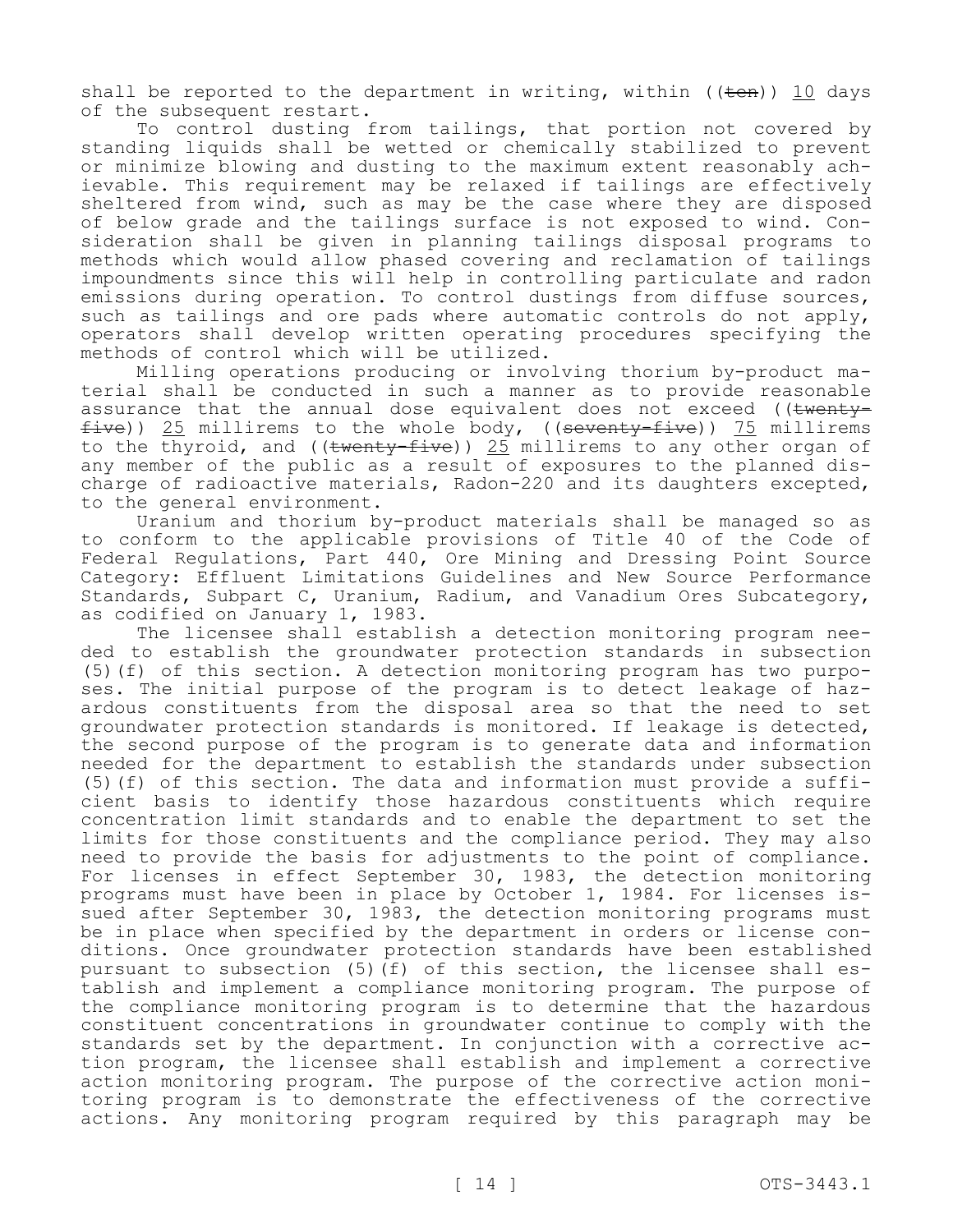shall be reported to the department in writing, within  $((\text{ten}))$  10 days of the subsequent restart.

To control dusting from tailings, that portion not covered by standing liquids shall be wetted or chemically stabilized to prevent or minimize blowing and dusting to the maximum extent reasonably achievable. This requirement may be relaxed if tailings are effectively sheltered from wind, such as may be the case where they are disposed of below grade and the tailings surface is not exposed to wind. Consideration shall be given in planning tailings disposal programs to methods which would allow phased covering and reclamation of tailings impoundments since this will help in controlling particulate and radon emissions during operation. To control dustings from diffuse sources, such as tailings and ore pads where automatic controls do not apply, operators shall develop written operating procedures specifying the methods of control which will be utilized.

Milling operations producing or involving thorium by-product material shall be conducted in such a manner as to provide reasonable assurance that the annual dose equivalent does not exceed ((twenty $five)$ ) 25 millirems to the whole body, ((seventy-five)) 75 millirems to the thyroid, and (( $t$ wenty-five)) 25 millirems to any other organ of any member of the public as a result of exposures to the planned discharge of radioactive materials, Radon-220 and its daughters excepted, to the general environment.

Uranium and thorium by-product materials shall be managed so as to conform to the applicable provisions of Title 40 of the Code of Federal Regulations, Part 440, Ore Mining and Dressing Point Source Category: Effluent Limitations Guidelines and New Source Performance Standards, Subpart C, Uranium, Radium, and Vanadium Ores Subcategory, as codified on January 1, 1983.

The licensee shall establish a detection monitoring program needed to establish the groundwater protection standards in subsection (5)(f) of this section. A detection monitoring program has two purposes. The initial purpose of the program is to detect leakage of hazardous constituents from the disposal area so that the need to set groundwater protection standards is monitored. If leakage is detected, the second purpose of the program is to generate data and information needed for the department to establish the standards under subsection (5)(f) of this section. The data and information must provide a sufficient basis to identify those hazardous constituents which require concentration limit standards and to enable the department to set the limits for those constituents and the compliance period. They may also need to provide the basis for adjustments to the point of compliance. For licenses in effect September 30, 1983, the detection monitoring programs must have been in place by October 1, 1984. For licenses issued after September 30, 1983, the detection monitoring programs must be in place when specified by the department in orders or license conditions. Once groundwater protection standards have been established pursuant to subsection (5)(f) of this section, the licensee shall establish and implement a compliance monitoring program. The purpose of the compliance monitoring program is to determine that the hazardous constituent concentrations in groundwater continue to comply with the standards set by the department. In conjunction with a corrective action program, the licensee shall establish and implement a corrective action monitoring program. The purpose of the corrective action monitoring program is to demonstrate the effectiveness of the corrective actions. Any monitoring program required by this paragraph may be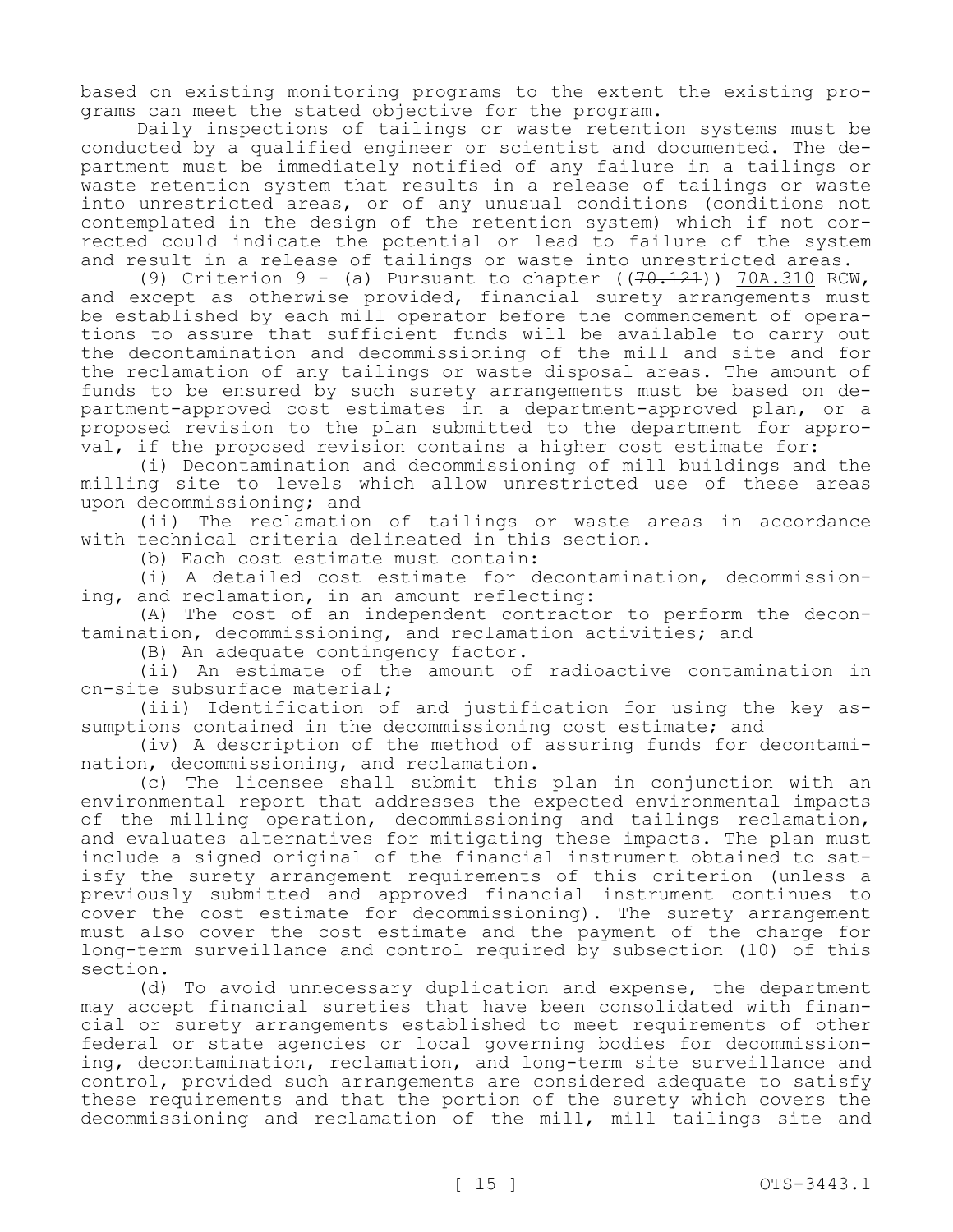based on existing monitoring programs to the extent the existing programs can meet the stated objective for the program.

Daily inspections of tailings or waste retention systems must be conducted by a qualified engineer or scientist and documented. The department must be immediately notified of any failure in a tailings or waste retention system that results in a release of tailings or waste into unrestricted areas, or of any unusual conditions (conditions not contemplated in the design of the retention system) which if not corrected could indicate the potential or lead to failure of the system and result in a release of tailings or waste into unrestricted areas.

(9) Criterion 9 - (a) Pursuant to chapter ( $(70.121)$ )  $70A.310$  RCW, and except as otherwise provided, financial surety arrangements must be established by each mill operator before the commencement of operations to assure that sufficient funds will be available to carry out the decontamination and decommissioning of the mill and site and for the reclamation of any tailings or waste disposal areas. The amount of funds to be ensured by such surety arrangements must be based on department-approved cost estimates in a department-approved plan, or a proposed revision to the plan submitted to the department for approval, if the proposed revision contains a higher cost estimate for:

(i) Decontamination and decommissioning of mill buildings and the milling site to levels which allow unrestricted use of these areas upon decommissioning; and

(ii) The reclamation of tailings or waste areas in accordance with technical criteria delineated in this section.

(b) Each cost estimate must contain:

(i) A detailed cost estimate for decontamination, decommissioning, and reclamation, in an amount reflecting:

(A) The cost of an independent contractor to perform the decontamination, decommissioning, and reclamation activities; and

(B) An adequate contingency factor.

(ii) An estimate of the amount of radioactive contamination in on-site subsurface material;

(iii) Identification of and justification for using the key assumptions contained in the decommissioning cost estimate; and

(iv) A description of the method of assuring funds for decontamination, decommissioning, and reclamation.

(c) The licensee shall submit this plan in conjunction with an environmental report that addresses the expected environmental impacts of the milling operation, decommissioning and tailings reclamation, and evaluates alternatives for mitigating these impacts. The plan must include a signed original of the financial instrument obtained to satisfy the surety arrangement requirements of this criterion (unless a previously submitted and approved financial instrument continues to cover the cost estimate for decommissioning). The surety arrangement must also cover the cost estimate and the payment of the charge for long-term surveillance and control required by subsection (10) of this section.

(d) To avoid unnecessary duplication and expense, the department may accept financial sureties that have been consolidated with financial or surety arrangements established to meet requirements of other federal or state agencies or local governing bodies for decommissioning, decontamination, reclamation, and long-term site surveillance and control, provided such arrangements are considered adequate to satisfy these requirements and that the portion of the surety which covers the decommissioning and reclamation of the mill, mill tailings site and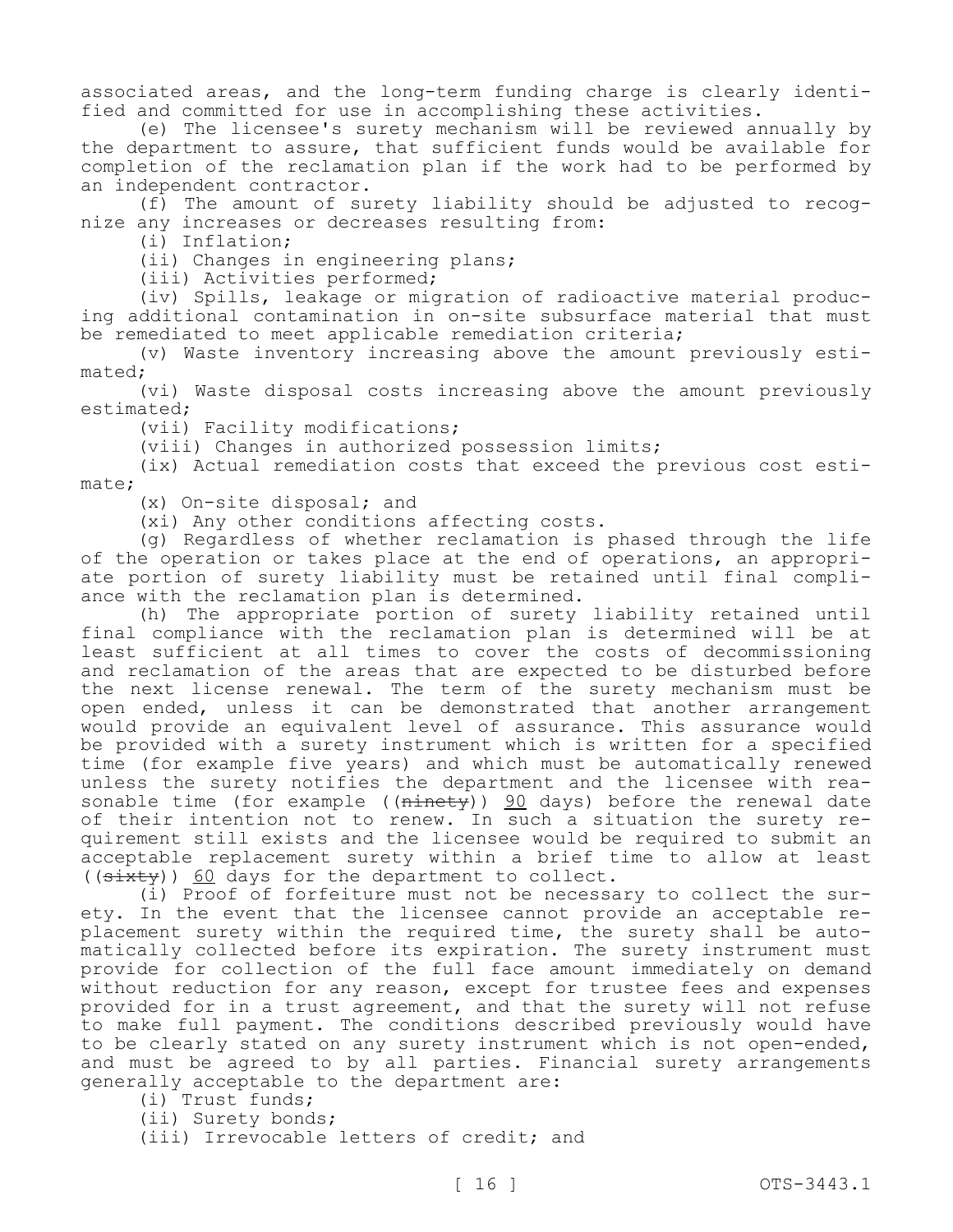associated areas, and the long-term funding charge is clearly identified and committed for use in accomplishing these activities.

(e) The licensee's surety mechanism will be reviewed annually by the department to assure, that sufficient funds would be available for completion of the reclamation plan if the work had to be performed by an independent contractor.

(f) The amount of surety liability should be adjusted to recognize any increases or decreases resulting from:

(i) Inflation;

(ii) Changes in engineering plans;

(iii) Activities performed;

(iv) Spills, leakage or migration of radioactive material producing additional contamination in on-site subsurface material that must be remediated to meet applicable remediation criteria;

(v) Waste inventory increasing above the amount previously estimated;

(vi) Waste disposal costs increasing above the amount previously estimated;

(vii) Facility modifications;

(viii) Changes in authorized possession limits;

(ix) Actual remediation costs that exceed the previous cost estimate;

(x) On-site disposal; and

(xi) Any other conditions affecting costs.

(g) Regardless of whether reclamation is phased through the life of the operation or takes place at the end of operations, an appropriate portion of surety liability must be retained until final compliance with the reclamation plan is determined.

(h) The appropriate portion of surety liability retained until final compliance with the reclamation plan is determined will be at least sufficient at all times to cover the costs of decommissioning and reclamation of the areas that are expected to be disturbed before the next license renewal. The term of the surety mechanism must be open ended, unless it can be demonstrated that another arrangement would provide an equivalent level of assurance. This assurance would be provided with a surety instrument which is written for a specified time (for example five years) and which must be automatically renewed unless the surety notifies the department and the licensee with reasonable time (for example ((<del>ninety</del>)) 90 days) before the renewal date of their intention not to renew. In such a situation the surety requirement still exists and the licensee would be required to submit an acceptable replacement surety within a brief time to allow at least  $((s. \text{it} \# \text{it} \# \text{it} \# \text{it} \# \text{it} \# \text{it} \# \text{it} \# \text{it} \# \text{it} \# \text{it} \# \text{it} \# \text{it} \# \text{it} \# \text{it} \# \text{it} \# \text{it} \# \text{it} \# \text{it} \# \text{it} \# \text{it} \# \text{it} \# \text{it} \# \text{it} \# \text{it} \# \text{it} \# \text{it} \# \text{it} \# \text{it} \# \text{it} \# \text{it} \# \text{it} \#$ 

(i) Proof of forfeiture must not be necessary to collect the surety. In the event that the licensee cannot provide an acceptable replacement surety within the required time, the surety shall be automatically collected before its expiration. The surety instrument must provide for collection of the full face amount immediately on demand without reduction for any reason, except for trustee fees and expenses provided for in a trust agreement, and that the surety will not refuse to make full payment. The conditions described previously would have to be clearly stated on any surety instrument which is not open-ended, and must be agreed to by all parties. Financial surety arrangements generally acceptable to the department are:

(i) Trust funds;

(ii) Surety bonds;

(iii) Irrevocable letters of credit; and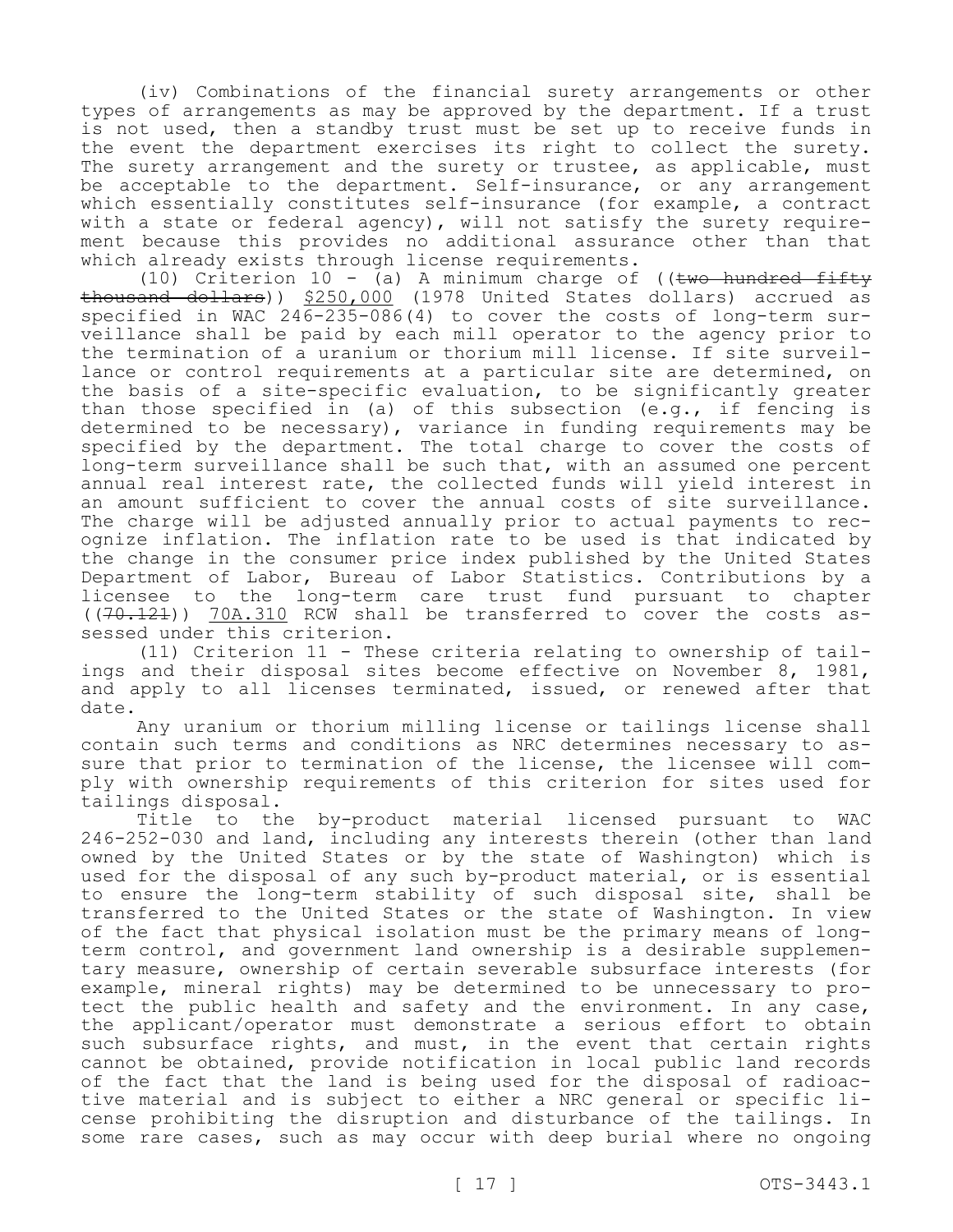(iv) Combinations of the financial surety arrangements or other types of arrangements as may be approved by the department. If a trust is not used, then a standby trust must be set up to receive funds in the event the department exercises its right to collect the surety. The surety arrangement and the surety or trustee, as applicable, must be acceptable to the department. Self-insurance, or any arrangement which essentially constitutes self-insurance (for example, a contract with a state or federal agency), will not satisfy the surety requirement because this provides no additional assurance other than that which already exists through license requirements.

(10) Criterion 10 - (a) A minimum charge of ((two hundred fifty thousand dollars)) \$250,000 (1978 United States dollars) accrued as specified in WAC 246-235-086(4) to cover the costs of long-term surveillance shall be paid by each mill operator to the agency prior to the termination of a uranium or thorium mill license. If site surveillance or control requirements at a particular site are determined, on the basis of a site-specific evaluation, to be significantly greater than those specified in (a) of this subsection (e.g., if fencing is determined to be necessary), variance in funding requirements may be specified by the department. The total charge to cover the costs of long-term surveillance shall be such that, with an assumed one percent annual real interest rate, the collected funds will yield interest in an amount sufficient to cover the annual costs of site surveillance. The charge will be adjusted annually prior to actual payments to recognize inflation. The inflation rate to be used is that indicated by the change in the consumer price index published by the United States Department of Labor, Bureau of Labor Statistics. Contributions by a licensee to the long-term care trust fund pursuant to chapter  $((70.121))$  70A.310 RCW shall be transferred to cover the costs assessed under this criterion.

(11) Criterion 11 - These criteria relating to ownership of tailings and their disposal sites become effective on November 8, 1981, and apply to all licenses terminated, issued, or renewed after that date.

Any uranium or thorium milling license or tailings license shall contain such terms and conditions as NRC determines necessary to assure that prior to termination of the license, the licensee will comply with ownership requirements of this criterion for sites used for

tailings disposal.<br>Title to th to the by-product material licensed pursuant to WAC 246-252-030 and land, including any interests therein (other than land owned by the United States or by the state of Washington) which is used for the disposal of any such by-product material, or is essential to ensure the long-term stability of such disposal site, shall be transferred to the United States or the state of Washington. In view of the fact that physical isolation must be the primary means of longterm control, and government land ownership is a desirable supplementary measure, ownership of certain severable subsurface interests (for example, mineral rights) may be determined to be unnecessary to protect the public health and safety and the environment. In any case, the applicant/operator must demonstrate a serious effort to obtain such subsurface rights, and must, in the event that certain rights cannot be obtained, provide notification in local public land records of the fact that the land is being used for the disposal of radioactive material and is subject to either a NRC general or specific license prohibiting the disruption and disturbance of the tailings. In some rare cases, such as may occur with deep burial where no ongoing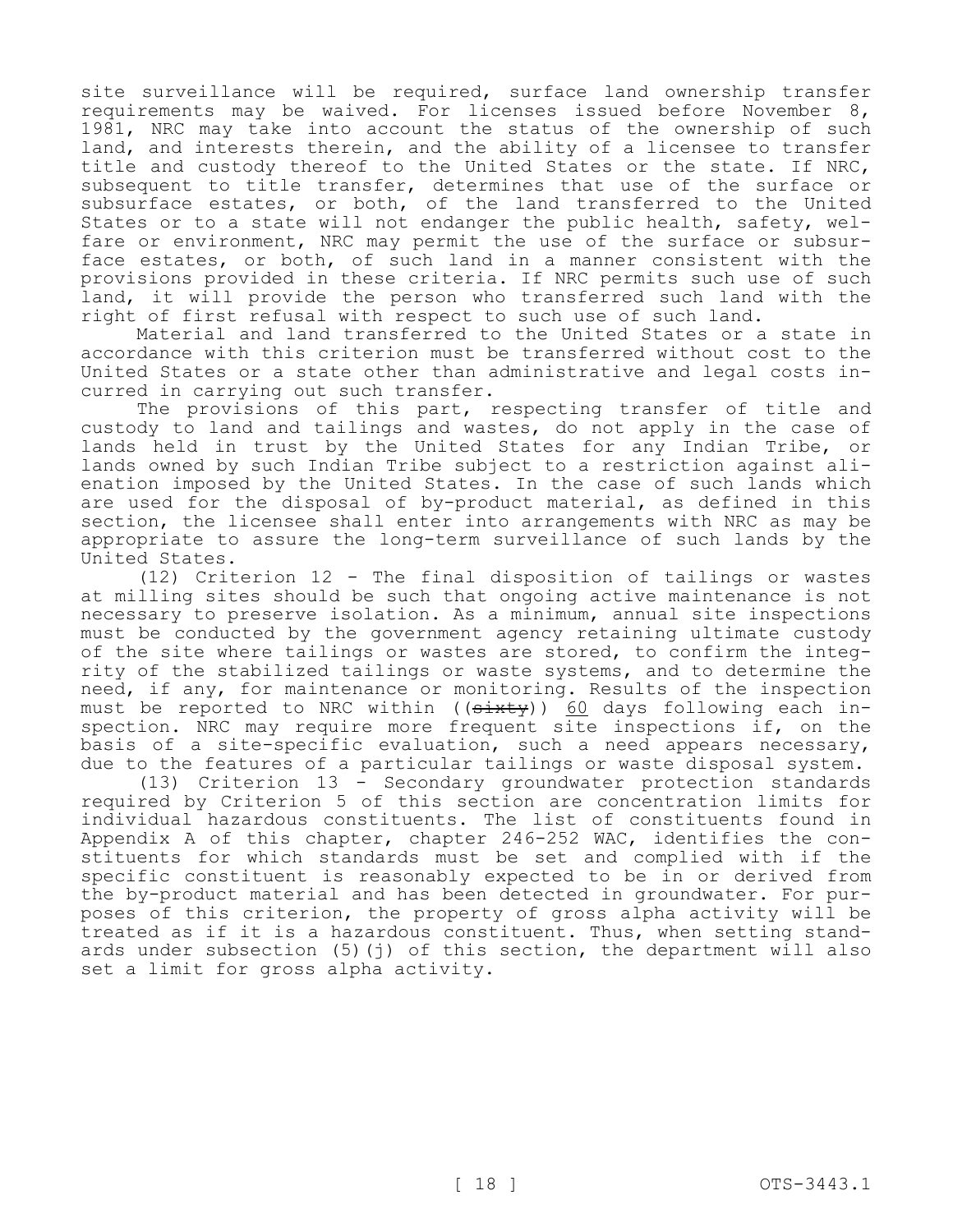site surveillance will be required, surface land ownership transfer requirements may be waived. For licenses issued before November 8, 1981, NRC may take into account the status of the ownership of such land, and interests therein, and the ability of a licensee to transfer title and custody thereof to the United States or the state. If NRC, subsequent to title transfer, determines that use of the surface or subsurface estates, or both, of the land transferred to the United States or to a state will not endanger the public health, safety, welfare or environment, NRC may permit the use of the surface or subsurface estates, or both, of such land in a manner consistent with the provisions provided in these criteria. If NRC permits such use of such land, it will provide the person who transferred such land with the right of first refusal with respect to such use of such land.

Material and land transferred to the United States or a state in accordance with this criterion must be transferred without cost to the United States or a state other than administrative and legal costs incurred in carrying out such transfer.

The provisions of this part, respecting transfer of title and custody to land and tailings and wastes, do not apply in the case of lands held in trust by the United States for any Indian Tribe, or lands owned by such Indian Tribe subject to a restriction against alienation imposed by the United States. In the case of such lands which are used for the disposal of by-product material, as defined in this section, the licensee shall enter into arrangements with NRC as may be appropriate to assure the long-term surveillance of such lands by the United States.

(12) Criterion 12 - The final disposition of tailings or wastes at milling sites should be such that ongoing active maintenance is not necessary to preserve isolation. As a minimum, annual site inspections must be conducted by the government agency retaining ultimate custody of the site where tailings or wastes are stored, to confirm the integrity of the stabilized tailings or waste systems, and to determine the need, if any, for maintenance or monitoring. Results of the inspection must be reported to NRC within ((sixty)) 60 days following each inspection. NRC may require more frequent site inspections if, on the basis of a site-specific evaluation, such a need appears necessary, due to the features of a particular tailings or waste disposal system.

(13) Criterion 13 - Secondary groundwater protection standards required by Criterion 5 of this section are concentration limits for individual hazardous constituents. The list of constituents found in Appendix A of this chapter, chapter 246-252 WAC, identifies the constituents for which standards must be set and complied with if the specific constituent is reasonably expected to be in or derived from the by-product material and has been detected in groundwater. For purposes of this criterion, the property of gross alpha activity will be treated as if it is a hazardous constituent. Thus, when setting standards under subsection  $(5)(i)$  of this section, the department will also set a limit for gross alpha activity.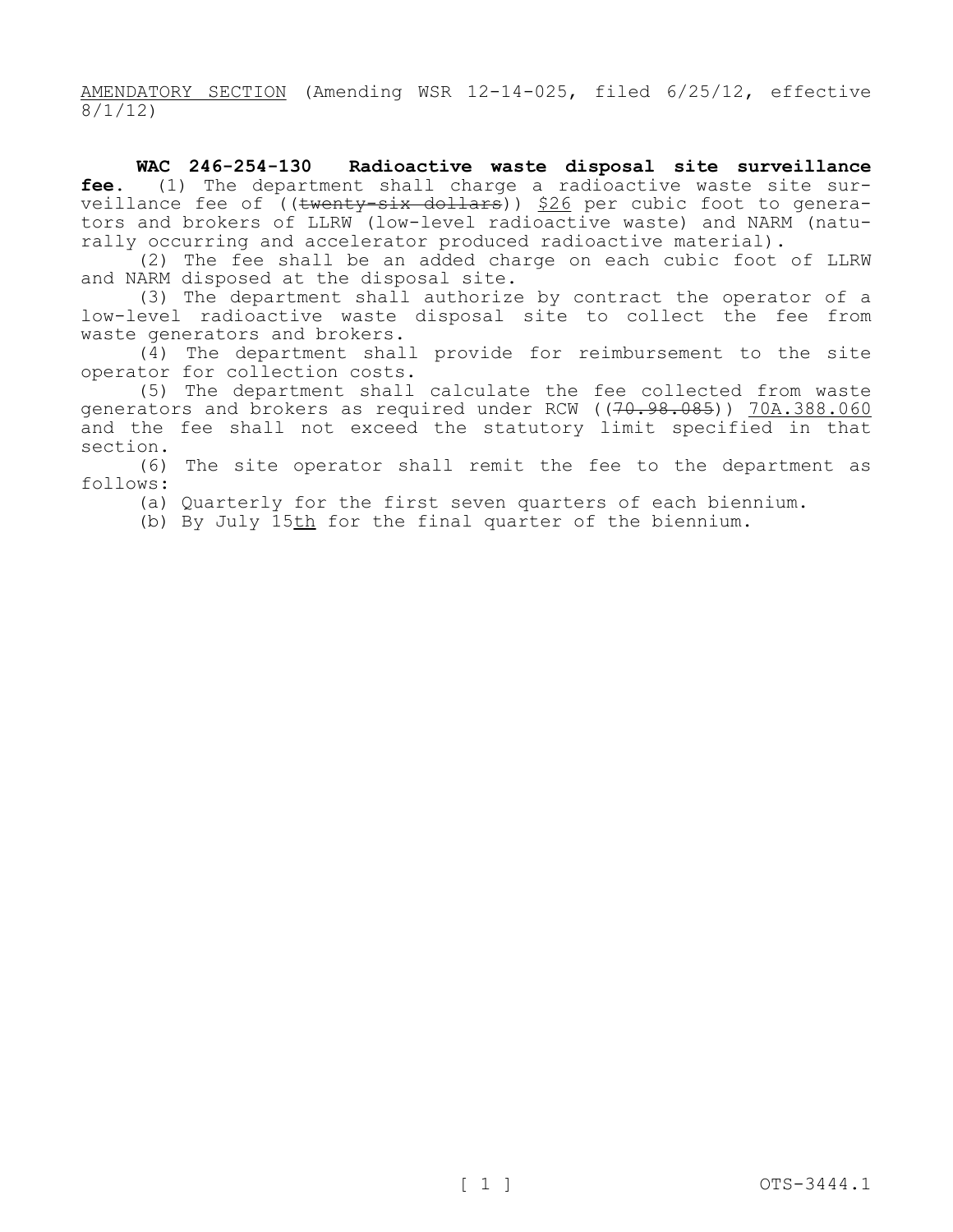AMENDATORY SECTION (Amending WSR 12-14-025, filed 6/25/12, effective 8/1/12)

**WAC 246-254-130 Radioactive waste disposal site surveillance fee.** (1) The department shall charge a radioactive waste site surveillance fee of ((<del>twenty-six dollars</del>)) <u>\$26</u> per cubic foot to generators and brokers of LLRW (low-level radioactive waste) and NARM (naturally occurring and accelerator produced radioactive material).

(2) The fee shall be an added charge on each cubic foot of LLRW and NARM disposed at the disposal site.

(3) The department shall authorize by contract the operator of a low-level radioactive waste disposal site to collect the fee from waste generators and brokers.

(4) The department shall provide for reimbursement to the site operator for collection costs.

(5) The department shall calculate the fee collected from waste generators and brokers as required under RCW ((70.98.085)) 70A.388.060 and the fee shall not exceed the statutory limit specified in that section.

(6) The site operator shall remit the fee to the department as follows:

(a) Quarterly for the first seven quarters of each biennium.

(b) By July 15th for the final quarter of the biennium.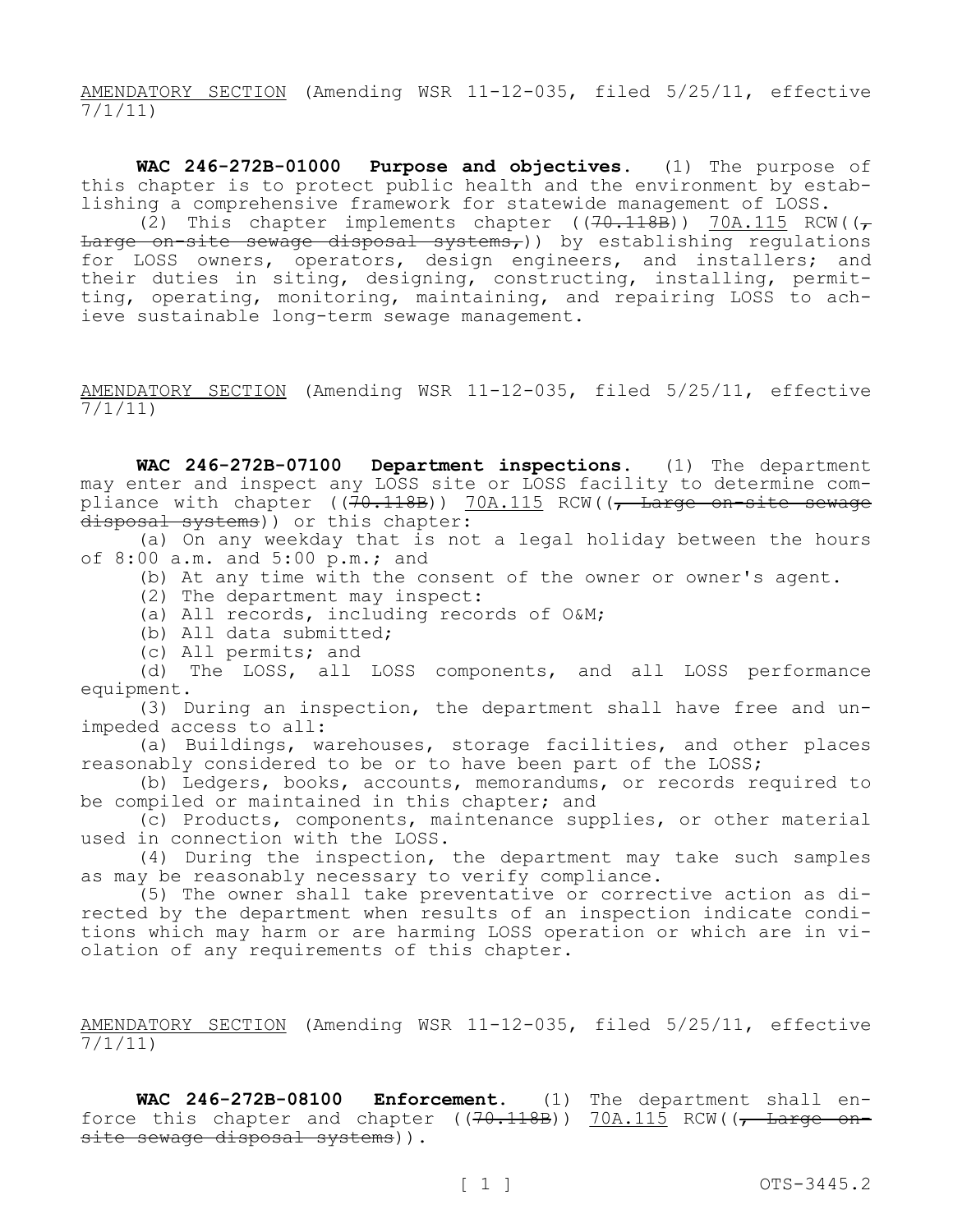AMENDATORY SECTION (Amending WSR 11-12-035, filed 5/25/11, effective 7/1/11)

**WAC 246-272B-01000 Purpose and objectives.** (1) The purpose of this chapter is to protect public health and the environment by establishing a comprehensive framework for statewide management of LOSS.

(2) This chapter implements chapter ( $(70.118B)$ ) 70A.115 RCW( $(\tau$ Large on-site sewage disposal systems,)) by establishing regulations for LOSS owners, operators, design engineers, and installers; and their duties in siting, designing, constructing, installing, permitting, operating, monitoring, maintaining, and repairing LOSS to achieve sustainable long-term sewage management.

AMENDATORY SECTION (Amending WSR 11-12-035, filed 5/25/11, effective 7/1/11)

**WAC 246-272B-07100 Department inspections.** (1) The department may enter and inspect any LOSS site or LOSS facility to determine compliance with chapter ((70.118B)) 70A.115 RCW((, Large on-site sewage disposal systems)) or this chapter:

(a) On any weekday that is not a legal holiday between the hours of  $8:00$  a.m. and  $5:00$  p.m.; and

(b) At any time with the consent of the owner or owner's agent.

(2) The department may inspect:

(a) All records, including records of O&M;

(b) All data submitted;

(c) All permits; and

(d) The LOSS, all LOSS components, and all LOSS performance equipment.

(3) During an inspection, the department shall have free and unimpeded access to all:

(a) Buildings, warehouses, storage facilities, and other places reasonably considered to be or to have been part of the LOSS;

(b) Ledgers, books, accounts, memorandums, or records required to be compiled or maintained in this chapter; and

(c) Products, components, maintenance supplies, or other material used in connection with the LOSS.

(4) During the inspection, the department may take such samples as may be reasonably necessary to verify compliance.

(5) The owner shall take preventative or corrective action as directed by the department when results of an inspection indicate conditions which may harm or are harming LOSS operation or which are in violation of any requirements of this chapter.

AMENDATORY SECTION (Amending WSR 11-12-035, filed 5/25/11, effective 7/1/11)

**WAC 246-272B-08100 Enforcement.** (1) The department shall enforce this chapter and chapter ( $(70.118B)$ )  $70A.115$  RCW( $(-$  Large onsite sewage disposal systems)).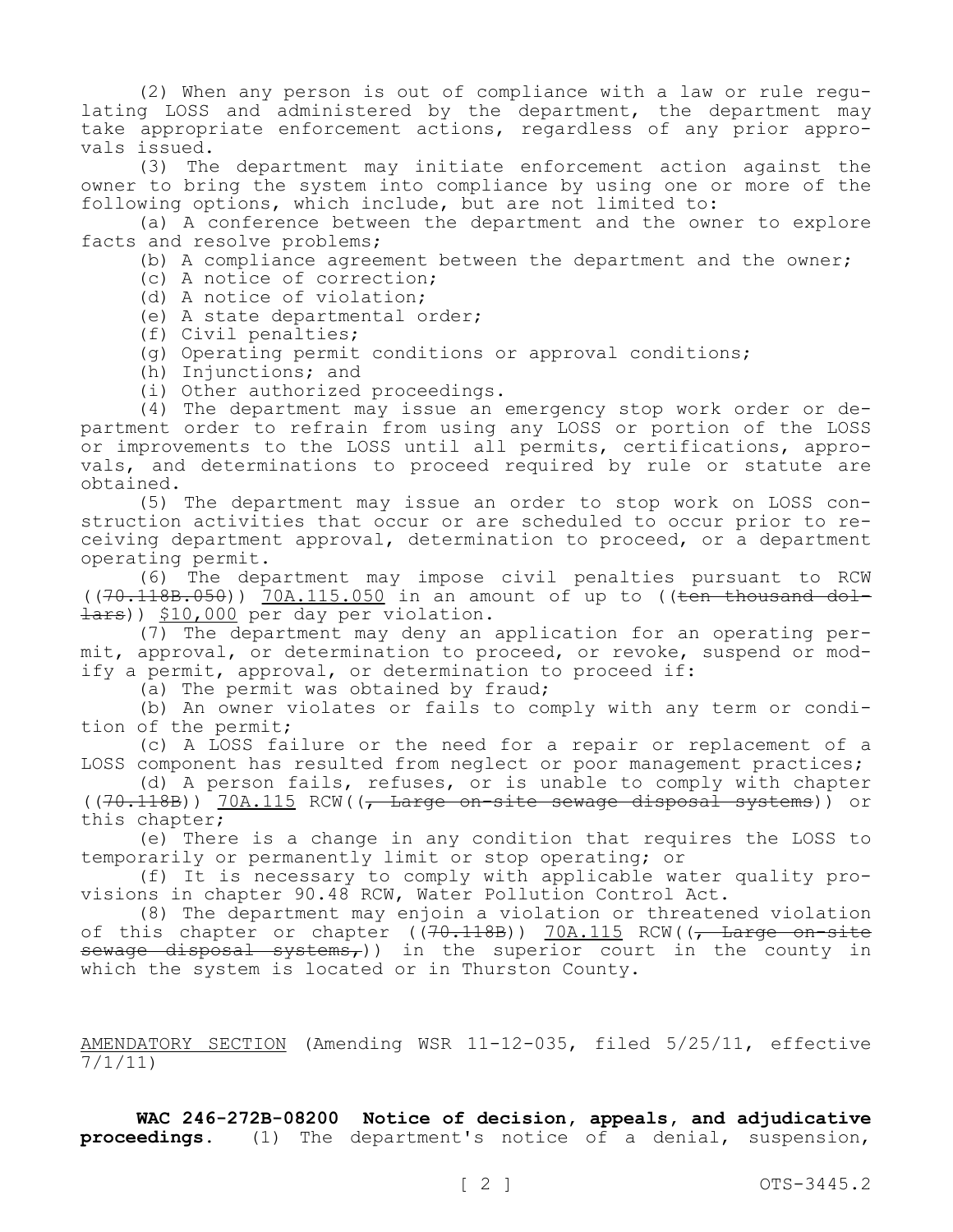(2) When any person is out of compliance with a law or rule regulating LOSS and administered by the department, the department may take appropriate enforcement actions, regardless of any prior approvals issued.

(3) The department may initiate enforcement action against the owner to bring the system into compliance by using one or more of the following options, which include, but are not limited to:

(a) A conference between the department and the owner to explore facts and resolve problems;

(b) A compliance agreement between the department and the owner;

(c) A notice of correction;

(d) A notice of violation;

(e) A state departmental order;

- (f) Civil penalties;
- (g) Operating permit conditions or approval conditions;
- (h) Injunctions; and
- (i) Other authorized proceedings.

(4) The department may issue an emergency stop work order or department order to refrain from using any LOSS or portion of the LOSS or improvements to the LOSS until all permits, certifications, approvals, and determinations to proceed required by rule or statute are obtained.

(5) The department may issue an order to stop work on LOSS construction activities that occur or are scheduled to occur prior to receiving department approval, determination to proceed, or a department operating permit.

(6) The department may impose civil penalties pursuant to RCW  $((70.118B.050))$  70A.115.050 in an amount of up to ((ten thousand dol-Hars)) \$10,000 per day per violation.

(7) The department may deny an application for an operating permit, approval, or determination to proceed, or revoke, suspend or modify a permit, approval, or determination to proceed if:

(a) The permit was obtained by fraud;

(b) An owner violates or fails to comply with any term or condition of the permit;

(c) A LOSS failure or the need for a repair or replacement of a LOSS component has resulted from neglect or poor management practices;

(d) A person fails, refuses, or is unable to comply with chapter ((70.118B)) 70A.115 RCW((, Large on-site sewage disposal systems)) or this chapter;

(e) There is a change in any condition that requires the LOSS to temporarily or permanently limit or stop operating; or

(f) It is necessary to comply with applicable water quality provisions in chapter 90.48 RCW, Water Pollution Control Act.

(8) The department may enjoin a violation or threatened violation of this chapter or chapter  $((70.118B))$  70A.115 RCW $((7.118B)$ sewage disposal systems,)) in the superior court in the county in which the system is located or in Thurston County.

AMENDATORY SECTION (Amending WSR 11-12-035, filed 5/25/11, effective 7/1/11)

**WAC 246-272B-08200 Notice of decision, appeals, and adjudicative proceedings.** (1) The department's notice of a denial, suspension,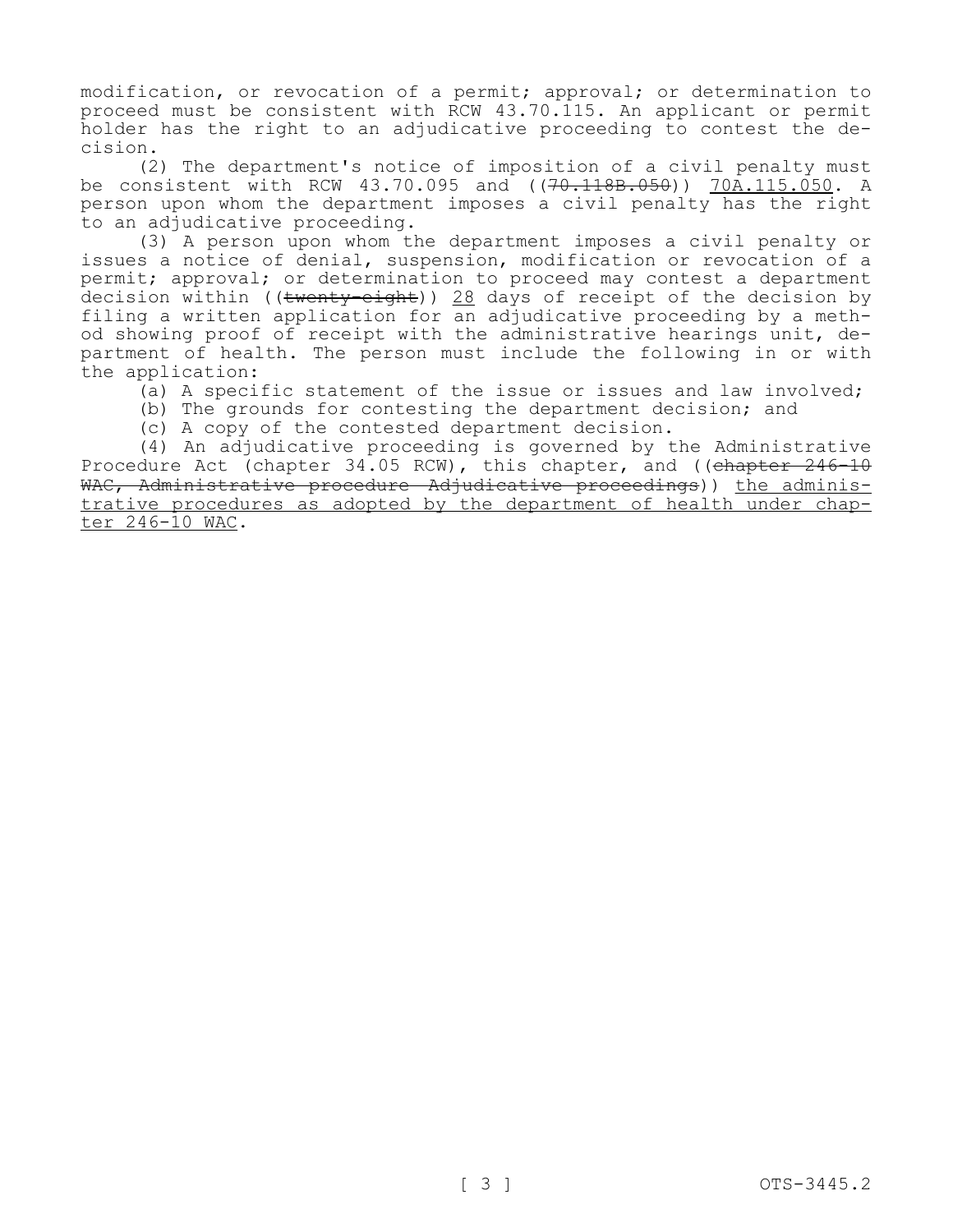modification, or revocation of a permit; approval; or determination to proceed must be consistent with RCW 43.70.115. An applicant or permit holder has the right to an adjudicative proceeding to contest the decision.

(2) The department's notice of imposition of a civil penalty must be consistent with RCW 43.70.095 and ((70.118B.050)) 70A.115.050. A person upon whom the department imposes a civil penalty has the right to an adjudicative proceeding.

(3) A person upon whom the department imposes a civil penalty or issues a notice of denial, suspension, modification or revocation of a permit; approval; or determination to proceed may contest a department decision within (( $t$ wenty-eight)) 28 days of receipt of the decision by filing a written application for an adjudicative proceeding by a method showing proof of receipt with the administrative hearings unit, department of health. The person must include the following in or with the application:

(a) A specific statement of the issue or issues and law involved;

(b) The grounds for contesting the department decision; and

(c) A copy of the contested department decision.

(4) An adjudicative proceeding is governed by the Administrative Procedure Act (chapter 34.05 RCW), this chapter, and ((chapter 246-10 WAC, Administrative procedure Adjudicative proceedings)) the administrative procedures as adopted by the department of health under chapter 246-10 WAC.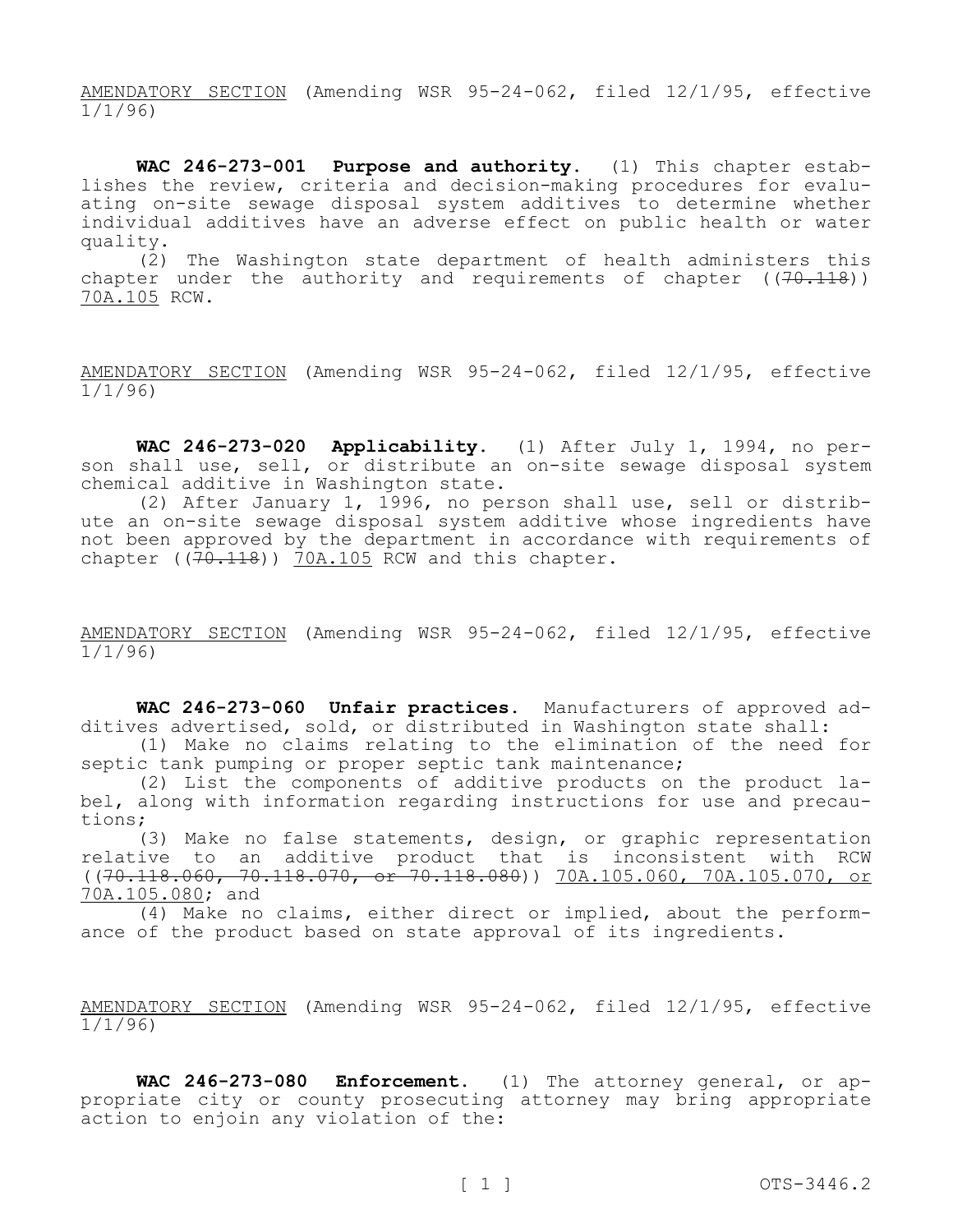AMENDATORY SECTION (Amending WSR 95-24-062, filed 12/1/95, effective 1/1/96)

**WAC 246-273-001 Purpose and authority.** (1) This chapter establishes the review, criteria and decision-making procedures for evaluating on-site sewage disposal system additives to determine whether individual additives have an adverse effect on public health or water quality.

(2) The Washington state department of health administers this chapter under the authority and requirements of chapter  $((70.118))$ 70A.105 RCW.

AMENDATORY SECTION (Amending WSR 95-24-062, filed 12/1/95, effective 1/1/96)

**WAC 246-273-020 Applicability.** (1) After July 1, 1994, no person shall use, sell, or distribute an on-site sewage disposal system chemical additive in Washington state.

(2) After January 1, 1996, no person shall use, sell or distribute an on-site sewage disposal system additive whose ingredients have not been approved by the department in accordance with requirements of chapter ( $(70.118)$ ) 70A.105 RCW and this chapter.

AMENDATORY SECTION (Amending WSR 95-24-062, filed 12/1/95, effective 1/1/96)

**WAC 246-273-060 Unfair practices.** Manufacturers of approved additives advertised, sold, or distributed in Washington state shall:

(1) Make no claims relating to the elimination of the need for septic tank pumping or proper septic tank maintenance;

(2) List the components of additive products on the product label, along with information regarding instructions for use and precautions;

(3) Make no false statements, design, or graphic representation relative to an additive product that is inconsistent with RCW ((70.118.060, 70.118.070, or 70.118.080)) 70A.105.060, 70A.105.070, or 70A.105.080; and

(4) Make no claims, either direct or implied, about the performance of the product based on state approval of its ingredients.

AMENDATORY SECTION (Amending WSR 95-24-062, filed 12/1/95, effective 1/1/96)

**WAC 246-273-080 Enforcement.** (1) The attorney general, or appropriate city or county prosecuting attorney may bring appropriate action to enjoin any violation of the: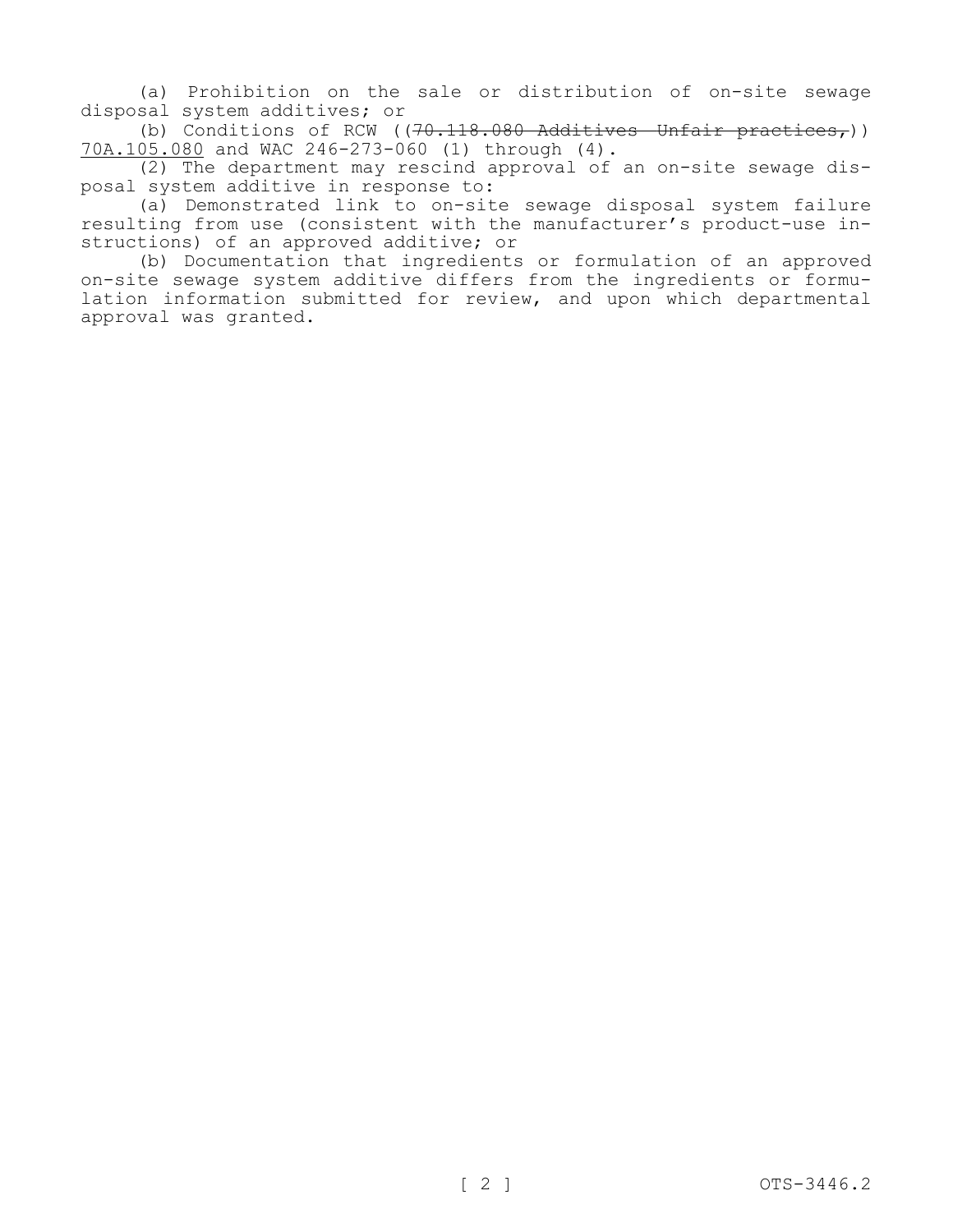(a) Prohibition on the sale or distribution of on-site sewage disposal system additives; or

(b) Conditions of RCW ( $(70.118.080$  Additives—Unfair practices,)) 70A.105.080 and WAC 246-273-060 (1) through (4).

(2) The department may rescind approval of an on-site sewage disposal system additive in response to:

(a) Demonstrated link to on-site sewage disposal system failure resulting from use (consistent with the manufacturer's product-use instructions) of an approved additive; or

(b) Documentation that ingredients or formulation of an approved on-site sewage system additive differs from the ingredients or formulation information submitted for review, and upon which departmental approval was granted.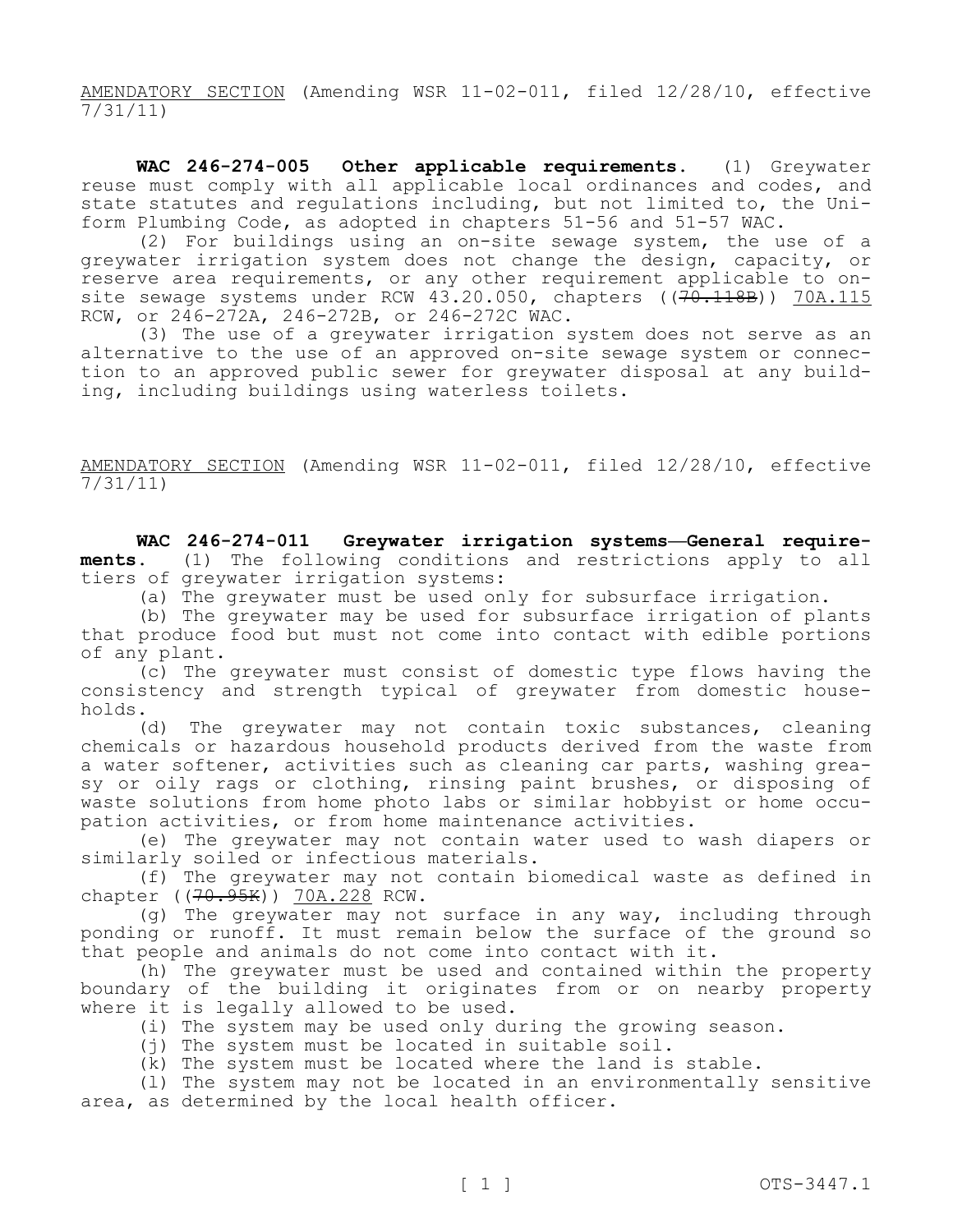AMENDATORY SECTION (Amending WSR 11-02-011, filed 12/28/10, effective  $\frac{7}{31/11}$ 

**WAC 246-274-005 Other applicable requirements.** (1) Greywater reuse must comply with all applicable local ordinances and codes, and state statutes and regulations including, but not limited to, the Uniform Plumbing Code, as adopted in chapters 51-56 and 51-57 WAC.

(2) For buildings using an on-site sewage system, the use of a greywater irrigation system does not change the design, capacity, or reserve area requirements, or any other requirement applicable to onsite sewage systems under RCW 43.20.050, chapters ((<del>70.118B</del>)) 70A.115 RCW, or 246-272A, 246-272B, or 246-272C WAC.

(3) The use of a greywater irrigation system does not serve as an alternative to the use of an approved on-site sewage system or connection to an approved public sewer for greywater disposal at any building, including buildings using waterless toilets.

AMENDATORY SECTION (Amending WSR 11-02-011, filed 12/28/10, effective  $\frac{1}{7/31}/11$ 

**WAC 246-274-011 Greywater irrigation systems—General requirements.** (1) The following conditions and restrictions apply to all tiers of greywater irrigation systems:

(a) The greywater must be used only for subsurface irrigation.

(b) The greywater may be used for subsurface irrigation of plants that produce food but must not come into contact with edible portions of any plant.

(c) The greywater must consist of domestic type flows having the consistency and strength typical of greywater from domestic households.

(d) The greywater may not contain toxic substances, cleaning chemicals or hazardous household products derived from the waste from a water softener, activities such as cleaning car parts, washing greasy or oily rags or clothing, rinsing paint brushes, or disposing of waste solutions from home photo labs or similar hobbyist or home occupation activities, or from home maintenance activities.

(e) The greywater may not contain water used to wash diapers or similarly soiled or infectious materials.

(f) The greywater may not contain biomedical waste as defined in chapter ((70.95K)) 70A.228 RCW.

(g) The greywater may not surface in any way, including through ponding or runoff. It must remain below the surface of the ground so that people and animals do not come into contact with it.

(h) The greywater must be used and contained within the property boundary of the building it originates from or on nearby property where it is legally allowed to be used.

- (i) The system may be used only during the growing season.
- (j) The system must be located in suitable soil.
- (k) The system must be located where the land is stable.

(l) The system may not be located in an environmentally sensitive area, as determined by the local health officer.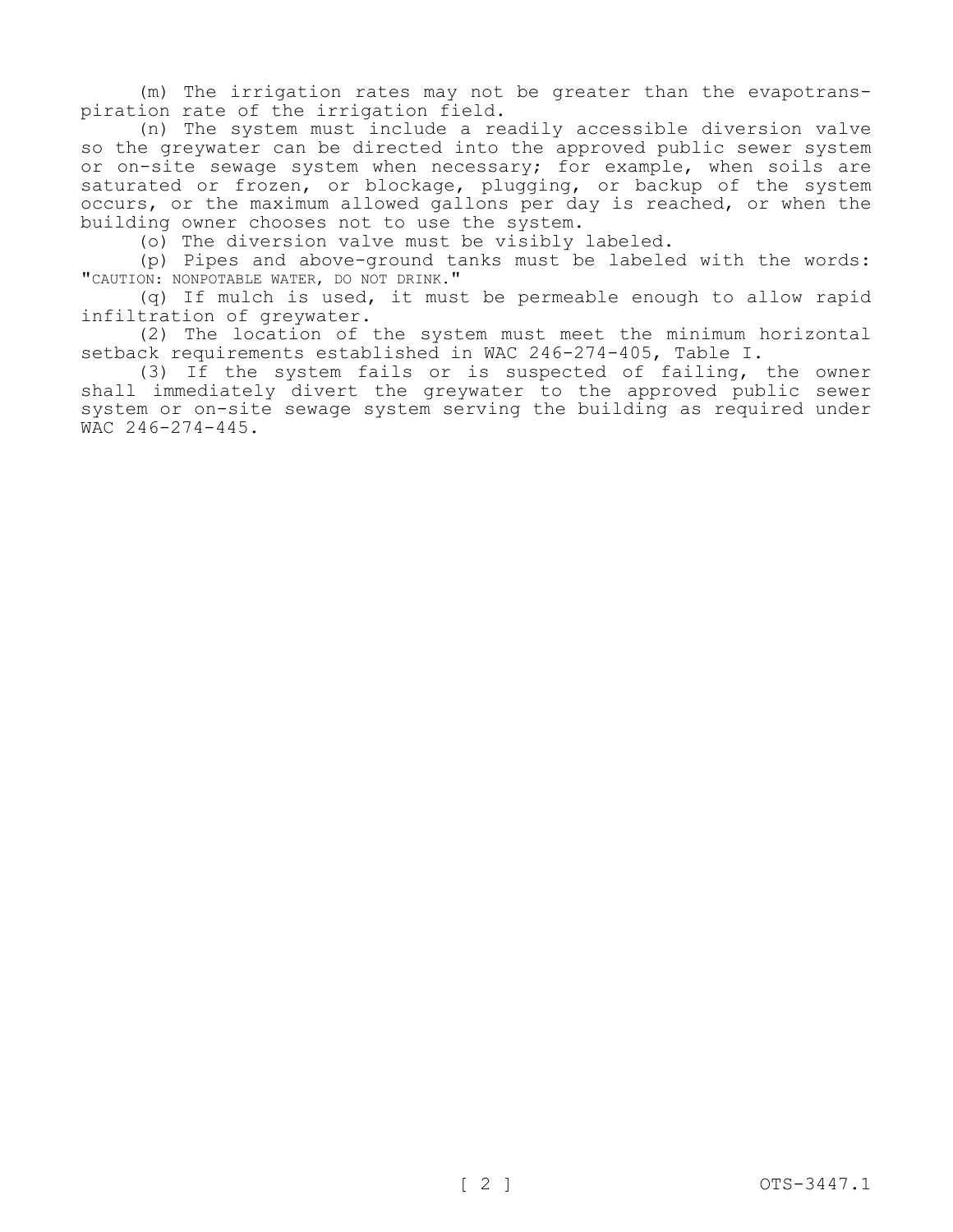(m) The irrigation rates may not be greater than the evapotranspiration rate of the irrigation field.

(n) The system must include a readily accessible diversion valve so the greywater can be directed into the approved public sewer system or on-site sewage system when necessary; for example, when soils are saturated or frozen, or blockage, plugging, or backup of the system occurs, or the maximum allowed gallons per day is reached, or when the building owner chooses not to use the system.

(o) The diversion valve must be visibly labeled.

(p) Pipes and above-ground tanks must be labeled with the words: "CAUTION: NONPOTABLE WATER, DO NOT DRINK."

(q) If mulch is used, it must be permeable enough to allow rapid infiltration of greywater.

(2) The location of the system must meet the minimum horizontal setback requirements established in WAC 246-274-405, Table I.

(3) If the system fails or is suspected of failing, the owner shall immediately divert the greywater to the approved public sewer system or on-site sewage system serving the building as required under WAC 246-274-445.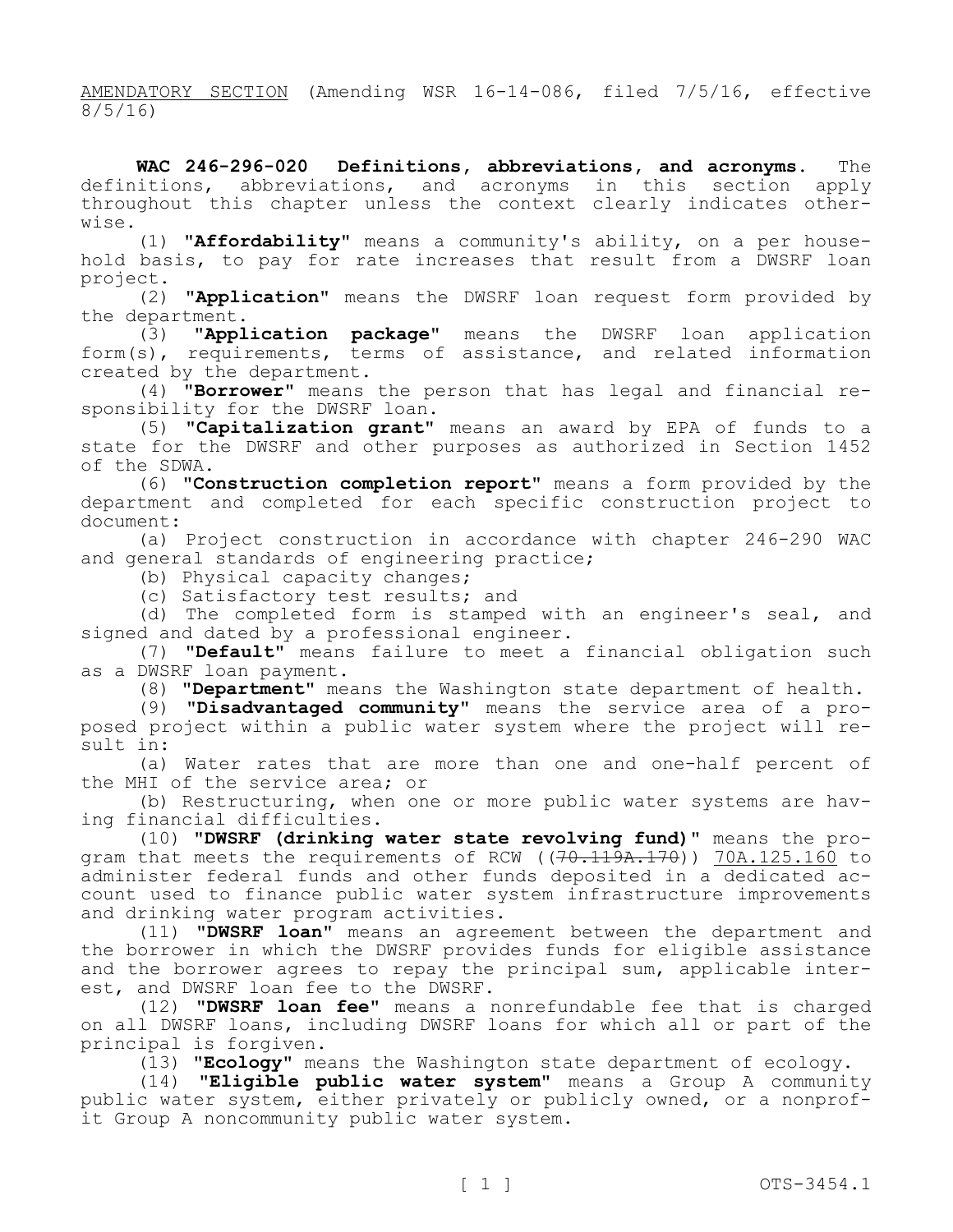AMENDATORY SECTION (Amending WSR 16-14-086, filed 7/5/16, effective 8/5/16)

**WAC 246-296-020 Definitions, abbreviations, and acronyms.** The definitions, abbreviations, and acronyms in this section apply throughout this chapter unless the context clearly indicates otherwise.

(1) **"Affordability"** means a community's ability, on a per household basis, to pay for rate increases that result from a DWSRF loan project.

(2) **"Application"** means the DWSRF loan request form provided by the department.

(3) **"Application package"** means the DWSRF loan application form(s), requirements, terms of assistance, and related information created by the department.

(4) **"Borrower"** means the person that has legal and financial responsibility for the DWSRF loan.

(5) **"Capitalization grant"** means an award by EPA of funds to a state for the DWSRF and other purposes as authorized in Section 1452 of the SDWA.

(6) **"Construction completion report"** means a form provided by the department and completed for each specific construction project to document:

(a) Project construction in accordance with chapter 246-290 WAC and general standards of engineering practice;

(b) Physical capacity changes;

(c) Satisfactory test results; and

(d) The completed form is stamped with an engineer's seal, and signed and dated by a professional engineer.

(7) **"Default"** means failure to meet a financial obligation such as a DWSRF loan payment.

(8) **"Department"** means the Washington state department of health.

(9) **"Disadvantaged community"** means the service area of a proposed project within a public water system where the project will result in:

(a) Water rates that are more than one and one-half percent of the MHI of the service area; or

(b) Restructuring, when one or more public water systems are having financial difficulties.

(10) **"DWSRF (drinking water state revolving fund)"** means the program that meets the requirements of RCW  $((70.119A.170))$  70A.125.160 to administer federal funds and other funds deposited in a dedicated account used to finance public water system infrastructure improvements and drinking water program activities.

(11) **"DWSRF loan"** means an agreement between the department and the borrower in which the DWSRF provides funds for eligible assistance and the borrower agrees to repay the principal sum, applicable interest, and DWSRF loan fee to the DWSRF.

(12) **"DWSRF loan fee"** means a nonrefundable fee that is charged on all DWSRF loans, including DWSRF loans for which all or part of the principal is forgiven.

(13) **"Ecology"** means the Washington state department of ecology.

(14) **"Eligible public water system"** means a Group A community public water system, either privately or publicly owned, or a nonprofit Group A noncommunity public water system.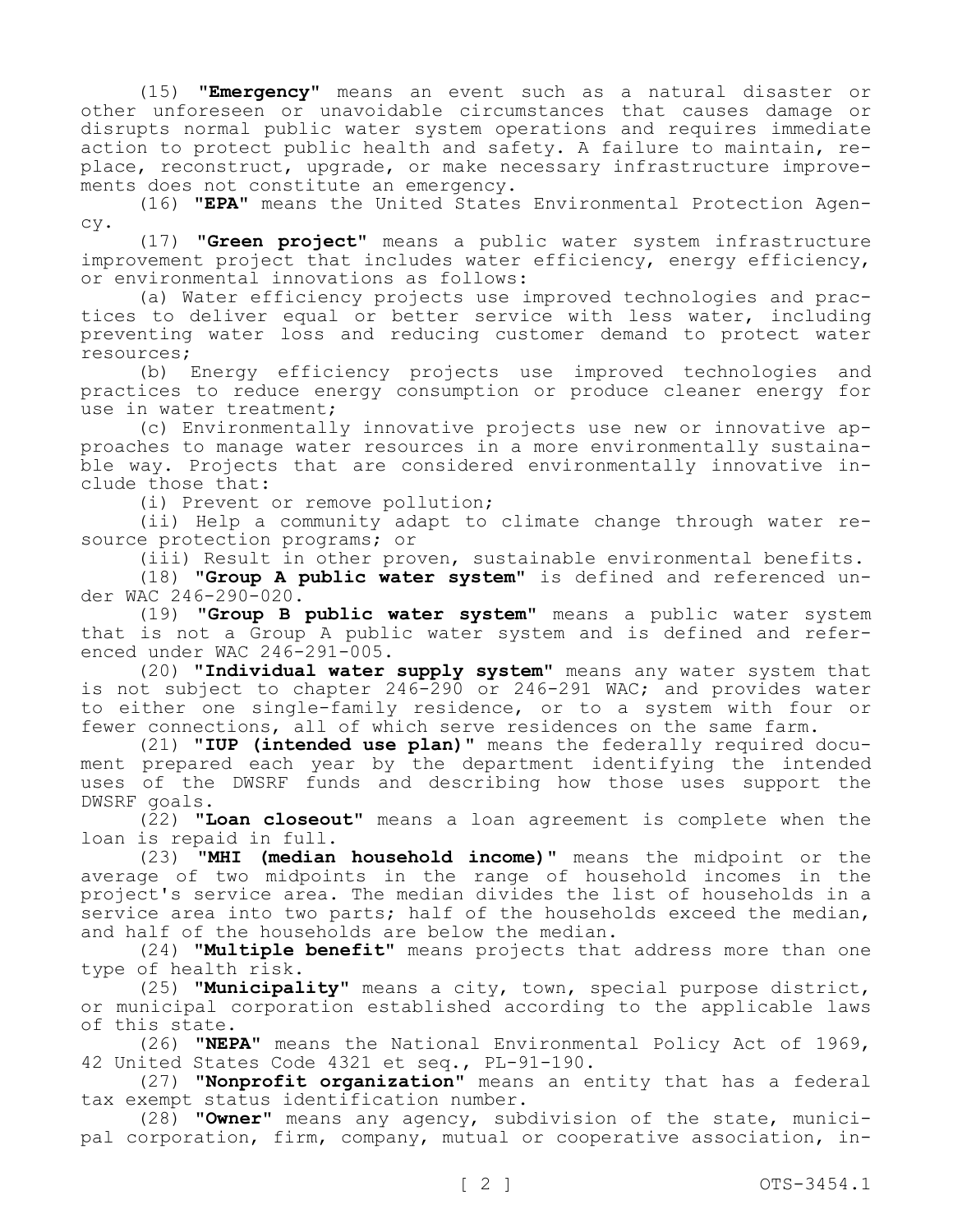(15) **"Emergency"** means an event such as a natural disaster or other unforeseen or unavoidable circumstances that causes damage or disrupts normal public water system operations and requires immediate action to protect public health and safety. A failure to maintain, replace, reconstruct, upgrade, or make necessary infrastructure improvements does not constitute an emergency.

(16) **"EPA"** means the United States Environmental Protection Agency.

(17) **"Green project"** means a public water system infrastructure improvement project that includes water efficiency, energy efficiency, or environmental innovations as follows:

(a) Water efficiency projects use improved technologies and practices to deliver equal or better service with less water, including preventing water loss and reducing customer demand to protect water resources;

(b) Energy efficiency projects use improved technologies and practices to reduce energy consumption or produce cleaner energy for use in water treatment;

(c) Environmentally innovative projects use new or innovative approaches to manage water resources in a more environmentally sustainable way. Projects that are considered environmentally innovative include those that:

(i) Prevent or remove pollution;

(ii) Help a community adapt to climate change through water resource protection programs; or

(iii) Result in other proven, sustainable environmental benefits.

(18) **"Group A public water system"** is defined and referenced under WAC 246-290-020.

(19) **"Group B public water system"** means a public water system that is not a Group A public water system and is defined and referenced under WAC 246-291-005.

(20) **"Individual water supply system"** means any water system that is not subject to chapter 246-290 or 246-291 WAC; and provides water to either one single-family residence, or to a system with four or fewer connections, all of which serve residences on the same farm.

(21) **"IUP (intended use plan)"** means the federally required document prepared each year by the department identifying the intended uses of the DWSRF funds and describing how those uses support the DWSRF goals.

(22) **"Loan closeout"** means a loan agreement is complete when the loan is repaid in full.

(23) **"MHI (median household income)"** means the midpoint or the average of two midpoints in the range of household incomes in the project's service area. The median divides the list of households in a service area into two parts; half of the households exceed the median, and half of the households are below the median.

(24) **"Multiple benefit"** means projects that address more than one type of health risk.

(25) **"Municipality"** means a city, town, special purpose district, or municipal corporation established according to the applicable laws of this state.

(26) **"NEPA"** means the National Environmental Policy Act of 1969, 42 United States Code 4321 et seq., PL-91-190.

(27) **"Nonprofit organization"** means an entity that has a federal tax exempt status identification number.

(28) **"Owner"** means any agency, subdivision of the state, municipal corporation, firm, company, mutual or cooperative association, in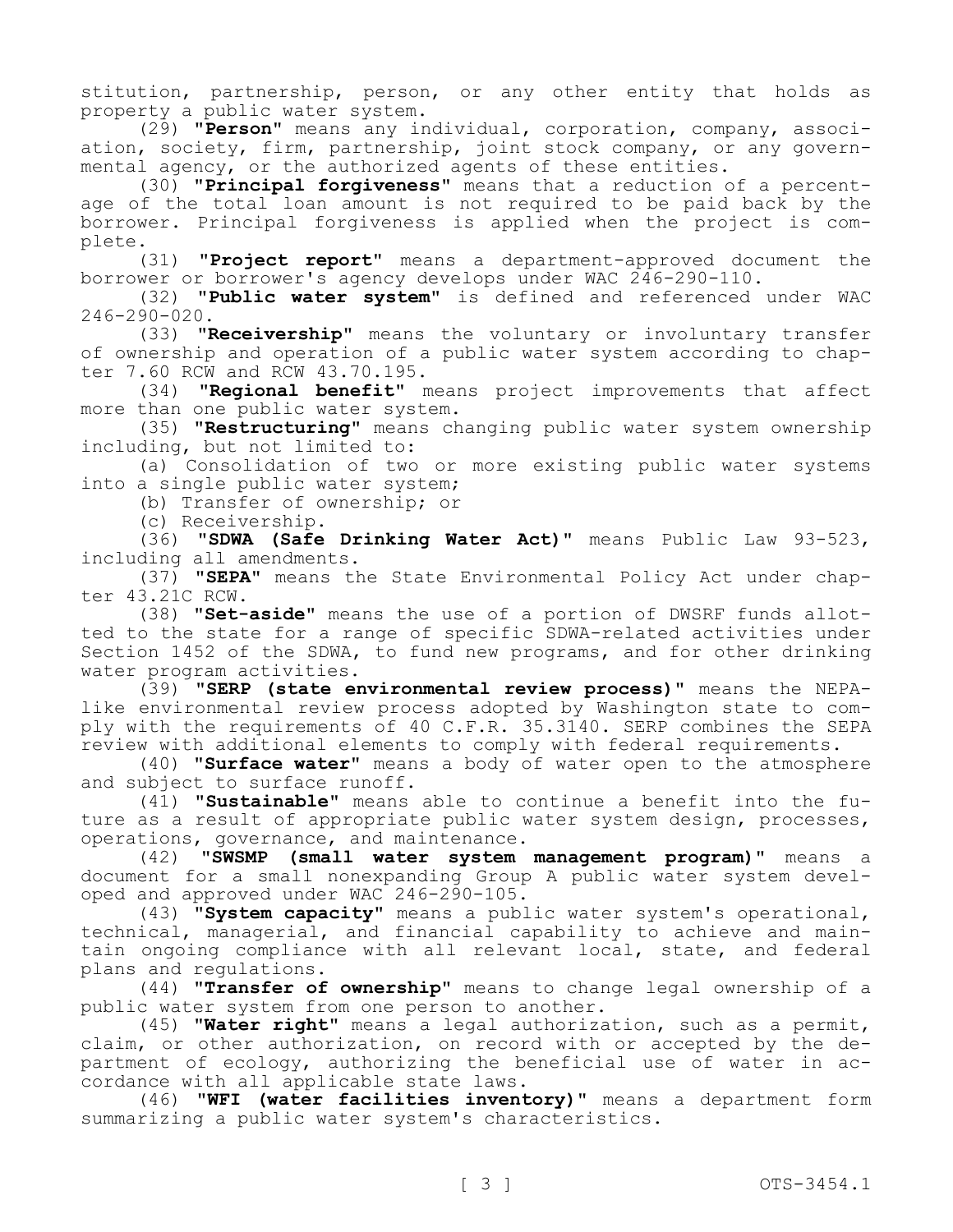stitution, partnership, person, or any other entity that holds as property a public water system.

(29) **"Person"** means any individual, corporation, company, association, society, firm, partnership, joint stock company, or any governmental agency, or the authorized agents of these entities.

(30) **"Principal forgiveness"** means that a reduction of a percentage of the total loan amount is not required to be paid back by the borrower. Principal forgiveness is applied when the project is complete.

(31) **"Project report"** means a department-approved document the borrower or borrower's agency develops under WAC 246-290-110.

(32) **"Public water system"** is defined and referenced under WAC 246-290-020.

(33) **"Receivership"** means the voluntary or involuntary transfer of ownership and operation of a public water system according to chapter 7.60 RCW and RCW 43.70.195.

(34) **"Regional benefit"** means project improvements that affect more than one public water system.

(35) **"Restructuring"** means changing public water system ownership including, but not limited to:

(a) Consolidation of two or more existing public water systems into a single public water system;

(b) Transfer of ownership; or

(c) Receivership.

(36) **"SDWA (Safe Drinking Water Act)"** means Public Law 93-523, including all amendments.

(37) **"SEPA"** means the State Environmental Policy Act under chapter 43.21C RCW.

(38) **"Set-aside"** means the use of a portion of DWSRF funds allotted to the state for a range of specific SDWA-related activities under Section 1452 of the SDWA, to fund new programs, and for other drinking water program activities.

(39) **"SERP (state environmental review process)"** means the NEPAlike environmental review process adopted by Washington state to comply with the requirements of 40 C.F.R. 35.3140. SERP combines the SEPA review with additional elements to comply with federal requirements.

(40) **"Surface water"** means a body of water open to the atmosphere and subject to surface runoff.

(41) **"Sustainable"** means able to continue a benefit into the future as a result of appropriate public water system design, processes, operations, governance, and maintenance.

(42) **"SWSMP (small water system management program)"** means a document for a small nonexpanding Group A public water system developed and approved under  $WAC$  246-290-105.

(43) **"System capacity"** means a public water system's operational, technical, managerial, and financial capability to achieve and maintain ongoing compliance with all relevant local, state, and federal plans and regulations.

(44) **"Transfer of ownership"** means to change legal ownership of a public water system from one person to another.

(45) **"Water right"** means a legal authorization, such as a permit, claim, or other authorization, on record with or accepted by the department of ecology, authorizing the beneficial use of water in accordance with all applicable state laws.

(46) **"WFI (water facilities inventory)"** means a department form summarizing a public water system's characteristics.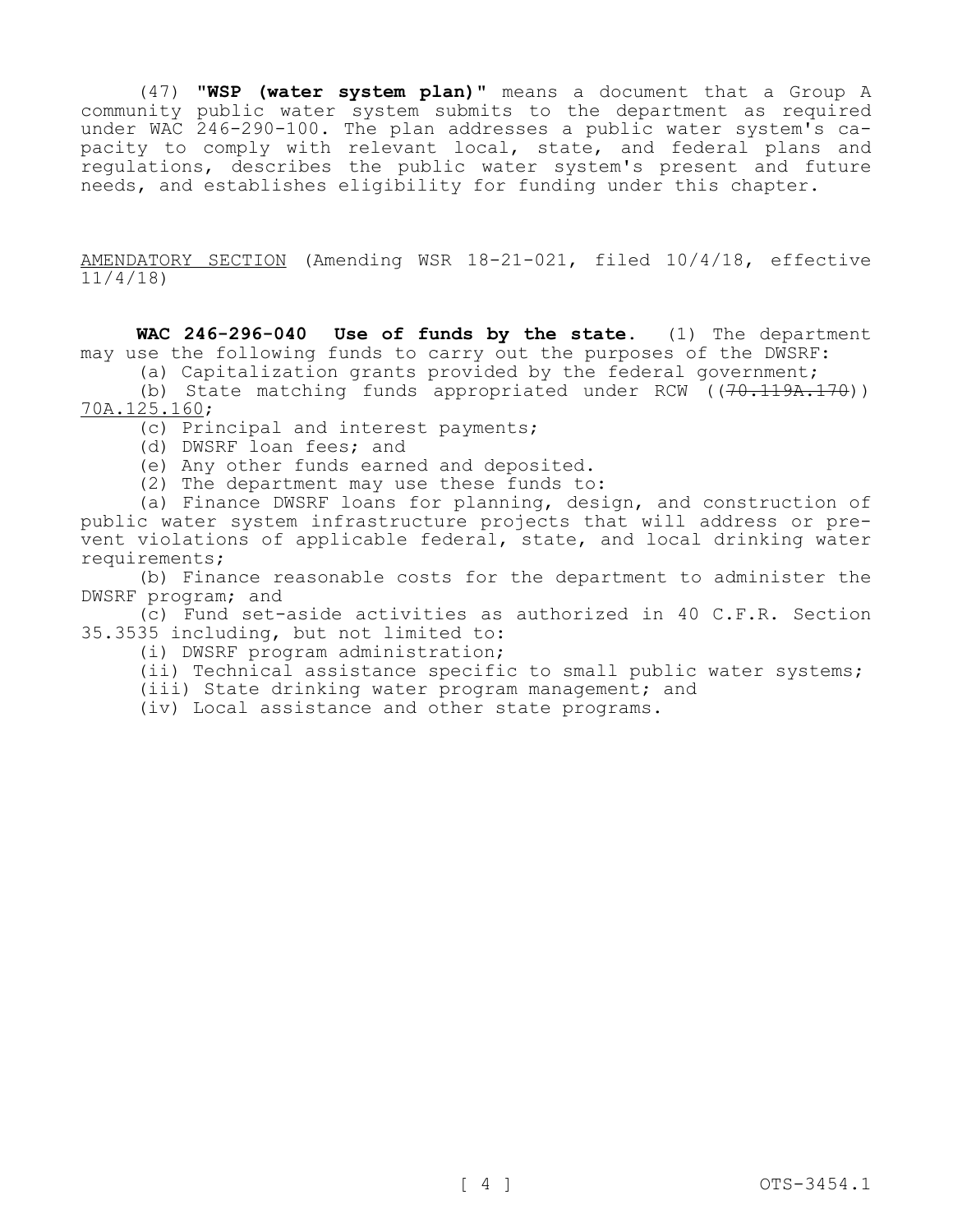(47) **"WSP (water system plan)"** means a document that a Group A community public water system submits to the department as required under WAC 246-290-100. The plan addresses a public water system's capacity to comply with relevant local, state, and federal plans and regulations, describes the public water system's present and future needs, and establishes eligibility for funding under this chapter.

AMENDATORY SECTION (Amending WSR 18-21-021, filed 10/4/18, effective 11/4/18)

**WAC 246-296-040 Use of funds by the state.** (1) The department may use the following funds to carry out the purposes of the DWSRF: (a) Capitalization grants provided by the federal government;

(b) State matching funds appropriated under RCW  $((70.119A.170))$ 70A.125.160;

(c) Principal and interest payments;

(d) DWSRF loan fees; and

(e) Any other funds earned and deposited.

(2) The department may use these funds to:

(a) Finance DWSRF loans for planning, design, and construction of public water system infrastructure projects that will address or prevent violations of applicable federal, state, and local drinking water requirements;

(b) Finance reasonable costs for the department to administer the DWSRF program; and

(c) Fund set-aside activities as authorized in 40 C.F.R. Section 35.3535 including, but not limited to:

(i) DWSRF program administration;

(ii) Technical assistance specific to small public water systems;

(iii) State drinking water program management; and

(iv) Local assistance and other state programs.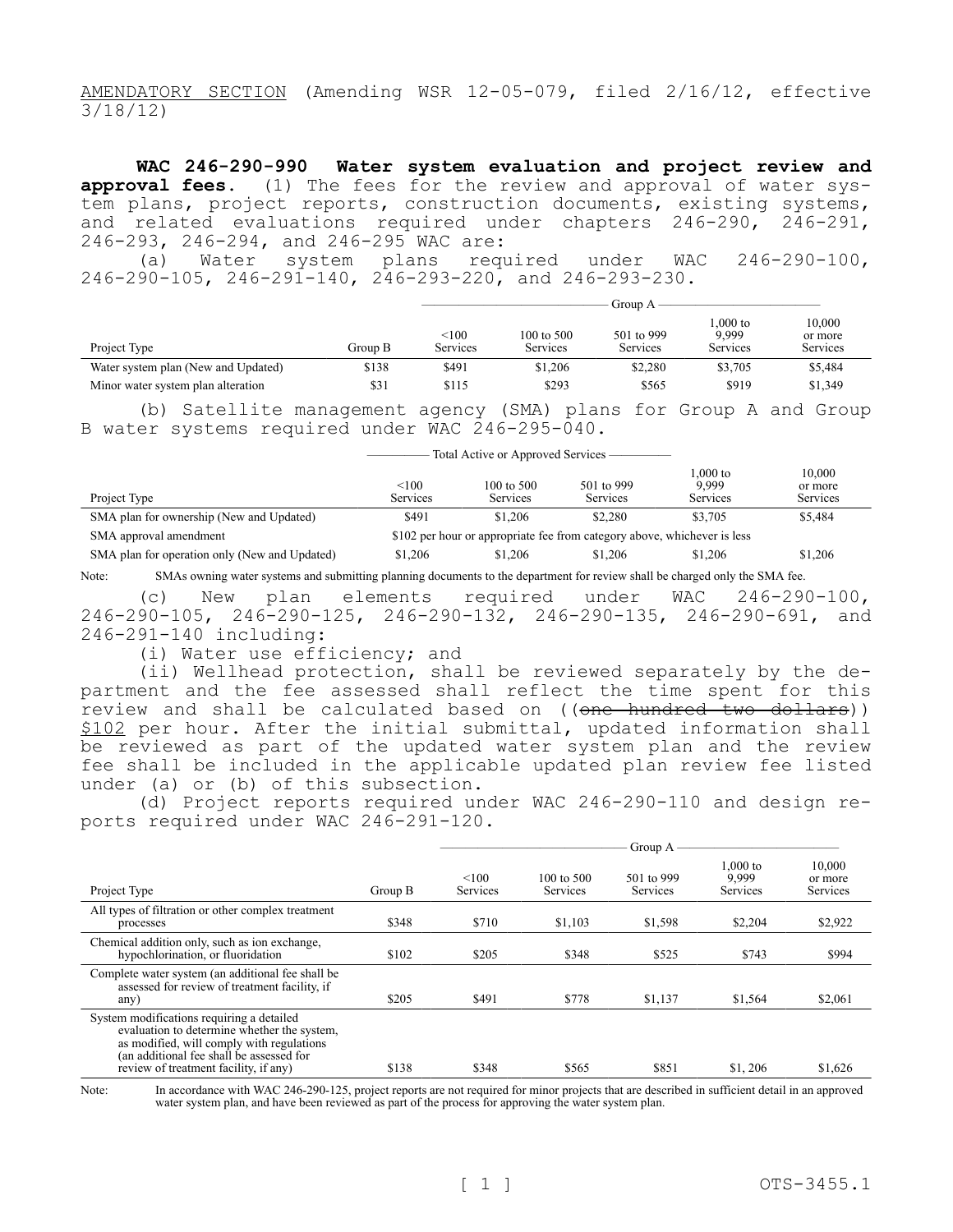AMENDATORY SECTION (Amending WSR 12-05-079, filed 2/16/12, effective 3/18/12)

**WAC 246-290-990 Water system evaluation and project review and approval fees.** (1) The fees for the review and approval of water system plans, project reports, construction documents, existing systems, and related evaluations required under chapters 246-290, 246-291, 246-293, 246-294, and 246-295 WAC are:

(a) Water system plans required under WAC 246-290-100, 246-290-105, 246-291-140, 246-293-220, and 246-293-230.

|                                     |         | Group A           |                        |                        |                                |                               |
|-------------------------------------|---------|-------------------|------------------------|------------------------|--------------------------------|-------------------------------|
| Project Type                        | Group B | < 100<br>Services | 100 to 500<br>Services | 501 to 999<br>Services | $.000$ to<br>9.999<br>Services | 10,000<br>or more<br>Services |
| Water system plan (New and Updated) | \$138   | \$491             | \$1,206                | \$2,280                | \$3,705                        | \$5,484                       |
| Minor water system plan alteration  | \$31    | \$115             | \$293                  | \$565                  | \$919                          | \$1,349                       |

(b) Satellite management agency (SMA) plans for Group A and Group B water systems required under WAC 246-295-040.

| Total Active or Approved Services - |  |
|-------------------------------------|--|
|-------------------------------------|--|

| Project Type                                  | < 100<br><b>Services</b>                                                 | $100 \text{ to } 500$<br><b>Services</b> | 501 to 999<br><b>Services</b> | 1.000 to<br>9.999<br><b>Services</b> | 10.000<br>or more<br><b>Services</b> |  |  |
|-----------------------------------------------|--------------------------------------------------------------------------|------------------------------------------|-------------------------------|--------------------------------------|--------------------------------------|--|--|
| SMA plan for ownership (New and Updated)      | \$491                                                                    | \$1,206                                  | \$2,280                       | \$3,705                              | \$5,484                              |  |  |
| SMA approval amendment                        | \$102 per hour or appropriate fee from category above, whichever is less |                                          |                               |                                      |                                      |  |  |
| SMA plan for operation only (New and Updated) | \$1,206                                                                  | \$1,206                                  | \$1,206                       | \$1,206                              | \$1,206                              |  |  |

Note: SMAs owning water systems and submitting planning documents to the department for review shall be charged only the SMA fee.

(c) New plan elements required under WAC 246-290-100, 246-290-105, 246-290-125, 246-290-132, 246-290-135, 246-290-691, and 246-291-140 including:

(i) Water use efficiency; and

(ii) Wellhead protection, shall be reviewed separately by the department and the fee assessed shall reflect the time spent for this review and shall be calculated based on ((one hundred two dollars)) \$102 per hour. After the initial submittal, updated information shall be reviewed as part of the updated water system plan and the review fee shall be included in the applicable updated plan review fee listed under (a) or (b) of this subsection.

(d) Project reports required under WAC 246-290-110 and design reports required under WAC 246-291-120.

|                                                                                                                                                                                                                            | Group A |                          |                               |                        |                               |                               |  |
|----------------------------------------------------------------------------------------------------------------------------------------------------------------------------------------------------------------------------|---------|--------------------------|-------------------------------|------------------------|-------------------------------|-------------------------------|--|
| Project Type                                                                                                                                                                                                               | Group B | < 100<br><b>Services</b> | 100 to 500<br><b>Services</b> | 501 to 999<br>Services | 1.000 to<br>9.999<br>Services | 10,000<br>or more<br>Services |  |
| All types of filtration or other complex treatment<br>processes                                                                                                                                                            | \$348   | \$710                    | \$1.103                       | \$1,598                | \$2,204                       | \$2,922                       |  |
| Chemical addition only, such as ion exchange,<br>hypochlorination, or fluoridation                                                                                                                                         | \$102   | \$205                    | \$348                         | \$525                  | \$743                         | \$994                         |  |
| Complete water system (an additional fee shall be<br>assessed for review of treatment facility, if<br>any)                                                                                                                 | \$205   | \$491                    | \$778                         | \$1,137                | \$1,564                       | \$2,061                       |  |
| System modifications requiring a detailed<br>evaluation to determine whether the system,<br>as modified, will comply with regulations<br>(an additional fee shall be assessed for<br>review of treatment facility, if any) | \$138   | \$348                    | \$565                         | \$851                  | \$1,206                       | \$1,626                       |  |

Note: In accordance with WAC 246-290-125, project reports are not required for minor projects that are described in sufficient detail in an approved water system plan, and have been reviewed as part of the process for approving the water system plan.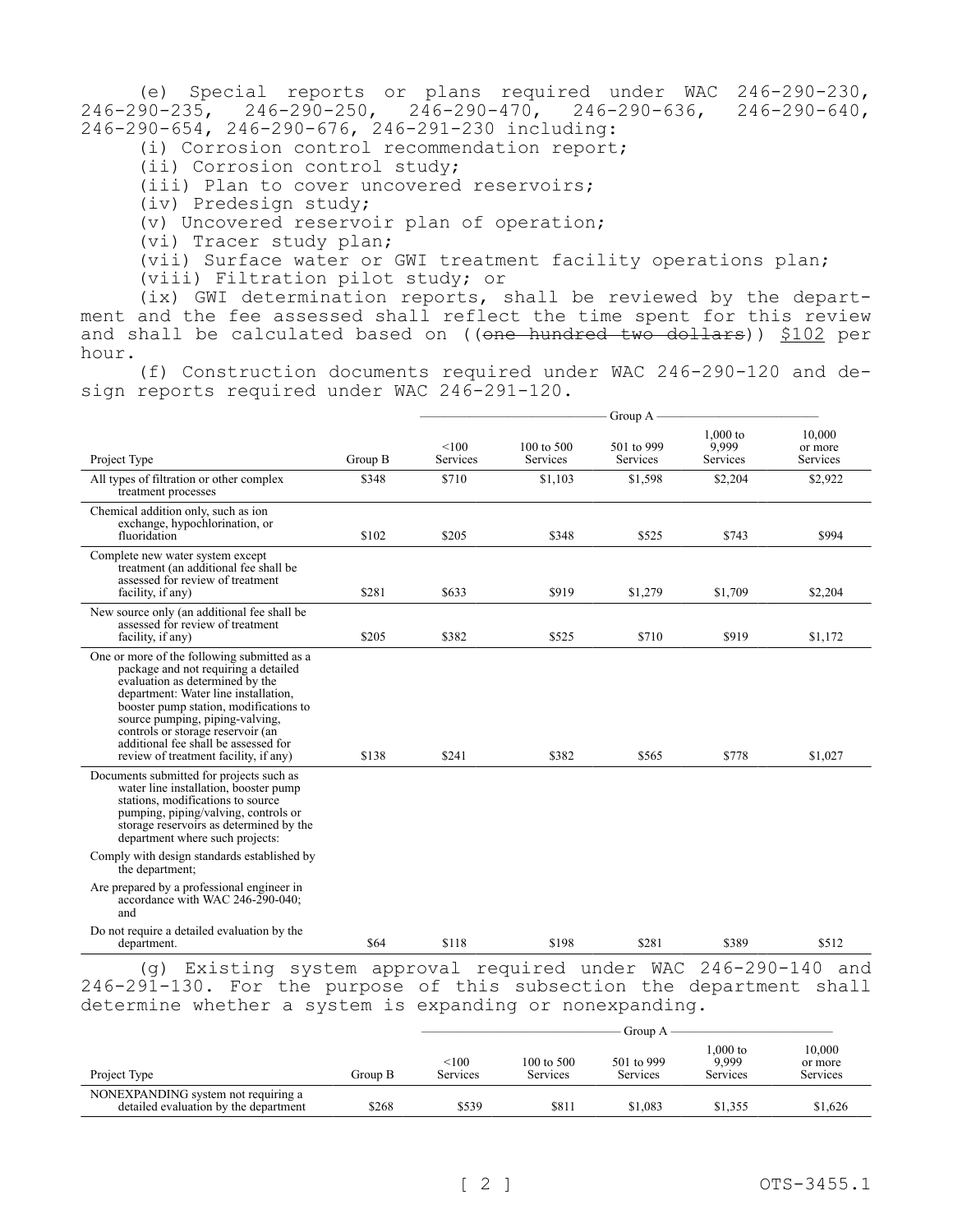(e) Special reports or plans required under WAC 246-290-230, 246-290-235, 246-290-250, 246-290-470, 246-290-636, 246-290-640, 246-290-654, 246-290-676, 246-291-230 including:

(i) Corrosion control recommendation report;

(ii) Corrosion control study;

(iii) Plan to cover uncovered reservoirs;

(iv) Predesign study;

(v) Uncovered reservoir plan of operation;

(vi) Tracer study plan;

(vii) Surface water or GWI treatment facility operations plan;

(viii) Filtration pilot study; or

(ix) GWI determination reports, shall be reviewed by the department and the fee assessed shall reflect the time spent for this review and shall be calculated based on ((one hundred two dollars)) \$102 per hour.

(f) Construction documents required under WAC 246-290-120 and design reports required under WAC 246-291-120.

|                                                                                                                                                                                                                                                                                                                                                                   |         |                   |                        | Group A -              |                                 |                               |
|-------------------------------------------------------------------------------------------------------------------------------------------------------------------------------------------------------------------------------------------------------------------------------------------------------------------------------------------------------------------|---------|-------------------|------------------------|------------------------|---------------------------------|-------------------------------|
| Project Type                                                                                                                                                                                                                                                                                                                                                      | Group B | < 100<br>Services | 100 to 500<br>Services | 501 to 999<br>Services | $1,000$ to<br>9,999<br>Services | 10,000<br>or more<br>Services |
| All types of filtration or other complex<br>treatment processes                                                                                                                                                                                                                                                                                                   | \$348   | \$710             | \$1,103                | \$1,598                | \$2,204                         | \$2,922                       |
| Chemical addition only, such as ion<br>exchange, hypochlorination, or<br>fluoridation                                                                                                                                                                                                                                                                             | \$102   | \$205             | \$348                  | \$525                  | \$743                           | \$994                         |
| Complete new water system except<br>treatment (an additional fee shall be<br>assessed for review of treatment<br>facility, if any)                                                                                                                                                                                                                                | \$281   | \$633             | \$919                  | \$1,279                | \$1,709                         | \$2,204                       |
| New source only (an additional fee shall be<br>assessed for review of treatment<br>facility, if any)                                                                                                                                                                                                                                                              | \$205   | \$382             | \$525                  | \$710                  | \$919                           | \$1,172                       |
| One or more of the following submitted as a<br>package and not requiring a detailed<br>evaluation as determined by the<br>department: Water line installation,<br>booster pump station, modifications to<br>source pumping, piping-valving,<br>controls or storage reservoir (an<br>additional fee shall be assessed for<br>review of treatment facility, if any) | \$138   | \$241             | \$382                  | \$565                  | \$778                           | \$1,027                       |
| Documents submitted for projects such as<br>water line installation, booster pump<br>stations, modifications to source<br>pumping, piping/valving, controls or<br>storage reservoirs as determined by the<br>department where such projects:                                                                                                                      |         |                   |                        |                        |                                 |                               |
| Comply with design standards established by<br>the department;                                                                                                                                                                                                                                                                                                    |         |                   |                        |                        |                                 |                               |
| Are prepared by a professional engineer in<br>accordance with WAC 246-290-040;<br>and                                                                                                                                                                                                                                                                             |         |                   |                        |                        |                                 |                               |
| Do not require a detailed evaluation by the<br>department.                                                                                                                                                                                                                                                                                                        | \$64    | \$118             | \$198                  | \$281                  | \$389                           | \$512                         |

determine whether a system is expanding or nonexpanding.

|                                                                              |         | Group A           |                        |                               |                                |                               |
|------------------------------------------------------------------------------|---------|-------------------|------------------------|-------------------------------|--------------------------------|-------------------------------|
| Project Type                                                                 | Group B | < 100<br>Services | 100 to 500<br>Services | 501 to 999<br><b>Services</b> | $.000$ to<br>9.999<br>Services | 10.000<br>or more<br>Services |
| NONEXPANDING system not requiring a<br>detailed evaluation by the department | \$268   | \$539             | \$811                  | \$1.083                       | \$1,355                        | \$1,626                       |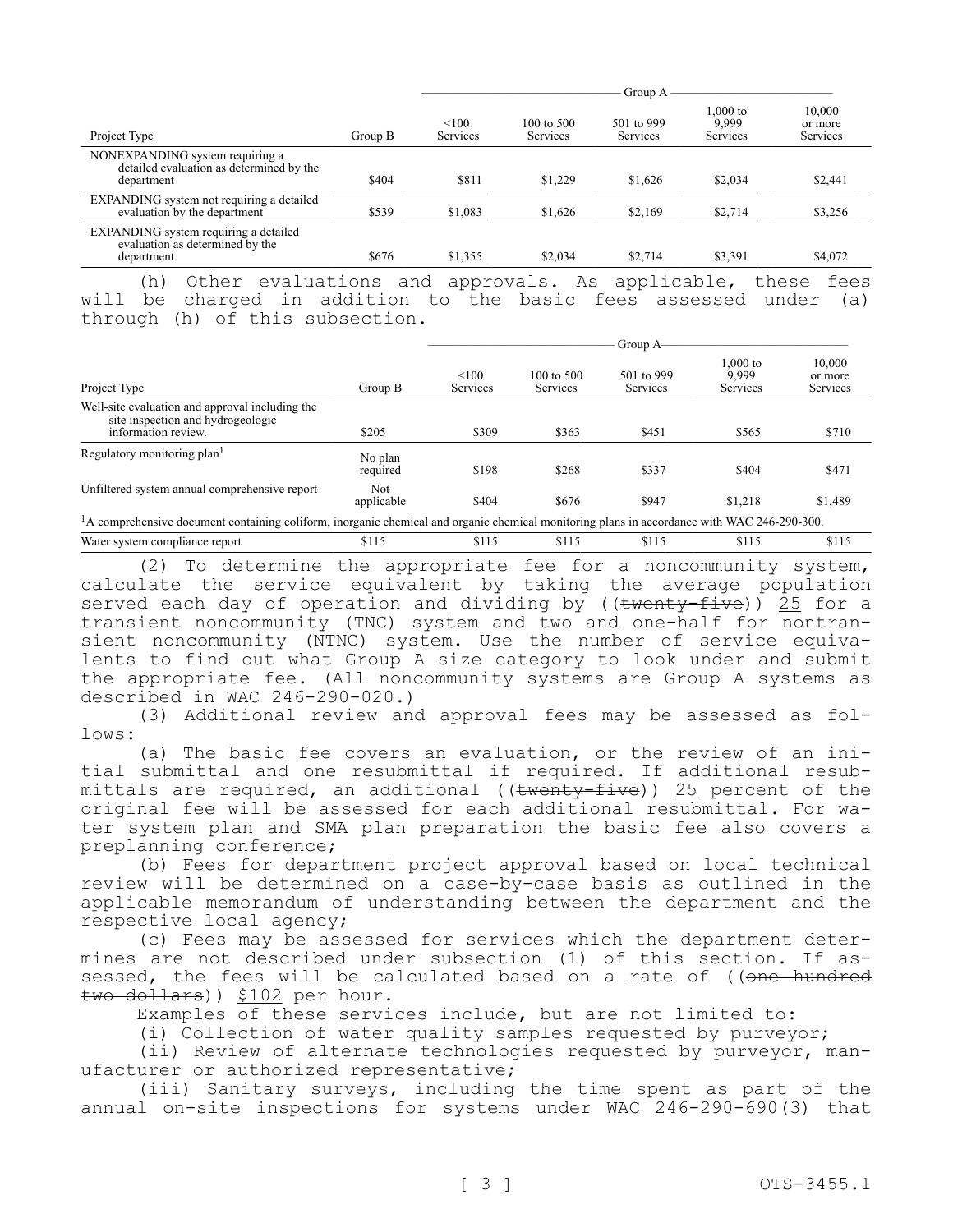|                                                                                           |         | Group A           |                                   |                        |                                 |                               |
|-------------------------------------------------------------------------------------------|---------|-------------------|-----------------------------------|------------------------|---------------------------------|-------------------------------|
| Project Type                                                                              | Group B | < 100<br>Services | $100 \text{ to } 500$<br>Services | 501 to 999<br>Services | $1,000$ to<br>9.999<br>Services | 10,000<br>or more<br>Services |
| NONEXPANDING system requiring a<br>detailed evaluation as determined by the<br>department | \$404   | \$811             | \$1,229                           | \$1,626                | \$2,034                         | \$2,441                       |
| EXPANDING system not requiring a detailed<br>evaluation by the department                 | \$539   | \$1,083           | \$1,626                           | \$2.169                | \$2,714                         | \$3,256                       |
| EXPANDING system requiring a detailed<br>evaluation as determined by the<br>department    | \$676   | \$1,355           | \$2,034                           | \$2,714                | \$3,391                         | \$4,072                       |
|                                                                                           |         |                   |                                   |                        | .                               |                               |

(h) Other evaluations and approvals. As applicable, these fees will be charged in addition to the basic fees assessed under (a) through (h) of this subsection.

|                                                                                                                                                         |                     | Group A-          |                                   |                        |                               |                               |
|---------------------------------------------------------------------------------------------------------------------------------------------------------|---------------------|-------------------|-----------------------------------|------------------------|-------------------------------|-------------------------------|
| Project Type                                                                                                                                            | Group B             | < 100<br>Services | $100 \text{ to } 500$<br>Services | 501 to 999<br>Services | 1.000 to<br>9.999<br>Services | 10,000<br>or more<br>Services |
| Well-site evaluation and approval including the<br>site inspection and hydrogeologic<br>information review.                                             | \$205               | \$309             | \$363                             | \$451                  | \$565                         | \$710                         |
| Regulatory monitoring plan <sup>1</sup>                                                                                                                 | No plan<br>required | \$198             | \$268                             | \$337                  | \$404                         | \$471                         |
| Unfiltered system annual comprehensive report                                                                                                           | Not.<br>applicable  | \$404             | \$676                             | \$947                  | \$1,218                       | \$1,489                       |
| <sup>1</sup> A comprehensive document containing coliform, inorganic chemical and organic chemical monitoring plans in accordance with WAC 246-290-300. |                     |                   |                                   |                        |                               |                               |
| Water system compliance report                                                                                                                          | \$115               | \$115             | \$115                             | \$115                  | \$115                         | \$115                         |

(2) To determine the appropriate fee for a noncommunity system, calculate the service equivalent by taking the average population served each day of operation and dividing by ( $(\text{twenty-five})$ ) 25 for a transient noncommunity (TNC) system and two and one-half for nontransient noncommunity (NTNC) system. Use the number of service equivalents to find out what Group A size category to look under and submit the appropriate fee. (All noncommunity systems are Group A systems as described in WAC 246-290-020.)

(3) Additional review and approval fees may be assessed as follows:

(a) The basic fee covers an evaluation, or the review of an initial submittal and one resubmittal if required. If additional resubmittals are required, an additional (( $t$ wenty-five)) 25 percent of the original fee will be assessed for each additional resubmittal. For water system plan and SMA plan preparation the basic fee also covers a preplanning conference;

(b) Fees for department project approval based on local technical review will be determined on a case-by-case basis as outlined in the applicable memorandum of understanding between the department and the respective local agency;

(c) Fees may be assessed for services which the department determines are not described under subsection (1) of this section. If assessed, the fees will be calculated based on a rate of ((one hundred two dollars)) \$102 per hour.

Examples of these services include, but are not limited to:

(i) Collection of water quality samples requested by purveyor;

(ii) Review of alternate technologies requested by purveyor, manufacturer or authorized representative;

(iii) Sanitary surveys, including the time spent as part of the annual on-site inspections for systems under WAC 246-290-690(3) that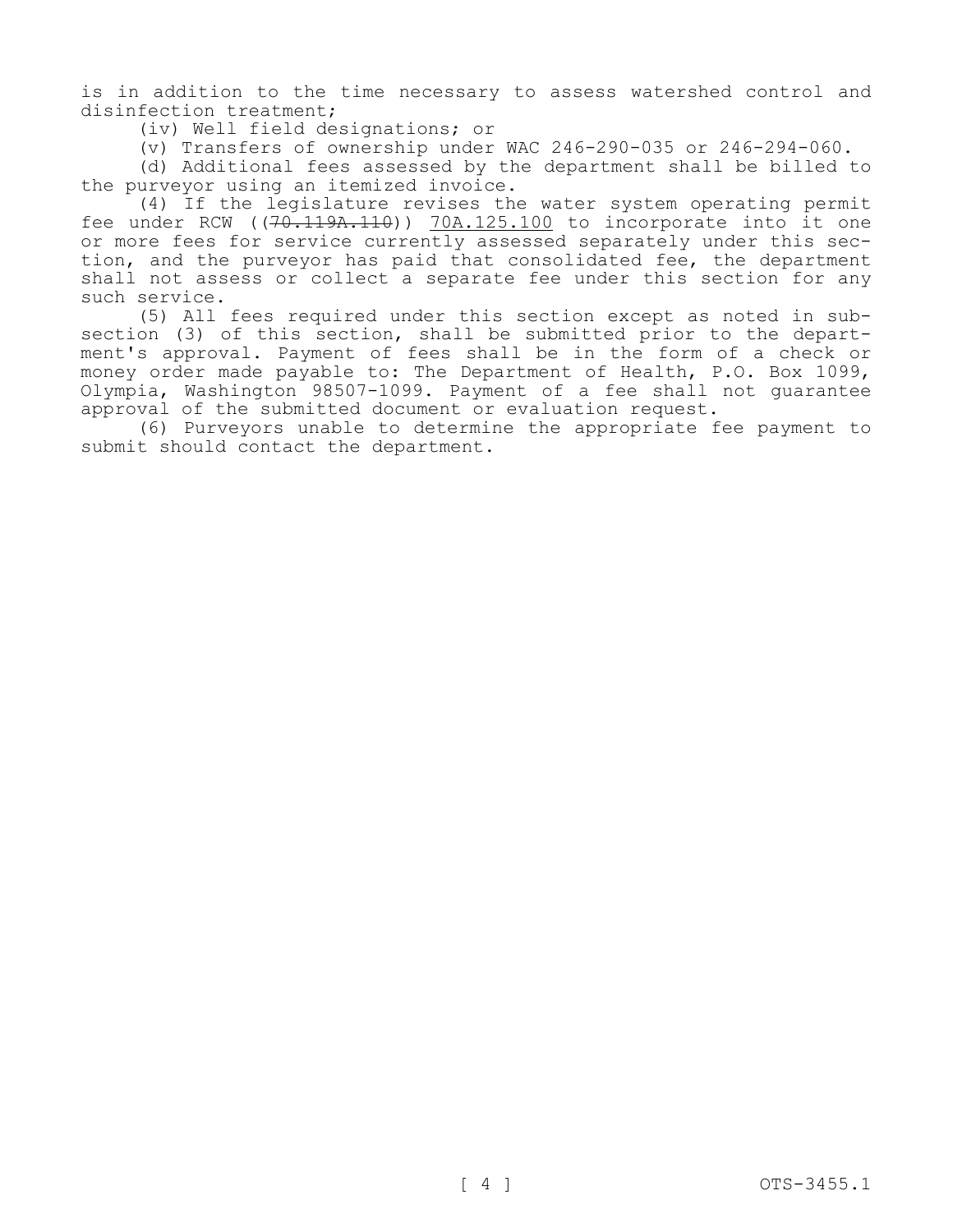is in addition to the time necessary to assess watershed control and disinfection treatment;

(iv) Well field designations; or

(v) Transfers of ownership under WAC 246-290-035 or 246-294-060.

(d) Additional fees assessed by the department shall be billed to the purveyor using an itemized invoice.

(4) If the legislature revises the water system operating permit fee under RCW ((70.119A.110)) 70A.125.100 to incorporate into it one or more fees for service currently assessed separately under this section, and the purveyor has paid that consolidated fee, the department shall not assess or collect a separate fee under this section for any such service.

(5) All fees required under this section except as noted in subsection (3) of this section, shall be submitted prior to the department's approval. Payment of fees shall be in the form of a check or money order made payable to: The Department of Health, P.O. Box 1099, Olympia, Washington 98507-1099. Payment of a fee shall not guarantee approval of the submitted document or evaluation request.

(6) Purveyors unable to determine the appropriate fee payment to submit should contact the department.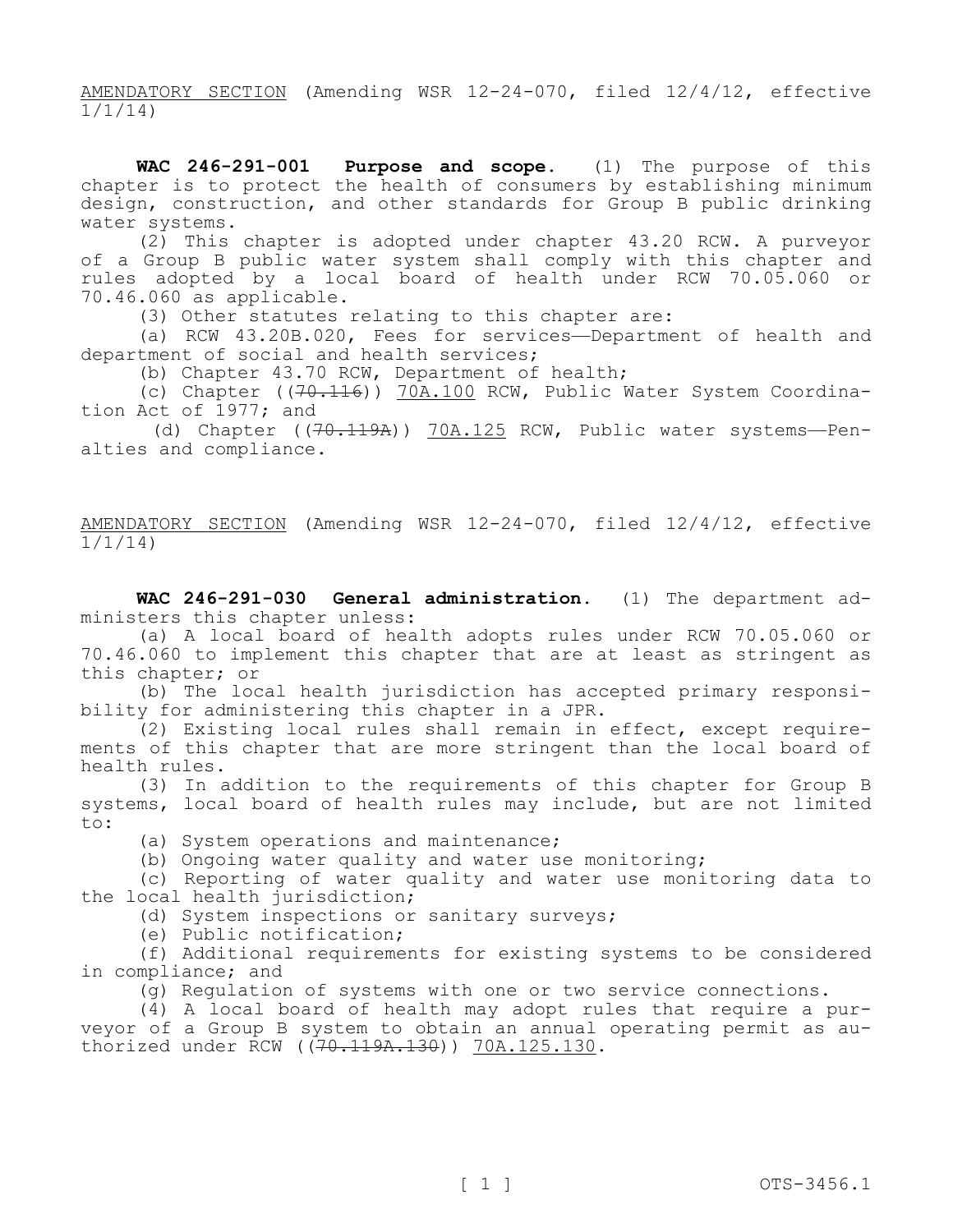AMENDATORY SECTION (Amending WSR 12-24-070, filed 12/4/12, effective 1/1/14)

**WAC 246-291-001 Purpose and scope.** (1) The purpose of this chapter is to protect the health of consumers by establishing minimum design, construction, and other standards for Group B public drinking water systems.

(2) This chapter is adopted under chapter 43.20 RCW. A purveyor of a Group B public water system shall comply with this chapter and rules adopted by a local board of health under RCW 70.05.060 or 70.46.060 as applicable.

(3) Other statutes relating to this chapter are:

(a) RCW 43.20B.020, Fees for services—Department of health and department of social and health services;

(b) Chapter 43.70 RCW, Department of health;

(c) Chapter ((70.116)) 70A.100 RCW, Public Water System Coordination Act of 1977; and

(d) Chapter ((70.119A)) 70A.125 RCW, Public water systems-Penalties and compliance.

AMENDATORY SECTION (Amending WSR 12-24-070, filed 12/4/12, effective 1/1/14)

**WAC 246-291-030 General administration.** (1) The department administers this chapter unless:

(a) A local board of health adopts rules under RCW 70.05.060 or 70.46.060 to implement this chapter that are at least as stringent as this chapter; or

(b) The local health jurisdiction has accepted primary responsibility for administering this chapter in a JPR.

(2) Existing local rules shall remain in effect, except requirements of this chapter that are more stringent than the local board of health rules.

(3) In addition to the requirements of this chapter for Group B systems, local board of health rules may include, but are not limited to:

(a) System operations and maintenance;

(b) Ongoing water quality and water use monitoring;

(c) Reporting of water quality and water use monitoring data to the local health jurisdiction;

(d) System inspections or sanitary surveys;

(e) Public notification;

(f) Additional requirements for existing systems to be considered in compliance; and

(g) Regulation of systems with one or two service connections.

(4) A local board of health may adopt rules that require a purveyor of a Group B system to obtain an annual operating permit as authorized under RCW ((70.119A.130)) 70A.125.130.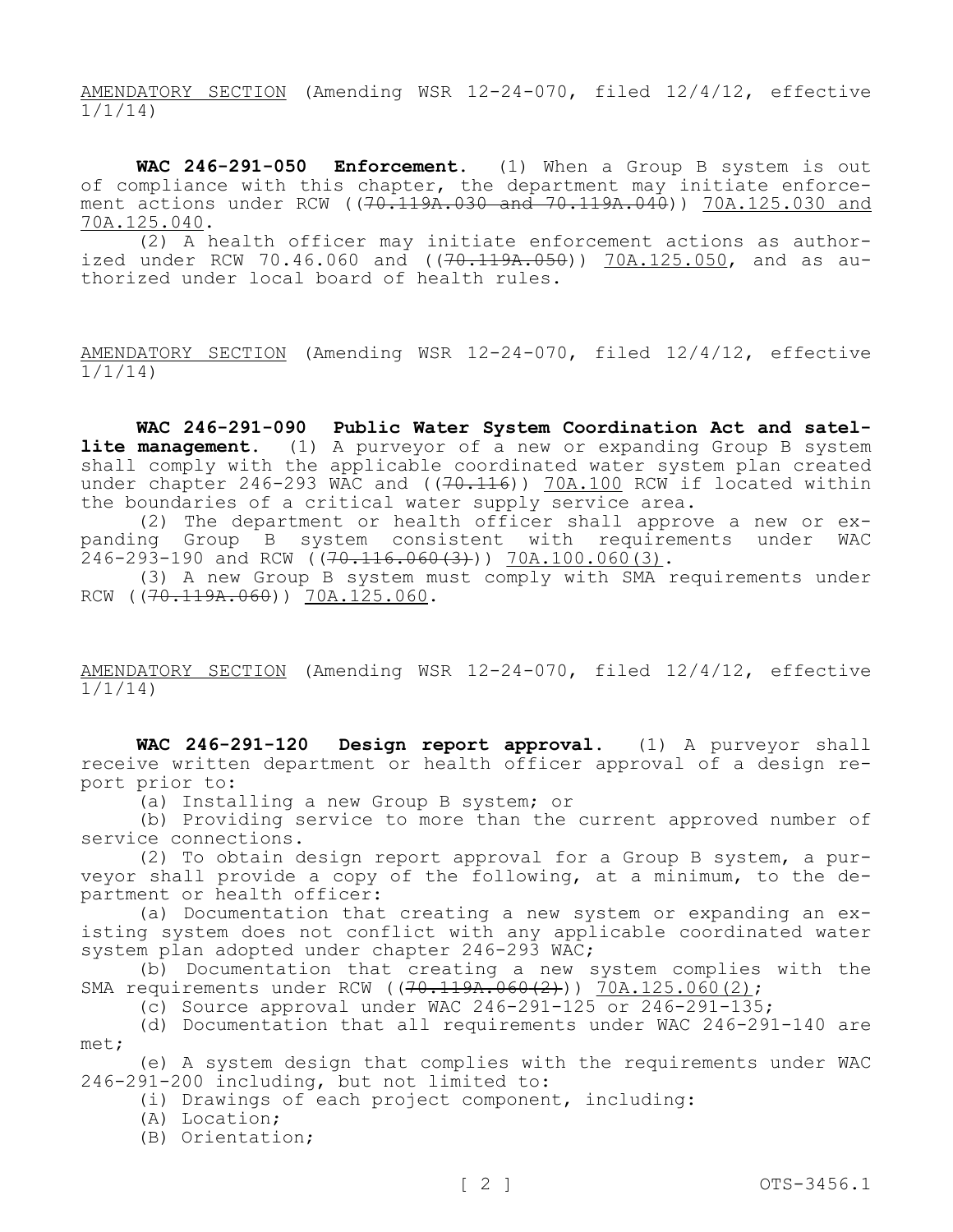AMENDATORY SECTION (Amending WSR 12-24-070, filed 12/4/12, effective 1/1/14)

**WAC 246-291-050 Enforcement.** (1) When a Group B system is out of compliance with this chapter, the department may initiate enforcement actions under RCW ((70.119A.030 and 70.119A.040)) 70A.125.030 and 70A.125.040.

(2) A health officer may initiate enforcement actions as authorized under RCW 70.46.060 and  $((70.119A.050)$  70A.125.050, and as authorized under local board of health rules.

AMENDATORY SECTION (Amending WSR 12-24-070, filed 12/4/12, effective 1/1/14)

**WAC 246-291-090 Public Water System Coordination Act and satellite management.** (1) A purveyor of a new or expanding Group B system shall comply with the applicable coordinated water system plan created under chapter 246-293 WAC and ( $(70.116)$ ) 70A.100 RCW if located within the boundaries of a critical water supply service area.

(2) The department or health officer shall approve a new or expanding Group B system consistent with requirements under WAC  $246-293-190$  and RCW  $(70.116.060(3))$  70A.100.060(3).

(3) A new Group B system must comply with SMA requirements under RCW ((70.119A.060)) 70A.125.060.

AMENDATORY SECTION (Amending WSR 12-24-070, filed 12/4/12, effective 1/1/14)

**WAC 246-291-120 Design report approval.** (1) A purveyor shall receive written department or health officer approval of a design report prior to:

(a) Installing a new Group B system; or

(b) Providing service to more than the current approved number of service connections.

(2) To obtain design report approval for a Group B system, a purveyor shall provide a copy of the following, at a minimum, to the department or health officer:

(a) Documentation that creating a new system or expanding an existing system does not conflict with any applicable coordinated water system plan adopted under chapter 246-293 WAC;

(b) Documentation that creating a new system complies with the SMA requirements under RCW ( $(70.119A.060(2))$ ) 70A.125.060(2);

(c) Source approval under WAC 246-291-125 or  $246-291-135$ ;

(d) Documentation that all requirements under WAC 246-291-140 are met;

(e) A system design that complies with the requirements under WAC 246-291-200 including, but not limited to:

(i) Drawings of each project component, including:

(A) Location;

(B) Orientation;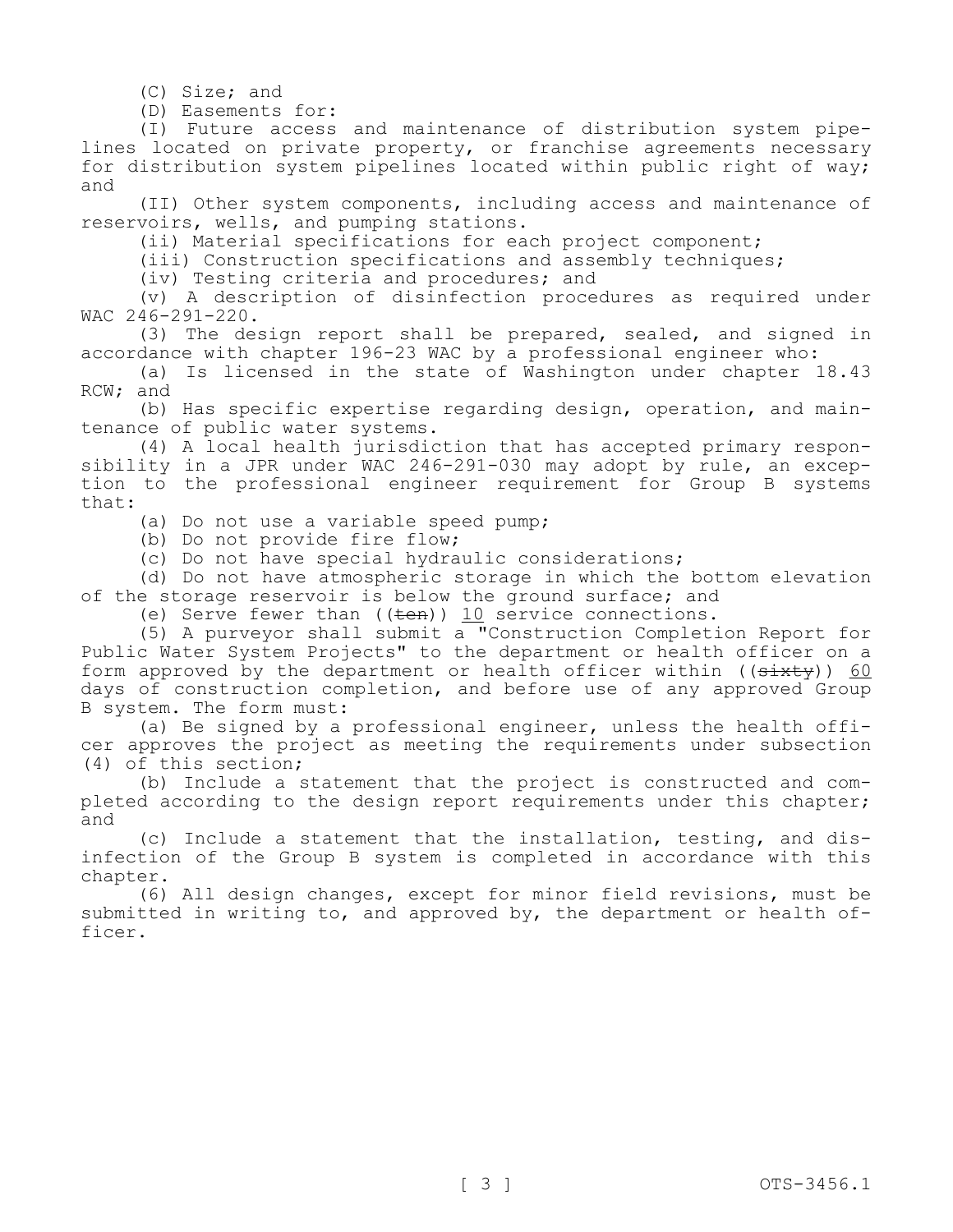(C) Size; and

(D) Easements for:

(I) Future access and maintenance of distribution system pipelines located on private property, or franchise agreements necessary for distribution system pipelines located within public right of way; and

(II) Other system components, including access and maintenance of reservoirs, wells, and pumping stations.

(ii) Material specifications for each project component;

(iii) Construction specifications and assembly techniques;

(iv) Testing criteria and procedures; and

(v) A description of disinfection procedures as required under WAC 246-291-220.

(3) The design report shall be prepared, sealed, and signed in accordance with chapter 196-23 WAC by a professional engineer who:

(a) Is licensed in the state of Washington under chapter 18.43 RCW; and

(b) Has specific expertise regarding design, operation, and maintenance of public water systems.

(4) A local health jurisdiction that has accepted primary responsibility in a JPR under WAC 246-291-030 may adopt by rule, an exception to the professional engineer requirement for Group B systems that:

(a) Do not use a variable speed pump;

(b) Do not provide fire flow;

(c) Do not have special hydraulic considerations;

(d) Do not have atmospheric storage in which the bottom elevation of the storage reservoir is below the ground surface; and

(e) Serve fewer than  $((\text{ten}))$  10 service connections.

(5) A purveyor shall submit a "Construction Completion Report for Public Water System Projects" to the department or health officer on a form approved by the department or health officer within  $((\frac{\text{d}}{\text{d}} \frac{1}{\text{d}} \frac{1}{\text{d}})^6$ days of construction completion, and before use of any approved Group B system. The form must:

(a) Be signed by a professional engineer, unless the health officer approves the project as meeting the requirements under subsection (4) of this section;

(b) Include a statement that the project is constructed and completed according to the design report requirements under this chapter; and

(c) Include a statement that the installation, testing, and disinfection of the Group B system is completed in accordance with this chapter.

(6) All design changes, except for minor field revisions, must be submitted in writing to, and approved by, the department or health officer.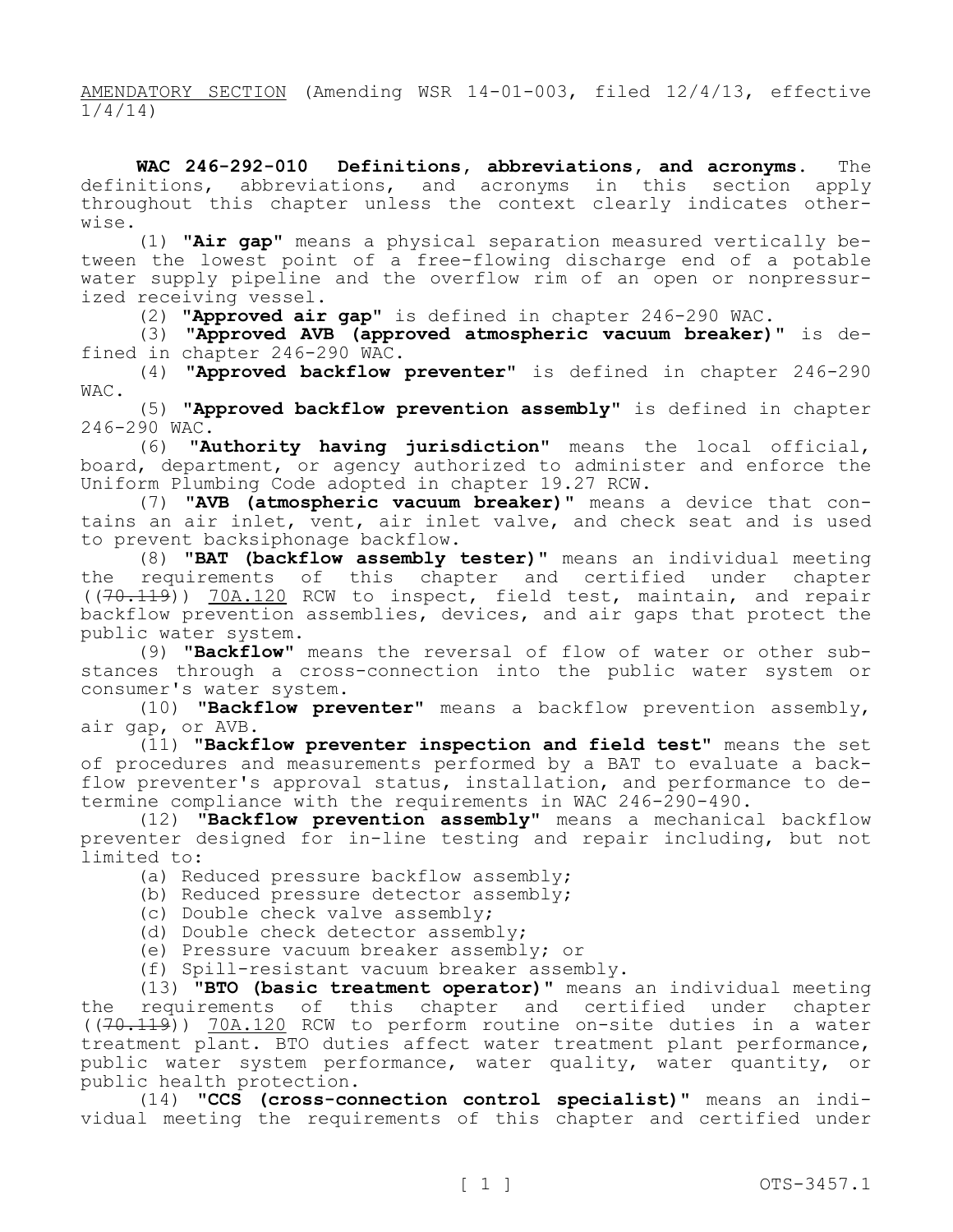AMENDATORY SECTION (Amending WSR 14-01-003, filed 12/4/13, effective 1/4/14)

**WAC 246-292-010 Definitions, abbreviations, and acronyms.** The definitions, abbreviations, and acronyms in this section apply throughout this chapter unless the context clearly indicates otherwise.

(1) **"Air gap"** means a physical separation measured vertically between the lowest point of a free-flowing discharge end of a potable water supply pipeline and the overflow rim of an open or nonpressurized receiving vessel.

(2) **"Approved air gap"** is defined in chapter 246-290 WAC.

(3) **"Approved AVB (approved atmospheric vacuum breaker)"** is defined in chapter 246-290 WAC.

(4) **"Approved backflow preventer"** is defined in chapter 246-290 WAC.

(5) **"Approved backflow prevention assembly"** is defined in chapter  $246-290$  WAC.<br>(6) **Al** 

"**Authority having jurisdiction**" means the local official, board, department, or agency authorized to administer and enforce the Uniform Plumbing Code adopted in chapter 19.27 RCW.

(7) **"AVB (atmospheric vacuum breaker)"** means a device that contains an air inlet, vent, air inlet valve, and check seat and is used to prevent backsiphonage backflow.

(8) **"BAT (backflow assembly tester)"** means an individual meeting the requirements of this chapter and certified under chapter  $((70.119))$  70A.120 RCW to inspect, field test, maintain, and repair backflow prevention assemblies, devices, and air gaps that protect the public water system.

(9) **"Backflow"** means the reversal of flow of water or other substances through a cross-connection into the public water system or consumer's water system.

(10) **"Backflow preventer"** means a backflow prevention assembly, air gap, or AVB.

(11) **"Backflow preventer inspection and field test"** means the set of procedures and measurements performed by a BAT to evaluate a backflow preventer's approval status, installation, and performance to determine compliance with the requirements in WAC 246-290-490.

(12) **"Backflow prevention assembly"** means a mechanical backflow preventer designed for in-line testing and repair including, but not limited to:

(a) Reduced pressure backflow assembly;

(b) Reduced pressure detector assembly;

(c) Double check valve assembly;

(d) Double check detector assembly;

(e) Pressure vacuum breaker assembly; or

(f) Spill-resistant vacuum breaker assembly.

(13) **"BTO (basic treatment operator)"** means an individual meeting the requirements of this chapter and certified under chapter ((70.119)) 70A.120 RCW to perform routine on-site duties in a water treatment plant. BTO duties affect water treatment plant performance, public water system performance, water quality, water quantity, or public health protection.

(14) **"CCS (cross-connection control specialist)"** means an individual meeting the requirements of this chapter and certified under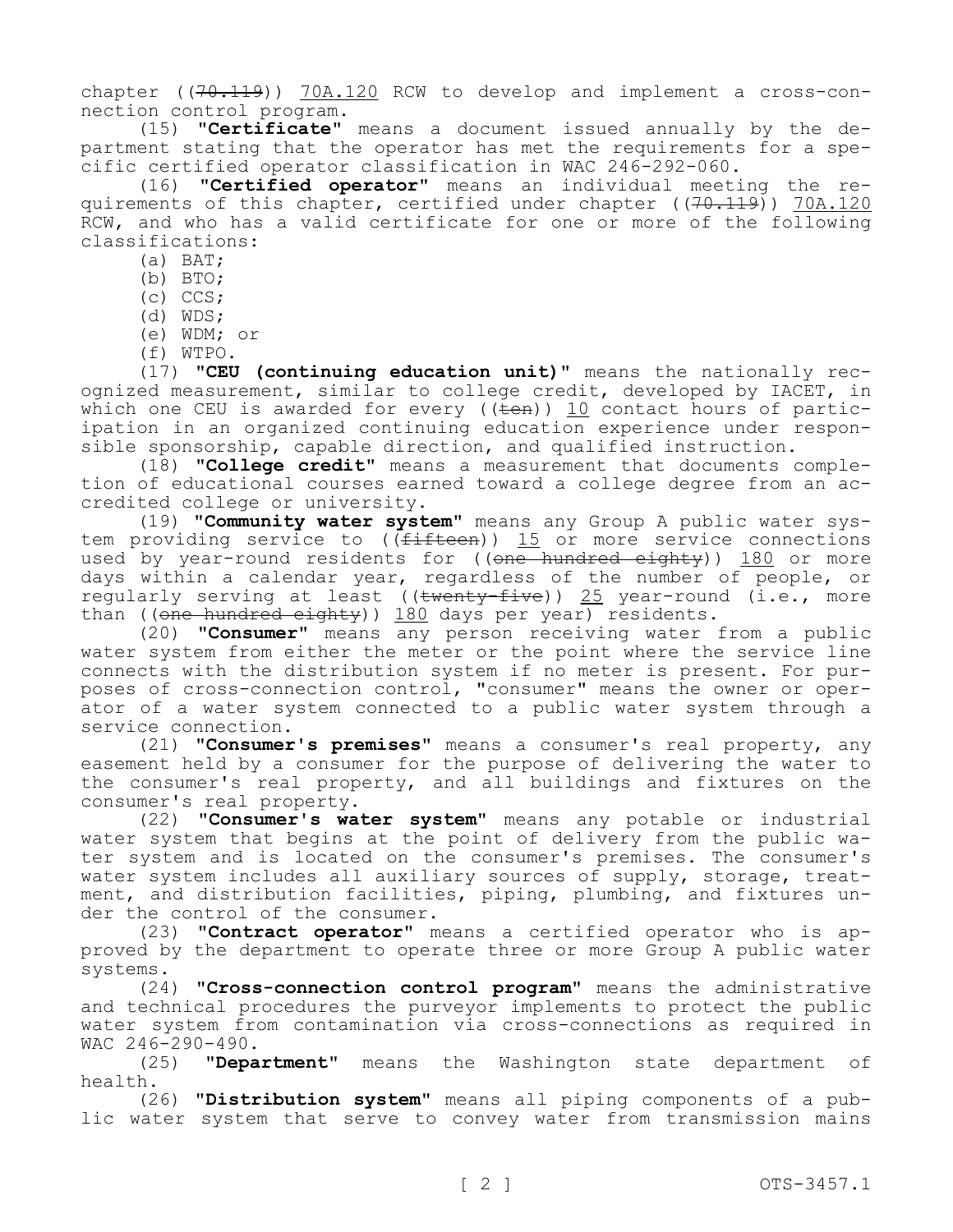chapter  $((70.119))$  70A.120 RCW to develop and implement a cross-connection control program.

(15) **"Certificate"** means a document issued annually by the department stating that the operator has met the requirements for a specific certified operator classification in WAC 246-292-060.

(16) **"Certified operator"** means an individual meeting the requirements of this chapter, certified under chapter ((70.119)) 70A.120 RCW, and who has a valid certificate for one or more of the following classifications:

- (a) BAT;
- (b) BTO;
- (c) CCS;
- (d) WDS;
- (e) WDM; or
- (f) WTPO.

(17) **"CEU (continuing education unit)"** means the nationally recognized measurement, similar to college credit, developed by IACET, in which one CEU is awarded for every ( $(\overline{ten})$ ) 10 contact hours of participation in an organized continuing education experience under responsible sponsorship, capable direction, and qualified instruction.

(18) **"College credit"** means a measurement that documents completion of educational courses earned toward a college degree from an accredited college or university.

(19) **"Community water system"** means any Group A public water system providing service to ((fifteen)) 15 or more service connections used by year-round residents for ((one hundred eighty)) 180 or more days within a calendar year, regardless of the number of people, or regularly serving at least (( $t$ wenty-five)) 25 year-round (i.e., more than ((one hundred eighty)) 180 days per year) residents.

(20) **"Consumer"** means any person receiving water from a public water system from either the meter or the point where the service line connects with the distribution system if no meter is present. For purposes of cross-connection control, "consumer" means the owner or operator of a water system connected to a public water system through a service connection.

(21) **"Consumer's premises"** means a consumer's real property, any easement held by a consumer for the purpose of delivering the water to the consumer's real property, and all buildings and fixtures on the consumer's real property.

(22) **"Consumer's water system"** means any potable or industrial water system that begins at the point of delivery from the public water system and is located on the consumer's premises. The consumer's water system includes all auxiliary sources of supply, storage, treatment, and distribution facilities, piping, plumbing, and fixtures under the control of the consumer.

(23) **"Contract operator"** means a certified operator who is approved by the department to operate three or more Group A public water systems.

(24) **"Cross-connection control program"** means the administrative and technical procedures the purveyor implements to protect the public water system from contamination via cross-connections as required in WAC 246-290-490.

(25) **"Department"** means the Washington state department of health.

(26) **"Distribution system"** means all piping components of a public water system that serve to convey water from transmission mains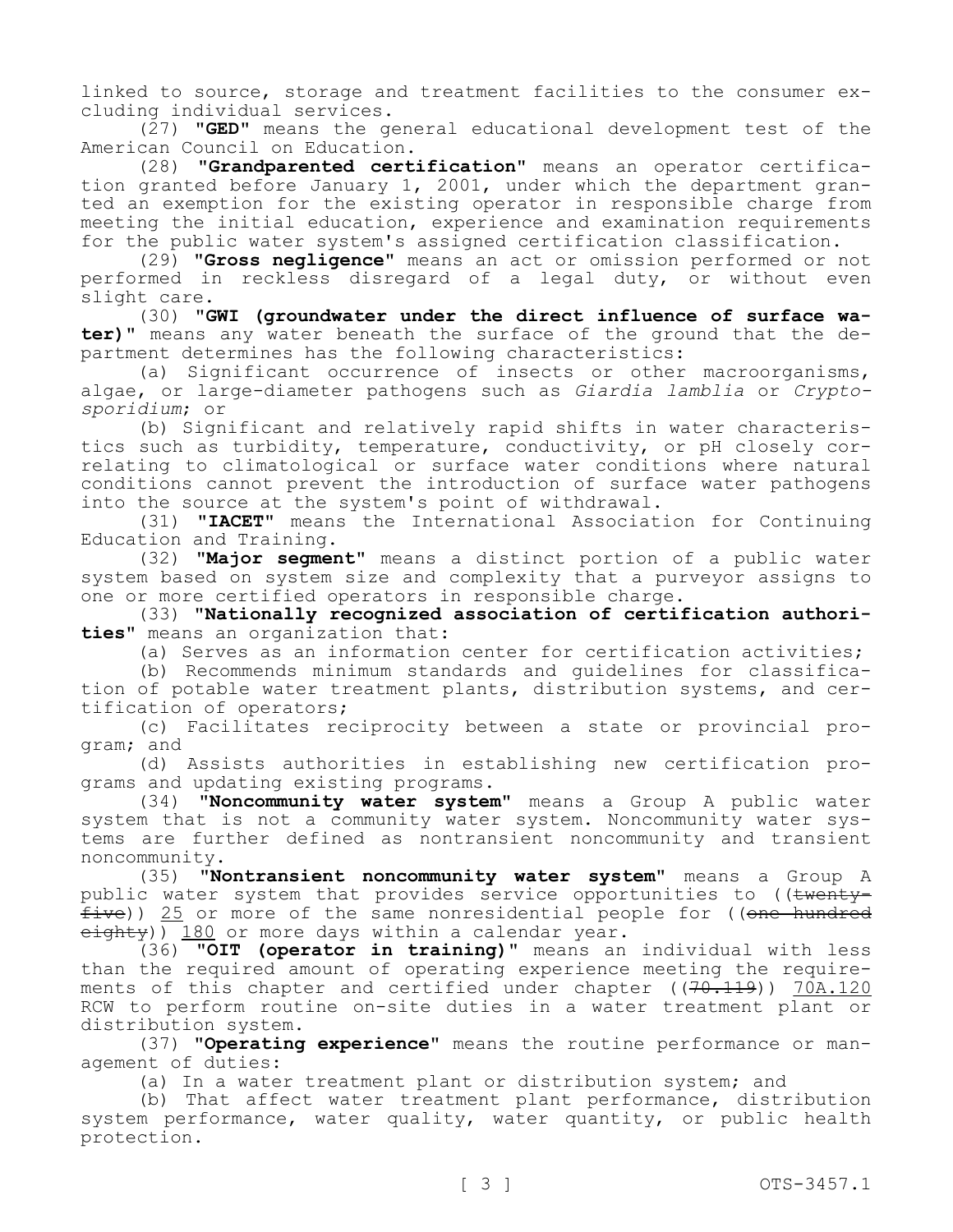linked to source, storage and treatment facilities to the consumer excluding individual services.

(27) **"GED"** means the general educational development test of the American Council on Education.

(28) **"Grandparented certification"** means an operator certification granted before January 1, 2001, under which the department granted an exemption for the existing operator in responsible charge from meeting the initial education, experience and examination requirements for the public water system's assigned certification classification.

(29) **"Gross negligence"** means an act or omission performed or not performed in reckless disregard of a legal duty, or without even slight care.

(30) **"GWI (groundwater under the direct influence of surface water)"** means any water beneath the surface of the ground that the department determines has the following characteristics:

(a) Significant occurrence of insects or other macroorganisms, algae, or large-diameter pathogens such as *Giardia lamblia* or *Cryptosporidium*; or

(b) Significant and relatively rapid shifts in water characteristics such as turbidity, temperature, conductivity, or pH closely correlating to climatological or surface water conditions where natural conditions cannot prevent the introduction of surface water pathogens into the source at the system's point of withdrawal.

(31) **"IACET"** means the International Association for Continuing Education and Training.

(32) **"Major segment"** means a distinct portion of a public water system based on system size and complexity that a purveyor assigns to one or more certified operators in responsible charge.

(33) **"Nationally recognized association of certification authorities"** means an organization that:

(a) Serves as an information center for certification activities;

(b) Recommends minimum standards and guidelines for classification of potable water treatment plants, distribution systems, and certification of operators;

(c) Facilitates reciprocity between a state or provincial program; and

(d) Assists authorities in establishing new certification programs and updating existing programs.

(34) **"Noncommunity water system"** means a Group A public water system that is not a community water system. Noncommunity water systems are further defined as nontransient noncommunity and transient noncommunity.

(35) **"Nontransient noncommunity water system"** means a Group A public water system that provides service opportunities to ((twenty $five)$ ) 25 or more of the same nonresidential people for ((one hundred eighty)) 180 or more days within a calendar year.

(36) **"OIT (operator in training)"** means an individual with less than the required amount of operating experience meeting the requirements of this chapter and certified under chapter  $((70.119))$  70A.120 RCW to perform routine on-site duties in a water treatment plant or distribution system.

(37) **"Operating experience"** means the routine performance or management of duties:

(a) In a water treatment plant or distribution system; and

(b) That affect water treatment plant performance, distribution system performance, water quality, water quantity, or public health protection.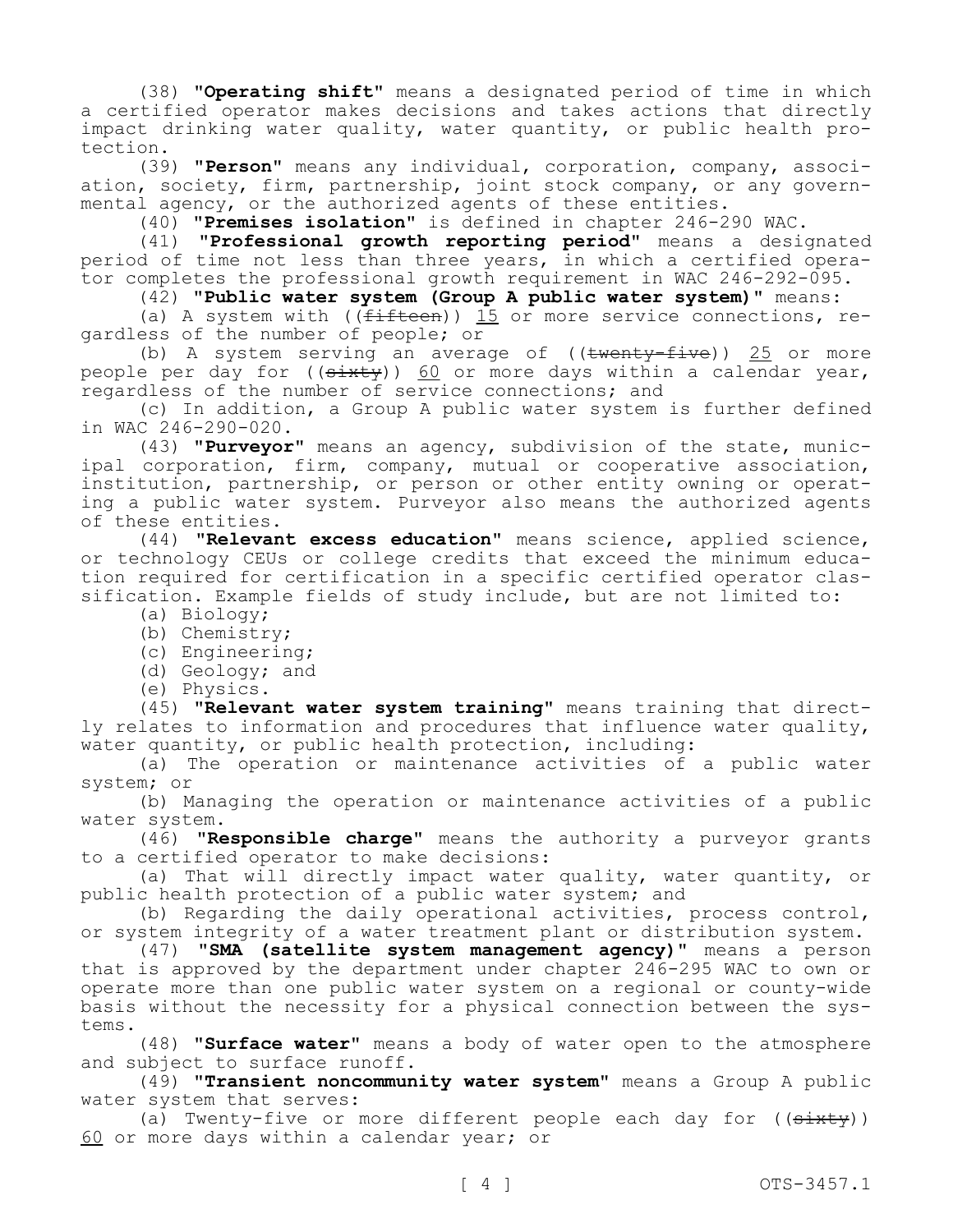(38) **"Operating shift"** means a designated period of time in which a certified operator makes decisions and takes actions that directly impact drinking water quality, water quantity, or public health protection.

(39) **"Person"** means any individual, corporation, company, association, society, firm, partnership, joint stock company, or any governmental agency, or the authorized agents of these entities.

(40) **"Premises isolation"** is defined in chapter 246-290 WAC.

(41) **"Professional growth reporting period"** means a designated period of time not less than three years, in which a certified operator completes the professional growth requirement in WAC 246-292-095.

(42) **"Public water system (Group A public water system)"** means:

(a) A system with (( $f$ ifteen))  $15$  or more service connections, regardless of the number of people; or

(b) A system serving an average of  $((\text{twenty-five}))$  25 or more people per day for  $((\overline{\text{shxty}}))$  60 or more days within a calendar year, regardless of the number of service connections; and

(c) In addition, a Group A public water system is further defined in WAC 246-290-020.

(43) **"Purveyor"** means an agency, subdivision of the state, municipal corporation, firm, company, mutual or cooperative association, institution, partnership, or person or other entity owning or operating a public water system. Purveyor also means the authorized agents of these entities.

(44) **"Relevant excess education"** means science, applied science, or technology CEUs or college credits that exceed the minimum education required for certification in a specific certified operator classification. Example fields of study include, but are not limited to:

- (a) Biology;
- (b) Chemistry;
- (c) Engineering;
- (d) Geology; and
- (e) Physics.

(45) **"Relevant water system training"** means training that directly relates to information and procedures that influence water quality, water quantity, or public health protection, including:

(a) The operation or maintenance activities of a public water system; or

(b) Managing the operation or maintenance activities of a public water system.

(46) **"Responsible charge"** means the authority a purveyor grants to a certified operator to make decisions:

(a) That will directly impact water quality, water quantity, or public health protection of a public water system; and

(b) Regarding the daily operational activities, process control, or system integrity of a water treatment plant or distribution system.

(47) **"SMA (satellite system management agency)"** means a person that is approved by the department under chapter 246-295 WAC to own or operate more than one public water system on a regional or county-wide basis without the necessity for a physical connection between the systems.

(48) **"Surface water"** means a body of water open to the atmosphere and subject to surface runoff.

(49) **"Transient noncommunity water system"** means a Group A public water system that serves:

(a) Twenty-five or more different people each day for ((sixty)) 60 or more days within a calendar year; or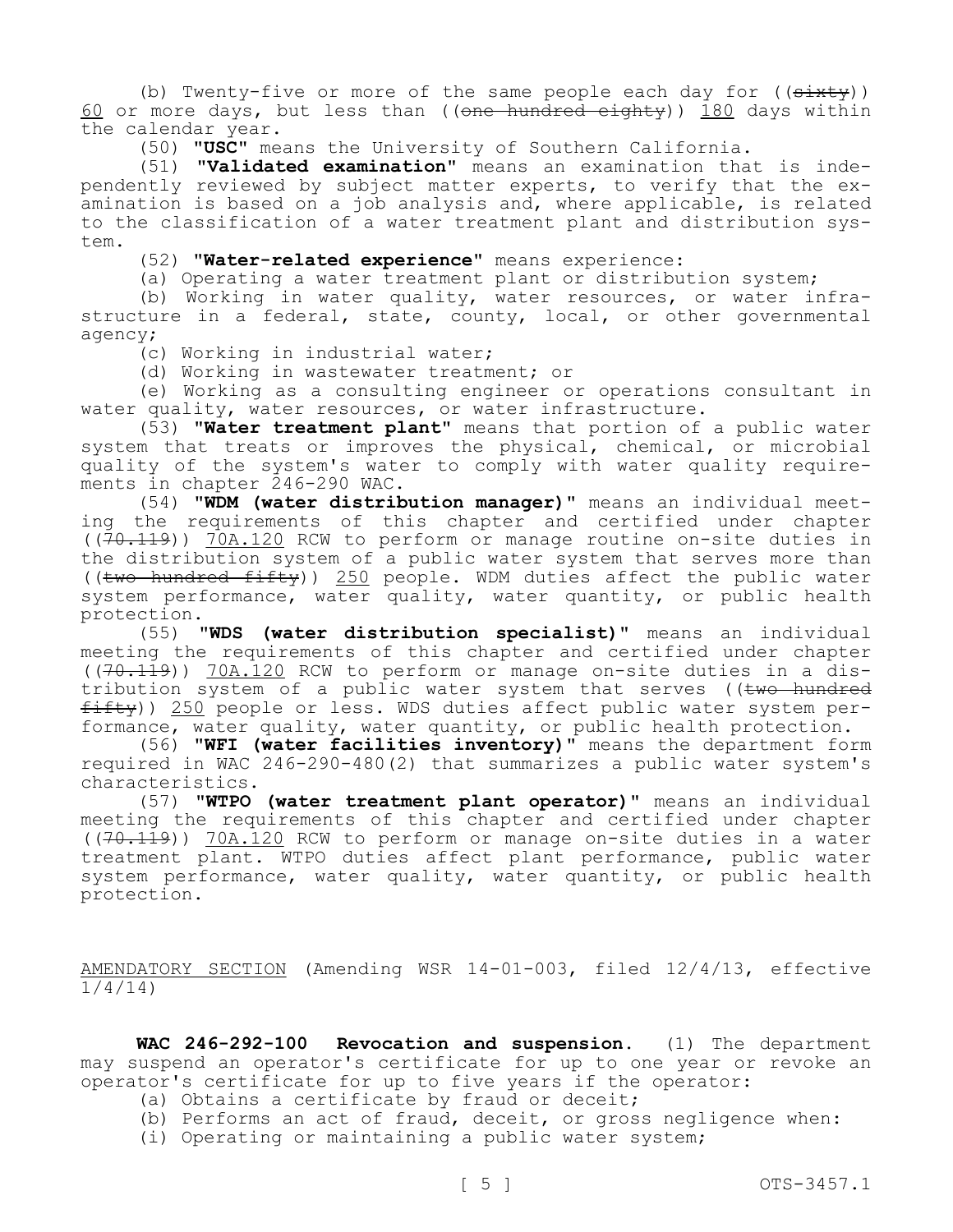(b) Twenty-five or more of the same people each day for  $((sixty))$ 60 or more days, but less than (( $\theta$ ne hundred eighty)) 180 days within the calendar year.

(50) **"USC"** means the University of Southern California.

(51) **"Validated examination"** means an examination that is independently reviewed by subject matter experts, to verify that the examination is based on a job analysis and, where applicable, is related to the classification of a water treatment plant and distribution system.

(52) **"Water-related experience"** means experience:

(a) Operating a water treatment plant or distribution system;

(b) Working in water quality, water resources, or water infrastructure in a federal, state, county, local, or other governmental agency;

(c) Working in industrial water;

(d) Working in wastewater treatment; or

(e) Working as a consulting engineer or operations consultant in water quality, water resources, or water infrastructure.

(53) **"Water treatment plant"** means that portion of a public water system that treats or improves the physical, chemical, or microbial quality of the system's water to comply with water quality requirements in chapter 246-290 WAC.

(54) **"WDM (water distribution manager)"** means an individual meeting the requirements of this chapter and certified under chapter  $((70.119))$  70A.120 RCW to perform or manage routine on-site duties in the distribution system of a public water system that serves more than (( $two$  hundred  $fit(y)$ ) 250 people. WDM duties affect the public water system performance, water quality, water quantity, or public health protection.

(55) **"WDS (water distribution specialist)"** means an individual meeting the requirements of this chapter and certified under chapter  $((70.119))$  70A.120 RCW to perform or manage on-site duties in a distribution system of a public water system that serves ((two hundred  $f$ ifty)) 250 people or less. WDS duties affect public water system performance, water quality, water quantity, or public health protection.

(56) **"WFI (water facilities inventory)"** means the department form required in WAC 246-290-480(2) that summarizes a public water system's characteristics.

(57) **"WTPO (water treatment plant operator)"** means an individual meeting the requirements of this chapter and certified under chapter ((70.119)) 70A.120 RCW to perform or manage on-site duties in a water treatment plant. WTPO duties affect plant performance, public water system performance, water quality, water quantity, or public health protection.

AMENDATORY SECTION (Amending WSR 14-01-003, filed 12/4/13, effective 1/4/14)

**WAC 246-292-100 Revocation and suspension.** (1) The department may suspend an operator's certificate for up to one year or revoke an operator's certificate for up to five years if the operator:

- (a) Obtains a certificate by fraud or deceit;
- (b) Performs an act of fraud, deceit, or gross negligence when:
- (i) Operating or maintaining a public water system;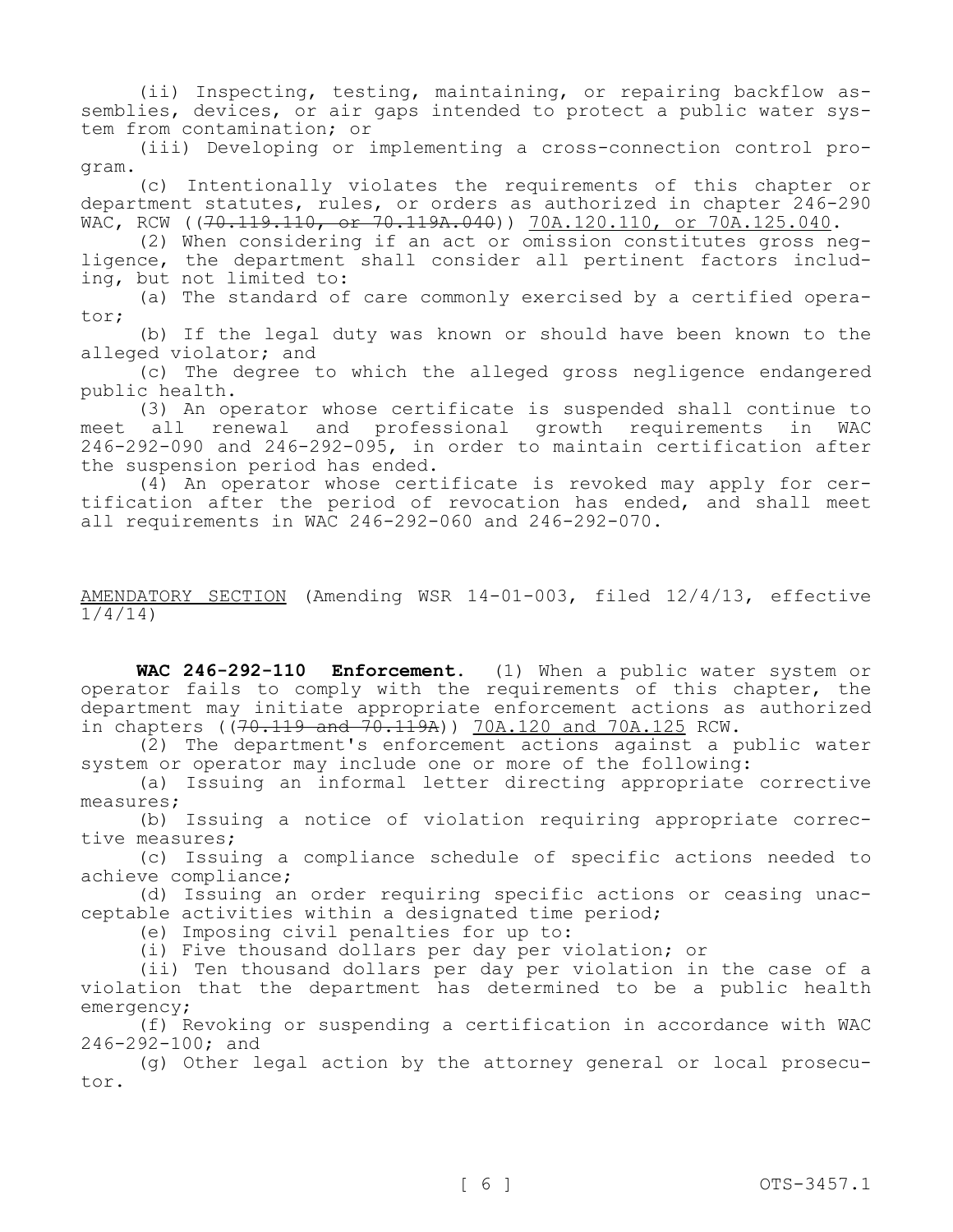(ii) Inspecting, testing, maintaining, or repairing backflow assemblies, devices, or air gaps intended to protect a public water system from contamination; or

(iii) Developing or implementing a cross-connection control program.

(c) Intentionally violates the requirements of this chapter or department statutes, rules, or orders as authorized in chapter 246-290 WAC, RCW ((70.119.110, or 70.119A.040)) 70A.120.110, or 70A.125.040.

(2) When considering if an act or omission constitutes gross negligence, the department shall consider all pertinent factors including, but not limited to:

(a) The standard of care commonly exercised by a certified operator;

(b) If the legal duty was known or should have been known to the alleged violator; and

(c) The degree to which the alleged gross negligence endangered public health.

(3) An operator whose certificate is suspended shall continue to meet all renewal and professional growth requirements in 246-292-090 and 246-292-095, in order to maintain certification after the suspension period has ended.

(4) An operator whose certificate is revoked may apply for certification after the period of revocation has ended, and shall meet all requirements in WAC 246-292-060 and 246-292-070.

AMENDATORY SECTION (Amending WSR 14-01-003, filed 12/4/13, effective 1/4/14)

**WAC 246-292-110 Enforcement.** (1) When a public water system or operator fails to comply with the requirements of this chapter, the department may initiate appropriate enforcement actions as authorized in chapters ( $(70.119$  and  $70.119A$ )) 70A.120 and 70A.125 RCW.

(2) The department's enforcement actions against a public water system or operator may include one or more of the following:

(a) Issuing an informal letter directing appropriate corrective measures;

(b) Issuing a notice of violation requiring appropriate corrective measures;

(c) Issuing a compliance schedule of specific actions needed to achieve compliance;

(d) Issuing an order requiring specific actions or ceasing unacceptable activities within a designated time period;

(e) Imposing civil penalties for up to:

(i) Five thousand dollars per day per violation; or

(ii) Ten thousand dollars per day per violation in the case of a violation that the department has determined to be a public health emergency;

(f) Revoking or suspending a certification in accordance with WAC 246-292-100; and

(g) Other legal action by the attorney general or local prosecutor.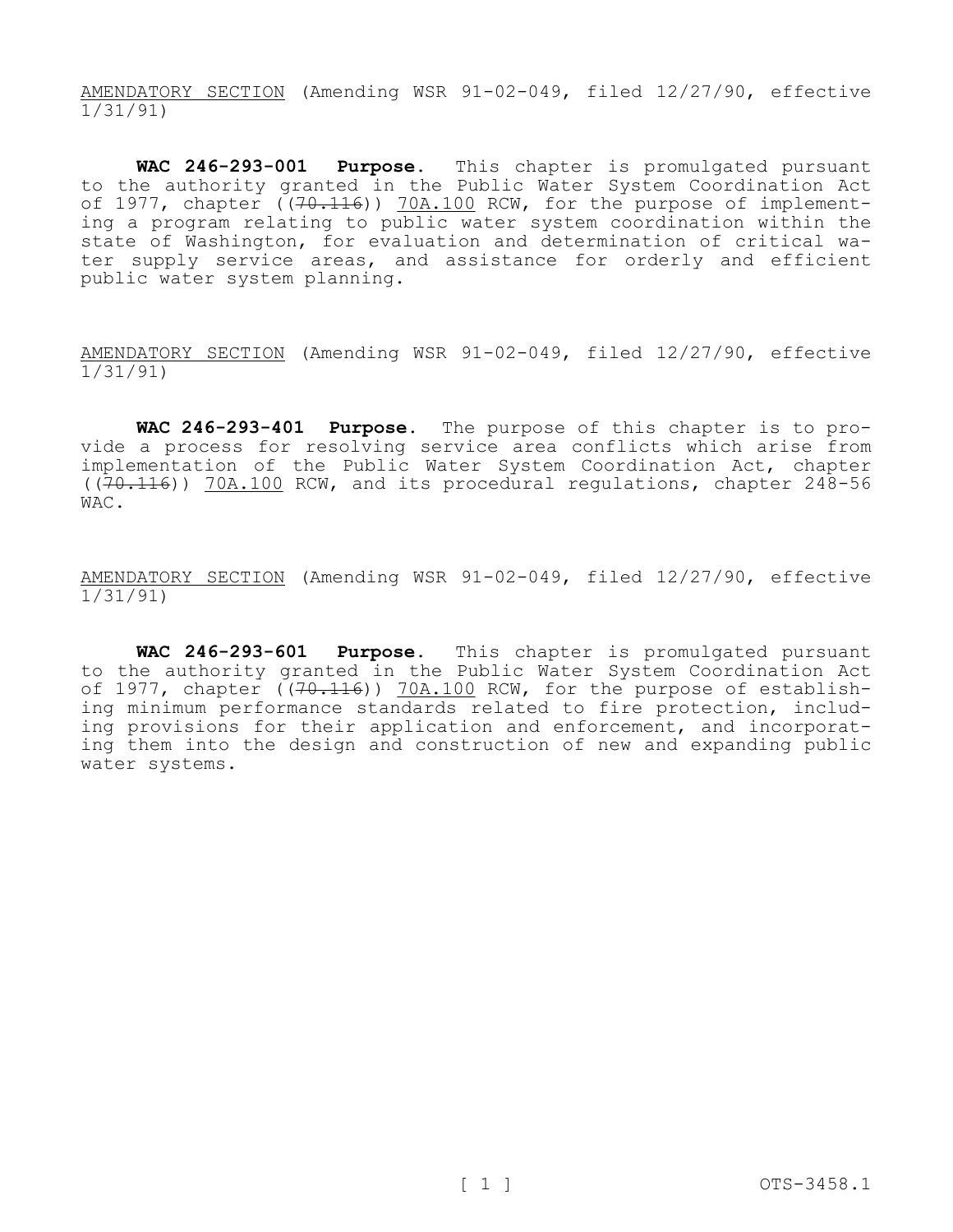AMENDATORY SECTION (Amending WSR 91-02-049, filed 12/27/90, effective 1/31/91)

**WAC 246-293-001 Purpose.** This chapter is promulgated pursuant to the authority granted in the Public Water System Coordination Act of 1977, chapter  $(70.116)$  70A.100 RCW, for the purpose of implementing a program relating to public water system coordination within the state of Washington, for evaluation and determination of critical water supply service areas, and assistance for orderly and efficient public water system planning.

AMENDATORY SECTION (Amending WSR 91-02-049, filed 12/27/90, effective 1/31/91)

**WAC 246-293-401 Purpose.** The purpose of this chapter is to provide a process for resolving service area conflicts which arise from implementation of the Public Water System Coordination Act, chapter  $((70.116))$  70A.100 RCW, and its procedural regulations, chapter 248-56 WAC.

AMENDATORY SECTION (Amending WSR 91-02-049, filed 12/27/90, effective 1/31/91)

**WAC 246-293-601 Purpose.** This chapter is promulgated pursuant to the authority granted in the Public Water System Coordination Act of 1977, chapter ((70.116)) 70A.100 RCW, for the purpose of establishing minimum performance standards related to fire protection, including provisions for their application and enforcement, and incorporating them into the design and construction of new and expanding public water systems.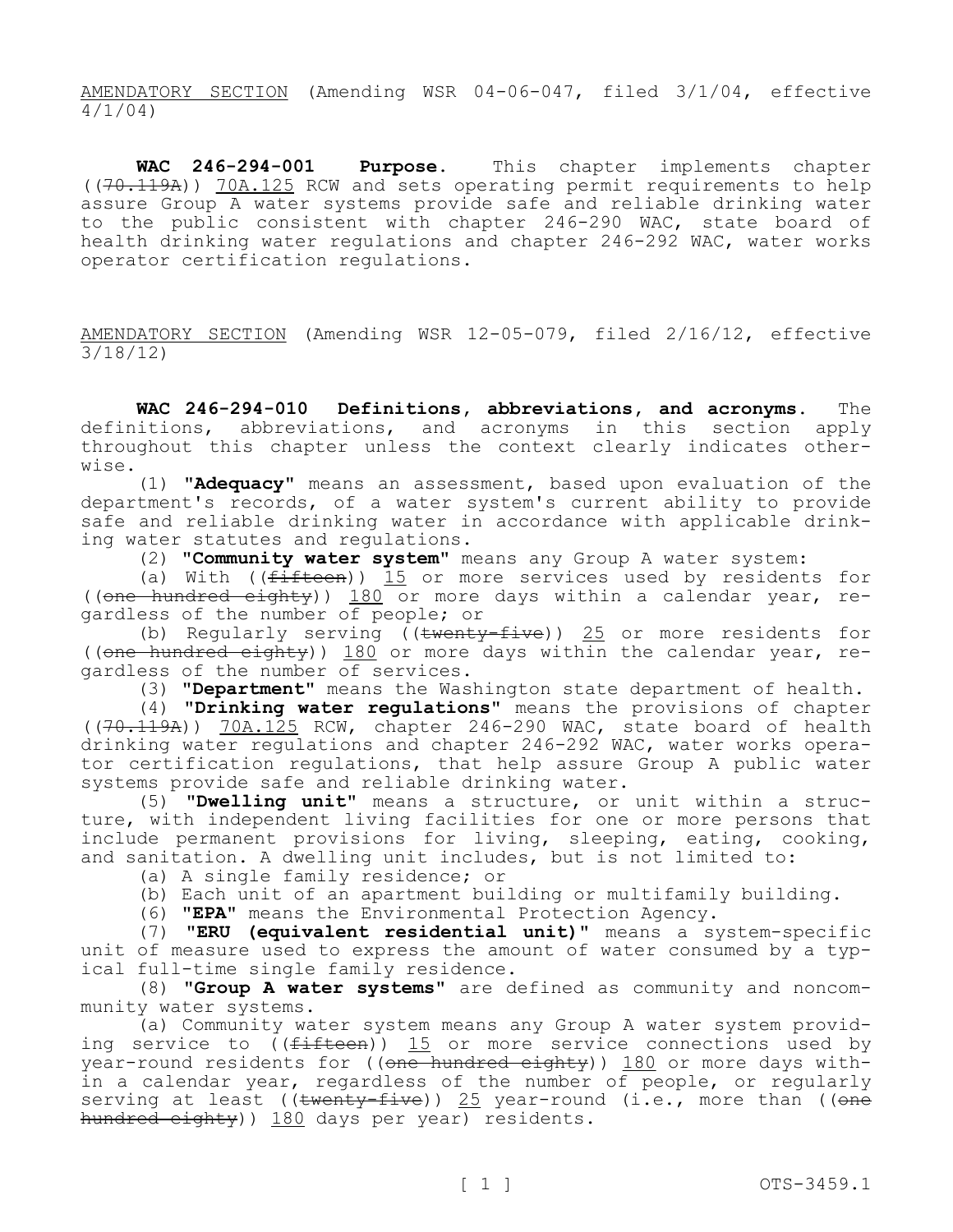AMENDATORY SECTION (Amending WSR 04-06-047, filed 3/1/04, effective  $\frac{1}{4}/1/04$ 

**WAC 246-294-001 Purpose.** This chapter implements chapter ((70.119A)) 70A.125 RCW and sets operating permit requirements to help assure Group A water systems provide safe and reliable drinking water to the public consistent with chapter 246-290 WAC, state board of health drinking water regulations and chapter 246-292 WAC, water works operator certification regulations.

AMENDATORY SECTION (Amending WSR 12-05-079, filed 2/16/12, effective 3/18/12)

**WAC 246-294-010 Definitions, abbreviations, and acronyms.** The definitions, abbreviations, and acronyms in this section apply throughout this chapter unless the context clearly indicates otherwise.

(1) **"Adequacy"** means an assessment, based upon evaluation of the department's records, of a water system's current ability to provide safe and reliable drinking water in accordance with applicable drinking water statutes and regulations.

(2) **"Community water system"** means any Group A water system:

(a) With (( $f$ ifteen)) 15 or more services used by residents for ((one hundred eighty)) 180 or more days within a calendar year, regardless of the number of people; or

(b) Regularly serving (( $t$ wenty-five)) 25 or more residents for ((one hundred eighty)) 180 or more days within the calendar year, regardless of the number of services.

(3) **"Department"** means the Washington state department of health.

(4) **"Drinking water regulations"** means the provisions of chapter  $((70.119A))$  70A.125 RCW, chapter 246-290 WAC, state board of health drinking water regulations and chapter 246-292 WAC, water works operator certification regulations, that help assure Group A public water systems provide safe and reliable drinking water.

(5) **"Dwelling unit"** means a structure, or unit within a structure, with independent living facilities for one or more persons that include permanent provisions for living, sleeping, eating, cooking, and sanitation. A dwelling unit includes, but is not limited to:

(a) A single family residence; or

(b) Each unit of an apartment building or multifamily building.

(6) **"EPA"** means the Environmental Protection Agency.

(7) **"ERU (equivalent residential unit)"** means a system-specific unit of measure used to express the amount of water consumed by a typical full-time single family residence.

(8) **"Group A water systems"** are defined as community and noncommunity water systems.

(a) Community water system means any Group A water system providing service to  $(\text{fifteen})$  15 or more service connections used by year-round residents for ((one hundred eighty)) 180 or more days within a calendar year, regardless of the number of people, or regularly serving at least ((twenty-five)) 25 year-round (i.e., more than ((one hundred eighty)) 180 days per year) residents.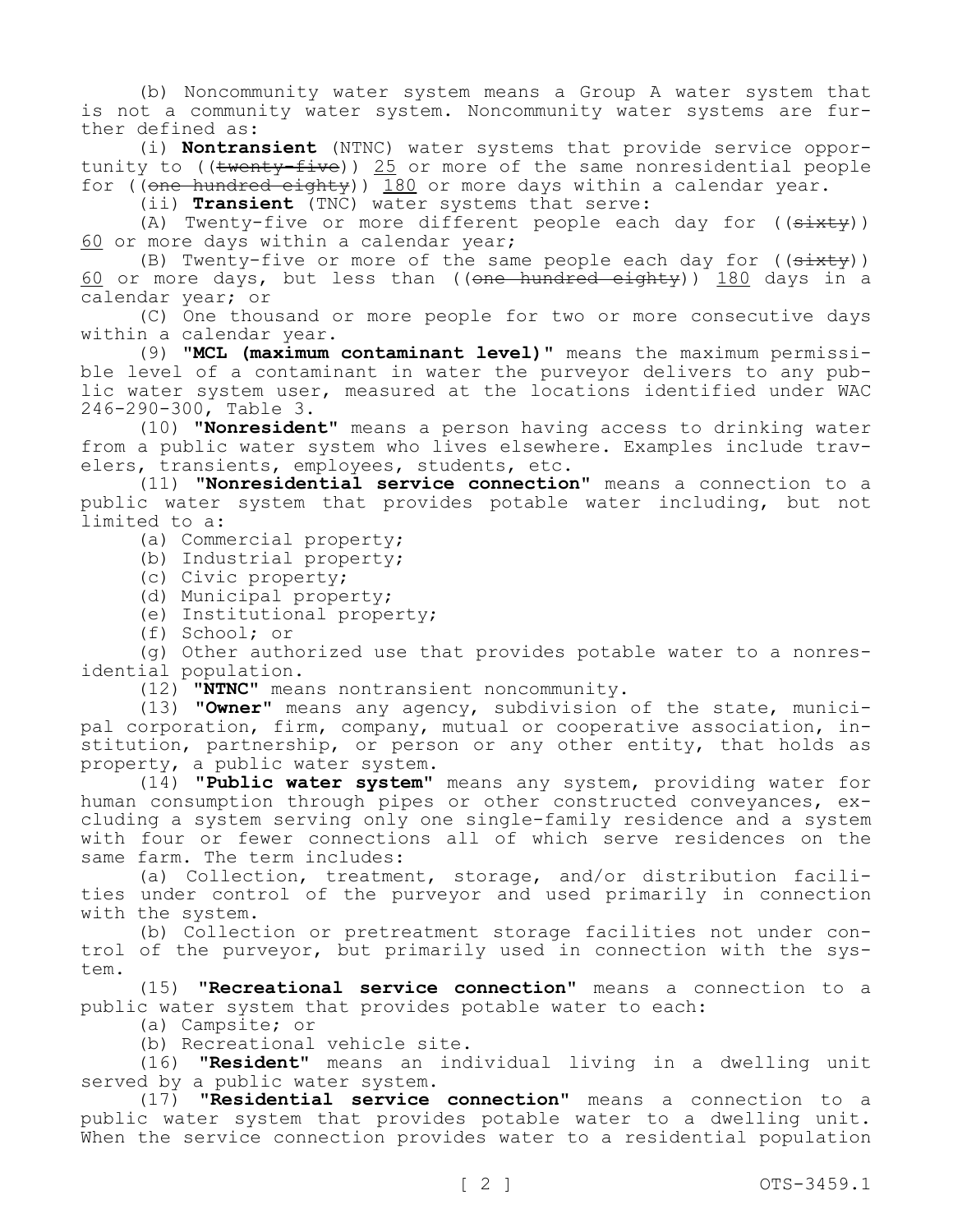(b) Noncommunity water system means a Group A water system that is not a community water system. Noncommunity water systems are further defined as:

(i) **Nontransient** (NTNC) water systems that provide service opportunity to ((<del>twenty-five</del>)) <u>25</u> or more of the same nonresidential people for ((one hundred eighty)) 180 or more days within a calendar year.

(ii) **Transient** (TNC) water systems that serve:

(A) Twenty-five or more different people each day for  $((sixty))$ 60 or more days within a calendar year;

(B) Twenty-five or more of the same people each day for  $((s+$ 60 or more days, but less than (( $one$  hundred eighty)) 180 days in a calendar year; or

(C) One thousand or more people for two or more consecutive days within a calendar year.

(9) **"MCL (maximum contaminant level)"** means the maximum permissible level of a contaminant in water the purveyor delivers to any public water system user, measured at the locations identified under WAC 246-290-300, Table 3.

(10) **"Nonresident"** means a person having access to drinking water from a public water system who lives elsewhere. Examples include travelers, transients, employees, students, etc.

(11) **"Nonresidential service connection"** means a connection to a public water system that provides potable water including, but not limited to a:

(a) Commercial property;

(b) Industrial property;

(c) Civic property;

(d) Municipal property;

(e) Institutional property;

(f) School; or

(g) Other authorized use that provides potable water to a nonresidential population.

(12) **"NTNC"** means nontransient noncommunity.

(13) **"Owner"** means any agency, subdivision of the state, municipal corporation, firm, company, mutual or cooperative association, institution, partnership, or person or any other entity, that holds as property, a public water system.

(14) **"Public water system"** means any system, providing water for human consumption through pipes or other constructed conveyances, excluding a system serving only one single-family residence and a system with four or fewer connections all of which serve residences on the same farm. The term includes:

(a) Collection, treatment, storage, and/or distribution facilities under control of the purveyor and used primarily in connection with the system.

(b) Collection or pretreatment storage facilities not under control of the purveyor, but primarily used in connection with the system.

(15) **"Recreational service connection"** means a connection to a public water system that provides potable water to each:

(a) Campsite; or

(b) Recreational vehicle site.

(16) **"Resident"** means an individual living in a dwelling unit served by a public water system.

(17) **"Residential service connection"** means a connection to a public water system that provides potable water to a dwelling unit. When the service connection provides water to a residential population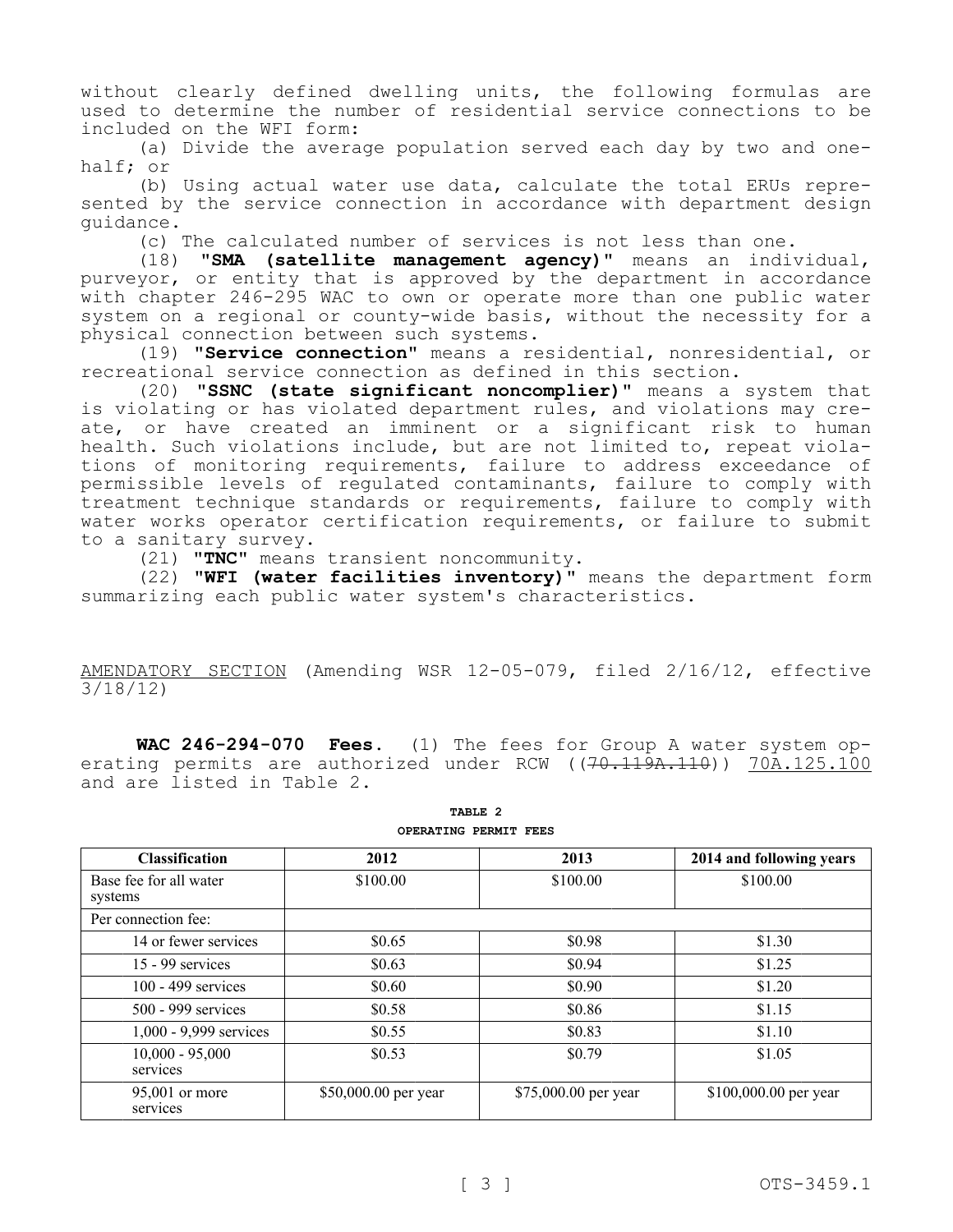without clearly defined dwelling units, the following formulas are used to determine the number of residential service connections to be included on the WFI form:

(a) Divide the average population served each day by two and onehalf; or

(b) Using actual water use data, calculate the total ERUs represented by the service connection in accordance with department design guidance.

(c) The calculated number of services is not less than one.

(18) **"SMA (satellite management agency)"** means an individual, purveyor, or entity that is approved by the department in accordance with chapter 246-295 WAC to own or operate more than one public water system on a regional or county-wide basis, without the necessity for a physical connection between such systems.

(19) **"Service connection"** means a residential, nonresidential, or recreational service connection as defined in this section.

(20) **"SSNC (state significant noncomplier)"** means a system that is violating or has violated department rules, and violations may create, or have created an imminent or a significant risk to human health. Such violations include, but are not limited to, repeat violations of monitoring requirements, failure to address exceedance of permissible levels of regulated contaminants, failure to comply with treatment technique standards or requirements, failure to comply with water works operator certification requirements, or failure to submit to a sanitary survey.

(21) **"TNC"** means transient noncommunity.

(22) **"WFI (water facilities inventory)"** means the department form summarizing each public water system's characteristics.

AMENDATORY SECTION (Amending WSR 12-05-079, filed 2/16/12, effective 3/18/12)

**WAC 246-294-070 Fees.** (1) The fees for Group A water system operating permits are authorized under RCW ((<del>70.119A.110</del>)) 70A.125.100 and are listed in Table 2.

| <b>Classification</b>             | 2012                 | 2013                 | 2014 and following years |
|-----------------------------------|----------------------|----------------------|--------------------------|
| Base fee for all water<br>systems | \$100.00             | \$100.00             | \$100.00                 |
| Per connection fee:               |                      |                      |                          |
| 14 or fewer services              | \$0.65               | \$0.98               | \$1.30                   |
| 15 - 99 services                  | \$0.63               | \$0.94               | \$1.25                   |
| $100 - 499$ services              | \$0.60               | \$0.90               | \$1.20                   |
| 500 - 999 services                | \$0.58               | \$0.86               | \$1.15                   |
| 1,000 - 9,999 services            | \$0.55               | \$0.83               | \$1.10                   |
| $10,000 - 95,000$<br>services     | \$0.53               | \$0.79               | \$1.05                   |
| 95,001 or more<br>services        | \$50,000.00 per year | \$75,000.00 per year | \$100,000.00 per year    |

**TABLE 2 OPERATING PERMIT FEES**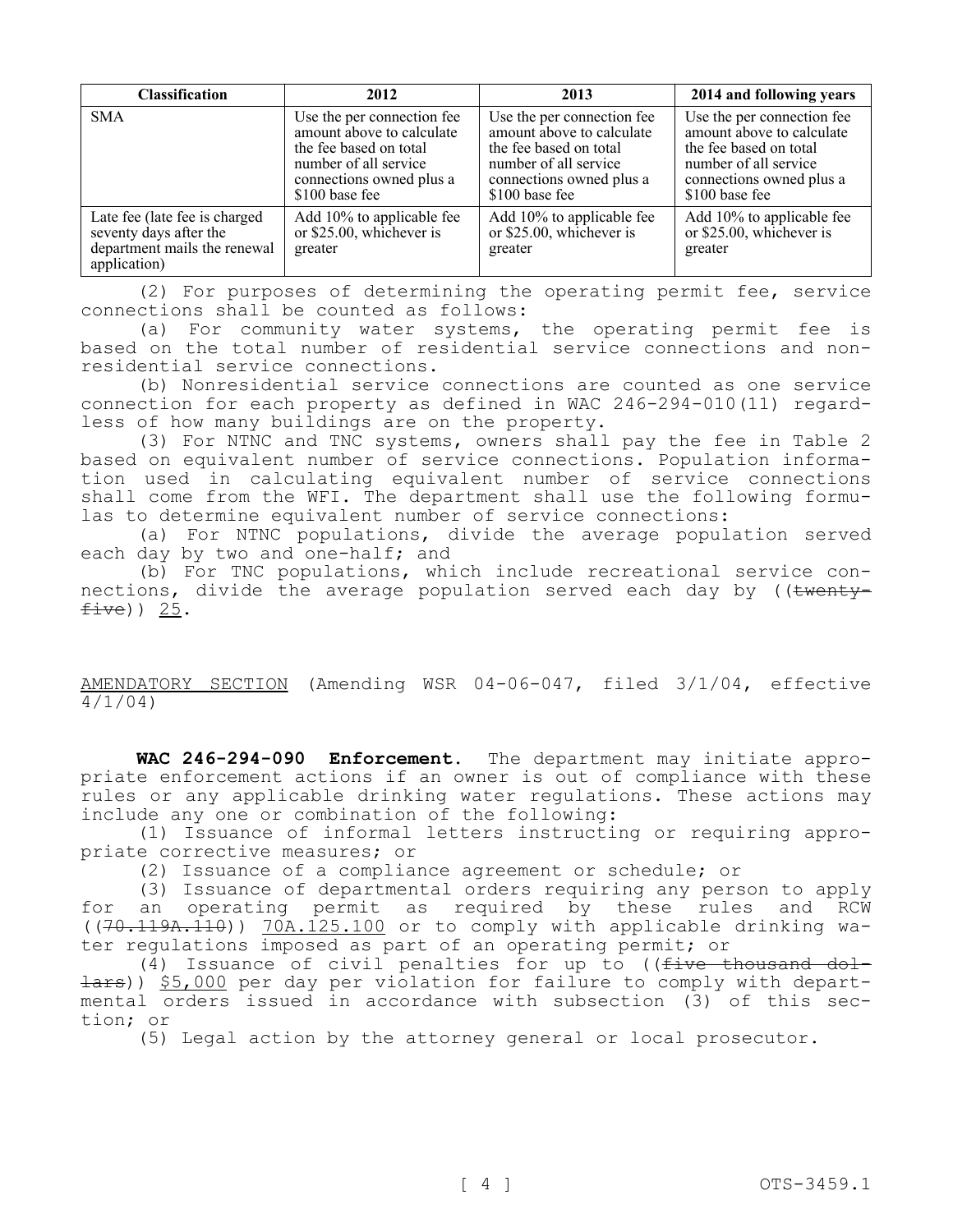| <b>Classification</b>                                                                                    | 2012                                                                                                                                                     | 2013                                                                                                                                                     | 2014 and following years                                                                                                                                 |
|----------------------------------------------------------------------------------------------------------|----------------------------------------------------------------------------------------------------------------------------------------------------------|----------------------------------------------------------------------------------------------------------------------------------------------------------|----------------------------------------------------------------------------------------------------------------------------------------------------------|
| <b>SMA</b>                                                                                               | Use the per connection fee<br>amount above to calculate<br>the fee based on total<br>number of all service<br>connections owned plus a<br>\$100 base fee | Use the per connection fee<br>amount above to calculate<br>the fee based on total<br>number of all service<br>connections owned plus a<br>\$100 base fee | Use the per connection fee<br>amount above to calculate<br>the fee based on total<br>number of all service<br>connections owned plus a<br>\$100 base fee |
| Late fee (late fee is charged)<br>seventy days after the<br>department mails the renewal<br>application) | Add 10% to applicable fee<br>or \$25.00, whichever is<br>greater                                                                                         | Add 10% to applicable fee<br>or \$25.00, whichever is<br>greater                                                                                         | Add 10% to applicable fee<br>or \$25.00, whichever is<br>greater                                                                                         |

(2) For purposes of determining the operating permit fee, service connections shall be counted as follows:

(a) For community water systems, the operating permit fee is based on the total number of residential service connections and nonresidential service connections.

(b) Nonresidential service connections are counted as one service connection for each property as defined in WAC 246-294-010(11) regardless of how many buildings are on the property.

(3) For NTNC and TNC systems, owners shall pay the fee in Table 2 based on equivalent number of service connections. Population information used in calculating equivalent number of service connections shall come from the WFI. The department shall use the following formulas to determine equivalent number of service connections:

(a) For NTNC populations, divide the average population served each day by two and one-half; and

(b) For TNC populations, which include recreational service connections, divide the average population served each day by ((twenty $five)$ ) 25.

AMENDATORY SECTION (Amending WSR 04-06-047, filed 3/1/04, effective 4/1/04)

**WAC 246-294-090 Enforcement.** The department may initiate appropriate enforcement actions if an owner is out of compliance with these rules or any applicable drinking water regulations. These actions may include any one or combination of the following:

(1) Issuance of informal letters instructing or requiring appropriate corrective measures; or

(2) Issuance of a compliance agreement or schedule; or

(3) Issuance of departmental orders requiring any person to apply for an operating permit as required by these rules and RCW ((70.119A.110)) 70A.125.100 or to comply with applicable drinking water regulations imposed as part of an operating permit; or

(4) Issuance of civil penalties for up to ( $f$ ive thousand dollars)) \$5,000 per day per violation for failure to comply with departmental orders issued in accordance with subsection (3) of this section; or

(5) Legal action by the attorney general or local prosecutor.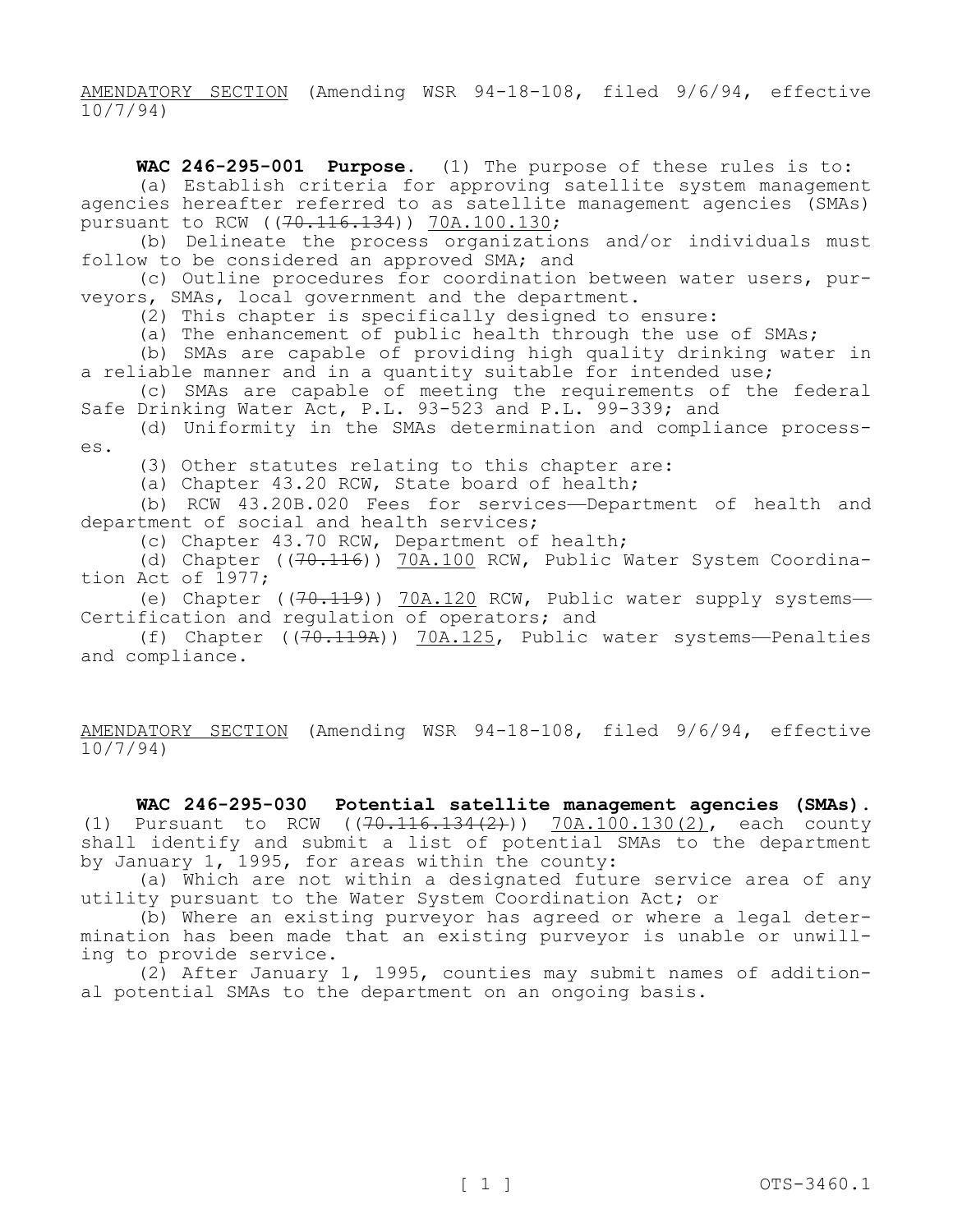AMENDATORY SECTION (Amending WSR 94-18-108, filed 9/6/94, effective 10/7/94)

**WAC 246-295-001 Purpose.** (1) The purpose of these rules is to: (a) Establish criteria for approving satellite system management agencies hereafter referred to as satellite management agencies (SMAs) pursuant to RCW ((<del>70.116.134</del>)) 70A.100.130;

(b) Delineate the process organizations and/or individuals must follow to be considered an approved SMA; and

(c) Outline procedures for coordination between water users, purveyors, SMAs, local government and the department.

(2) This chapter is specifically designed to ensure:

(a) The enhancement of public health through the use of SMAs;

(b) SMAs are capable of providing high quality drinking water in a reliable manner and in a quantity suitable for intended use;

(c) SMAs are capable of meeting the requirements of the federal Safe Drinking Water Act, P.L. 93-523 and P.L. 99-339; and

(d) Uniformity in the SMAs determination and compliance processes.

(3) Other statutes relating to this chapter are:

(a) Chapter 43.20 RCW, State board of health;

(b) RCW 43.20B.020 Fees for services—Department of health and department of social and health services;

(c) Chapter 43.70 RCW, Department of health;

(d) Chapter ((70.116)) 70A.100 RCW, Public Water System Coordination Act of 1977;

(e) Chapter ((70.119)) 70A.120 RCW, Public water supply systems-Certification and regulation of operators; and

(f) Chapter  $((70.119A))$  70A.125, Public water systems-Penalties and compliance.

AMENDATORY SECTION (Amending WSR 94-18-108, filed 9/6/94, effective 10/7/94)

**WAC 246-295-030 Potential satellite management agencies (SMAs).**  (1) Pursuant to RCW  $((70.116.134(2)))$  70A.100.130(2), each county shall identify and submit a list of potential SMAs to the department by January 1, 1995, for areas within the county:

(a) Which are not within a designated future service area of any utility pursuant to the Water System Coordination Act; or

(b) Where an existing purveyor has agreed or where a legal determination has been made that an existing purveyor is unable or unwilling to provide service.

(2) After January 1, 1995, counties may submit names of additional potential SMAs to the department on an ongoing basis.